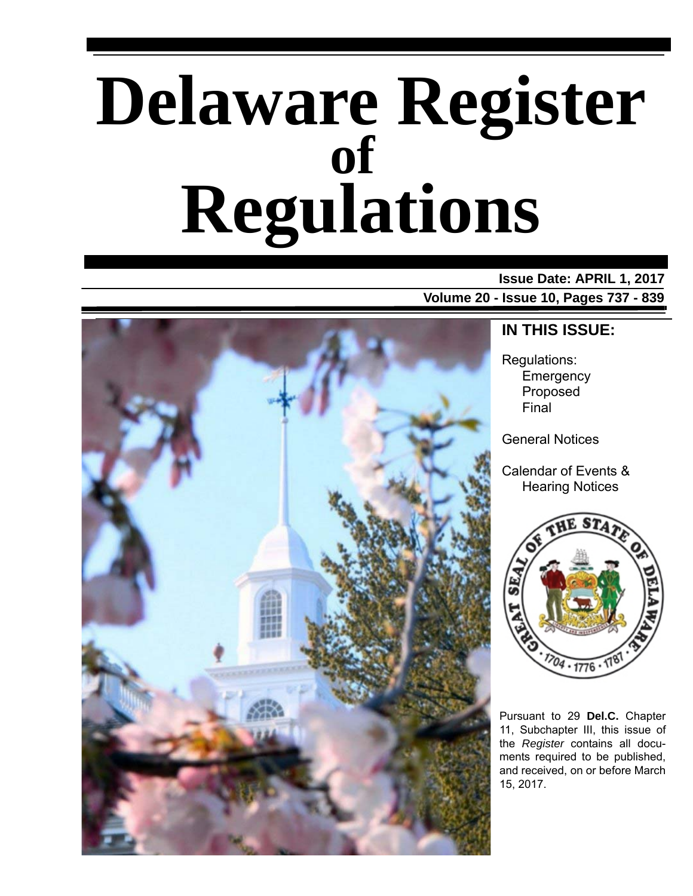# **Delaware Register Regulations of**

### **Issue Date: APRIL 1, 2017**

**Volume 20 - Issue 10, Pages 737 - 839**



### **IN THIS ISSUE:**

Regulations: Emergency Proposed Final

General Notices

Calendar of Events & Hearing Notices



Pursuant to 29 **Del.C.** Chapter 11, Subchapter III, this issue of the *Register* contains all documents required to be published, and received, on or before March 15, 2017.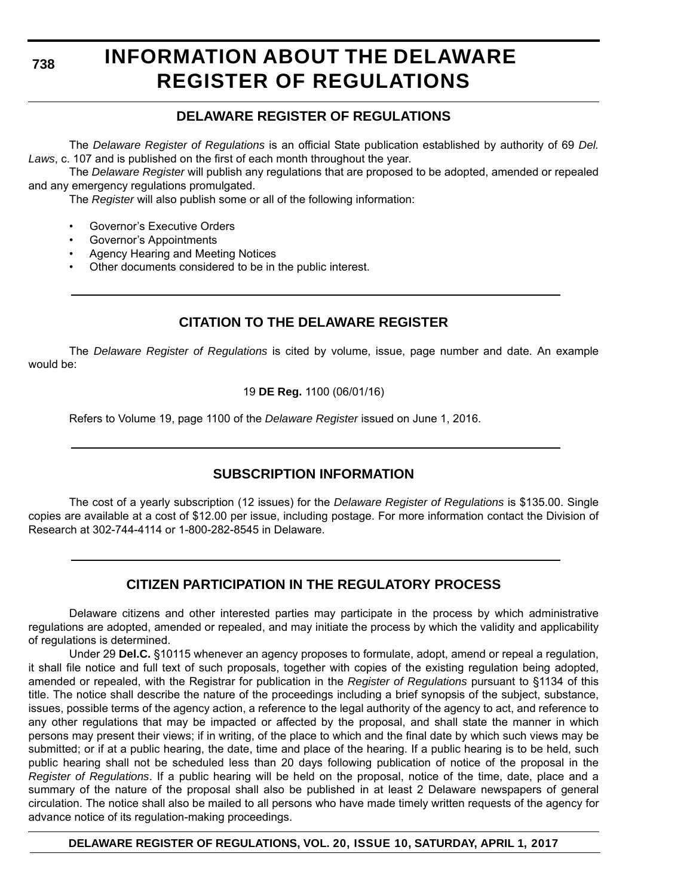# **INFORMATION ABOUT THE DELAWARE REGISTER OF REGULATIONS**

### **DELAWARE REGISTER OF REGULATIONS**

The *Delaware Register of Regulations* is an official State publication established by authority of 69 *Del. Laws*, c. 107 and is published on the first of each month throughout the year.

The *Delaware Register* will publish any regulations that are proposed to be adopted, amended or repealed and any emergency regulations promulgated.

The *Register* will also publish some or all of the following information:

- Governor's Executive Orders
- Governor's Appointments
- Agency Hearing and Meeting Notices
- Other documents considered to be in the public interest.

### **CITATION TO THE DELAWARE REGISTER**

The *Delaware Register of Regulations* is cited by volume, issue, page number and date. An example would be:

19 **DE Reg.** 1100 (06/01/16)

Refers to Volume 19, page 1100 of the *Delaware Register* issued on June 1, 2016.

### **SUBSCRIPTION INFORMATION**

The cost of a yearly subscription (12 issues) for the *Delaware Register of Regulations* is \$135.00. Single copies are available at a cost of \$12.00 per issue, including postage. For more information contact the Division of Research at 302-744-4114 or 1-800-282-8545 in Delaware.

### **CITIZEN PARTICIPATION IN THE REGULATORY PROCESS**

Delaware citizens and other interested parties may participate in the process by which administrative regulations are adopted, amended or repealed, and may initiate the process by which the validity and applicability of regulations is determined.

Under 29 **Del.C.** §10115 whenever an agency proposes to formulate, adopt, amend or repeal a regulation, it shall file notice and full text of such proposals, together with copies of the existing regulation being adopted, amended or repealed, with the Registrar for publication in the *Register of Regulations* pursuant to §1134 of this title. The notice shall describe the nature of the proceedings including a brief synopsis of the subject, substance, issues, possible terms of the agency action, a reference to the legal authority of the agency to act, and reference to any other regulations that may be impacted or affected by the proposal, and shall state the manner in which persons may present their views; if in writing, of the place to which and the final date by which such views may be submitted; or if at a public hearing, the date, time and place of the hearing. If a public hearing is to be held, such public hearing shall not be scheduled less than 20 days following publication of notice of the proposal in the *Register of Regulations*. If a public hearing will be held on the proposal, notice of the time, date, place and a summary of the nature of the proposal shall also be published in at least 2 Delaware newspapers of general circulation. The notice shall also be mailed to all persons who have made timely written requests of the agency for advance notice of its regulation-making proceedings.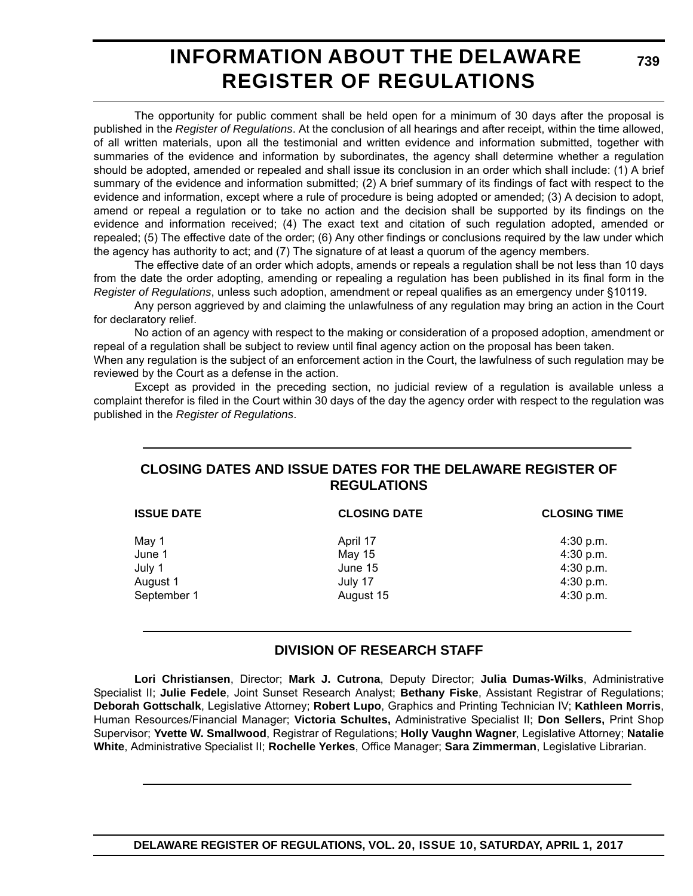# **INFORMATION ABOUT THE DELAWARE REGISTER OF REGULATIONS**

The opportunity for public comment shall be held open for a minimum of 30 days after the proposal is published in the *Register of Regulations*. At the conclusion of all hearings and after receipt, within the time allowed, of all written materials, upon all the testimonial and written evidence and information submitted, together with summaries of the evidence and information by subordinates, the agency shall determine whether a regulation should be adopted, amended or repealed and shall issue its conclusion in an order which shall include: (1) A brief summary of the evidence and information submitted; (2) A brief summary of its findings of fact with respect to the evidence and information, except where a rule of procedure is being adopted or amended; (3) A decision to adopt, amend or repeal a regulation or to take no action and the decision shall be supported by its findings on the evidence and information received; (4) The exact text and citation of such regulation adopted, amended or repealed; (5) The effective date of the order; (6) Any other findings or conclusions required by the law under which the agency has authority to act; and (7) The signature of at least a quorum of the agency members.

The effective date of an order which adopts, amends or repeals a regulation shall be not less than 10 days from the date the order adopting, amending or repealing a regulation has been published in its final form in the *Register of Regulations*, unless such adoption, amendment or repeal qualifies as an emergency under §10119.

Any person aggrieved by and claiming the unlawfulness of any regulation may bring an action in the Court for declaratory relief.

No action of an agency with respect to the making or consideration of a proposed adoption, amendment or repeal of a regulation shall be subject to review until final agency action on the proposal has been taken.

When any regulation is the subject of an enforcement action in the Court, the lawfulness of such regulation may be reviewed by the Court as a defense in the action.

Except as provided in the preceding section, no judicial review of a regulation is available unless a complaint therefor is filed in the Court within 30 days of the day the agency order with respect to the regulation was published in the *Register of Regulations*.

### **CLOSING DATES AND ISSUE DATES FOR THE DELAWARE REGISTER OF REGULATIONS**

| <b>ISSUE DATE</b> | <b>CLOSING DATE</b> | <b>CLOSING TIME</b> |
|-------------------|---------------------|---------------------|
| May 1             | April 17            | $4:30$ p.m.         |
| June 1            | May 15              | 4:30 p.m.           |
| July 1            | June 15             | 4:30 p.m.           |
| August 1          | July 17             | 4:30 p.m.           |
| September 1       | August 15           | 4:30 p.m.           |

### **DIVISION OF RESEARCH STAFF**

**Lori Christiansen**, Director; **Mark J. Cutrona**, Deputy Director; **Julia Dumas-Wilks**, Administrative Specialist II; **Julie Fedele**, Joint Sunset Research Analyst; **Bethany Fiske**, Assistant Registrar of Regulations; **Deborah Gottschalk**, Legislative Attorney; **Robert Lupo**, Graphics and Printing Technician IV; **Kathleen Morris**, Human Resources/Financial Manager; **Victoria Schultes,** Administrative Specialist II; **Don Sellers,** Print Shop Supervisor; **Yvette W. Smallwood**, Registrar of Regulations; **Holly Vaughn Wagner**, Legislative Attorney; **Natalie White**, Administrative Specialist II; **Rochelle Yerkes**, Office Manager; **Sara Zimmerman**, Legislative Librarian.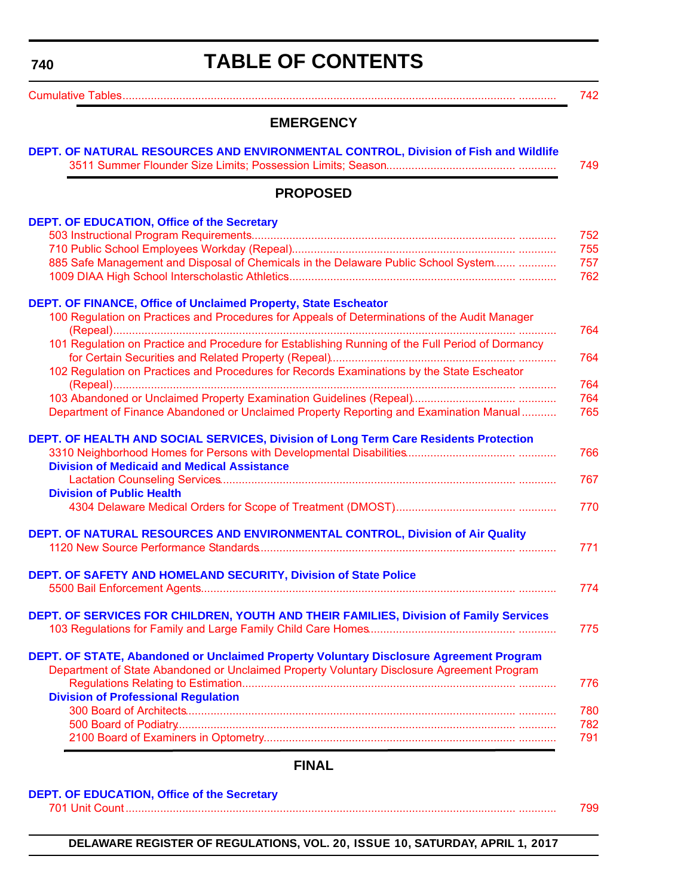# **TABLE OF CONTENTS**

<span id="page-3-0"></span>

| <b>EMERGENCY</b>                                                                                 |
|--------------------------------------------------------------------------------------------------|
| DEPT. OF NATURAL RESOURCES AND ENVIRONMENTAL CONTROL, Division of Fish and Wildlife              |
| <b>PROPOSED</b>                                                                                  |
| <b>DEPT. OF EDUCATION, Office of the Secretary</b>                                               |
|                                                                                                  |
|                                                                                                  |
| 885 Safe Management and Disposal of Chemicals in the Delaware Public School System               |
| DEPT. OF FINANCE, Office of Unclaimed Property, State Escheator                                  |
| 100 Regulation on Practices and Procedures for Appeals of Determinations of the Audit Manager    |
| 101 Regulation on Practice and Procedure for Establishing Running of the Full Period of Dormancy |
| 102 Regulation on Practices and Procedures for Records Examinations by the State Escheator       |
|                                                                                                  |
| Department of Finance Abandoned or Unclaimed Property Reporting and Examination Manual           |
| DEPT. OF HEALTH AND SOCIAL SERVICES, Division of Long Term Care Residents Protection             |
|                                                                                                  |
| <b>Division of Medicaid and Medical Assistance</b>                                               |
|                                                                                                  |
| <b>Division of Public Health</b>                                                                 |
|                                                                                                  |
| DEPT. OF NATURAL RESOURCES AND ENVIRONMENTAL CONTROL, Division of Air Quality                    |
|                                                                                                  |
| DEPT. OF SAFETY AND HOMELAND SECURITY, Division of State Police                                  |
|                                                                                                  |
| DEPT. OF SERVICES FOR CHILDREN, YOUTH AND THEIR FAMILIES, Division of Family Services            |
|                                                                                                  |
| DEPT. OF STATE, Abandoned or Unclaimed Property Voluntary Disclosure Agreement Program           |
| Department of State Abandoned or Unclaimed Property Voluntary Disclosure Agreement Program       |
| <b>Division of Professional Regulation</b>                                                       |
|                                                                                                  |
|                                                                                                  |
|                                                                                                  |
|                                                                                                  |
|                                                                                                  |

### **FINAL**

|  | DEPT. OF EDUCATION, Office of the Secretary |  |  |  |
|--|---------------------------------------------|--|--|--|
|--|---------------------------------------------|--|--|--|

[701 Unit Count............................................................................................................................ ............ 799](#page-62-0)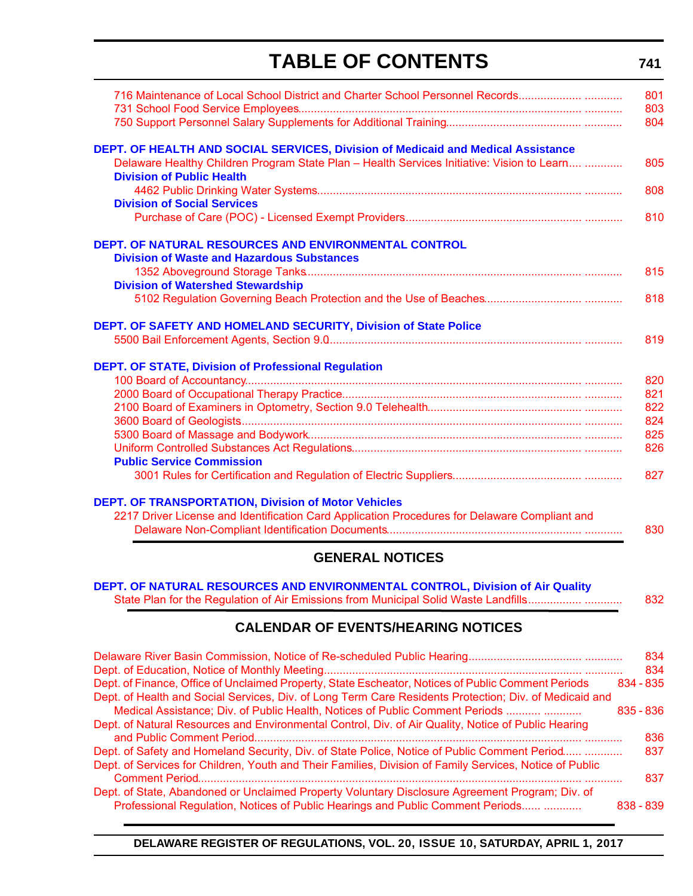# **TABLE OF CONTENTS**

**741**

| 716 Maintenance of Local School District and Charter School Personnel Records                                                  | 801 |
|--------------------------------------------------------------------------------------------------------------------------------|-----|
|                                                                                                                                | 803 |
|                                                                                                                                | 804 |
| DEPT. OF HEALTH AND SOCIAL SERVICES, Division of Medicaid and Medical Assistance                                               |     |
| Delaware Healthy Children Program State Plan - Health Services Initiative: Vision to Learn<br><b>Division of Public Health</b> | 805 |
| <b>Division of Social Services</b>                                                                                             | 808 |
|                                                                                                                                | 810 |
| <b>DEPT. OF NATURAL RESOURCES AND ENVIRONMENTAL CONTROL</b>                                                                    |     |
| <b>Division of Waste and Hazardous Substances</b>                                                                              |     |
|                                                                                                                                | 815 |
| <b>Division of Watershed Stewardship</b>                                                                                       |     |
|                                                                                                                                | 818 |
| DEPT. OF SAFETY AND HOMELAND SECURITY, Division of State Police                                                                |     |
|                                                                                                                                | 819 |
| <b>DEPT. OF STATE, Division of Professional Regulation</b>                                                                     |     |
|                                                                                                                                | 820 |
|                                                                                                                                | 821 |
|                                                                                                                                | 822 |
|                                                                                                                                | 824 |
|                                                                                                                                | 825 |
|                                                                                                                                | 826 |
| <b>Public Service Commission</b>                                                                                               |     |
|                                                                                                                                | 827 |
| <b>DEPT. OF TRANSPORTATION, Division of Motor Vehicles</b>                                                                     |     |
| 2217 Driver License and Identification Card Application Procedures for Delaware Compliant and                                  |     |
|                                                                                                                                | 830 |

### **GENERAL NOTICES**

| DEPT. OF NATURAL RESOURCES AND ENVIRONMENTAL CONTROL, Division of Air Quality       |     |
|-------------------------------------------------------------------------------------|-----|
| State Plan for the Regulation of Air Emissions from Municipal Solid Waste Landfills | 832 |

### **CALENDAR OF EVENTS/HEARING NOTICES**

|                                                                                                         |             | 834 |
|---------------------------------------------------------------------------------------------------------|-------------|-----|
|                                                                                                         |             | 834 |
| Dept. of Finance, Office of Unclaimed Property, State Escheator, Notices of Public Comment Periods      | $834 - 835$ |     |
| Dept. of Health and Social Services, Div. of Long Term Care Residents Protection; Div. of Medicaid and  |             |     |
| Medical Assistance; Div. of Public Health, Notices of Public Comment Periods                            | $835 - 836$ |     |
| Dept. of Natural Resources and Environmental Control, Div. of Air Quality, Notice of Public Hearing     |             |     |
|                                                                                                         |             | 836 |
| Dept. of Safety and Homeland Security, Div. of State Police, Notice of Public Comment Period            |             | 837 |
| Dept. of Services for Children, Youth and Their Families, Division of Family Services, Notice of Public |             |     |
|                                                                                                         |             | 837 |
| Dept. of State, Abandoned or Unclaimed Property Voluntary Disclosure Agreement Program; Div. of         |             |     |
| Professional Regulation, Notices of Public Hearings and Public Comment Periods                          | $838 - 839$ |     |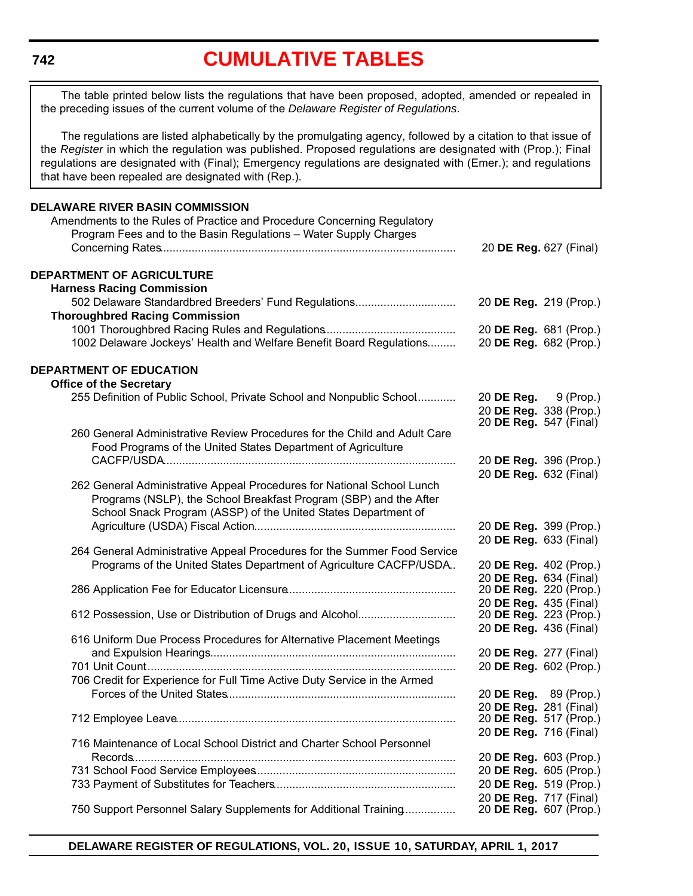# **[CUMULATIVE TABLES](#page-3-0)**

<span id="page-5-0"></span>The table printed below lists the regulations that have been proposed, adopted, amended or repealed in the preceding issues of the current volume of the *Delaware Register of Regulations*.

The regulations are listed alphabetically by the promulgating agency, followed by a citation to that issue of the *Register* in which the regulation was published. Proposed regulations are designated with (Prop.); Final regulations are designated with (Final); Emergency regulations are designated with (Emer.); and regulations that have been repealed are designated with (Rep.).

### **DELAWARE RIVER BASIN COMMISSION** Amendments to the Rules of Practice and Procedure Concerning Regulatory Program Fees and to the Basin Regulations – Water Supply Charges Concerning Rates.............................................................................................. 20 **DE Reg.** 627 (Final) **DEPARTMENT OF AGRICULTURE Harness Racing Commission** 502 Delaware Standardbred Breeders' Fund Regulations................................ 20 **DE Reg.** 219 (Prop.) **Thoroughbred Racing Commission** 1001 Thoroughbred Racing Rules and Regulations.......................................... 20 **DE Reg.** 681 (Prop.) 1002 Delaware Jockeys' Health and Welfare Benefit Board Regulations......... 20 **DE Reg.** 682 (Prop.) **DEPARTMENT OF EDUCATION Office of the Secretary** 255 Definition of Public School, Private School and Nonpublic School............. 20 **DE Reg.** 9 (Prop.) 20 **DE Reg.** 338 (Prop.) 20 **DE Reg.** 547 (Final) 260 General Administrative Review Procedures for the Child and Adult Care Food Programs of the United States Department of Agriculture CACFP/USDA............................................................................................. 20 **DE Reg.** 396 (Prop.) 20 **DE Reg.** 632 (Final) 262 General Administrative Appeal Procedures for National School Lunch Programs (NSLP), the School Breakfast Program (SBP) and the After School Snack Program (ASSP) of the United States Department of Agriculture (USDA) Fiscal Action................................................................ 20 **DE Reg.** 399 (Prop.) 20 **DE Reg.** 633 (Final) 264 General Administrative Appeal Procedures for the Summer Food Service Programs of the United States Department of Agriculture CACFP/USDA.. 20 **DE Reg.** 402 (Prop.) 20 **DE Reg.** 634 (Final) 286 Application Fee for Educator Licensure...................................................... 20 **DE Reg.** 220 (Prop.) 20 **DE Reg.** 435 (Final) 612 Possession, Use or Distribution of Drugs and Alcohol................................ 20 **DE Reg.** 436 (Final) 616 Uniform Due Process Procedures for Alternative Placement Meetings and Expulsion Hearings.............................................................................. 20 **DE Reg.** 277 (Final) 701 Unit Count................................................................................................... 20 **DE Reg.** 602 (Prop.) 706 Credit for Experience for Full Time Active Duty Service in the Armed Forces of the United States......................................................................... 20 **DE Reg.** 89 (Prop.) 20 **DE Reg.** 281 (Final) 712 Employee Leave......................................................................................... 20 **DE Reg.** 517 (Prop.) 20 **DE Reg.** 716 (Final) 716 Maintenance of Local School District and Charter School Personnel Records....................................................................................................... 20 **DE Reg.** 603 (Prop.) 731 School Food Service Employees................................................................ 20 **DE Reg.** 605 (Prop.) 733 Payment of Substitutes for Teachers.......................................................... 20 **DE Reg.** 519 (Prop.) 20 **DE Reg.** 717 (Final) 750 Support Personnel Salary Supplements for Additional Training................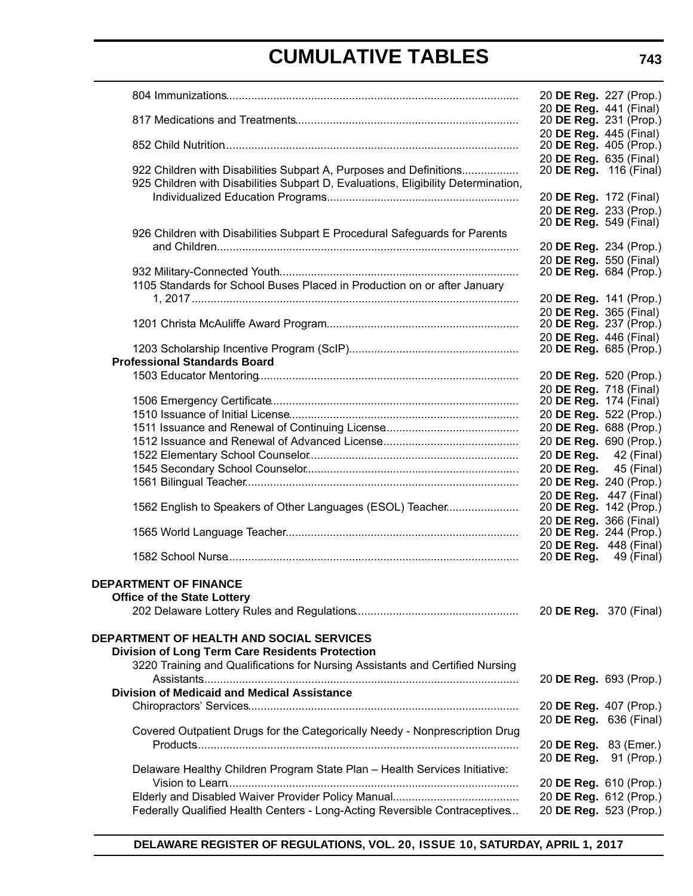|                                                                                   | 20 DE Reg. 227 (Prop.)                           |            |
|-----------------------------------------------------------------------------------|--------------------------------------------------|------------|
|                                                                                   | 20 DE Reg. 441 (Final)                           |            |
|                                                                                   | 20 DE Reg. 231 (Prop.)                           |            |
|                                                                                   | 20 DE Reg. 445 (Final)<br>20 DE Reg. 405 (Prop.) |            |
|                                                                                   | 20 DE Reg. 635 (Final)                           |            |
| 922 Children with Disabilities Subpart A, Purposes and Definitions                | 20 DE Reg. 116 (Final)                           |            |
| 925 Children with Disabilities Subpart D, Evaluations, Eligibility Determination, |                                                  |            |
|                                                                                   | 20 DE Reg. 172 (Final)                           |            |
|                                                                                   | 20 DE Reg. 233 (Prop.)                           |            |
|                                                                                   | 20 DE Reg. 549 (Final)                           |            |
| 926 Children with Disabilities Subpart E Procedural Safeguards for Parents        |                                                  |            |
|                                                                                   | 20 DE Reg. 234 (Prop.)                           |            |
|                                                                                   | 20 DE Reg. 550 (Final)                           |            |
|                                                                                   | 20 DE Reg. 684 (Prop.)                           |            |
| 1105 Standards for School Buses Placed in Production on or after January          |                                                  |            |
|                                                                                   | 20 DE Reg. 141 (Prop.)                           |            |
|                                                                                   | 20 DE Reg. 365 (Final)                           |            |
|                                                                                   | 20 DE Reg. 237 (Prop.)                           |            |
|                                                                                   | 20 DE Reg. 446 (Final)                           |            |
|                                                                                   | 20 DE Reg. 685 (Prop.)                           |            |
| <b>Professional Standards Board</b>                                               |                                                  |            |
|                                                                                   | 20 DE Reg. 520 (Prop.)                           |            |
|                                                                                   | 20 DE Reg. 718 (Final)                           |            |
|                                                                                   | 20 <b>DE Reg.</b> 174 (Final)                    |            |
|                                                                                   | 20 DE Reg. 522 (Prop.)                           |            |
|                                                                                   | 20 DE Reg. 688 (Prop.)                           |            |
|                                                                                   | 20 DE Reg. 690 (Prop.)                           |            |
|                                                                                   | 20 DE Reg. 42 (Final)                            |            |
|                                                                                   | 20 DE Reg.                                       | 45 (Final) |
|                                                                                   | 20 DE Reg. 240 (Prop.)                           |            |
|                                                                                   | 20 DE Reg. 447 (Final)                           |            |
| 1562 English to Speakers of Other Languages (ESOL) Teacher                        | 20 DE Reg. 142 (Prop.)                           |            |
|                                                                                   | 20 DE Reg. 366 (Final)                           |            |
|                                                                                   | 20 DE Reg. 244 (Prop.)                           |            |
|                                                                                   | 20 DE Reg. 448 (Final)                           |            |
|                                                                                   | 20 <b>DE Reg.</b> 49 (Final)                     |            |
|                                                                                   |                                                  |            |
| <b>DEPARTMENT OF FINANCE</b>                                                      |                                                  |            |
| <b>Office of the State Lottery</b>                                                |                                                  |            |
|                                                                                   | 20 DE Reg. 370 (Final)                           |            |
|                                                                                   |                                                  |            |
| <b>DEPARTMENT OF HEALTH AND SOCIAL SERVICES</b>                                   |                                                  |            |
| <b>Division of Long Term Care Residents Protection</b>                            |                                                  |            |
| 3220 Training and Qualifications for Nursing Assistants and Certified Nursing     |                                                  |            |
|                                                                                   | 20 DE Reg. 693 (Prop.)                           |            |
| <b>Division of Medicaid and Medical Assistance</b>                                |                                                  |            |
|                                                                                   | 20 DE Reg. 407 (Prop.)                           |            |
|                                                                                   | 20 DE Reg. 636 (Final)                           |            |
| Covered Outpatient Drugs for the Categorically Needy - Nonprescription Drug       |                                                  |            |
|                                                                                   | 20 DE Reg. 83 (Emer.)                            |            |
|                                                                                   | 20 DE Reg. 91 (Prop.)                            |            |
| Delaware Healthy Children Program State Plan - Health Services Initiative:        |                                                  |            |
|                                                                                   | 20 DE Reg. 610 (Prop.)                           |            |
|                                                                                   | 20 DE Reg. 612 (Prop.)                           |            |
| Federally Qualified Health Centers - Long-Acting Reversible Contraceptives        | 20 DE Reg. 523 (Prop.)                           |            |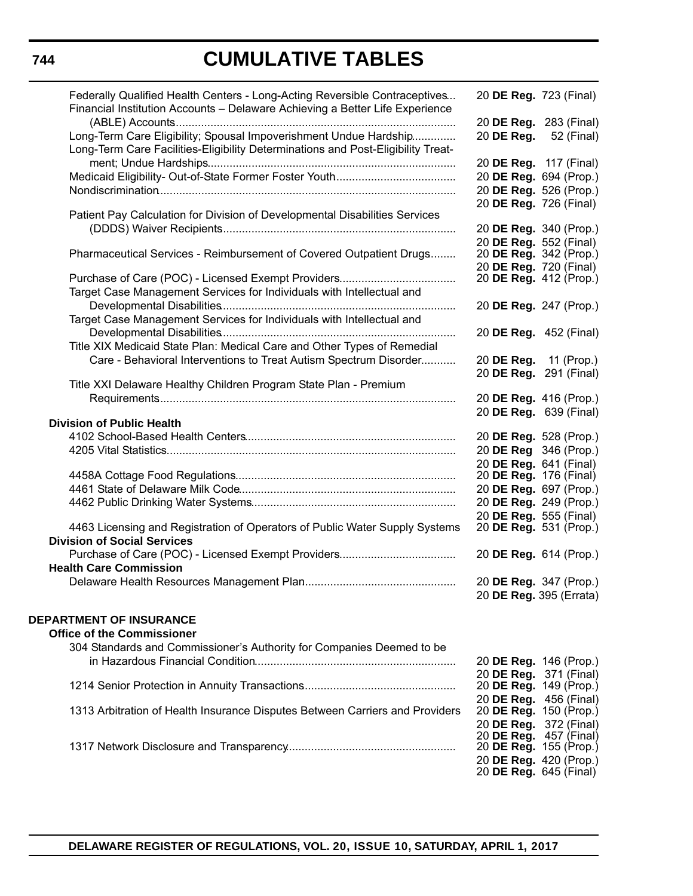| Federally Qualified Health Centers - Long-Acting Reversible Contraceptives<br>Financial Institution Accounts - Delaware Achieving a Better Life Experience | 20 DE Reg. 723 (Final)                           |                         |
|------------------------------------------------------------------------------------------------------------------------------------------------------------|--------------------------------------------------|-------------------------|
| Long-Term Care Eligibility; Spousal Impoverishment Undue Hardship                                                                                          | 20 DE Reg. 283 (Final)<br>20 DE Reg. 52 (Final)  |                         |
| Long-Term Care Facilities-Eligibility Determinations and Post-Eligibility Treat-                                                                           | 20 DE Reg. 117 (Final)                           |                         |
|                                                                                                                                                            | 20 DE Reg. 694 (Prop.)                           |                         |
|                                                                                                                                                            | 20 DE Reg. 526 (Prop.)                           |                         |
|                                                                                                                                                            | 20 DE Reg. 726 (Final)                           |                         |
| Patient Pay Calculation for Division of Developmental Disabilities Services                                                                                | 20 DE Reg. 340 (Prop.)                           |                         |
|                                                                                                                                                            | 20 DE Reg. 552 (Final)                           |                         |
| Pharmaceutical Services - Reimbursement of Covered Outpatient Drugs                                                                                        | 20 DE Reg. 342 (Prop.)<br>20 DE Reg. 720 (Final) |                         |
|                                                                                                                                                            | 20 DE Reg. 412 (Prop.)                           |                         |
| Target Case Management Services for Individuals with Intellectual and                                                                                      | 20 DE Reg. 247 (Prop.)                           |                         |
| Target Case Management Services for Individuals with Intellectual and                                                                                      |                                                  |                         |
|                                                                                                                                                            | 20 DE Reg. 452 (Final)                           |                         |
| Title XIX Medicaid State Plan: Medical Care and Other Types of Remedial                                                                                    |                                                  |                         |
| Care - Behavioral Interventions to Treat Autism Spectrum Disorder                                                                                          | 20 DE Reg. 11 (Prop.)                            |                         |
| Title XXI Delaware Healthy Children Program State Plan - Premium                                                                                           | 20 DE Reg. 291 (Final)                           |                         |
|                                                                                                                                                            | 20 DE Reg. 416 (Prop.)                           |                         |
|                                                                                                                                                            | 20 DE Reg. 639 (Final)                           |                         |
| <b>Division of Public Health</b>                                                                                                                           |                                                  |                         |
|                                                                                                                                                            | 20 DE Reg. 528 (Prop.)                           |                         |
|                                                                                                                                                            | 20 DE Reg 346 (Prop.)                            |                         |
|                                                                                                                                                            | 20 DE Reg. 641 (Final)                           |                         |
|                                                                                                                                                            | 20 <b>DE Reg.</b> 176 (Final)                    |                         |
|                                                                                                                                                            | 20 DE Reg. 697 (Prop.)                           |                         |
|                                                                                                                                                            | 20 DE Reg. 249 (Prop.)                           |                         |
|                                                                                                                                                            | 20 DE Reg. 555 (Final)                           |                         |
| 4463 Licensing and Registration of Operators of Public Water Supply Systems<br><b>Division of Social Services</b>                                          | 20 <b>DE Reg.</b> 531 (Prop.)                    |                         |
|                                                                                                                                                            | 20 DE Reg. 614 (Prop.)                           |                         |
| <b>Health Care Commission</b>                                                                                                                              |                                                  |                         |
|                                                                                                                                                            | 20 DE Reg. 347 (Prop.)                           |                         |
|                                                                                                                                                            |                                                  | 20 DE Reg. 395 (Errata) |
| <b>DEPARTMENT OF INSURANCE</b>                                                                                                                             |                                                  |                         |
| <b>Office of the Commissioner</b>                                                                                                                          |                                                  |                         |
| 304 Standards and Commissioner's Authority for Companies Deemed to be                                                                                      |                                                  |                         |
|                                                                                                                                                            | 20 DE Reg. 146 (Prop.)                           |                         |
|                                                                                                                                                            | 20 DE Reg. 371 (Final)                           |                         |
|                                                                                                                                                            | 20 DE Reg. 149 (Prop.)                           |                         |
|                                                                                                                                                            | 20 DE Reg. 456 (Final)                           |                         |
| 1313 Arbitration of Health Insurance Disputes Between Carriers and Providers                                                                               | 20 DE Reg. 150 (Prop.)                           |                         |
|                                                                                                                                                            | 20 DE Reg. 372 (Final)                           |                         |
|                                                                                                                                                            | 20 DE Reg. 457 (Final)                           |                         |
|                                                                                                                                                            | 20 DE Reg. 155 (Prop.)                           |                         |
|                                                                                                                                                            | 20 DE Reg. 420 (Prop.)<br>20 DE Reg. 645 (Final) |                         |
|                                                                                                                                                            |                                                  |                         |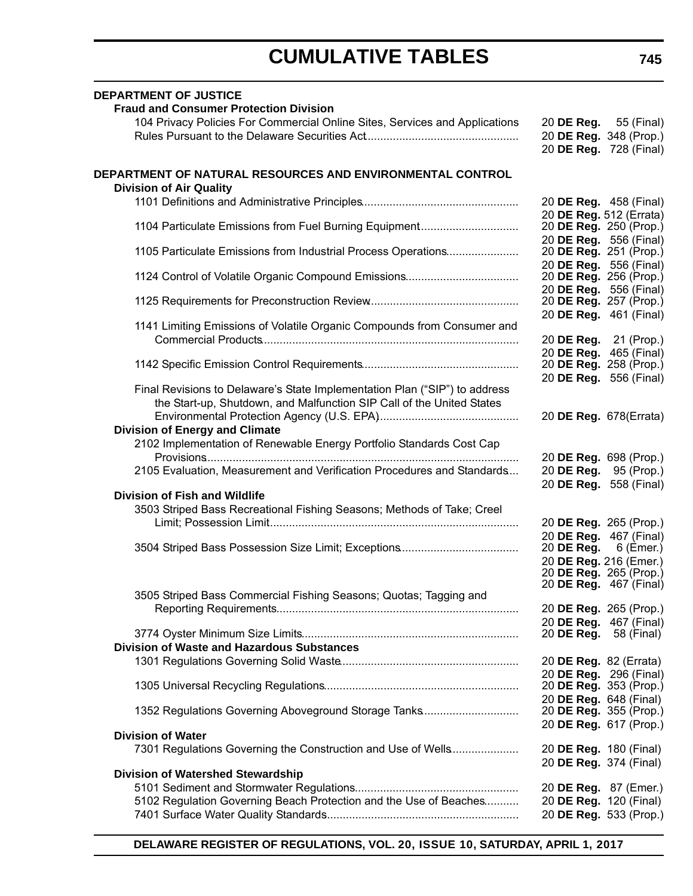| <b>DEPARTMENT OF JUSTICE</b><br><b>Fraud and Consumer Protection Division</b>                                                                       |                                                  |                                                  |
|-----------------------------------------------------------------------------------------------------------------------------------------------------|--------------------------------------------------|--------------------------------------------------|
| 104 Privacy Policies For Commercial Online Sites, Services and Applications                                                                         | 20 <b>DE Reg.</b> 55 (Final)                     |                                                  |
|                                                                                                                                                     |                                                  | 20 DE Reg. 348 (Prop.)                           |
|                                                                                                                                                     |                                                  | 20 DE Reg. 728 (Final)                           |
| DEPARTMENT OF NATURAL RESOURCES AND ENVIRONMENTAL CONTROL<br><b>Division of Air Quality</b>                                                         |                                                  |                                                  |
|                                                                                                                                                     | 20 DE Reg. 458 (Final)                           | 20 DE Reg. 512 (Errata)                          |
| 1104 Particulate Emissions from Fuel Burning Equipment                                                                                              | 20 DE Reg. 556 (Final)                           | 20 DE Reg. 250 (Prop.)                           |
| 1105 Particulate Emissions from Industrial Process Operations                                                                                       | 20 DE Reg. 251 (Prop.)<br>20 DE Reg. 556 (Final) |                                                  |
|                                                                                                                                                     | 20 DE Reg. 256 (Prop.)                           | 20 DE Reg. 556 (Final)                           |
|                                                                                                                                                     | 20 DE Reg. 257 (Prop.)                           |                                                  |
| 1141 Limiting Emissions of Volatile Organic Compounds from Consumer and                                                                             |                                                  | 20 DE Reg. 461 (Final)                           |
|                                                                                                                                                     |                                                  | 20 <b>DE Reg.</b> 21 (Prop.)                     |
|                                                                                                                                                     |                                                  | 20 DE Reg. 465 (Final)<br>20 DE Reg. 258 (Prop.) |
|                                                                                                                                                     |                                                  | 20 DE Reg. 556 (Final)                           |
| Final Revisions to Delaware's State Implementation Plan ("SIP") to address<br>the Start-up, Shutdown, and Malfunction SIP Call of the United States |                                                  |                                                  |
|                                                                                                                                                     | 20 DE Reg. 678(Errata)                           |                                                  |
| <b>Division of Energy and Climate</b>                                                                                                               |                                                  |                                                  |
| 2102 Implementation of Renewable Energy Portfolio Standards Cost Cap                                                                                | 20 DE Reg. 698 (Prop.)                           |                                                  |
| 2105 Evaluation, Measurement and Verification Procedures and Standards                                                                              |                                                  | 20 DE Reg. 95 (Prop.)                            |
|                                                                                                                                                     |                                                  | 20 DE Reg. 558 (Final)                           |
| <b>Division of Fish and Wildlife</b>                                                                                                                |                                                  |                                                  |
| 3503 Striped Bass Recreational Fishing Seasons; Methods of Take; Creel                                                                              |                                                  |                                                  |
|                                                                                                                                                     | 20 DE Reg. 265 (Prop.)                           | 20 DE Reg. 467 (Final)                           |
|                                                                                                                                                     | 20 DE Reg. $6$ (Emer.)                           |                                                  |
|                                                                                                                                                     |                                                  | 20 DE Reg. 216 (Emer.)                           |
|                                                                                                                                                     |                                                  | 20 DE Reg. 265 (Prop.)                           |
| 3505 Striped Bass Commercial Fishing Seasons; Quotas; Tagging and                                                                                   |                                                  | 20 <b>DE Reg.</b> 467 (Final)                    |
|                                                                                                                                                     |                                                  | 20 DE Reg. 265 (Prop.)                           |
|                                                                                                                                                     |                                                  | 20 DE Reg. 467 (Final)                           |
|                                                                                                                                                     | 20 <b>DE Reg.</b> 58 (Final)                     |                                                  |
| <b>Division of Waste and Hazardous Substances</b>                                                                                                   |                                                  |                                                  |
|                                                                                                                                                     | 20 DE Reg. 82 (Errata)                           | 20 DE Reg. 296 (Final)                           |
|                                                                                                                                                     |                                                  | 20 DE Reg. 353 (Prop.)                           |
| 1352 Regulations Governing Aboveground Storage Tanks                                                                                                | 20 DE Reg. 648 (Final)                           | 20 <b>DE Reg.</b> 355 (Prop.)                    |
| <b>Division of Water</b>                                                                                                                            |                                                  | 20 DE Reg. 617 (Prop.)                           |
| 7301 Regulations Governing the Construction and Use of Wells                                                                                        | 20 DE Reg. 180 (Final)                           |                                                  |
|                                                                                                                                                     | 20 DE Reg. 374 (Final)                           |                                                  |
| <b>Division of Watershed Stewardship</b>                                                                                                            |                                                  |                                                  |
|                                                                                                                                                     | 20 DE Reg. 87 (Emer.)                            |                                                  |
| 5102 Regulation Governing Beach Protection and the Use of Beaches                                                                                   | 20 DE Reg. 120 (Final)                           |                                                  |
|                                                                                                                                                     |                                                  | 20 DE Reg. 533 (Prop.)                           |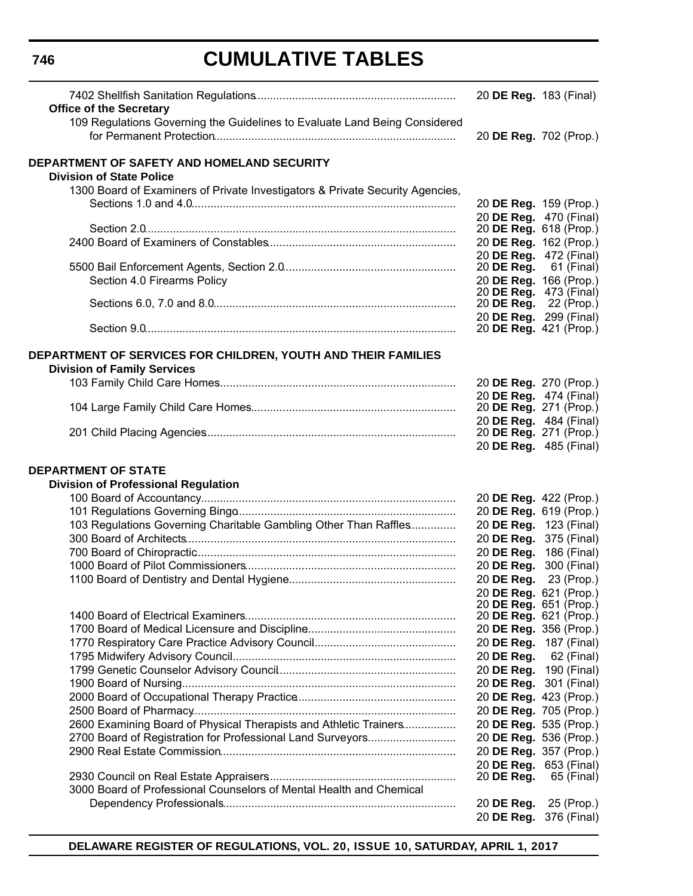|                                                                               | 20 DE Reg. 183 (Final)                                        |            |
|-------------------------------------------------------------------------------|---------------------------------------------------------------|------------|
| <b>Office of the Secretary</b>                                                |                                                               |            |
| 109 Regulations Governing the Guidelines to Evaluate Land Being Considered    |                                                               |            |
|                                                                               | 20 DE Reg. 702 (Prop.)                                        |            |
| DEPARTMENT OF SAFETY AND HOMELAND SECURITY                                    |                                                               |            |
| <b>Division of State Police</b>                                               |                                                               |            |
| 1300 Board of Examiners of Private Investigators & Private Security Agencies, |                                                               |            |
|                                                                               | 20 DE Reg. 159 (Prop.)                                        |            |
|                                                                               | 20 DE Reg. 470 (Final)                                        |            |
|                                                                               | 20 DE Reg. 618 (Prop.)                                        |            |
|                                                                               | 20 DE Reg. 162 (Prop.)                                        |            |
|                                                                               | 20 DE Reg. 472 (Final)                                        |            |
|                                                                               | 20 DE Reg. $61$ (Final)                                       |            |
| Section 4.0 Firearms Policy                                                   | 20 DE Reg. 166 (Prop.)                                        |            |
|                                                                               | 20 <b>DE Reg.</b> 473 (Final)<br>20 <b>DE Reg.</b> 22 (Prop.) |            |
|                                                                               | 20 DE Reg. 299 (Final)                                        |            |
|                                                                               | 20 <b>DE Reg.</b> 421 (Prop.)                                 |            |
|                                                                               |                                                               |            |
| DEPARTMENT OF SERVICES FOR CHILDREN, YOUTH AND THEIR FAMILIES                 |                                                               |            |
| <b>Division of Family Services</b>                                            |                                                               |            |
|                                                                               | 20 DE Reg. 270 (Prop.)                                        |            |
|                                                                               | 20 DE Reg. 474 (Final)                                        |            |
|                                                                               | 20 DE Reg. 271 (Prop.)                                        |            |
|                                                                               | 20 DE Reg. 484 (Final)<br>20 <b>DE Reg.</b> 271 (Prop.)       |            |
|                                                                               | 20 DE Reg. 485 (Final)                                        |            |
|                                                                               |                                                               |            |
|                                                                               |                                                               |            |
| <b>DEPARTMENT OF STATE</b>                                                    |                                                               |            |
| <b>Division of Professional Regulation</b>                                    |                                                               |            |
|                                                                               | 20 DE Reg. 422 (Prop.)                                        |            |
|                                                                               | 20 DE Reg. 619 (Prop.)                                        |            |
| 103 Regulations Governing Charitable Gambling Other Than Raffles              | 20 DE Reg. 123 (Final)                                        |            |
|                                                                               | 20 DE Reg. 375 (Final)                                        |            |
|                                                                               | 20 DE Reg. 186 (Final)                                        |            |
|                                                                               | 20 DE Reg. 300 (Final)                                        |            |
|                                                                               | 20 DE Reg. 23 (Prop.)                                         |            |
|                                                                               | 20 DE Reg. 621 (Prop.)                                        |            |
|                                                                               | 20 DE Reg. 651 (Prop.)                                        |            |
|                                                                               | 20 DE Reg. 621 (Prop.)                                        |            |
|                                                                               | 20 DE Reg. 356 (Prop.)                                        |            |
|                                                                               | 20 DE Reg. 187 (Final)                                        |            |
|                                                                               | 20 DE Reg. 62 (Final)                                         |            |
|                                                                               | 20 DE Reg. 190 (Final)                                        |            |
|                                                                               | 20 DE Reg. 301 (Final)                                        |            |
|                                                                               | 20 DE Reg. 423 (Prop.)<br>20 DE Reg. 705 (Prop.)              |            |
| 2600 Examining Board of Physical Therapists and Athletic Trainers             | 20 DE Reg. 535 (Prop.)                                        |            |
| 2700 Board of Registration for Professional Land Surveyors                    | 20 DE Reg. 536 (Prop.)                                        |            |
|                                                                               | 20 DE Reg. 357 (Prop.)                                        |            |
|                                                                               | 20 DE Reg. 653 (Final)                                        |            |
|                                                                               | 20 DE Reg.                                                    | 65 (Final) |
| 3000 Board of Professional Counselors of Mental Health and Chemical           |                                                               |            |
|                                                                               | 20 DE Reg.<br>20 DE Reg. 376 (Final)                          | 25 (Prop.) |

**DELAWARE REGISTER OF REGULATIONS, VOL. 20, ISSUE 10, SATURDAY, APRIL 1, 2017**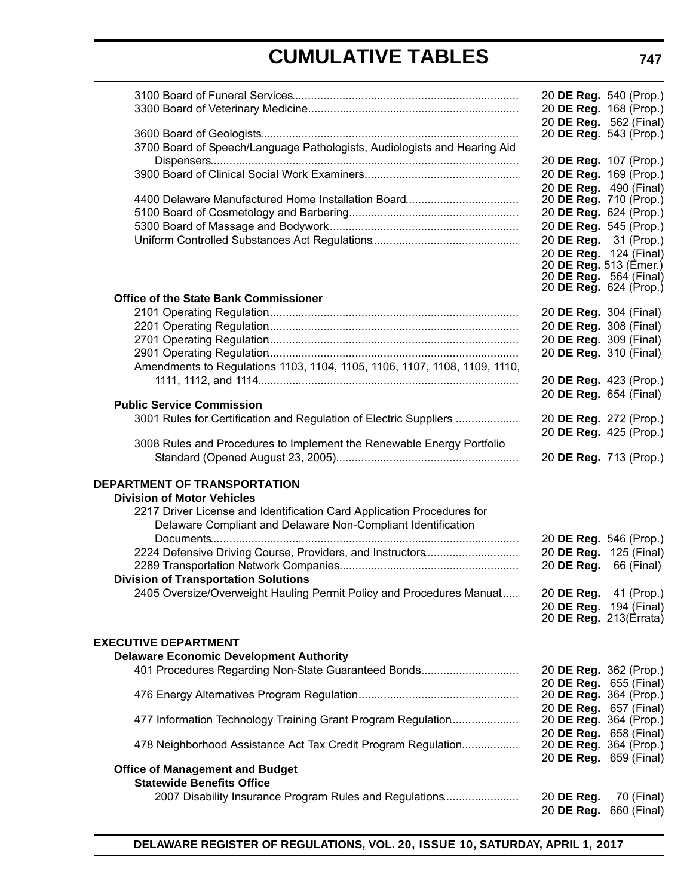|                                                                                                       | 20 DE Reg. 540 (Prop.)                           |                        |
|-------------------------------------------------------------------------------------------------------|--------------------------------------------------|------------------------|
|                                                                                                       | 20 DE Reg. 168 (Prop.)                           |                        |
|                                                                                                       | 20 DE Reg. 562 (Final)                           |                        |
|                                                                                                       | 20 DE Reg. 543 (Prop.)                           |                        |
| 3700 Board of Speech/Language Pathologists, Audiologists and Hearing Aid                              |                                                  |                        |
|                                                                                                       | 20 DE Reg. 107 (Prop.)<br>20 DE Reg. 169 (Prop.) |                        |
|                                                                                                       | 20 DE Reg. 490 (Final)                           |                        |
|                                                                                                       | 20 DE Reg. 710 (Prop.)                           |                        |
|                                                                                                       |                                                  | 20 DE Reg. 624 (Prop.) |
|                                                                                                       |                                                  | 20 DE Reg. 545 (Prop.) |
|                                                                                                       | 20 DE Reg. 31 (Prop.)                            |                        |
|                                                                                                       | 20 DE Reg. 124 (Final)                           |                        |
|                                                                                                       | 20 <b>DE Reg.</b> 564 (Final)                    | 20 DE Reg. 513 (Emer.) |
|                                                                                                       | 20 DE Reg. 624 (Prop.)                           |                        |
| <b>Office of the State Bank Commissioner</b>                                                          |                                                  |                        |
|                                                                                                       | 20 DE Reg. 304 (Final)                           |                        |
|                                                                                                       | 20 DE Reg. 308 (Final)                           |                        |
|                                                                                                       | 20 DE Reg. 309 (Final)                           |                        |
|                                                                                                       | 20 DE Reg. 310 (Final)                           |                        |
| Amendments to Regulations 1103, 1104, 1105, 1106, 1107, 1108, 1109, 1110,                             |                                                  |                        |
|                                                                                                       | 20 DE Reg. 423 (Prop.)                           |                        |
| <b>Public Service Commission</b>                                                                      | 20 DE Reg. 654 (Final)                           |                        |
| 3001 Rules for Certification and Regulation of Electric Suppliers                                     | 20 DE Reg. 272 (Prop.)                           |                        |
|                                                                                                       | 20 DE Reg. 425 (Prop.)                           |                        |
| 3008 Rules and Procedures to Implement the Renewable Energy Portfolio                                 |                                                  |                        |
|                                                                                                       | 20 DE Reg. 713 (Prop.)                           |                        |
|                                                                                                       |                                                  |                        |
| DEPARTMENT OF TRANSPORTATION                                                                          |                                                  |                        |
| <b>Division of Motor Vehicles</b>                                                                     |                                                  |                        |
| 2217 Driver License and Identification Card Application Procedures for                                |                                                  |                        |
| Delaware Compliant and Delaware Non-Compliant Identification                                          |                                                  |                        |
| 2224 Defensive Driving Course, Providers, and Instructors                                             | 20 DE Reg. 546 (Prop.)<br>20 DE Reg. 125 (Final) |                        |
|                                                                                                       | 20 DE Reg.                                       | 66 (Final)             |
| <b>Division of Transportation Solutions</b>                                                           |                                                  |                        |
| 2405 Oversize/Overweight Hauling Permit Policy and Procedures Manual 20 DE Reg. 41 (Prop.)            |                                                  |                        |
|                                                                                                       | 20 DE Reg. 194 (Final)                           |                        |
|                                                                                                       | 20 DE Reg. 213(Errata)                           |                        |
|                                                                                                       |                                                  |                        |
| <b>EXECUTIVE DEPARTMENT</b>                                                                           |                                                  |                        |
| <b>Delaware Economic Development Authority</b><br>401 Procedures Regarding Non-State Guaranteed Bonds | 20 DE Reg. 362 (Prop.)                           |                        |
|                                                                                                       | 20 DE Reg. 655 (Final)                           |                        |
|                                                                                                       | 20 DE Reg. 364 (Prop.)                           |                        |
|                                                                                                       | 20 DE Reg. 657 (Final)                           |                        |
| 477 Information Technology Training Grant Program Regulation                                          | 20 DE Reg. 364 (Prop.)                           |                        |
|                                                                                                       | 20 DE Reg. 658 (Final)                           |                        |
| 478 Neighborhood Assistance Act Tax Credit Program Regulation                                         | 20 DE Reg. 364 (Prop.)                           |                        |
| <b>Office of Management and Budget</b>                                                                | 20 DE Reg. 659 (Final)                           |                        |
| <b>Statewide Benefits Office</b>                                                                      |                                                  |                        |
| 2007 Disability Insurance Program Rules and Regulations                                               | 20 DE Reg.                                       | 70 (Final)             |
|                                                                                                       | 20 DE Reg.                                       | 660 (Final)            |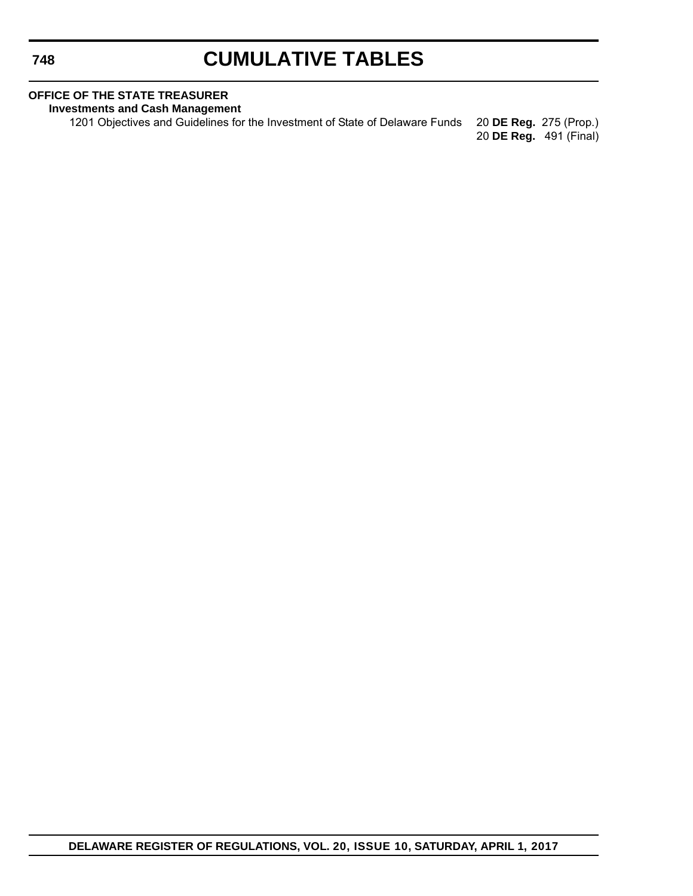# **CUMULATIVE TABLES**

### **OFFICE OF THE STATE TREASURER**

**Investments and Cash Management**

1201 Objectives and Guidelines for the Investment of State of Delaware Funds 20 **DE Reg.** 275 (Prop.) 20 **DE Reg.** 491 (Final)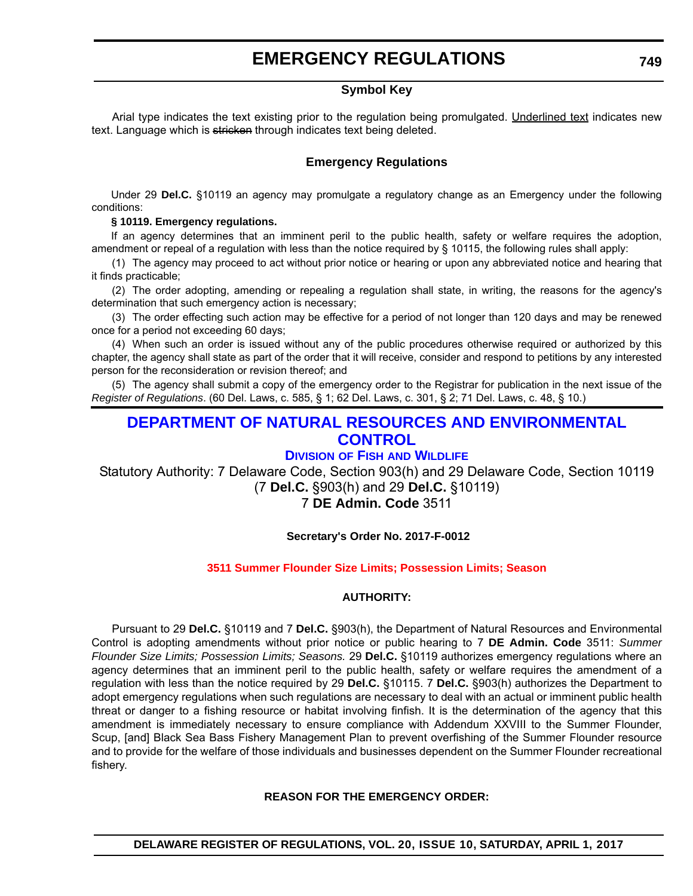### **EMERGENCY REGULATIONS**

### **Symbol Key**

<span id="page-12-0"></span>Arial type indicates the text existing prior to the regulation being promulgated. Underlined text indicates new text. Language which is stricken through indicates text being deleted.

### **Emergency Regulations**

Under 29 **Del.C.** §10119 an agency may promulgate a regulatory change as an Emergency under the following conditions:

### **§ 10119. Emergency regulations.**

If an agency determines that an imminent peril to the public health, safety or welfare requires the adoption, amendment or repeal of a regulation with less than the notice required by § 10115, the following rules shall apply:

(1) The agency may proceed to act without prior notice or hearing or upon any abbreviated notice and hearing that it finds practicable;

(2) The order adopting, amending or repealing a regulation shall state, in writing, the reasons for the agency's determination that such emergency action is necessary;

(3) The order effecting such action may be effective for a period of not longer than 120 days and may be renewed once for a period not exceeding 60 days;

(4) When such an order is issued without any of the public procedures otherwise required or authorized by this chapter, the agency shall state as part of the order that it will receive, consider and respond to petitions by any interested person for the reconsideration or revision thereof; and

(5) The agency shall submit a copy of the emergency order to the Registrar for publication in the next issue of the *Register of Regulations*. (60 Del. Laws, c. 585, § 1; 62 Del. Laws, c. 301, § 2; 71 Del. Laws, c. 48, § 10.)

### **[DEPARTMENT OF NATURAL RESOURCES AND ENVIRONMENTAL](http://www.dnrec.delaware.gov/Pages/Portal.aspx)  CONTROL**

### **DIVISION OF FISH [AND WILDLIFE](http://www.dnrec.delaware.gov/fw/Pages/DFW-Portal.aspx)**

Statutory Authority: 7 Delaware Code, Section 903(h) and 29 Delaware Code, Section 10119 (7 **Del.C.** §903(h) and 29 **Del.C.** §10119)

### 7 **DE Admin. Code** 3511

### **Secretary's Order No. 2017-F-0012**

### **[3511 Summer Flounder Size Limits; Possession Limits; Season](#page-3-0)**

### **AUTHORITY:**

Pursuant to 29 **Del.C.** §10119 and 7 **Del.C.** §903(h), the Department of Natural Resources and Environmental Control is adopting amendments without prior notice or public hearing to 7 **DE Admin. Code** 3511: *Summer Flounder Size Limits; Possession Limits; Seasons.* 29 **Del.C.** §10119 authorizes emergency regulations where an agency determines that an imminent peril to the public health, safety or welfare requires the amendment of a regulation with less than the notice required by 29 **Del.C.** §10115. 7 **Del.C.** §903(h) authorizes the Department to adopt emergency regulations when such regulations are necessary to deal with an actual or imminent public health threat or danger to a fishing resource or habitat involving finfish. It is the determination of the agency that this amendment is immediately necessary to ensure compliance with Addendum XXVIII to the Summer Flounder, Scup, [and] Black Sea Bass Fishery Management Plan to prevent overfishing of the Summer Flounder resource and to provide for the welfare of those individuals and businesses dependent on the Summer Flounder recreational fishery.

### **REASON FOR THE EMERGENCY ORDER:**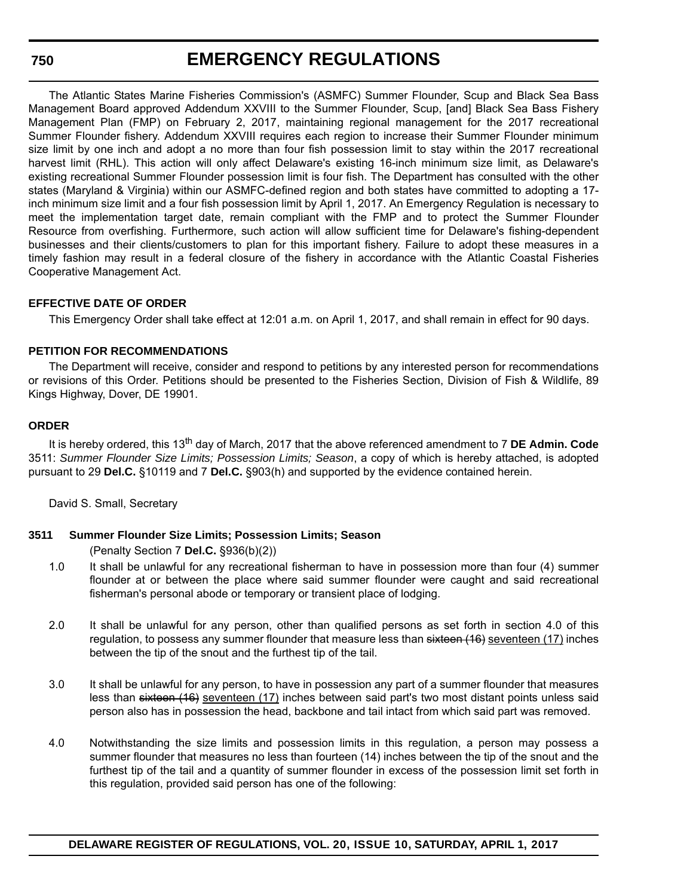### **EMERGENCY REGULATIONS**

The Atlantic States Marine Fisheries Commission's (ASMFC) Summer Flounder, Scup and Black Sea Bass Management Board approved Addendum XXVIII to the Summer Flounder, Scup, [and] Black Sea Bass Fishery Management Plan (FMP) on February 2, 2017, maintaining regional management for the 2017 recreational Summer Flounder fishery. Addendum XXVIII requires each region to increase their Summer Flounder minimum size limit by one inch and adopt a no more than four fish possession limit to stay within the 2017 recreational harvest limit (RHL). This action will only affect Delaware's existing 16-inch minimum size limit, as Delaware's existing recreational Summer Flounder possession limit is four fish. The Department has consulted with the other states (Maryland & Virginia) within our ASMFC-defined region and both states have committed to adopting a 17 inch minimum size limit and a four fish possession limit by April 1, 2017. An Emergency Regulation is necessary to meet the implementation target date, remain compliant with the FMP and to protect the Summer Flounder Resource from overfishing. Furthermore, such action will allow sufficient time for Delaware's fishing-dependent businesses and their clients/customers to plan for this important fishery. Failure to adopt these measures in a timely fashion may result in a federal closure of the fishery in accordance with the Atlantic Coastal Fisheries Cooperative Management Act.

### **EFFECTIVE DATE OF ORDER**

This Emergency Order shall take effect at 12:01 a.m. on April 1, 2017, and shall remain in effect for 90 days.

### **PETITION FOR RECOMMENDATIONS**

The Department will receive, consider and respond to petitions by any interested person for recommendations or revisions of this Order. Petitions should be presented to the Fisheries Section, Division of Fish & Wildlife, 89 Kings Highway, Dover, DE 19901.

### **ORDER**

It is hereby ordered, this 13th day of March, 2017 that the above referenced amendment to 7 **DE Admin. Code** 3511: *Summer Flounder Size Limits; Possession Limits; Season*, a copy of which is hereby attached, is adopted pursuant to 29 **Del.C.** §10119 and 7 **Del.C.** §903(h) and supported by the evidence contained herein.

David S. Small, Secretary

### **3511 Summer Flounder Size Limits; Possession Limits; Season**

(Penalty Section 7 **Del.C.** §936(b)(2))

- 1.0 It shall be unlawful for any recreational fisherman to have in possession more than four (4) summer flounder at or between the place where said summer flounder were caught and said recreational fisherman's personal abode or temporary or transient place of lodging.
- 2.0 It shall be unlawful for any person, other than qualified persons as set forth in section 4.0 of this regulation, to possess any summer flounder that measure less than sixteen (16) seventeen (17) inches between the tip of the snout and the furthest tip of the tail.
- 3.0 It shall be unlawful for any person, to have in possession any part of a summer flounder that measures less than sixteen (16) seventeen (17) inches between said part's two most distant points unless said person also has in possession the head, backbone and tail intact from which said part was removed.
- 4.0 Notwithstanding the size limits and possession limits in this regulation, a person may possess a summer flounder that measures no less than fourteen (14) inches between the tip of the snout and the furthest tip of the tail and a quantity of summer flounder in excess of the possession limit set forth in this regulation, provided said person has one of the following: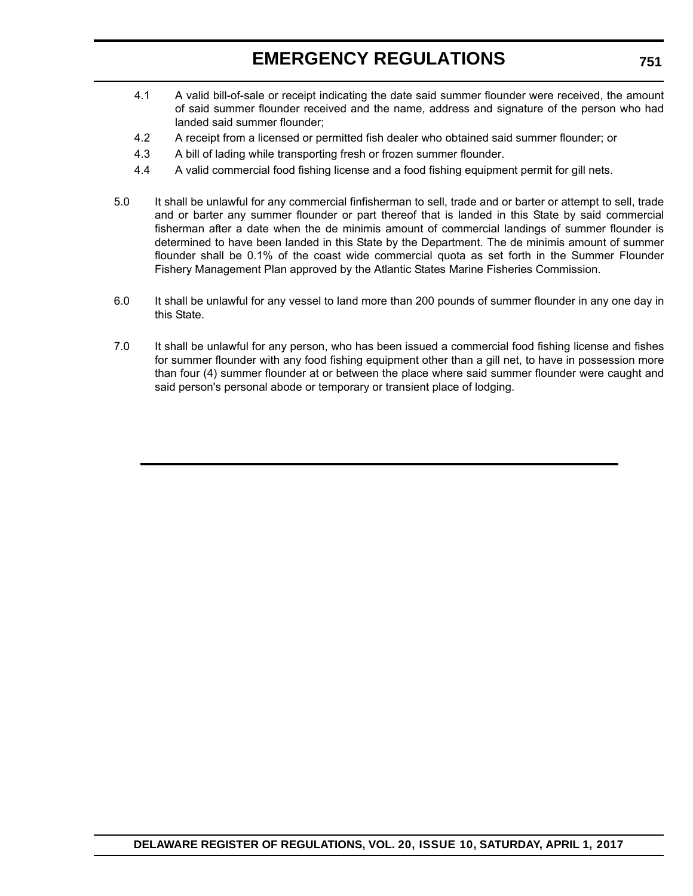### **EMERGENCY REGULATIONS**

- 4.1 A valid bill-of-sale or receipt indicating the date said summer flounder were received, the amount of said summer flounder received and the name, address and signature of the person who had landed said summer flounder;
- 4.2 A receipt from a licensed or permitted fish dealer who obtained said summer flounder; or
- 4.3 A bill of lading while transporting fresh or frozen summer flounder.
- 4.4 A valid commercial food fishing license and a food fishing equipment permit for gill nets.
- 5.0 It shall be unlawful for any commercial finfisherman to sell, trade and or barter or attempt to sell, trade and or barter any summer flounder or part thereof that is landed in this State by said commercial fisherman after a date when the de minimis amount of commercial landings of summer flounder is determined to have been landed in this State by the Department. The de minimis amount of summer flounder shall be 0.1% of the coast wide commercial quota as set forth in the Summer Flounder Fishery Management Plan approved by the Atlantic States Marine Fisheries Commission.
- 6.0 It shall be unlawful for any vessel to land more than 200 pounds of summer flounder in any one day in this State.
- 7.0 It shall be unlawful for any person, who has been issued a commercial food fishing license and fishes for summer flounder with any food fishing equipment other than a gill net, to have in possession more than four (4) summer flounder at or between the place where said summer flounder were caught and said person's personal abode or temporary or transient place of lodging.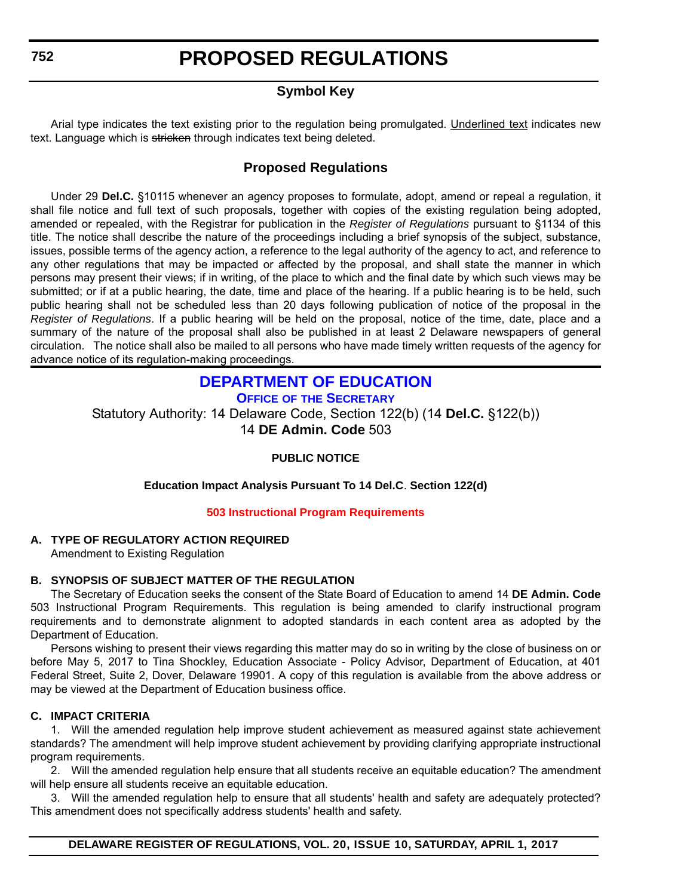# **PROPOSED REGULATIONS**

### **Symbol Key**

<span id="page-15-0"></span>Arial type indicates the text existing prior to the regulation being promulgated. Underlined text indicates new text. Language which is stricken through indicates text being deleted.

### **Proposed Regulations**

Under 29 **Del.C.** §10115 whenever an agency proposes to formulate, adopt, amend or repeal a regulation, it shall file notice and full text of such proposals, together with copies of the existing regulation being adopted, amended or repealed, with the Registrar for publication in the *Register of Regulations* pursuant to §1134 of this title. The notice shall describe the nature of the proceedings including a brief synopsis of the subject, substance, issues, possible terms of the agency action, a reference to the legal authority of the agency to act, and reference to any other regulations that may be impacted or affected by the proposal, and shall state the manner in which persons may present their views; if in writing, of the place to which and the final date by which such views may be submitted; or if at a public hearing, the date, time and place of the hearing. If a public hearing is to be held, such public hearing shall not be scheduled less than 20 days following publication of notice of the proposal in the *Register of Regulations*. If a public hearing will be held on the proposal, notice of the time, date, place and a summary of the nature of the proposal shall also be published in at least 2 Delaware newspapers of general circulation. The notice shall also be mailed to all persons who have made timely written requests of the agency for advance notice of its regulation-making proceedings.

### **[DEPARTMENT OF EDUCATION](http://www.doe.k12.de.us/)**

**OFFICE OF [THE SECRETARY](https://pubapps.doe.k12.de.us/EducationalDirectoryPublic/pages/DDOE/Branches.aspx?page=branches&BID=1)**

Statutory Authority: 14 Delaware Code, Section 122(b) (14 **Del.C.** §122(b)) 14 **DE Admin. Code** 503

### **PUBLIC NOTICE**

### **Education Impact Analysis Pursuant To 14 Del.C**. **Section 122(d)**

### **[503 Instructional Program Requirements](#page-3-0)**

### **A. TYPE OF REGULATORY ACTION REQUIRED**

Amendment to Existing Regulation

### **B. SYNOPSIS OF SUBJECT MATTER OF THE REGULATION**

The Secretary of Education seeks the consent of the State Board of Education to amend 14 **DE Admin. Code** 503 Instructional Program Requirements. This regulation is being amended to clarify instructional program requirements and to demonstrate alignment to adopted standards in each content area as adopted by the Department of Education.

Persons wishing to present their views regarding this matter may do so in writing by the close of business on or before May 5, 2017 to Tina Shockley, Education Associate - Policy Advisor, Department of Education, at 401 Federal Street, Suite 2, Dover, Delaware 19901. A copy of this regulation is available from the above address or may be viewed at the Department of Education business office.

### **C. IMPACT CRITERIA**

1. Will the amended regulation help improve student achievement as measured against state achievement standards? The amendment will help improve student achievement by providing clarifying appropriate instructional program requirements.

2. Will the amended regulation help ensure that all students receive an equitable education? The amendment will help ensure all students receive an equitable education.

3. Will the amended regulation help to ensure that all students' health and safety are adequately protected? This amendment does not specifically address students' health and safety.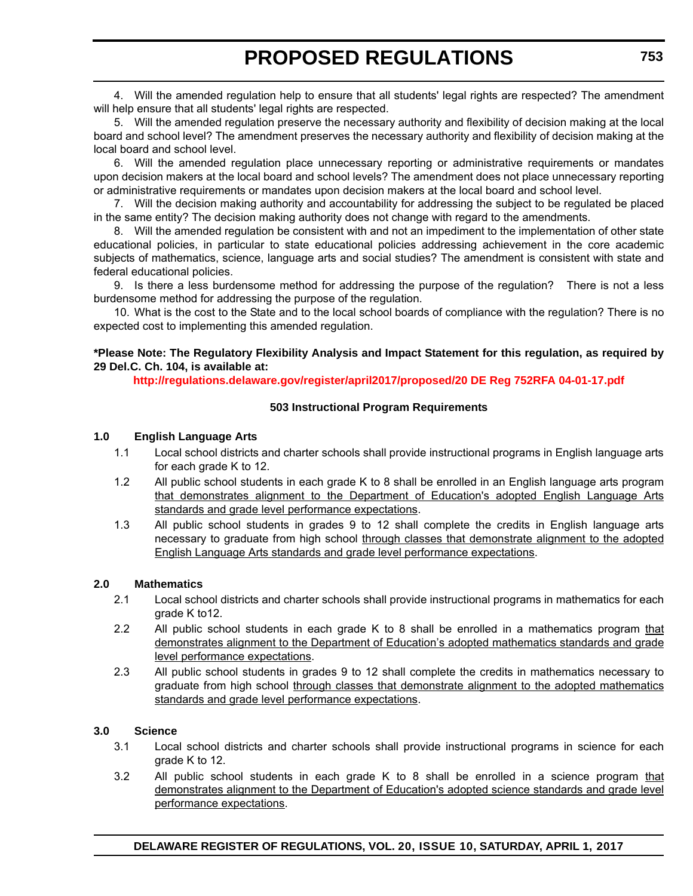4. Will the amended regulation help to ensure that all students' legal rights are respected? The amendment will help ensure that all students' legal rights are respected.

5. Will the amended regulation preserve the necessary authority and flexibility of decision making at the local board and school level? The amendment preserves the necessary authority and flexibility of decision making at the local board and school level.

6. Will the amended regulation place unnecessary reporting or administrative requirements or mandates upon decision makers at the local board and school levels? The amendment does not place unnecessary reporting or administrative requirements or mandates upon decision makers at the local board and school level.

7. Will the decision making authority and accountability for addressing the subject to be regulated be placed in the same entity? The decision making authority does not change with regard to the amendments.

8. Will the amended regulation be consistent with and not an impediment to the implementation of other state educational policies, in particular to state educational policies addressing achievement in the core academic subjects of mathematics, science, language arts and social studies? The amendment is consistent with state and federal educational policies.

9. Is there a less burdensome method for addressing the purpose of the regulation? There is not a less burdensome method for addressing the purpose of the regulation.

10. What is the cost to the State and to the local school boards of compliance with the regulation? There is no expected cost to implementing this amended regulation.

### **\*Please Note: The Regulatory Flexibility Analysis and Impact Statement for this regulation, as required by 29 Del.C. Ch. 104, is available at:**

**<http://regulations.delaware.gov/register/april2017/proposed/20 DE Reg 752RFA 04-01-17.pdf>**

### **503 Instructional Program Requirements**

### **1.0 English Language Arts**

- 1.1 Local school districts and charter schools shall provide instructional programs in English language arts for each grade K to 12.
- 1.2 All public school students in each grade K to 8 shall be enrolled in an English language arts program that demonstrates alignment to the Department of Education's adopted English Language Arts standards and grade level performance expectations.
- 1.3 All public school students in grades 9 to 12 shall complete the credits in English language arts necessary to graduate from high school through classes that demonstrate alignment to the adopted English Language Arts standards and grade level performance expectations.

### **2.0 Mathematics**

- 2.1 Local school districts and charter schools shall provide instructional programs in mathematics for each grade K to12.
- 2.2 All public school students in each grade K to 8 shall be enrolled in a mathematics program that demonstrates alignment to the Department of Education's adopted mathematics standards and grade level performance expectations.
- 2.3 All public school students in grades 9 to 12 shall complete the credits in mathematics necessary to graduate from high school through classes that demonstrate alignment to the adopted mathematics standards and grade level performance expectations.

### **3.0 Science**

- 3.1 Local school districts and charter schools shall provide instructional programs in science for each grade K to 12.
- 3.2 All public school students in each grade K to 8 shall be enrolled in a science program that demonstrates alignment to the Department of Education's adopted science standards and grade level performance expectations.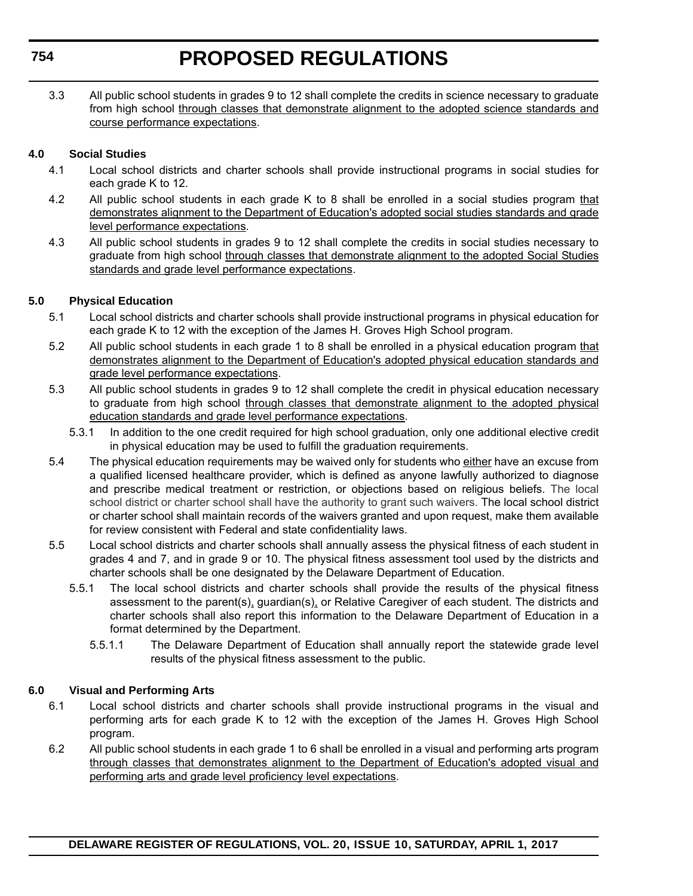3.3 All public school students in grades 9 to 12 shall complete the credits in science necessary to graduate from high school through classes that demonstrate alignment to the adopted science standards and course performance expectations.

### **4.0 Social Studies**

- 4.1 Local school districts and charter schools shall provide instructional programs in social studies for each grade K to 12.
- 4.2 All public school students in each grade K to 8 shall be enrolled in a social studies program that demonstrates alignment to the Department of Education's adopted social studies standards and grade level performance expectations.
- 4.3 All public school students in grades 9 to 12 shall complete the credits in social studies necessary to graduate from high school through classes that demonstrate alignment to the adopted Social Studies standards and grade level performance expectations.

### **5.0 Physical Education**

- 5.1 Local school districts and charter schools shall provide instructional programs in physical education for each grade K to 12 with the exception of the James H. Groves High School program.
- 5.2 All public school students in each grade 1 to 8 shall be enrolled in a physical education program that demonstrates alignment to the Department of Education's adopted physical education standards and grade level performance expectations.
- 5.3 All public school students in grades 9 to 12 shall complete the credit in physical education necessary to graduate from high school through classes that demonstrate alignment to the adopted physical education standards and grade level performance expectations.
	- 5.3.1 In addition to the one credit required for high school graduation, only one additional elective credit in physical education may be used to fulfill the graduation requirements.
- 5.4 The physical education requirements may be waived only for students who either have an excuse from a qualified licensed healthcare provider, which is defined as anyone lawfully authorized to diagnose and prescribe medical treatment or restriction, or objections based on religious beliefs. The local school district or charter school shall have the authority to grant such waivers. The local school district or charter school shall maintain records of the waivers granted and upon request, make them available for review consistent with Federal and state confidentiality laws.
- 5.5 Local school districts and charter schools shall annually assess the physical fitness of each student in grades 4 and 7, and in grade 9 or 10. The physical fitness assessment tool used by the districts and charter schools shall be one designated by the Delaware Department of Education.
	- 5.5.1 The local school districts and charter schools shall provide the results of the physical fitness assessment to the parent(s), guardian(s), or Relative Caregiver of each student. The districts and charter schools shall also report this information to the Delaware Department of Education in a format determined by the Department.
		- 5.5.1.1 The Delaware Department of Education shall annually report the statewide grade level results of the physical fitness assessment to the public.

### **6.0 Visual and Performing Arts**

- 6.1 Local school districts and charter schools shall provide instructional programs in the visual and performing arts for each grade K to 12 with the exception of the James H. Groves High School program.
- 6.2 All public school students in each grade 1 to 6 shall be enrolled in a visual and performing arts program through classes that demonstrates alignment to the Department of Education's adopted visual and performing arts and grade level proficiency level expectations.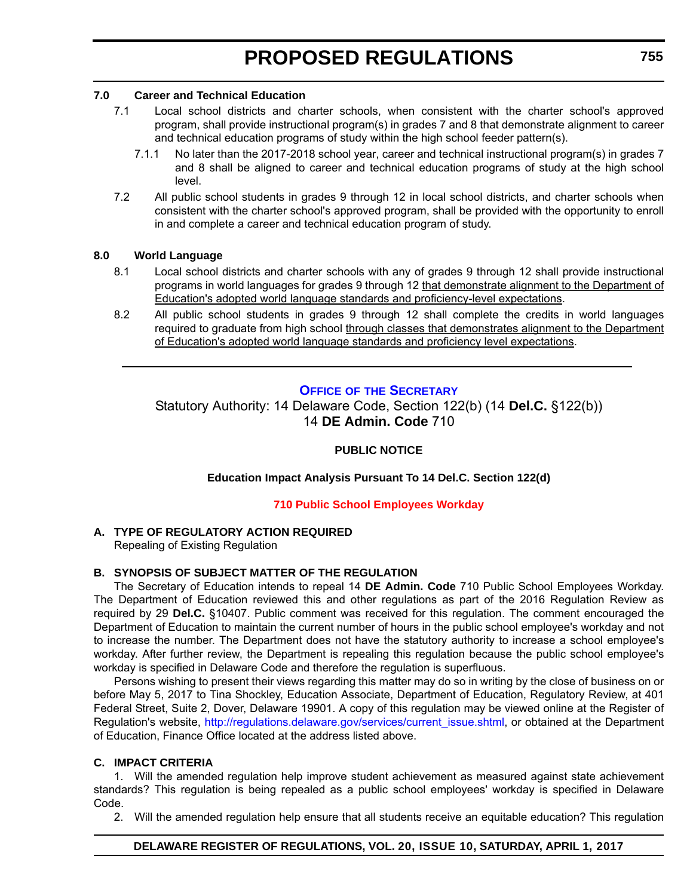### <span id="page-18-0"></span>**7.0 Career and Technical Education**

- 7.1 Local school districts and charter schools, when consistent with the charter school's approved program, shall provide instructional program(s) in grades 7 and 8 that demonstrate alignment to career and technical education programs of study within the high school feeder pattern(s).
	- 7.1.1 No later than the 2017-2018 school year, career and technical instructional program(s) in grades 7 and 8 shall be aligned to career and technical education programs of study at the high school level.
- 7.2 All public school students in grades 9 through 12 in local school districts, and charter schools when consistent with the charter school's approved program, shall be provided with the opportunity to enroll in and complete a career and technical education program of study.

### **8.0 World Language**

- 8.1 Local school districts and charter schools with any of grades 9 through 12 shall provide instructional programs in world languages for grades 9 through 12 that demonstrate alignment to the Department of Education's adopted world language standards and proficiency-level expectations.
- 8.2 All public school students in grades 9 through 12 shall complete the credits in world languages required to graduate from high school through classes that demonstrates alignment to the Department of Education's adopted world language standards and proficiency level expectations.

### **OFFICE OF [THE SECRETARY](https://pubapps.doe.k12.de.us/EducationalDirectoryPublic/pages/DDOE/Branches.aspx?page=branches&BID=1)**

Statutory Authority: 14 Delaware Code, Section 122(b) (14 **Del.C.** §122(b)) 14 **DE Admin. Code** 710

### **PUBLIC NOTICE**

**Education Impact Analysis Pursuant To 14 Del.C. Section 122(d)**

### **[710 Public School Employees Workday](#page-3-0)**

### **A. TYPE OF REGULATORY ACTION REQUIRED**

Repealing of Existing Regulation

### **B. SYNOPSIS OF SUBJECT MATTER OF THE REGULATION**

The Secretary of Education intends to repeal 14 **DE Admin. Code** 710 Public School Employees Workday. The Department of Education reviewed this and other regulations as part of the 2016 Regulation Review as required by 29 **Del.C.** §10407. Public comment was received for this regulation. The comment encouraged the Department of Education to maintain the current number of hours in the public school employee's workday and not to increase the number. The Department does not have the statutory authority to increase a school employee's workday. After further review, the Department is repealing this regulation because the public school employee's workday is specified in Delaware Code and therefore the regulation is superfluous.

Persons wishing to present their views regarding this matter may do so in writing by the close of business on or before May 5, 2017 to Tina Shockley, Education Associate, Department of Education, Regulatory Review, at 401 Federal Street, Suite 2, Dover, Delaware 19901. A copy of this regulation may be viewed online at the Register of Regulation's website, http://regulations.delaware.gov/services/current\_issue.shtml, or obtained at the Department of Education, Finance Office located at the address listed above.

### **C. IMPACT CRITERIA**

1. Will the amended regulation help improve student achievement as measured against state achievement standards? This regulation is being repealed as a public school employees' workday is specified in Delaware Code.

2. Will the amended regulation help ensure that all students receive an equitable education? This regulation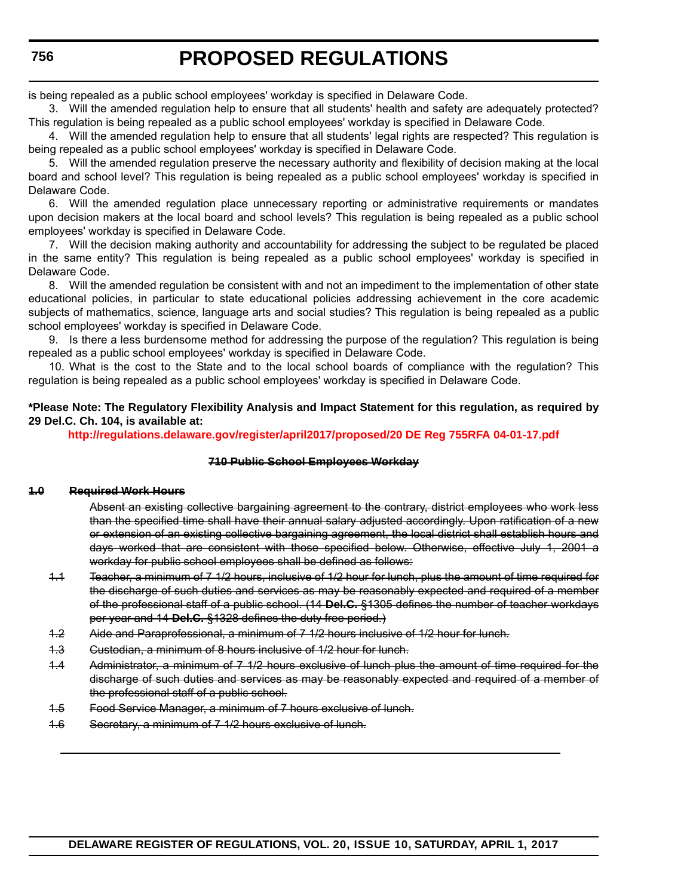is being repealed as a public school employees' workday is specified in Delaware Code.

3. Will the amended regulation help to ensure that all students' health and safety are adequately protected? This regulation is being repealed as a public school employees' workday is specified in Delaware Code.

4. Will the amended regulation help to ensure that all students' legal rights are respected? This regulation is being repealed as a public school employees' workday is specified in Delaware Code.

5. Will the amended regulation preserve the necessary authority and flexibility of decision making at the local board and school level? This regulation is being repealed as a public school employees' workday is specified in Delaware Code.

6. Will the amended regulation place unnecessary reporting or administrative requirements or mandates upon decision makers at the local board and school levels? This regulation is being repealed as a public school employees' workday is specified in Delaware Code.

7. Will the decision making authority and accountability for addressing the subject to be regulated be placed in the same entity? This regulation is being repealed as a public school employees' workday is specified in Delaware Code.

8. Will the amended regulation be consistent with and not an impediment to the implementation of other state educational policies, in particular to state educational policies addressing achievement in the core academic subjects of mathematics, science, language arts and social studies? This regulation is being repealed as a public school employees' workday is specified in Delaware Code.

9. Is there a less burdensome method for addressing the purpose of the regulation? This regulation is being repealed as a public school employees' workday is specified in Delaware Code.

10. What is the cost to the State and to the local school boards of compliance with the regulation? This regulation is being repealed as a public school employees' workday is specified in Delaware Code.

### **\*Please Note: The Regulatory Flexibility Analysis and Impact Statement for this regulation, as required by 29 Del.C. Ch. 104, is available at:**

**<http://regulations.delaware.gov/register/april2017/proposed/20 DE Reg 755RFA 04-01-17.pdf>**

#### **710 Public School Employees Workday**

#### **1.0 Required Work Hours**

Absent an existing collective bargaining agreement to the contrary, district employees who work less than the specified time shall have their annual salary adjusted accordingly. Upon ratification of a new or extension of an existing collective bargaining agreement, the local district shall establish hours and days worked that are consistent with those specified below. Otherwise, effective July 1, 2001 a workday for public school employees shall be defined as follows:

- 1.1 Teacher, a minimum of 7 1/2 hours, inclusive of 1/2 hour for lunch, plus the amount of time required for the discharge of such duties and services as may be reasonably expected and required of a member of the professional staff of a public school. (14 **Del.C.** §1305 defines the number of teacher workdays per year and 14 **Del.C.** §1328 defines the duty free period.)
- 1.2 Aide and Paraprofessional, a minimum of 7 1/2 hours inclusive of 1/2 hour for lunch.
- 1.3 Custodian, a minimum of 8 hours inclusive of 1/2 hour for lunch.
- 1.4 Administrator, a minimum of 7 1/2 hours exclusive of lunch plus the amount of time required for the discharge of such duties and services as may be reasonably expected and required of a member of the professional staff of a public school.
- 1.5 Food Service Manager, a minimum of 7 hours exclusive of lunch.
- 1.6 Secretary, a minimum of 7 1/2 hours exclusive of lunch.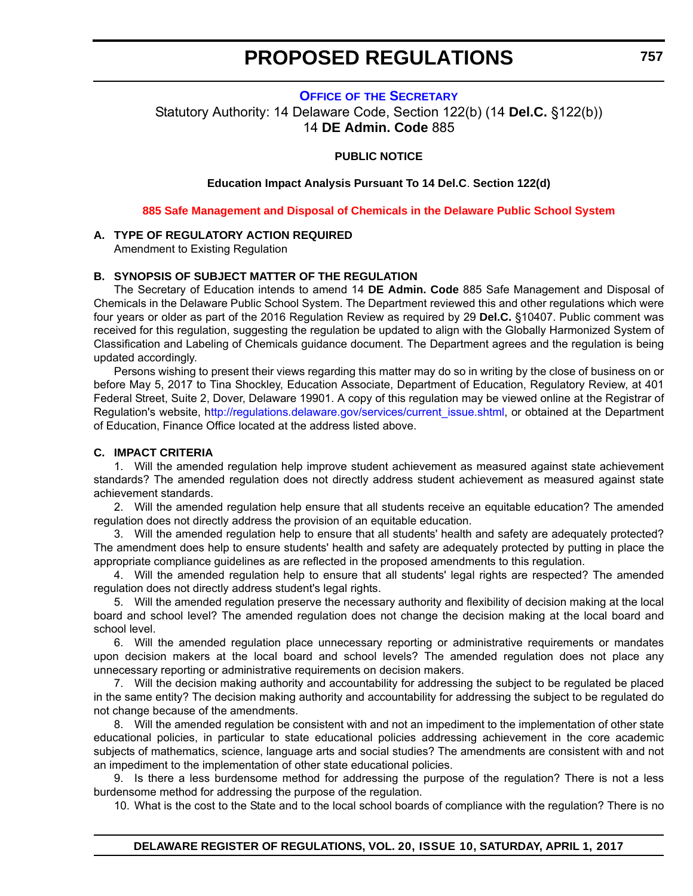### <span id="page-20-0"></span>**OFFICE OF [THE SECRETARY](https://pubapps.doe.k12.de.us/EducationalDirectoryPublic/pages/DDOE/Branches.aspx?page=branches&BID=1)** Statutory Authority: 14 Delaware Code, Section 122(b) (14 **Del.C.** §122(b)) 14 **DE Admin. Code** 885

### **PUBLIC NOTICE**

**Education Impact Analysis Pursuant To 14 Del.C**. **Section 122(d)**

**[885 Safe Management and Disposal of Chemicals in the Delaware Public School System](#page-3-0)**

### **A. TYPE OF REGULATORY ACTION REQUIRED**

Amendment to Existing Regulation

### **B. SYNOPSIS OF SUBJECT MATTER OF THE REGULATION**

The Secretary of Education intends to amend 14 **DE Admin. Code** 885 Safe Management and Disposal of Chemicals in the Delaware Public School System. The Department reviewed this and other regulations which were four years or older as part of the 2016 Regulation Review as required by 29 **Del.C.** §10407. Public comment was received for this regulation, suggesting the regulation be updated to align with the Globally Harmonized System of Classification and Labeling of Chemicals guidance document. The Department agrees and the regulation is being updated accordingly.

Persons wishing to present their views regarding this matter may do so in writing by the close of business on or before May 5, 2017 to Tina Shockley, Education Associate, Department of Education, Regulatory Review, at 401 Federal Street, Suite 2, Dover, Delaware 19901. A copy of this regulation may be viewed online at the Registrar of Regulation's website, [http://regulations.delaware.gov/services/current\\_issue.shtml,](ttp://regulations.delaware.gov/services/current_issue.shtml) or obtained at the Department of Education, Finance Office located at the address listed above.

#### **C. IMPACT CRITERIA**

1. Will the amended regulation help improve student achievement as measured against state achievement standards? The amended regulation does not directly address student achievement as measured against state achievement standards.

2. Will the amended regulation help ensure that all students receive an equitable education? The amended regulation does not directly address the provision of an equitable education.

3. Will the amended regulation help to ensure that all students' health and safety are adequately protected? The amendment does help to ensure students' health and safety are adequately protected by putting in place the appropriate compliance guidelines as are reflected in the proposed amendments to this regulation.

4. Will the amended regulation help to ensure that all students' legal rights are respected? The amended regulation does not directly address student's legal rights.

5. Will the amended regulation preserve the necessary authority and flexibility of decision making at the local board and school level? The amended regulation does not change the decision making at the local board and school level.

6. Will the amended regulation place unnecessary reporting or administrative requirements or mandates upon decision makers at the local board and school levels? The amended regulation does not place any unnecessary reporting or administrative requirements on decision makers.

7. Will the decision making authority and accountability for addressing the subject to be regulated be placed in the same entity? The decision making authority and accountability for addressing the subject to be regulated do not change because of the amendments.

8. Will the amended regulation be consistent with and not an impediment to the implementation of other state educational policies, in particular to state educational policies addressing achievement in the core academic subjects of mathematics, science, language arts and social studies? The amendments are consistent with and not an impediment to the implementation of other state educational policies.

9. Is there a less burdensome method for addressing the purpose of the regulation? There is not a less burdensome method for addressing the purpose of the regulation.

10. What is the cost to the State and to the local school boards of compliance with the regulation? There is no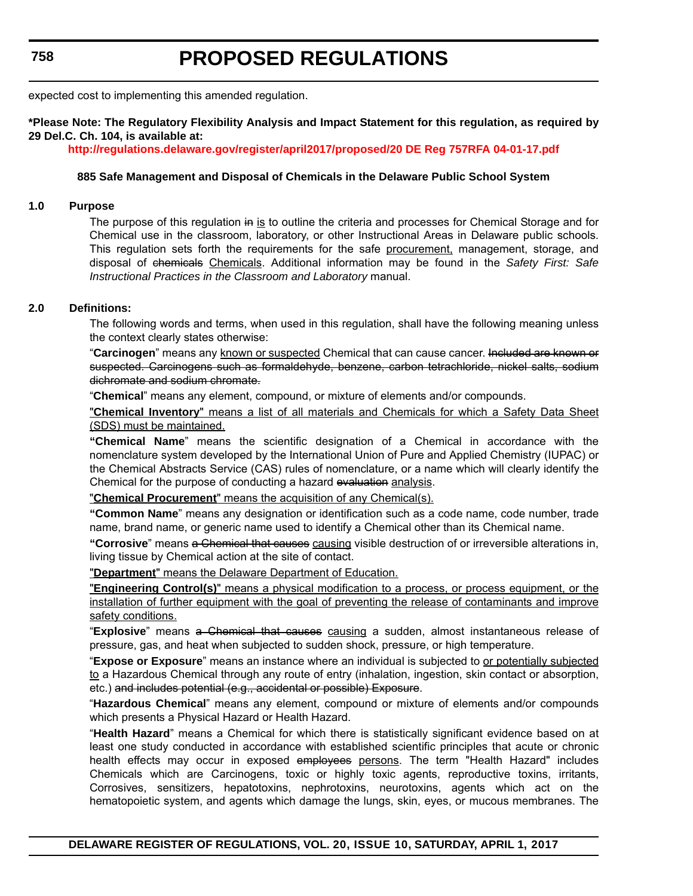expected cost to implementing this amended regulation.

### **\*Please Note: The Regulatory Flexibility Analysis and Impact Statement for this regulation, as required by 29 Del.C. Ch. 104, is available at:**

**<http://regulations.delaware.gov/register/april2017/proposed/20 DE Reg 757RFA 04-01-17.pdf>**

#### **885 Safe Management and Disposal of Chemicals in the Delaware Public School System**

#### **1.0 Purpose**

The purpose of this regulation in is to outline the criteria and processes for Chemical Storage and for Chemical use in the classroom, laboratory, or other Instructional Areas in Delaware public schools. This regulation sets forth the requirements for the safe procurement, management, storage, and disposal of chemicals Chemicals. Additional information may be found in the *Safety First: Safe Instructional Practices in the Classroom and Laboratory* manual.

#### **2.0 Definitions:**

The following words and terms, when used in this regulation, shall have the following meaning unless the context clearly states otherwise:

"**Carcinogen**" means any known or suspected Chemical that can cause cancer. Included are known or suspected. Carcinogens such as formaldehyde, benzene, carbon tetrachloride, nickel salts, sodium dichromate and sodium chromate.

"**Chemical**" means any element, compound, or mixture of elements and/or compounds.

"**Chemical Inventory**" means a list of all materials and Chemicals for which a Safety Data Sheet (SDS) must be maintained.

**"Chemical Name**" means the scientific designation of a Chemical in accordance with the nomenclature system developed by the International Union of Pure and Applied Chemistry (IUPAC) or the Chemical Abstracts Service (CAS) rules of nomenclature, or a name which will clearly identify the Chemical for the purpose of conducting a hazard evaluation analysis.

"**Chemical Procurement**" means the acquisition of any Chemical(s).

**"Common Name**" means any designation or identification such as a code name, code number, trade name, brand name, or generic name used to identify a Chemical other than its Chemical name.

**"Corrosive**" means a Chemical that causes causing visible destruction of or irreversible alterations in, living tissue by Chemical action at the site of contact.

"**Department**" means the Delaware Department of Education.

"**Engineering Control(s)**" means a physical modification to a process, or process equipment, or the installation of further equipment with the goal of preventing the release of contaminants and improve safety conditions.

"**Explosive**" means a Chemical that causes causing a sudden, almost instantaneous release of pressure, gas, and heat when subjected to sudden shock, pressure, or high temperature.

"**Expose or Exposure**" means an instance where an individual is subjected to or potentially subjected to a Hazardous Chemical through any route of entry (inhalation, ingestion, skin contact or absorption, etc.) and includes potential (e.g., accidental or possible) Exposure.

"**Hazardous Chemical**" means any element, compound or mixture of elements and/or compounds which presents a Physical Hazard or Health Hazard.

"**Health Hazard**" means a Chemical for which there is statistically significant evidence based on at least one study conducted in accordance with established scientific principles that acute or chronic health effects may occur in exposed employees persons. The term "Health Hazard" includes Chemicals which are Carcinogens, toxic or highly toxic agents, reproductive toxins, irritants, Corrosives, sensitizers, hepatotoxins, nephrotoxins, neurotoxins, agents which act on the hematopoietic system, and agents which damage the lungs, skin, eyes, or mucous membranes. The

**DELAWARE REGISTER OF REGULATIONS, VOL. 20, ISSUE 10, SATURDAY, APRIL 1, 2017**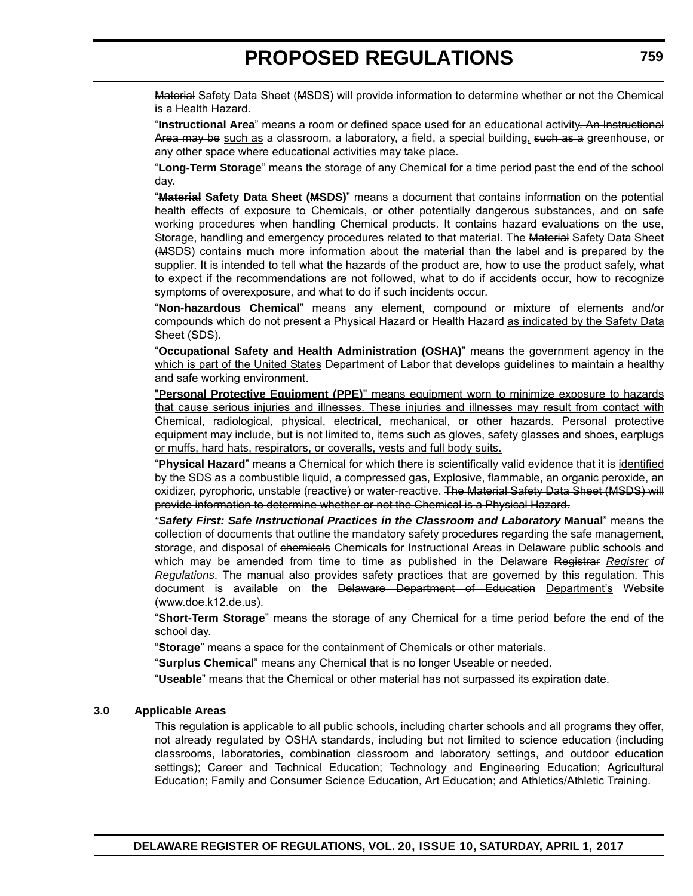Material Safety Data Sheet (MSDS) will provide information to determine whether or not the Chemical is a Health Hazard.

"**Instructional Area**" means a room or defined space used for an educational activity. An Instructional Area may be such as a classroom, a laboratory, a field, a special building, such as a greenhouse, or any other space where educational activities may take place.

"**Long-Term Storage**" means the storage of any Chemical for a time period past the end of the school day.

"**Material Safety Data Sheet (MSDS)**" means a document that contains information on the potential health effects of exposure to Chemicals, or other potentially dangerous substances, and on safe working procedures when handling Chemical products. It contains hazard evaluations on the use, Storage, handling and emergency procedures related to that material. The Material Safety Data Sheet (MSDS) contains much more information about the material than the label and is prepared by the supplier. It is intended to tell what the hazards of the product are, how to use the product safely, what to expect if the recommendations are not followed, what to do if accidents occur, how to recognize symptoms of overexposure, and what to do if such incidents occur.

"**Non-hazardous Chemical**" means any element, compound or mixture of elements and/or compounds which do not present a Physical Hazard or Health Hazard as indicated by the Safety Data Sheet (SDS).

"**Occupational Safety and Health Administration (OSHA)**" means the government agency in the which is part of the United States Department of Labor that develops guidelines to maintain a healthy and safe working environment.

"**Personal Protective Equipment (PPE)**" means equipment worn to minimize exposure to hazards that cause serious injuries and illnesses. These injuries and illnesses may result from contact with Chemical, radiological, physical, electrical, mechanical, or other hazards. Personal protective equipment may include, but is not limited to, items such as gloves, safety glasses and shoes, earplugs or muffs, hard hats, respirators, or coveralls, vests and full body suits.

"**Physical Hazard**" means a Chemical for which there is scientifically valid evidence that it is identified by the SDS as a combustible liquid, a compressed gas, Explosive, flammable, an organic peroxide, an oxidizer, pyrophoric, unstable (reactive) or water-reactive. The Material Safety Data Sheet (MSDS) will provide information to determine whether or not the Chemical is a Physical Hazard.

*"Safety First: Safe Instructional Practices in the Classroom and Laboratory* **Manual**" means the collection of documents that outline the mandatory safety procedures regarding the safe management, storage, and disposal of chemicals Chemicals for Instructional Areas in Delaware public schools and which may be amended from time to time as published in the Delaware Registrar *Register of Regulations*. The manual also provides safety practices that are governed by this regulation. This document is available on the Delaware Department of Education Department's Website (www.doe.k12.de.us).

"**Short-Term Storage**" means the storage of any Chemical for a time period before the end of the school day.

"**Storage**" means a space for the containment of Chemicals or other materials.

"**Surplus Chemical**" means any Chemical that is no longer Useable or needed.

"**Useable**" means that the Chemical or other material has not surpassed its expiration date.

### **3.0 Applicable Areas**

This regulation is applicable to all public schools, including charter schools and all programs they offer, not already regulated by OSHA standards, including but not limited to science education (including classrooms, laboratories, combination classroom and laboratory settings, and outdoor education settings); Career and Technical Education; Technology and Engineering Education; Agricultural Education; Family and Consumer Science Education, Art Education; and Athletics/Athletic Training.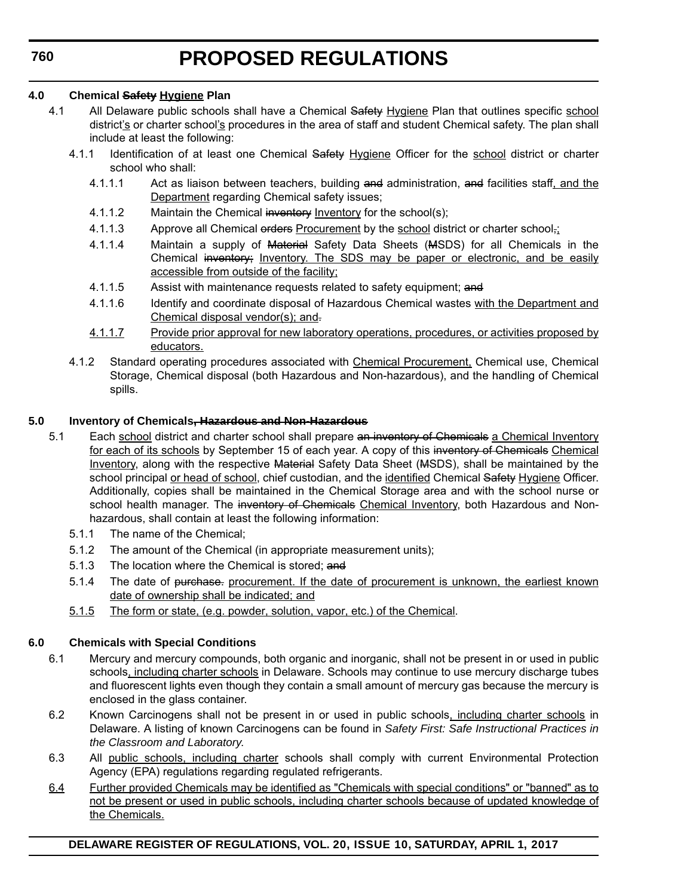### **4.0 Chemical Safety Hygiene Plan**

- 4.1 All Delaware public schools shall have a Chemical Safety Hygiene Plan that outlines specific school district's or charter school's procedures in the area of staff and student Chemical safety. The plan shall include at least the following:
	- 4.1.1 Identification of at least one Chemical Safety Hygiene Officer for the school district or charter school who shall:
		- 4.1.1.1 Act as liaison between teachers, building and administration, and facilities staff, and the Department regarding Chemical safety issues;
		- 4.1.1.2 Maintain the Chemical inventory Inventory for the school(s);
		- 4.1.1.3 Approve all Chemical orders Procurement by the school district or charter school<sub>7</sub>:
		- 4.1.1.4 Maintain a supply of Material Safety Data Sheets (MSDS) for all Chemicals in the Chemical inventory; Inventory. The SDS may be paper or electronic, and be easily accessible from outside of the facility;
		- 4.1.1.5 Assist with maintenance requests related to safety equipment; and
		- 4.1.1.6 Identify and coordinate disposal of Hazardous Chemical wastes with the Department and Chemical disposal vendor(s); and.
		- 4.1.1.7 Provide prior approval for new laboratory operations, procedures, or activities proposed by educators.
	- 4.1.2 Standard operating procedures associated with Chemical Procurement, Chemical use, Chemical Storage, Chemical disposal (both Hazardous and Non-hazardous), and the handling of Chemical spills.

### **5.0 Inventory of Chemicals, Hazardous and Non-Hazardous**

- 5.1 Each school district and charter school shall prepare an inventory of Chemicals a Chemical Inventory for each of its schools by September 15 of each year. A copy of this inventory of Chemicals Chemical Inventory, along with the respective Material Safety Data Sheet (MSDS), shall be maintained by the school principal or head of school, chief custodian, and the identified Chemical Safety Hygiene Officer. Additionally, copies shall be maintained in the Chemical Storage area and with the school nurse or school health manager. The inventory of Chemicals Chemical Inventory, both Hazardous and Nonhazardous, shall contain at least the following information:
	- 5.1.1 The name of the Chemical;
	- 5.1.2 The amount of the Chemical (in appropriate measurement units);
	- 5.1.3 The location where the Chemical is stored; and
	- 5.1.4 The date of purchase. procurement. If the date of procurement is unknown, the earliest known date of ownership shall be indicated; and
	- 5.1.5 The form or state, (e.g. powder, solution, vapor, etc.) of the Chemical.

### **6.0 Chemicals with Special Conditions**

- 6.1 Mercury and mercury compounds, both organic and inorganic, shall not be present in or used in public schools, including charter schools in Delaware. Schools may continue to use mercury discharge tubes and fluorescent lights even though they contain a small amount of mercury gas because the mercury is enclosed in the glass container.
- 6.2 Known Carcinogens shall not be present in or used in public schools, including charter schools in Delaware. A listing of known Carcinogens can be found in *Safety First: Safe Instructional Practices in the Classroom and Laboratory*.
- 6.3 All public schools, including charter schools shall comply with current Environmental Protection Agency (EPA) regulations regarding regulated refrigerants.
- 6.4 Further provided Chemicals may be identified as "Chemicals with special conditions" or "banned" as to not be present or used in public schools, including charter schools because of updated knowledge of the Chemicals.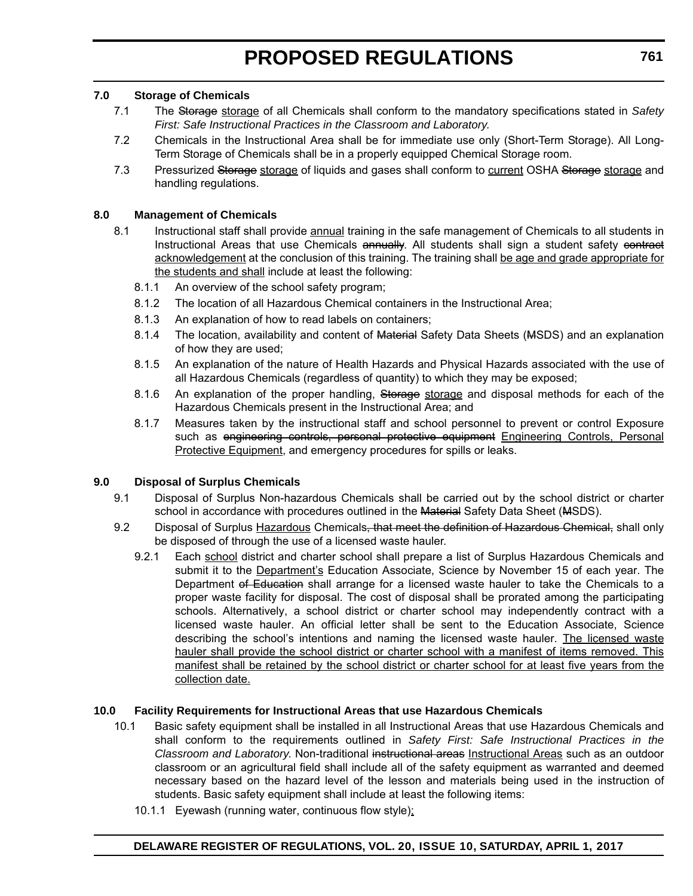### **7.0 Storage of Chemicals**

- 7.1 The Storage storage of all Chemicals shall conform to the mandatory specifications stated in *Safety First: Safe Instructional Practices in the Classroom and Laboratory*.
- 7.2 Chemicals in the Instructional Area shall be for immediate use only (Short-Term Storage). All Long-Term Storage of Chemicals shall be in a properly equipped Chemical Storage room.
- 7.3 Pressurized Storage storage of liquids and gases shall conform to current OSHA Storage storage and handling regulations.

### **8.0 Management of Chemicals**

- 8.1 Instructional staff shall provide annual training in the safe management of Chemicals to all students in Instructional Areas that use Chemicals annually. All students shall sign a student safety contract acknowledgement at the conclusion of this training. The training shall be age and grade appropriate for the students and shall include at least the following:
	- 8.1.1 An overview of the school safety program;
	- 8.1.2 The location of all Hazardous Chemical containers in the Instructional Area;
	- 8.1.3 An explanation of how to read labels on containers;
	- 8.1.4 The location, availability and content of Material Safety Data Sheets (MSDS) and an explanation of how they are used;
	- 8.1.5 An explanation of the nature of Health Hazards and Physical Hazards associated with the use of all Hazardous Chemicals (regardless of quantity) to which they may be exposed;
	- 8.1.6 An explanation of the proper handling, Storage storage and disposal methods for each of the Hazardous Chemicals present in the Instructional Area; and
	- 8.1.7 Measures taken by the instructional staff and school personnel to prevent or control Exposure such as engineering controls, personal protective equipment Engineering Controls, Personal Protective Equipment, and emergency procedures for spills or leaks.

### **9.0 Disposal of Surplus Chemicals**

- 9.1 Disposal of Surplus Non-hazardous Chemicals shall be carried out by the school district or charter school in accordance with procedures outlined in the Material Safety Data Sheet (MSDS).
- 9.2 Disposal of Surplus Hazardous Chemicals, that meet the definition of Hazardous Chemical, shall only be disposed of through the use of a licensed waste hauler.
	- 9.2.1 Each school district and charter school shall prepare a list of Surplus Hazardous Chemicals and submit it to the Department's Education Associate, Science by November 15 of each year. The Department of Education shall arrange for a licensed waste hauler to take the Chemicals to a proper waste facility for disposal. The cost of disposal shall be prorated among the participating schools. Alternatively, a school district or charter school may independently contract with a licensed waste hauler. An official letter shall be sent to the Education Associate, Science describing the school's intentions and naming the licensed waste hauler. The licensed waste hauler shall provide the school district or charter school with a manifest of items removed. This manifest shall be retained by the school district or charter school for at least five years from the collection date.

### **10.0 Facility Requirements for Instructional Areas that use Hazardous Chemicals**

- 10.1 Basic safety equipment shall be installed in all Instructional Areas that use Hazardous Chemicals and shall conform to the requirements outlined in *Safety First: Safe Instructional Practices in the Classroom and Laboratory*. Non-traditional instructional areas Instructional Areas such as an outdoor classroom or an agricultural field shall include all of the safety equipment as warranted and deemed necessary based on the hazard level of the lesson and materials being used in the instruction of students. Basic safety equipment shall include at least the following items:
	- 10.1.1 Eyewash (running water, continuous flow style);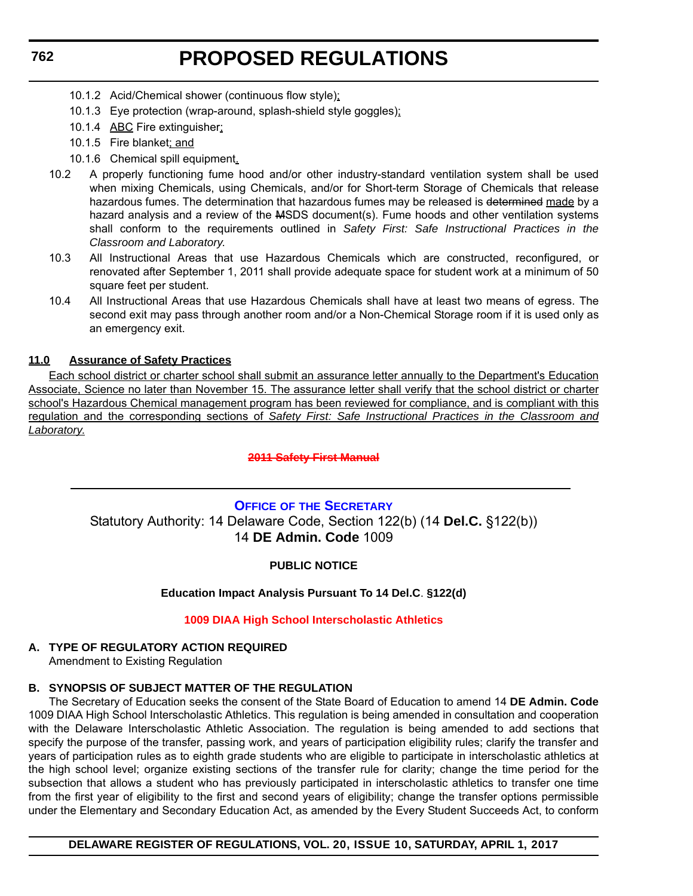- <span id="page-25-0"></span>10.1.2 Acid/Chemical shower (continuous flow style);
- 10.1.3 Eye protection (wrap-around, splash-shield style goggles);
- 10.1.4 ABC Fire extinguisher;
- 10.1.5 Fire blanket; and
- 10.1.6 Chemical spill equipment.
- 10.2 A properly functioning fume hood and/or other industry-standard ventilation system shall be used when mixing Chemicals, using Chemicals, and/or for Short-term Storage of Chemicals that release hazardous fumes. The determination that hazardous fumes may be released is determined made by a hazard analysis and a review of the MSDS document(s). Fume hoods and other ventilation systems shall conform to the requirements outlined in *Safety First: Safe Instructional Practices in the Classroom and Laboratory*.
- 10.3 All Instructional Areas that use Hazardous Chemicals which are constructed, reconfigured, or renovated after September 1, 2011 shall provide adequate space for student work at a minimum of 50 square feet per student.
- 10.4 All Instructional Areas that use Hazardous Chemicals shall have at least two means of egress. The second exit may pass through another room and/or a Non-Chemical Storage room if it is used only as an emergency exit.

### **11.0 Assurance of Safety Practices**

Each school district or charter school shall submit an assurance letter annually to the Department's Education Associate, Science no later than November 15. The assurance letter shall verify that the school district or charter school's Hazardous Chemical management program has been reviewed for compliance, and is compliant with this regulation and the corresponding sections of *Safety First: Safe Instructional Practices in the Classroom and Laboratory*.

### **[2011 Safety First Manual](http://http://regulations.delaware.gov/AdminCode/title14/800/2011SafetyFirstManual.pdf)**

### **OFFICE OF [THE SECRETARY](https://pubapps.doe.k12.de.us/EducationalDirectoryPublic/pages/DDOE/Branches.aspx?page=branches&BID=1)** Statutory Authority: 14 Delaware Code, Section 122(b) (14 **Del.C.** §122(b)) 14 **DE Admin. Code** 1009

### **PUBLIC NOTICE**

### **Education Impact Analysis Pursuant To 14 Del.C**. **§122(d)**

### **[1009 DIAA High School Interscholastic Athletics](#page-3-0)**

### **A. TYPE OF REGULATORY ACTION REQUIRED**

Amendment to Existing Regulation

### **B. SYNOPSIS OF SUBJECT MATTER OF THE REGULATION**

The Secretary of Education seeks the consent of the State Board of Education to amend 14 **DE Admin. Code** 1009 DIAA High School Interscholastic Athletics. This regulation is being amended in consultation and cooperation with the Delaware Interscholastic Athletic Association. The regulation is being amended to add sections that specify the purpose of the transfer, passing work, and years of participation eligibility rules; clarify the transfer and years of participation rules as to eighth grade students who are eligible to participate in interscholastic athletics at the high school level; organize existing sections of the transfer rule for clarity; change the time period for the subsection that allows a student who has previously participated in interscholastic athletics to transfer one time from the first year of eligibility to the first and second years of eligibility; change the transfer options permissible under the Elementary and Secondary Education Act, as amended by the Every Student Succeeds Act, to conform

### **DELAWARE REGISTER OF REGULATIONS, VOL. 20, ISSUE 10, SATURDAY, APRIL 1, 2017**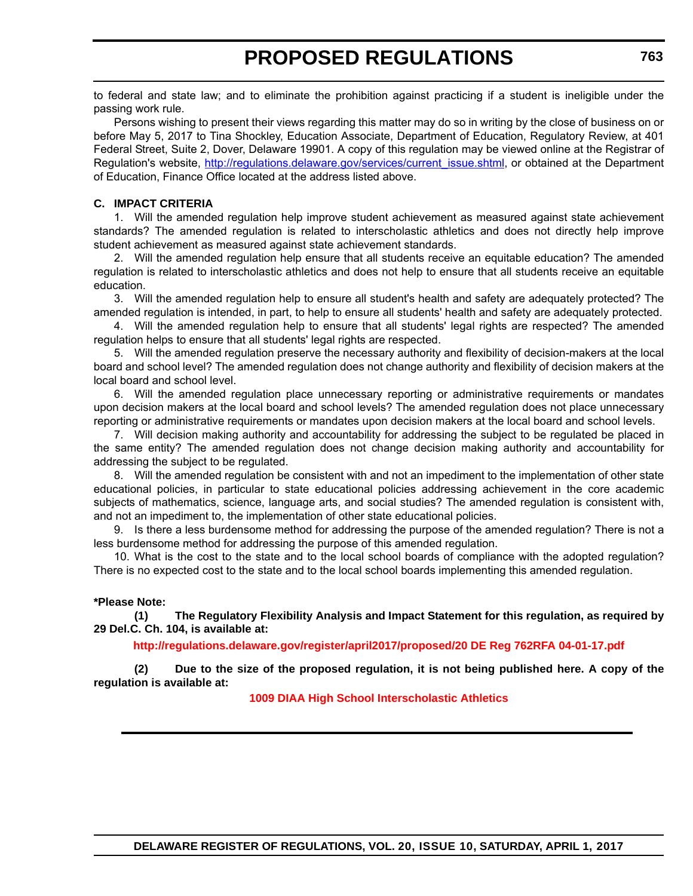to federal and state law; and to eliminate the prohibition against practicing if a student is ineligible under the passing work rule.

Persons wishing to present their views regarding this matter may do so in writing by the close of business on or before May 5, 2017 to Tina Shockley, Education Associate, Department of Education, Regulatory Review, at 401 Federal Street, Suite 2, Dover, Delaware 19901. A copy of this regulation may be viewed online at the Registrar of Regulation's website, http://regulations.delaware.gov/services/current\_issue.shtml, or obtained at the Department of Education, Finance Office located at the address listed above.

### **C. IMPACT CRITERIA**

1. Will the amended regulation help improve student achievement as measured against state achievement standards? The amended regulation is related to interscholastic athletics and does not directly help improve student achievement as measured against state achievement standards.

2. Will the amended regulation help ensure that all students receive an equitable education? The amended regulation is related to interscholastic athletics and does not help to ensure that all students receive an equitable education.

3. Will the amended regulation help to ensure all student's health and safety are adequately protected? The amended regulation is intended, in part, to help to ensure all students' health and safety are adequately protected.

4. Will the amended regulation help to ensure that all students' legal rights are respected? The amended regulation helps to ensure that all students' legal rights are respected.

5. Will the amended regulation preserve the necessary authority and flexibility of decision-makers at the local board and school level? The amended regulation does not change authority and flexibility of decision makers at the local board and school level.

6. Will the amended regulation place unnecessary reporting or administrative requirements or mandates upon decision makers at the local board and school levels? The amended regulation does not place unnecessary reporting or administrative requirements or mandates upon decision makers at the local board and school levels.

7. Will decision making authority and accountability for addressing the subject to be regulated be placed in the same entity? The amended regulation does not change decision making authority and accountability for addressing the subject to be regulated.

8. Will the amended regulation be consistent with and not an impediment to the implementation of other state educational policies, in particular to state educational policies addressing achievement in the core academic subjects of mathematics, science, language arts, and social studies? The amended regulation is consistent with, and not an impediment to, the implementation of other state educational policies.

9. Is there a less burdensome method for addressing the purpose of the amended regulation? There is not a less burdensome method for addressing the purpose of this amended regulation.

10. What is the cost to the state and to the local school boards of compliance with the adopted regulation? There is no expected cost to the state and to the local school boards implementing this amended regulation.

### **\*Please Note:**

**(1) The Regulatory Flexibility Analysis and Impact Statement for this regulation, as required by 29 Del.C. Ch. 104, is available at:**

**<http://regulations.delaware.gov/register/april2017/proposed/20 DE Reg 762RFA 04-01-17.pdf>**

**(2) Due to the size of the proposed regulation, it is not being published here. A copy of the regulation is available at:**

**[1009 DIAA High School Interscholastic Athletics](http://regulations.delaware.gov/register/april2017/proposed/20 DE Reg 762 04-01-17.htm)**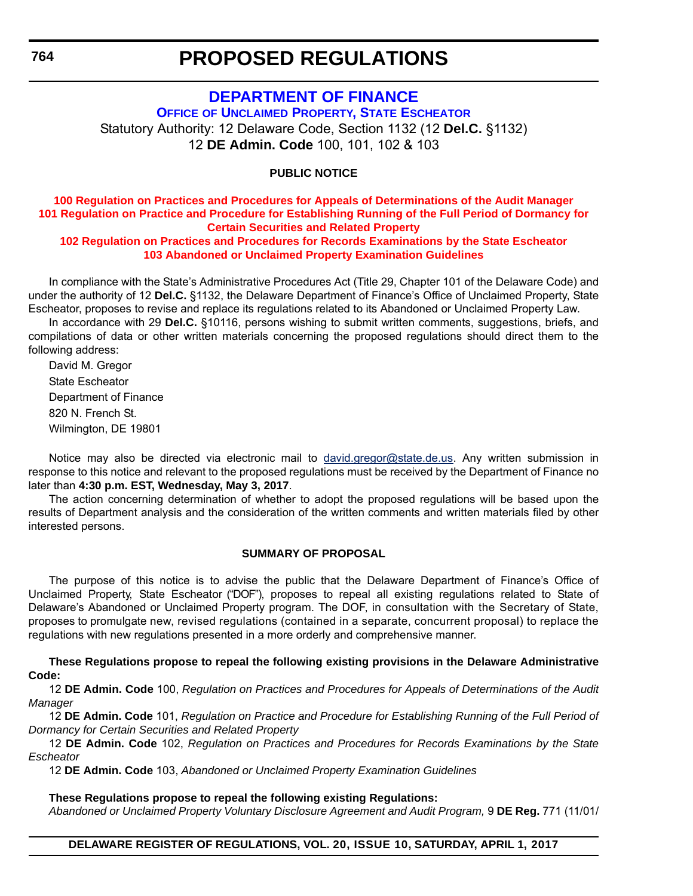### **[DEPARTMENT OF FINANCE](http://finance.delaware.gov/)**

<span id="page-27-0"></span>**OFFICE [OF UNCLAIMED PROPERTY, STATE ESCHEATOR](http://finance.delaware.gov/unclaimedproperty.shtml)** Statutory Authority: 12 Delaware Code, Section 1132 (12 **Del.C.** §1132) 12 **DE Admin. Code** 100, 101, 102 & 103

### **PUBLIC NOTICE**

### **100 Regulation on Practices and Procedures for Appeals of Determinations of the Audit Manager [101 Regulation on Practice and Procedure for Establishing Running of the Full Period of Dormancy for](#page-3-0)  Certain Securities and Related Property**

### **102 Regulation on Practices and Procedures for Records Examinations by the State Escheator 103 Abandoned or Unclaimed Property Examination Guidelines**

In compliance with the State's Administrative Procedures Act (Title 29, Chapter 101 of the Delaware Code) and under the authority of 12 **Del.C.** §1132, the Delaware Department of Finance's Office of Unclaimed Property, State Escheator, proposes to revise and replace its regulations related to its Abandoned or Unclaimed Property Law.

In accordance with 29 **Del.C.** §10116, persons wishing to submit written comments, suggestions, briefs, and compilations of data or other written materials concerning the proposed regulations should direct them to the following address:

David M. Gregor State Escheator Department of Finance 820 N. French St. Wilmington, DE 19801

Notice may also be directed via electronic mail to [david.gregor@state.de.us](mailto:david.gregor@state.de.us). Any written submission in response to this notice and relevant to the proposed regulations must be received by the Department of Finance no later than **4:30 p.m. EST, Wednesday, May 3, 2017**.

The action concerning determination of whether to adopt the proposed regulations will be based upon the results of Department analysis and the consideration of the written comments and written materials filed by other interested persons.

### **SUMMARY OF PROPOSAL**

The purpose of this notice is to advise the public that the Delaware Department of Finance's Office of Unclaimed Property, State Escheator ("DOF"), proposes to repeal all existing regulations related to State of Delaware's Abandoned or Unclaimed Property program. The DOF, in consultation with the Secretary of State, proposes to promulgate new, revised regulations (contained in a separate, concurrent proposal) to replace the regulations with new regulations presented in a more orderly and comprehensive manner.

**These Regulations propose to repeal the following existing provisions in the Delaware Administrative Code:**

12 **DE Admin. Code** 100, *Regulation on Practices and Procedures for Appeals of Determinations of the Audit Manager*

12 **DE Admin. Code** 101, *Regulation on Practice and Procedure for Establishing Running of the Full Period of Dormancy for Certain Securities and Related Property*

12 **DE Admin. Code** 102, *Regulation on Practices and Procedures for Records Examinations by the State Escheator*

12 **DE Admin. Code** 103, *Abandoned or Unclaimed Property Examination Guidelines*

#### **These Regulations propose to repeal the following existing Regulations:**

*Abandoned or Unclaimed Property Voluntary Disclosure Agreement and Audit Program,* 9 **DE Reg.** 771 (11/01/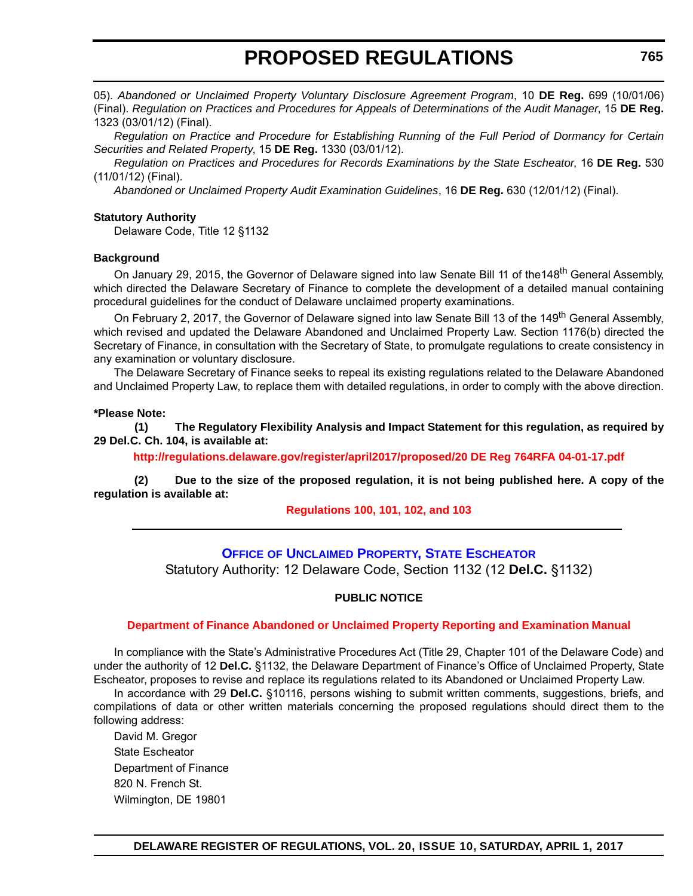<span id="page-28-0"></span>05). *Abandoned or Unclaimed Property Voluntary Disclosure Agreement Program*, 10 **DE Reg.** 699 (10/01/06) (Final). *Regulation on Practices and Procedures for Appeals of Determinations of the Audit Manager*, 15 **DE Reg.** 1323 (03/01/12) (Final).

*Regulation on Practice and Procedure for Establishing Running of the Full Period of Dormancy for Certain Securities and Related Property*, 15 **DE Reg.** 1330 (03/01/12).

*Regulation on Practices and Procedures for Records Examinations by the State Escheator*, 16 **DE Reg.** 530 (11/01/12) (Final).

*Abandoned or Unclaimed Property Audit Examination Guidelines*, 16 **DE Reg.** 630 (12/01/12) (Final).

### **Statutory Authority**

Delaware Code, Title 12 §1132

#### **Background**

On January 29, 2015, the Governor of Delaware signed into law Senate Bill 11 of the 148<sup>th</sup> General Assembly, which directed the Delaware Secretary of Finance to complete the development of a detailed manual containing procedural guidelines for the conduct of Delaware unclaimed property examinations.

On February 2, 2017, the Governor of Delaware signed into law Senate Bill 13 of the 149<sup>th</sup> General Assembly. which revised and updated the Delaware Abandoned and Unclaimed Property Law. Section 1176(b) directed the Secretary of Finance, in consultation with the Secretary of State, to promulgate regulations to create consistency in any examination or voluntary disclosure.

The Delaware Secretary of Finance seeks to repeal its existing regulations related to the Delaware Abandoned and Unclaimed Property Law, to replace them with detailed regulations, in order to comply with the above direction.

#### **\*Please Note:**

**(1) The Regulatory Flexibility Analysis and Impact Statement for this regulation, as required by 29 Del.C. Ch. 104, is available at:**

**<http://regulations.delaware.gov/register/april2017/proposed/20 DE Reg 764RFA 04-01-17.pdf>**

**(2) Due to the size of the proposed regulation, it is not being published here. A copy of the regulation is available at:**

**[Regulations 100, 101, 102, and 103](http://regulations.delaware.gov/register/april2017/proposed/20 DE Reg 764 04-01-17.htm)**

### **OFFICE [OF UNCLAIMED PROPERTY, STATE ESCHEATOR](http://finance.delaware.gov/unclaimedproperty.shtml)**

Statutory Authority: 12 Delaware Code, Section 1132 (12 **Del.C.** §1132)

### **PUBLIC NOTICE**

#### **[Department of Finance Abandoned or Unclaimed Property Reporting and Examination Manual](#page-3-0)**

In compliance with the State's Administrative Procedures Act (Title 29, Chapter 101 of the Delaware Code) and under the authority of 12 **Del.C.** §1132, the Delaware Department of Finance's Office of Unclaimed Property, State Escheator, proposes to revise and replace its regulations related to its Abandoned or Unclaimed Property Law.

In accordance with 29 **Del.C.** §10116, persons wishing to submit written comments, suggestions, briefs, and compilations of data or other written materials concerning the proposed regulations should direct them to the following address:

David M. Gregor State Escheator Department of Finance 820 N. French St. Wilmington, DE 19801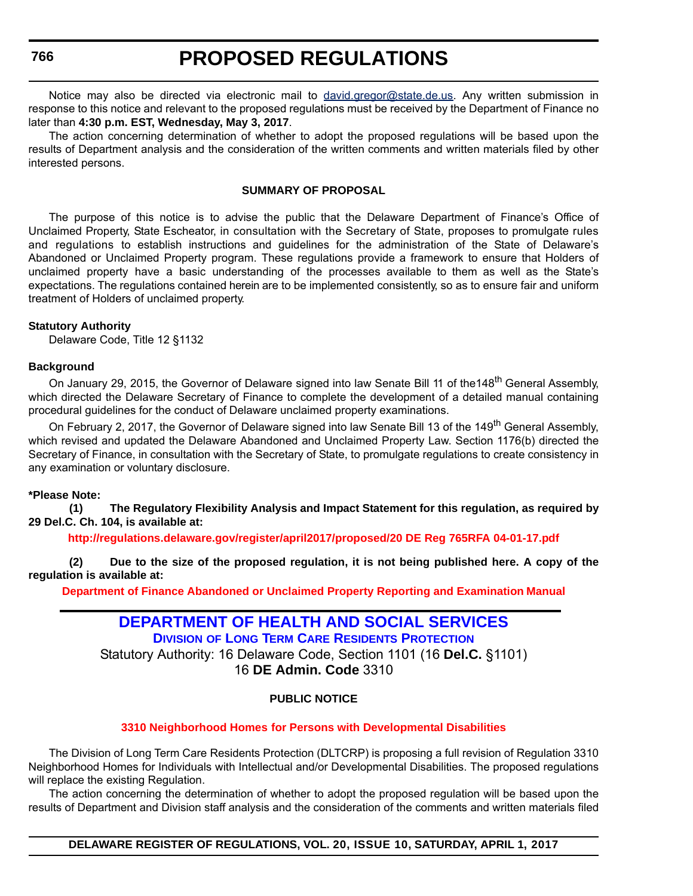## **PROPOSED REGULATIONS**

<span id="page-29-0"></span>Notice may also be directed via electronic mail to [david.gregor@state.de.us](mailto:david.gregor@state.de.us). Any written submission in response to this notice and relevant to the proposed regulations must be received by the Department of Finance no later than **4:30 p.m. EST, Wednesday, May 3, 2017**.

The action concerning determination of whether to adopt the proposed regulations will be based upon the results of Department analysis and the consideration of the written comments and written materials filed by other interested persons.

### **SUMMARY OF PROPOSAL**

The purpose of this notice is to advise the public that the Delaware Department of Finance's Office of Unclaimed Property, State Escheator, in consultation with the Secretary of State, proposes to promulgate rules and regulations to establish instructions and guidelines for the administration of the State of Delaware's Abandoned or Unclaimed Property program. These regulations provide a framework to ensure that Holders of unclaimed property have a basic understanding of the processes available to them as well as the State's expectations. The regulations contained herein are to be implemented consistently, so as to ensure fair and uniform treatment of Holders of unclaimed property.

### **Statutory Authority**

Delaware Code, Title 12 §1132

### **Background**

On January 29, 2015, the Governor of Delaware signed into law Senate Bill 11 of the 148<sup>th</sup> General Assembly, which directed the Delaware Secretary of Finance to complete the development of a detailed manual containing procedural guidelines for the conduct of Delaware unclaimed property examinations.

On February 2, 2017, the Governor of Delaware signed into law Senate Bill 13 of the 149<sup>th</sup> General Assembly, which revised and updated the Delaware Abandoned and Unclaimed Property Law. Section 1176(b) directed the Secretary of Finance, in consultation with the Secretary of State, to promulgate regulations to create consistency in any examination or voluntary disclosure.

#### **\*Please Note:**

**(1) The Regulatory Flexibility Analysis and Impact Statement for this regulation, as required by 29 Del.C. Ch. 104, is available at:**

**<http://regulations.delaware.gov/register/april2017/proposed/20 DE Reg 765RFA 04-01-17.pdf>**

**(2) Due to the size of the proposed regulation, it is not being published here. A copy of the regulation is available at:**

**[Department of Finance Abandoned or Unclaimed Property Reporting and Examination Manual](http://regulations.delaware.gov/register/april2017/proposed/20 DE Reg 765 04-01-17.htm)**

### **[DEPARTMENT OF HEALTH AND SOCIAL SERVICES](http://www.dhss.delaware.gov/dhss/index.html) DIVISION [OF LONG TERM CARE RESIDENTS PROTECTION](http://www.dhss.delaware.gov/dhss/dltcrp/)**

Statutory Authority: 16 Delaware Code, Section 1101 (16 **Del.C.** §1101) 16 **DE Admin. Code** 3310

### **PUBLIC NOTICE**

### **3310 Neighborhood Homes [for Persons with Developmental Disabilities](#page-3-0)**

The Division of Long Term Care Residents Protection (DLTCRP) is proposing a full revision of Regulation 3310 Neighborhood Homes for Individuals with Intellectual and/or Developmental Disabilities. The proposed regulations will replace the existing Regulation.

The action concerning the determination of whether to adopt the proposed regulation will be based upon the results of Department and Division staff analysis and the consideration of the comments and written materials filed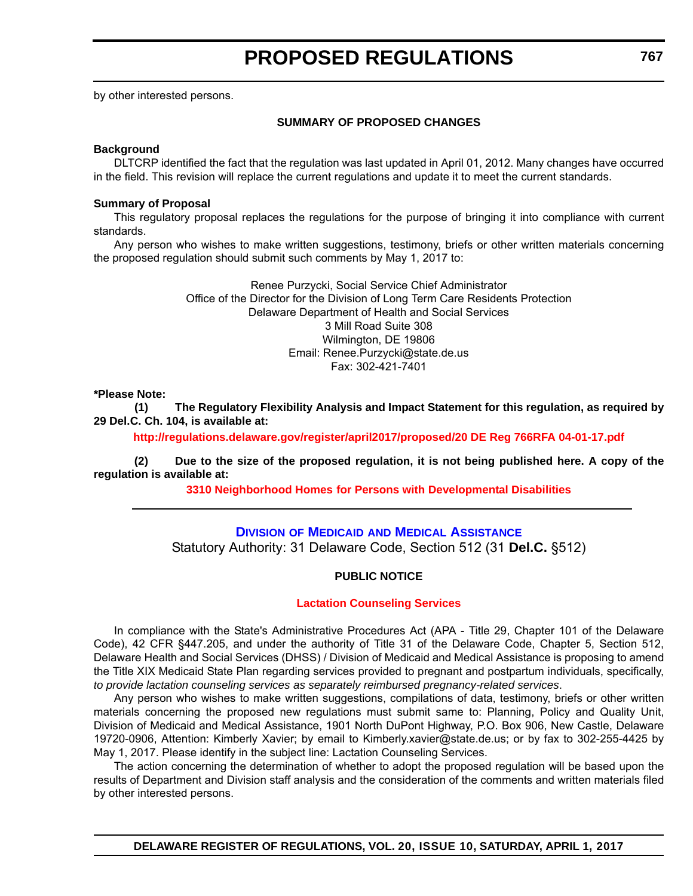<span id="page-30-0"></span>by other interested persons.

### **SUMMARY OF PROPOSED CHANGES**

### **Background**

DLTCRP identified the fact that the regulation was last updated in April 01, 2012. Many changes have occurred in the field. This revision will replace the current regulations and update it to meet the current standards.

#### **Summary of Proposal**

This regulatory proposal replaces the regulations for the purpose of bringing it into compliance with current standards.

Any person who wishes to make written suggestions, testimony, briefs or other written materials concerning the proposed regulation should submit such comments by May 1, 2017 to:

> Renee Purzycki, Social Service Chief Administrator Office of the Director for the Division of Long Term Care Residents Protection Delaware Department of Health and Social Services 3 Mill Road Suite 308 Wilmington, DE 19806 Email: Renee.Purzycki@state.de.us Fax: 302-421-7401

#### **\*Please Note:**

**(1) The Regulatory Flexibility Analysis and Impact Statement for this regulation, as required by 29 Del.C. Ch. 104, is available at:**

**<http://regulations.delaware.gov/register/april2017/proposed/20 DE Reg 766RFA 04-01-17.pdf>**

**(2) Due to the size of the proposed regulation, it is not being published here. A copy of the regulation is available at:**

**3310 Neighborhood Homes [for Persons with Developmental Disabilities](http://regulations.delaware.gov/register/april2017/proposed/20 DE Reg 766 04-01-17.htm)**

### **DIVISION OF MEDICAID [AND MEDICAL ASSISTANCE](http://www.dhss.delaware.gov/dhss/dmma/)**

Statutory Authority: 31 Delaware Code, Section 512 (31 **Del.C.** §512)

### **PUBLIC NOTICE**

### **[Lactation Counseling Services](#page-3-0)**

In compliance with the State's Administrative Procedures Act (APA - Title 29, Chapter 101 of the Delaware Code), 42 CFR §447.205, and under the authority of Title 31 of the Delaware Code, Chapter 5, Section 512, Delaware Health and Social Services (DHSS) / Division of Medicaid and Medical Assistance is proposing to amend the Title XIX Medicaid State Plan regarding services provided to pregnant and postpartum individuals, specifically, *to provide lactation counseling services as separately reimbursed pregnancy-related services*.

Any person who wishes to make written suggestions, compilations of data, testimony, briefs or other written materials concerning the proposed new regulations must submit same to: Planning, Policy and Quality Unit, Division of Medicaid and Medical Assistance, 1901 North DuPont Highway, P.O. Box 906, New Castle, Delaware 19720-0906, Attention: Kimberly Xavier; by email to Kimberly.xavier@state.de.us; or by fax to 302-255-4425 by May 1, 2017. Please identify in the subject line: Lactation Counseling Services.

The action concerning the determination of whether to adopt the proposed regulation will be based upon the results of Department and Division staff analysis and the consideration of the comments and written materials filed by other interested persons.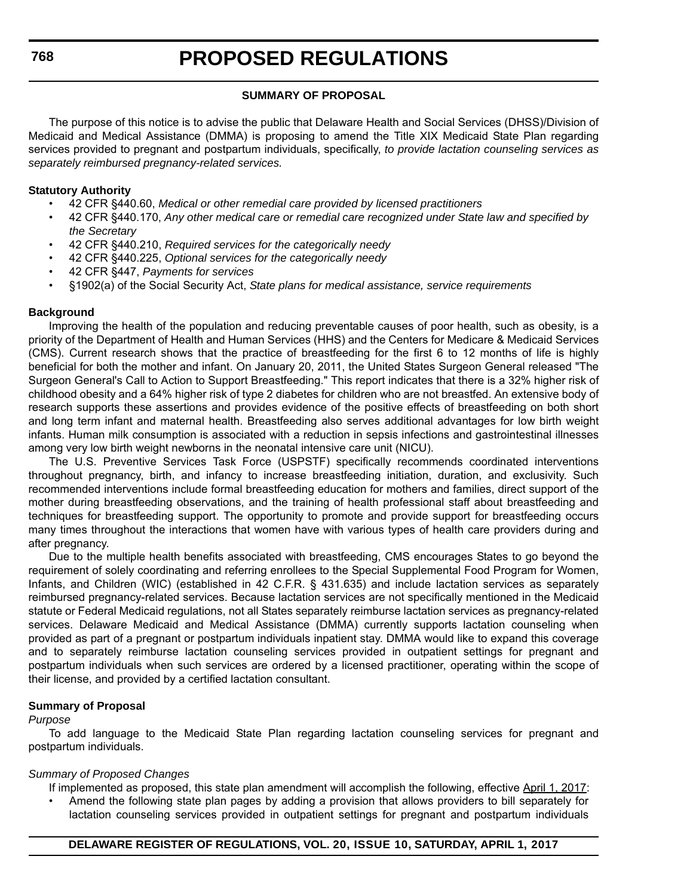### **SUMMARY OF PROPOSAL**

The purpose of this notice is to advise the public that Delaware Health and Social Services (DHSS)/Division of Medicaid and Medical Assistance (DMMA) is proposing to amend the Title XIX Medicaid State Plan regarding services provided to pregnant and postpartum individuals, specifically, *to provide lactation counseling services as separately reimbursed pregnancy-related services.* 

#### **Statutory Authority**

- 42 CFR §440.60, *Medical or other remedial care provided by licensed practitioners*
- 42 CFR §440.170, *Any other medical care or remedial care recognized under State law and specified by the Secretary*
- 42 CFR §440.210, *Required services for the categorically needy*
- 42 CFR §440.225, *Optional services for the categorically needy*
- 42 CFR §447, *Payments for services*
- §1902(a) of the Social Security Act, *State plans for medical assistance, service requirements*

### **Background**

Improving the health of the population and reducing preventable causes of poor health, such as obesity, is a priority of the Department of Health and Human Services (HHS) and the Centers for Medicare & Medicaid Services (CMS). Current research shows that the practice of breastfeeding for the first 6 to 12 months of life is highly beneficial for both the mother and infant. On January 20, 2011, the United States Surgeon General released "The Surgeon General's Call to Action to Support Breastfeeding." This report indicates that there is a 32% higher risk of childhood obesity and a 64% higher risk of type 2 diabetes for children who are not breastfed. An extensive body of research supports these assertions and provides evidence of the positive effects of breastfeeding on both short and long term infant and maternal health. Breastfeeding also serves additional advantages for low birth weight infants. Human milk consumption is associated with a reduction in sepsis infections and gastrointestinal illnesses among very low birth weight newborns in the neonatal intensive care unit (NICU).

The U.S. Preventive Services Task Force (USPSTF) specifically recommends coordinated interventions throughout pregnancy, birth, and infancy to increase breastfeeding initiation, duration, and exclusivity. Such recommended interventions include formal breastfeeding education for mothers and families, direct support of the mother during breastfeeding observations, and the training of health professional staff about breastfeeding and techniques for breastfeeding support. The opportunity to promote and provide support for breastfeeding occurs many times throughout the interactions that women have with various types of health care providers during and after pregnancy.

Due to the multiple health benefits associated with breastfeeding, CMS encourages States to go beyond the requirement of solely coordinating and referring enrollees to the Special Supplemental Food Program for Women, Infants, and Children (WIC) (established in 42 C.F.R. § 431.635) and include lactation services as separately reimbursed pregnancy-related services. Because lactation services are not specifically mentioned in the Medicaid statute or Federal Medicaid regulations, not all States separately reimburse lactation services as pregnancy-related services. Delaware Medicaid and Medical Assistance (DMMA) currently supports lactation counseling when provided as part of a pregnant or postpartum individuals inpatient stay. DMMA would like to expand this coverage and to separately reimburse lactation counseling services provided in outpatient settings for pregnant and postpartum individuals when such services are ordered by a licensed practitioner, operating within the scope of their license, and provided by a certified lactation consultant.

### **Summary of Proposal**

#### *Purpose*

To add language to the Medicaid State Plan regarding lactation counseling services for pregnant and postpartum individuals.

#### *Summary of Proposed Changes*

- If implemented as proposed, this state plan amendment will accomplish the following, effective April 1, 2017:
	- Amend the following state plan pages by adding a provision that allows providers to bill separately for lactation counseling services provided in outpatient settings for pregnant and postpartum individuals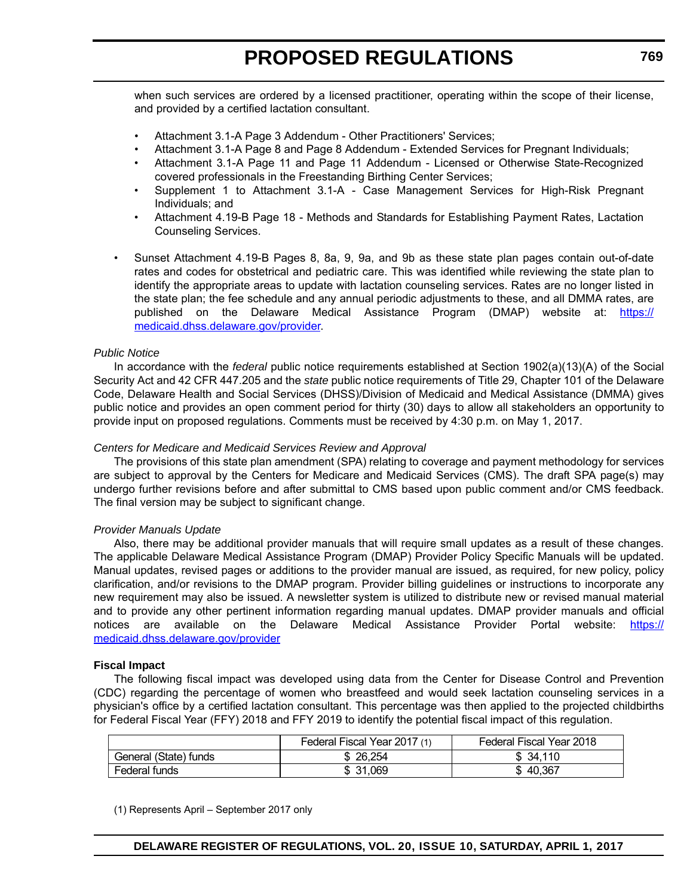when such services are ordered by a licensed practitioner, operating within the scope of their license, and provided by a certified lactation consultant.

- Attachment 3.1-A Page 3 Addendum Other Practitioners' Services;
- Attachment 3.1-A Page 8 and Page 8 Addendum Extended Services for Pregnant Individuals;
- Attachment 3.1-A Page 11 and Page 11 Addendum Licensed or Otherwise State-Recognized covered professionals in the Freestanding Birthing Center Services;
- Supplement 1 to Attachment 3.1-A Case Management Services for High-Risk Pregnant Individuals; and
- Attachment 4.19-B Page 18 Methods and Standards for Establishing Payment Rates, Lactation Counseling Services.
- Sunset Attachment 4.19-B Pages 8, 8a, 9, 9a, and 9b as these state plan pages contain out-of-date rates and codes for obstetrical and pediatric care. This was identified while reviewing the state plan to identify the appropriate areas to update with lactation counseling services. Rates are no longer listed in the state plan; the fee schedule and any annual periodic adjustments to these, and all DMMA rates, are published on the Delaware Medical Assistance Program (DMAP) website at: [https://](https://medicaid.dhss.delaware.gov/provider) [medicaid.dhss.delaware.gov/provider.](https://medicaid.dhss.delaware.gov/provider)

#### *Public Notice*

In accordance with the *federal* public notice requirements established at Section 1902(a)(13)(A) of the Social Security Act and 42 CFR 447.205 and the *state* public notice requirements of Title 29, Chapter 101 of the Delaware Code, Delaware Health and Social Services (DHSS)/Division of Medicaid and Medical Assistance (DMMA) gives public notice and provides an open comment period for thirty (30) days to allow all stakeholders an opportunity to provide input on proposed regulations. Comments must be received by 4:30 p.m. on May 1, 2017.

#### *Centers for Medicare and Medicaid Services Review and Approval*

The provisions of this state plan amendment (SPA) relating to coverage and payment methodology for services are subject to approval by the Centers for Medicare and Medicaid Services (CMS). The draft SPA page(s) may undergo further revisions before and after submittal to CMS based upon public comment and/or CMS feedback. The final version may be subject to significant change.

#### *Provider Manuals Update*

Also, there may be additional provider manuals that will require small updates as a result of these changes. The applicable Delaware Medical Assistance Program (DMAP) Provider Policy Specific Manuals will be updated. Manual updates, revised pages or additions to the provider manual are issued, as required, for new policy, policy clarification, and/or revisions to the DMAP program. Provider billing guidelines or instructions to incorporate any new requirement may also be issued. A newsletter system is utilized to distribute new or revised manual material and to provide any other pertinent information regarding manual updates. DMAP provider manuals and official notices are available on the Delaware Medical Assistance Provider Portal website: [https://](https://medicaid.dhss.delaware.gov/provider) [medicaid.dhss.delaware.gov/provider](https://medicaid.dhss.delaware.gov/provider)

#### **Fiscal Impact**

The following fiscal impact was developed using data from the Center for Disease Control and Prevention (CDC) regarding the percentage of women who breastfeed and would seek lactation counseling services in a physician's office by a certified lactation consultant. This percentage was then applied to the projected childbirths for Federal Fiscal Year (FFY) 2018 and FFY 2019 to identify the potential fiscal impact of this regulation.

|                       | Federal Fiscal Year 2017 (1) | Federal Fiscal Year 2018 |
|-----------------------|------------------------------|--------------------------|
| General (State) funds | \$26.254                     | 34.110<br>D              |
| Federal funds         | \$ 31.069                    | 40,367<br>Œ              |

(1) Represents April – September 2017 only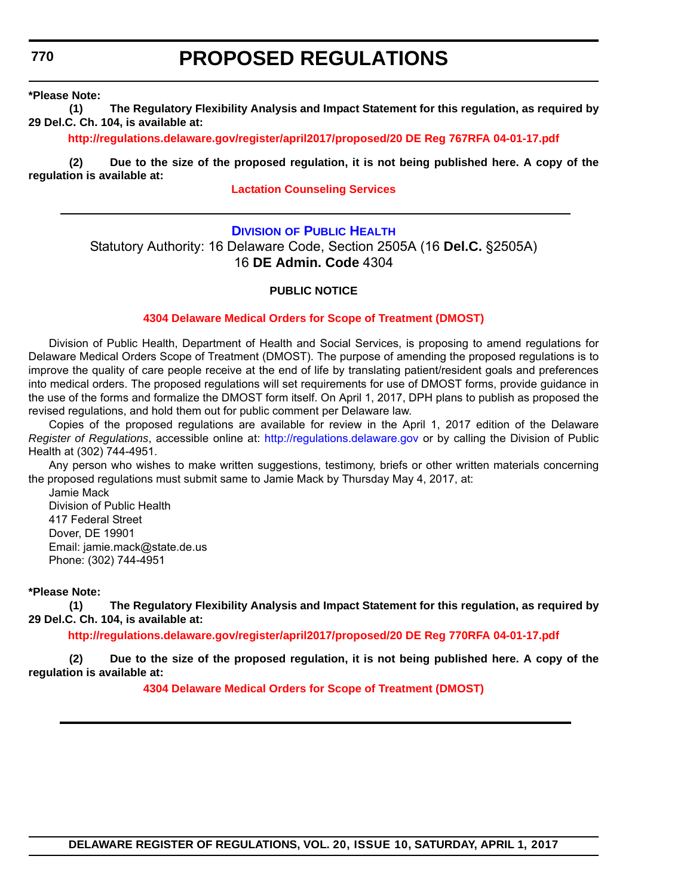## **PROPOSED REGULATIONS**

<span id="page-33-0"></span>**\*Please Note:** 

**(1) The Regulatory Flexibility Analysis and Impact Statement for this regulation, as required by 29 Del.C. Ch. 104, is available at:**

**<http://regulations.delaware.gov/register/april2017/proposed/20 DE Reg 767RFA 04-01-17.pdf>**

**(2) Due to the size of the proposed regulation, it is not being published here. A copy of the regulation is available at:**

### **[Lactation Counseling Services](http://regulations.delaware.gov/register/april2017/proposed/20 DE Reg 767 04-01-17.htm)**

### **DIVISION [OF PUBLIC HEALTH](http://www.dhss.delaware.gov/dhss/dph/index.html)**

Statutory Authority: 16 Delaware Code, Section 2505A (16 **Del.C.** §2505A) 16 **DE Admin. Code** 4304

#### **PUBLIC NOTICE**

#### **[4304 Delaware Medical Orders for Scope of Treatment \(DMOST\)](#page-3-0)**

Division of Public Health, Department of Health and Social Services, is proposing to amend regulations for Delaware Medical Orders Scope of Treatment (DMOST). The purpose of amending the proposed regulations is to improve the quality of care people receive at the end of life by translating patient/resident goals and preferences into medical orders. The proposed regulations will set requirements for use of DMOST forms, provide guidance in the use of the forms and formalize the DMOST form itself. On April 1, 2017, DPH plans to publish as proposed the revised regulations, and hold them out for public comment per Delaware law.

Copies of the proposed regulations are available for review in the April 1, 2017 edition of the Delaware *Register of Regulations*, accessible online at: http://regulations.delaware.gov or by calling the Division of Public Health at (302) 744-4951.

Any person who wishes to make written suggestions, testimony, briefs or other written materials concerning the proposed regulations must submit same to Jamie Mack by Thursday May 4, 2017, at:

Jamie Mack Division of Public Health 417 Federal Street Dover, DE 19901 Email: jamie.mack@state.de.us Phone: (302) 744-4951

#### **\*Please Note:**

**(1) The Regulatory Flexibility Analysis and Impact Statement for this regulation, as required by 29 Del.C. Ch. 104, is available at:**

**<http://regulations.delaware.gov/register/april2017/proposed/20 DE Reg 770RFA 04-01-17.pdf>**

**(2) Due to the size of the proposed regulation, it is not being published here. A copy of the regulation is available at:**

**[4304 Delaware Medical Orders for Scope of Treatment \(DMOST\)](http://regulations.delaware.gov/register/april2017/proposed/20 DE Reg 770 04-01-17.htm)**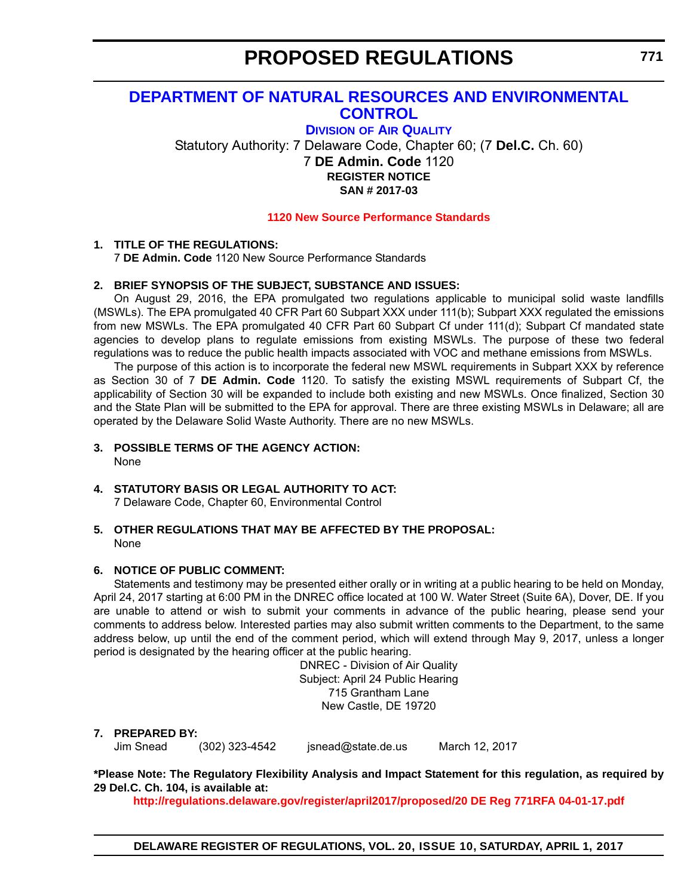### <span id="page-34-0"></span>**[DEPARTMENT OF NATURAL RESOURCES AND ENVIRONMENTAL](http://www.dnrec.delaware.gov/Pages/Portal.aspx)  CONTROL**

**DIVISION [OF AIR QUALITY](http://www.dnrec.delaware.gov/air/Pages/Default.aspx)** Statutory Authority: 7 Delaware Code, Chapter 60; (7 **Del.C.** Ch. 60) 7 **DE Admin. Code** 1120 **REGISTER NOTICE SAN # 2017-03**

**[1120 New Source Performance Standards](#page-3-0)**

### **1. TITLE OF THE REGULATIONS:**

7 **DE Admin. Code** 1120 New Source Performance Standards

### **2. BRIEF SYNOPSIS OF THE SUBJECT, SUBSTANCE AND ISSUES:**

On August 29, 2016, the EPA promulgated two regulations applicable to municipal solid waste landfills (MSWLs). The EPA promulgated 40 CFR Part 60 Subpart XXX under 111(b); Subpart XXX regulated the emissions from new MSWLs. The EPA promulgated 40 CFR Part 60 Subpart Cf under 111(d); Subpart Cf mandated state agencies to develop plans to regulate emissions from existing MSWLs. The purpose of these two federal regulations was to reduce the public health impacts associated with VOC and methane emissions from MSWLs.

The purpose of this action is to incorporate the federal new MSWL requirements in Subpart XXX by reference as Section 30 of 7 **DE Admin. Code** 1120. To satisfy the existing MSWL requirements of Subpart Cf, the applicability of Section 30 will be expanded to include both existing and new MSWLs. Once finalized, Section 30 and the State Plan will be submitted to the EPA for approval. There are three existing MSWLs in Delaware; all are operated by the Delaware Solid Waste Authority. There are no new MSWLs.

### **3. POSSIBLE TERMS OF THE AGENCY ACTION:**

None

### **4. STATUTORY BASIS OR LEGAL AUTHORITY TO ACT:**

7 Delaware Code, Chapter 60, Environmental Control

### **5. OTHER REGULATIONS THAT MAY BE AFFECTED BY THE PROPOSAL:** None

### **6. NOTICE OF PUBLIC COMMENT:**

Statements and testimony may be presented either orally or in writing at a public hearing to be held on Monday, April 24, 2017 starting at 6:00 PM in the DNREC office located at 100 W. Water Street (Suite 6A), Dover, DE. If you are unable to attend or wish to submit your comments in advance of the public hearing, please send your comments to address below. Interested parties may also submit written comments to the Department, to the same address below, up until the end of the comment period, which will extend through May 9, 2017, unless a longer period is designated by the hearing officer at the public hearing.

> DNREC - Division of Air Quality Subject: April 24 Public Hearing 715 Grantham Lane New Castle, DE 19720

#### **7. PREPARED BY:**

Jim Snead (302) 323-4542 jsnead@state.de.us March 12, 2017

**\*Please Note: The Regulatory Flexibility Analysis and Impact Statement for this regulation, as required by 29 Del.C. Ch. 104, is available at:**

**<http://regulations.delaware.gov/register/april2017/proposed/20 DE Reg 771RFA 04-01-17.pdf>**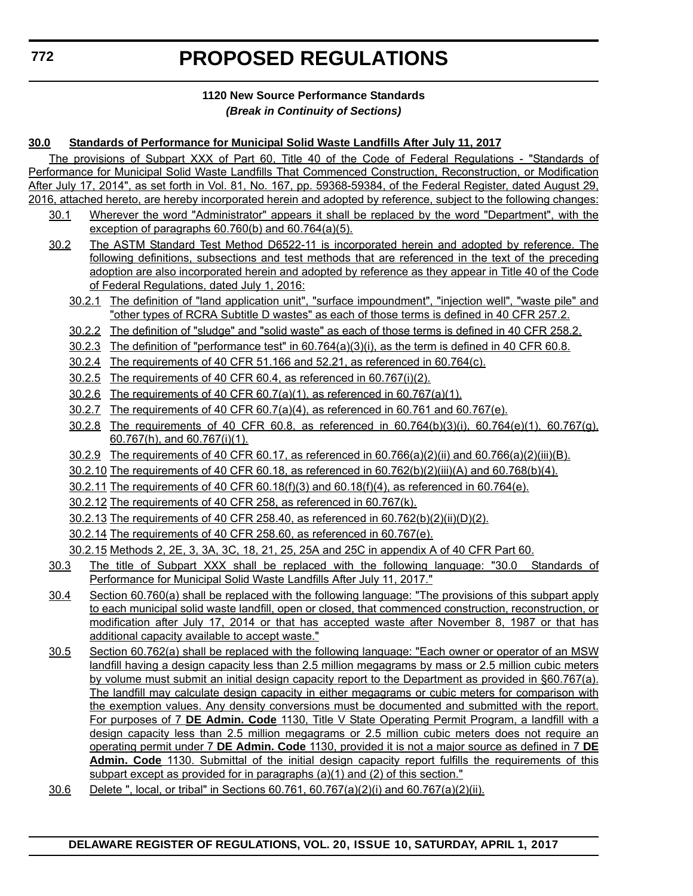### **1120 New Source Performance Standards** *(Break in Continuity of Sections)*

### **30.0 Standards of Performance for Municipal Solid Waste Landfills After July 11, 2017**

The provisions of Subpart XXX of Part 60, Title 40 of the Code of Federal Regulations - "Standards of Performance for Municipal Solid Waste Landfills That Commenced Construction, Reconstruction, or Modification After July 17, 2014", as set forth in Vol. 81, No. 167, pp. 59368-59384, of the Federal Register, dated August 29, 2016, attached hereto, are hereby incorporated herein and adopted by reference, subject to the following changes:

- 30.1 Wherever the word "Administrator" appears it shall be replaced by the word "Department", with the exception of paragraphs 60.760(b) and 60.764(a)(5).
- 30.2 The ASTM Standard Test Method D6522-11 is incorporated herein and adopted by reference. The following definitions, subsections and test methods that are referenced in the text of the preceding adoption are also incorporated herein and adopted by reference as they appear in Title 40 of the Code of Federal Regulations, dated July 1, 2016:
	- 30.2.1 The definition of "land application unit", "surface impoundment", "injection well", "waste pile" and "other types of RCRA Subtitle D wastes" as each of those terms is defined in 40 CFR 257.2.
	- 30.2.2 The definition of "sludge" and "solid waste" as each of those terms is defined in 40 CFR 258.2.
	- 30.2.3 The definition of "performance test" in 60.764(a)(3)(i), as the term is defined in 40 CFR 60.8.
	- 30.2.4 The requirements of 40 CFR 51.166 and 52.21, as referenced in 60.764(c).
	- 30.2.5 The requirements of 40 CFR 60.4, as referenced in 60.767(i)(2).
	- 30.2.6 The requirements of 40 CFR 60.7(a)(1), as referenced in 60.767(a)(1).
	- 30.2.7 The requirements of 40 CFR 60.7(a)(4), as referenced in 60.761 and 60.767(e).
	- 30.2.8 The requirements of 40 CFR 60.8, as referenced in 60.764(b)(3)(i), 60.764(e)(1), 60.767(g), 60.767(h), and 60.767(i)(1).
	- 30.2.9 The requirements of 40 CFR 60.17, as referenced in 60.766(a)(2)(ii) and 60.766(a)(2)(iii)(B).
	- 30.2.10 The requirements of 40 CFR 60.18, as referenced in 60.762(b)(2)(iii)(A) and 60.768(b)(4).
	- 30.2.11 The requirements of 40 CFR 60.18(f)(3) and 60.18(f)(4), as referenced in 60.764(e).
	- 30.2.12 The requirements of 40 CFR 258, as referenced in 60.767(k).
	- 30.2.13 The requirements of 40 CFR 258.40, as referenced in 60.762(b)(2)(ii)(D)(2).
	- 30.2.14 The requirements of 40 CFR 258.60, as referenced in 60.767(e).

30.2.15 Methods 2, 2E, 3, 3A, 3C, 18, 21, 25, 25A and 25C in appendix A of 40 CFR Part 60.

- 30.3 The title of Subpart XXX shall be replaced with the following language: "30.0 Standards of Performance for Municipal Solid Waste Landfills After July 11, 2017."
- 30.4 Section 60.760(a) shall be replaced with the following language: "The provisions of this subpart apply to each municipal solid waste landfill, open or closed, that commenced construction, reconstruction, or modification after July 17, 2014 or that has accepted waste after November 8, 1987 or that has additional capacity available to accept waste."
- 30.5 Section 60.762(a) shall be replaced with the following language: "Each owner or operator of an MSW landfill having a design capacity less than 2.5 million megagrams by mass or 2.5 million cubic meters by volume must submit an initial design capacity report to the Department as provided in §60.767(a). The landfill may calculate design capacity in either megagrams or cubic meters for comparison with the exemption values. Any density conversions must be documented and submitted with the report. For purposes of 7 **DE Admin. Code** 1130, Title V State Operating Permit Program, a landfill with a design capacity less than 2.5 million megagrams or 2.5 million cubic meters does not require an operating permit under 7 **DE Admin. Code** 1130, provided it is not a major source as defined in 7 **DE Admin. Code** 1130. Submittal of the initial design capacity report fulfills the requirements of this subpart except as provided for in paragraphs (a)(1) and (2) of this section."
- 30.6 Delete ", local, or tribal" in Sections  $60.761$ ,  $60.767(a)(2)(i)$  and  $60.767(a)(2)(ii)$ .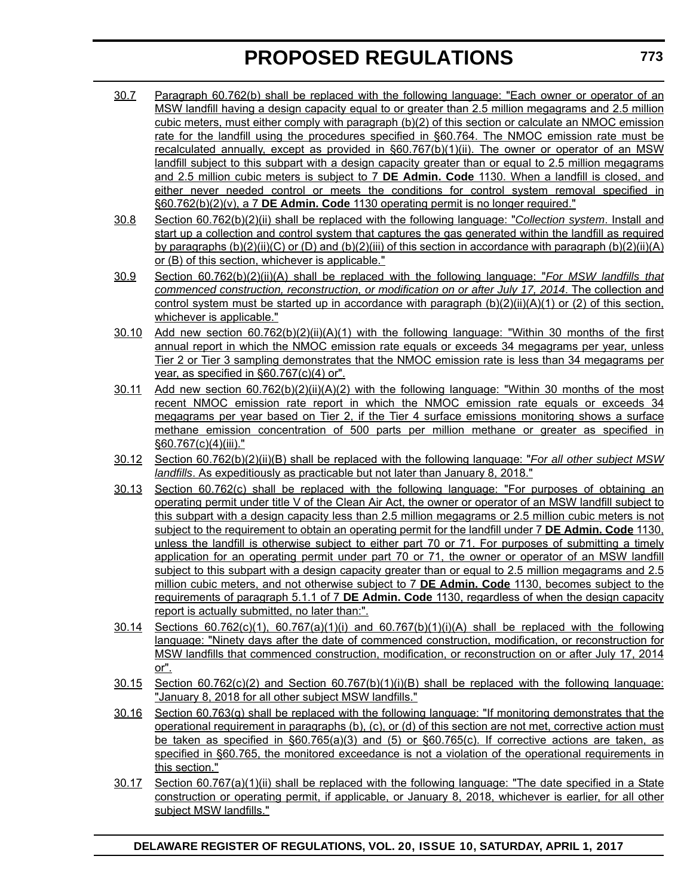- 30.7 Paragraph 60.762(b) shall be replaced with the following language: "Each owner or operator of an MSW landfill having a design capacity equal to or greater than 2.5 million megagrams and 2.5 million cubic meters, must either comply with paragraph (b)(2) of this section or calculate an NMOC emission rate for the landfill using the procedures specified in §60.764. The NMOC emission rate must be recalculated annually, except as provided in §60.767(b)(1)(ii). The owner or operator of an MSW landfill subject to this subpart with a design capacity greater than or equal to 2.5 million megagrams and 2.5 million cubic meters is subject to 7 **DE Admin. Code** 1130. When a landfill is closed, and either never needed control or meets the conditions for control system removal specified in §60.762(b)(2)(v), a 7 **DE Admin. Code** 1130 operating permit is no longer required."
- 30.8 Section 60.762(b)(2)(ii) shall be replaced with the following language: "*Collection system*. Install and start up a collection and control system that captures the gas generated within the landfill as required by paragraphs (b)(2)(ii)(C) or (D) and (b)(2)(iii) of this section in accordance with paragraph (b)(2)(ii)(A) or (B) of this section, whichever is applicable."
- 30.9 Section 60.762(b)(2)(ii)(A) shall be replaced with the following language: "*For MSW landfills that commenced construction, reconstruction, or modification on or after July 17, 2014*. The collection and control system must be started up in accordance with paragraph  $(b)(2)(ii)(A)(1)$  or (2) of this section, whichever is applicable."
- 30.10 Add new section 60.762(b)(2)(ii)(A)(1) with the following language: "Within 30 months of the first annual report in which the NMOC emission rate equals or exceeds 34 megagrams per year, unless Tier 2 or Tier 3 sampling demonstrates that the NMOC emission rate is less than 34 megagrams per year, as specified in §60.767(c)(4) or".
- 30.11 Add new section 60.762(b)(2)(ii)(A)(2) with the following language: "Within 30 months of the most recent NMOC emission rate report in which the NMOC emission rate equals or exceeds 34 megagrams per year based on Tier 2, if the Tier 4 surface emissions monitoring shows a surface methane emission concentration of 500 parts per million methane or greater as specified in §60.767(c)(4)(iii)."
- 30.12 Section 60.762(b)(2)(ii)(B) shall be replaced with the following language: "*For all other subject MSW landfills*. As expeditiously as practicable but not later than January 8, 2018."
- 30.13 Section 60.762(c) shall be replaced with the following language: "For purposes of obtaining an operating permit under title V of the Clean Air Act, the owner or operator of an MSW landfill subject to this subpart with a design capacity less than 2.5 million megagrams or 2.5 million cubic meters is not subject to the requirement to obtain an operating permit for the landfill under 7 **DE Admin. Code** 1130, unless the landfill is otherwise subject to either part 70 or 71. For purposes of submitting a timely application for an operating permit under part 70 or 71, the owner or operator of an MSW landfill subject to this subpart with a design capacity greater than or equal to 2.5 million megagrams and 2.5 million cubic meters, and not otherwise subject to 7 **DE Admin. Code** 1130, becomes subject to the requirements of paragraph 5.1.1 of 7 **DE Admin. Code** 1130, regardless of when the design capacity report is actually submitted, no later than:".
- $30.14$  Sections  $60.762(c)(1)$ ,  $60.767(a)(1)(i)$  and  $60.767(b)(1)(i)(A)$  shall be replaced with the following language: "Ninety days after the date of commenced construction, modification, or reconstruction for MSW landfills that commenced construction, modification, or reconstruction on or after July 17, 2014 or".
- 30.15 Section 60.762(c)(2) and Section 60.767(b)(1)(i)(B) shall be replaced with the following language: "January 8, 2018 for all other subject MSW landfills."
- 30.16 Section 60.763(g) shall be replaced with the following language: "If monitoring demonstrates that the operational requirement in paragraphs (b), (c), or (d) of this section are not met, corrective action must be taken as specified in §60.765(a)(3) and (5) or §60.765(c). If corrective actions are taken, as specified in §60.765, the monitored exceedance is not a violation of the operational requirements in this section."
- 30.17 Section 60.767(a)(1)(ii) shall be replaced with the following language: "The date specified in a State construction or operating permit, if applicable, or January 8, 2018, whichever is earlier, for all other subject MSW landfills."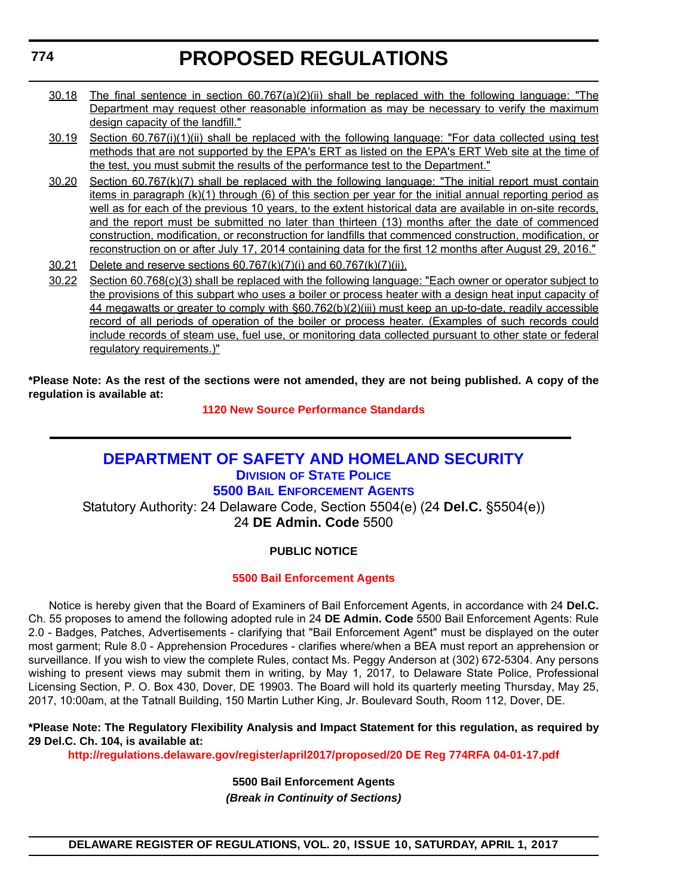- 30.18 The final sentence in section 60.767(a)(2)(ii) shall be replaced with the following language: "The Department may request other reasonable information as may be necessary to verify the maximum design capacity of the landfill."
- 30.19 Section 60.767(i)(1)(ii) shall be replaced with the following language: "For data collected using test methods that are not supported by the EPA's ERT as listed on the EPA's ERT Web site at the time of the test, you must submit the results of the performance test to the Department."
- 30.20 Section 60.767(k)(7) shall be replaced with the following language: "The initial report must contain items in paragraph (k)(1) through (6) of this section per year for the initial annual reporting period as well as for each of the previous 10 years, to the extent historical data are available in on-site records, and the report must be submitted no later than thirteen (13) months after the date of commenced construction, modification, or reconstruction for landfills that commenced construction, modification, or reconstruction on or after July 17, 2014 containing data for the first 12 months after August 29, 2016."
- 30.21 Delete and reserve sections 60.767(k)(7)(i) and 60.767(k)(7)(ii).
- 30.22 Section 60.768(c)(3) shall be replaced with the following language: "Each owner or operator subject to the provisions of this subpart who uses a boiler or process heater with a design heat input capacity of 44 megawatts or greater to comply with §60.762(b)(2)(iii) must keep an up-to-date, readily accessible record of all periods of operation of the boiler or process heater. (Examples of such records could include records of steam use, fuel use, or monitoring data collected pursuant to other state or federal regulatory requirements.)"

**\*Please Note: As the rest of the sections were not amended, they are not being published. A copy of the regulation is available at:**

**[1120 New Source Performance Standards](http://regulations.delaware.gov/register/april2017/proposed/20 DE Reg 771 04-01-17.htm)**

# **[DEPARTMENT OF SAFETY AND HOMELAND SECURITY](http://dshs.delaware.gov/) DIVISION [OF STATE POLICE](http://dsp.delaware.gov/) 5500 BAIL ENFORCEMENT AGENTS**

Statutory Authority: 24 Delaware Code, Section 5504(e) (24 **Del.C.** §5504(e)) 24 **DE Admin. Code** 5500

# **PUBLIC NOTICE**

# **[5500 Bail Enforcement Agents](#page-3-0)**

Notice is hereby given that the Board of Examiners of Bail Enforcement Agents, in accordance with 24 **Del.C.** Ch. 55 proposes to amend the following adopted rule in 24 **DE Admin. Code** 5500 Bail Enforcement Agents: Rule 2.0 - Badges, Patches, Advertisements - clarifying that "Bail Enforcement Agent" must be displayed on the outer most garment; Rule 8.0 - Apprehension Procedures - clarifies where/when a BEA must report an apprehension or surveillance. If you wish to view the complete Rules, contact Ms. Peggy Anderson at (302) 672-5304. Any persons wishing to present views may submit them in writing, by May 1, 2017, to Delaware State Police, Professional Licensing Section, P. O. Box 430, Dover, DE 19903. The Board will hold its quarterly meeting Thursday, May 25, 2017, 10:00am, at the Tatnall Building, 150 Martin Luther King, Jr. Boulevard South, Room 112, Dover, DE.

## **\*Please Note: The Regulatory Flexibility Analysis and Impact Statement for this regulation, as required by 29 Del.C. Ch. 104, is available at:**

**<http://regulations.delaware.gov/register/april2017/proposed/20 DE Reg 774RFA 04-01-17.pdf>**

**5500 Bail Enforcement Agents**

*(Break in Continuity of Sections)*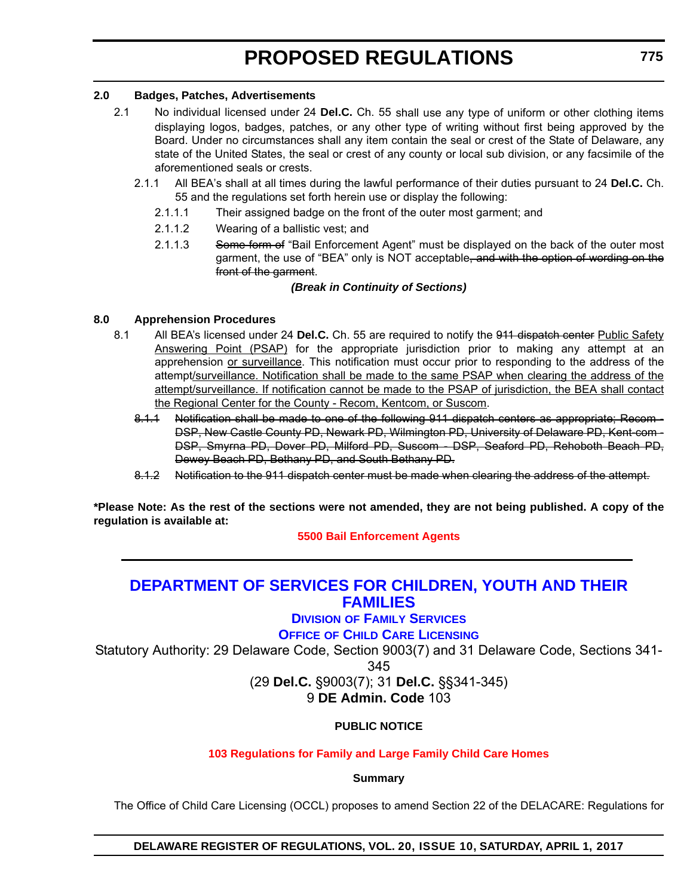# **2.0 Badges, Patches, Advertisements**

- 2.1 No individual licensed under 24 **Del.C.** Ch. 55 shall use any type of uniform or other clothing items displaying logos, badges, patches, or any other type of writing without first being approved by the Board. Under no circumstances shall any item contain the seal or crest of the State of Delaware, any state of the United States, the seal or crest of any county or local sub division, or any facsimile of the aforementioned seals or crests.
	- 2.1.1 All BEA's shall at all times during the lawful performance of their duties pursuant to 24 **Del.C.** Ch. 55 and the regulations set forth herein use or display the following:
		- 2.1.1.1 Their assigned badge on the front of the outer most garment; and
		- 2.1.1.2 Wearing of a ballistic vest; and
		- 2.1.1.3 Some form of "Bail Enforcement Agent" must be displayed on the back of the outer most garment, the use of "BEA" only is NOT acceptable, and with the option of wording on the front of the garment.

## *(Break in Continuity of Sections)*

# **8.0 Apprehension Procedures**

- 8.1 All BEA's licensed under 24 **Del.C.** Ch. 55 are required to notify the 911 dispatch center Public Safety Answering Point (PSAP) for the appropriate jurisdiction prior to making any attempt at an apprehension or surveillance. This notification must occur prior to responding to the address of the attempt/surveillance. Notification shall be made to the same PSAP when clearing the address of the attempt/surveillance. If notification cannot be made to the PSAP of jurisdiction, the BEA shall contact the Regional Center for the County - Recom, Kentcom, or Suscom.
	- 8.1.1 Notification shall be made to one of the following 911 dispatch centers as appropriate; Recom DSP, New Castle County PD, Newark PD, Wilmington PD, University of Delaware PD, Kent-com - DSP, Smyrna PD, Dover PD, Milford PD, Suscom - DSP, Seaford PD, Rehoboth Beach PD, Dewey Beach PD, Bethany PD, and South Bethany PD.
	- 8.1.2 Notification to the 911 dispatch center must be made when clearing the address of the attempt.

**\*Please Note: As the rest of the sections were not amended, they are not being published. A copy of the regulation is available at:**

**[5500 Bail Enforcement Agents](http://regulations.delaware.gov/register/april2017/proposed/20 DE Reg 774 04-01-17.htm)**

# **[DEPARTMENT OF SERVICES FOR CHILDREN, YOUTH AND THEIR](http://kids.delaware.gov/)  FAMILIES**

**DIVISION [OF FAMILY SERVICES](http://kids.delaware.gov/fs/fs.shtml) OFFICE OF CHILD CARE LICENSING**

Statutory Authority: 29 Delaware Code, Section 9003(7) and 31 Delaware Code, Sections 341-

345

(29 **Del.C.** §9003(7); 31 **Del.C.** §§341-345)

9 **DE Admin. Code** 103

**PUBLIC NOTICE**

# **[103 Regulations for Family and Large Family Child Care Homes](#page-3-0)**

**Summary**

The Office of Child Care Licensing (OCCL) proposes to amend Section 22 of the DELACARE: Regulations for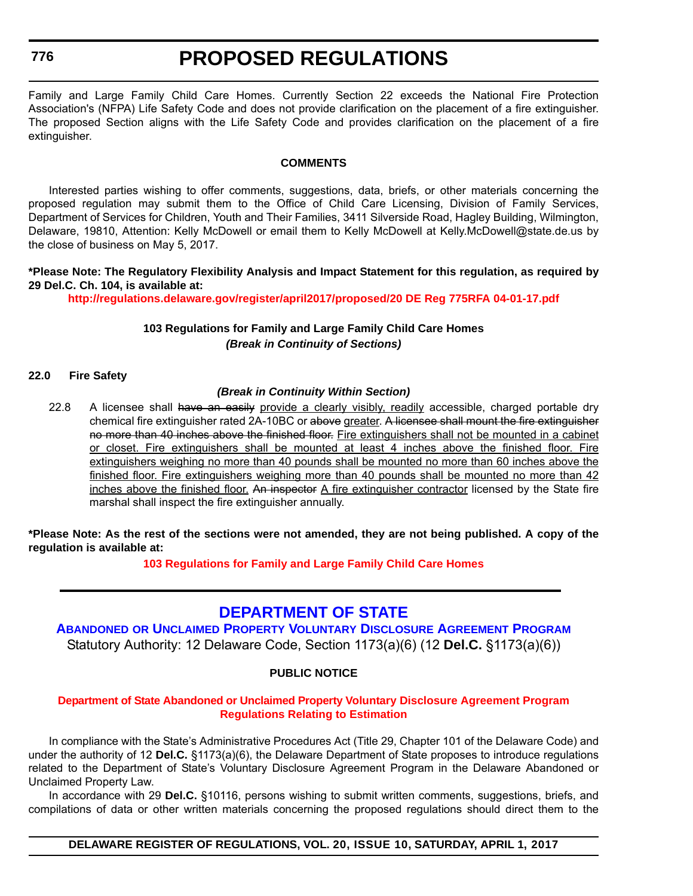**776**

# **PROPOSED REGULATIONS**

Family and Large Family Child Care Homes. Currently Section 22 exceeds the National Fire Protection Association's (NFPA) Life Safety Code and does not provide clarification on the placement of a fire extinguisher. The proposed Section aligns with the Life Safety Code and provides clarification on the placement of a fire extinguisher.

#### **COMMENTS**

Interested parties wishing to offer comments, suggestions, data, briefs, or other materials concerning the proposed regulation may submit them to the Office of Child Care Licensing, Division of Family Services, Department of Services for Children, Youth and Their Families, 3411 Silverside Road, Hagley Building, Wilmington, Delaware, 19810, Attention: Kelly McDowell or email them to Kelly McDowell at Kelly.McDowell@state.de.us by the close of business on May 5, 2017.

## **\*Please Note: The Regulatory Flexibility Analysis and Impact Statement for this regulation, as required by 29 Del.C. Ch. 104, is available at:**

**<http://regulations.delaware.gov/register/april2017/proposed/20 DE Reg 775RFA 04-01-17.pdf>**

## **103 Regulations for Family and Large Family Child Care Homes** *(Break in Continuity of Sections)*

#### **22.0 Fire Safety**

#### *(Break in Continuity Within Section)*

22.8 A licensee shall have an easily provide a clearly visibly, readily accessible, charged portable dry chemical fire extinguisher rated 2A-10BC or above greater. A licensee shall mount the fire extinguisher no more than 40 inches above the finished floor. Fire extinguishers shall not be mounted in a cabinet or closet. Fire extinguishers shall be mounted at least 4 inches above the finished floor. Fire extinguishers weighing no more than 40 pounds shall be mounted no more than 60 inches above the finished floor. Fire extinguishers weighing more than 40 pounds shall be mounted no more than 42 inches above the finished floor. An inspector A fire extinguisher contractor licensed by the State fire marshal shall inspect the fire extinguisher annually.

**\*Please Note: As the rest of the sections were not amended, they are not being published. A copy of the regulation is available at:**

**[103 Regulations for Family and Large Family Child Care Homes](http://regulations.delaware.gov/register/april2017/proposed/20 DE Reg 775 04-01-17.htm)**

# **[DEPARTMENT OF STATE](http://sos.delaware.gov/)**

**ABANDONED OR UNCLAIMED PROPERTY VOLUNTARY DISCLOSURE AGREEMENT PROGRAM** Statutory Authority: 12 Delaware Code, Section 1173(a)(6) (12 **Del.C.** §1173(a)(6))

## **PUBLIC NOTICE**

#### **[Department of State Abandoned or Unclaimed Property Voluntary Disclosure Agreement Program](#page-3-0)  Regulations Relating to Estimation**

In compliance with the State's Administrative Procedures Act (Title 29, Chapter 101 of the Delaware Code) and under the authority of 12 **Del.C.** §1173(a)(6), the Delaware Department of State proposes to introduce regulations related to the Department of State's Voluntary Disclosure Agreement Program in the Delaware Abandoned or Unclaimed Property Law.

In accordance with 29 **Del.C.** §10116, persons wishing to submit written comments, suggestions, briefs, and compilations of data or other written materials concerning the proposed regulations should direct them to the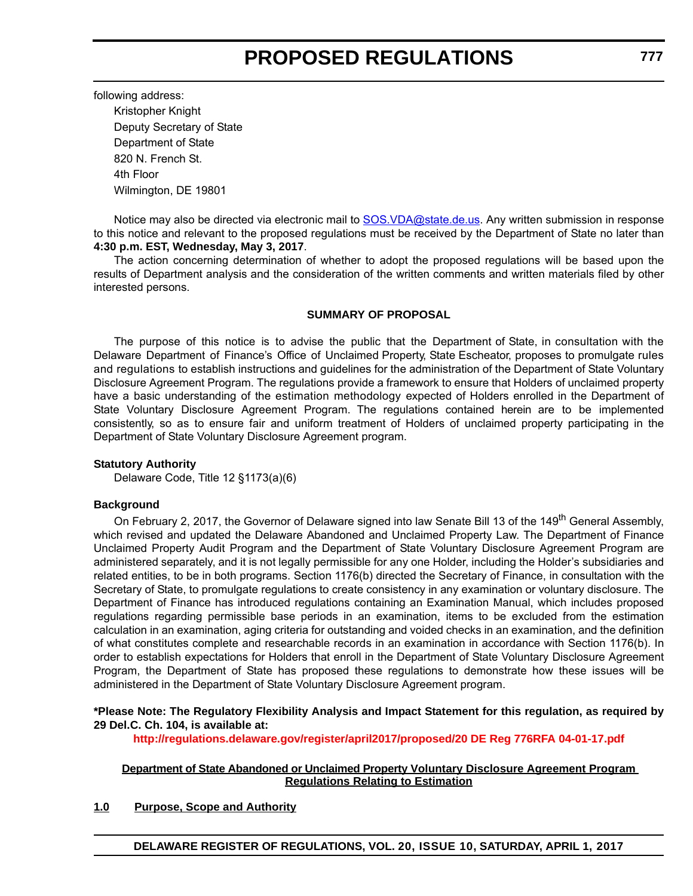following address:

Kristopher Knight Deputy Secretary of State Department of State 820 N. French St. 4th Floor Wilmington, DE 19801

Notice may also be directed via electronic mail to SOS. VDA@state.de.us. Any written submission in response to this notice and relevant to the proposed regulations must be received by the Department of State no later than **4:30 p.m. EST, Wednesday, May 3, 2017**.

The action concerning determination of whether to adopt the proposed regulations will be based upon the results of Department analysis and the consideration of the written comments and written materials filed by other interested persons.

## **SUMMARY OF PROPOSAL**

The purpose of this notice is to advise the public that the Department of State, in consultation with the Delaware Department of Finance's Office of Unclaimed Property, State Escheator, proposes to promulgate rules and regulations to establish instructions and guidelines for the administration of the Department of State Voluntary Disclosure Agreement Program. The regulations provide a framework to ensure that Holders of unclaimed property have a basic understanding of the estimation methodology expected of Holders enrolled in the Department of State Voluntary Disclosure Agreement Program. The regulations contained herein are to be implemented consistently, so as to ensure fair and uniform treatment of Holders of unclaimed property participating in the Department of State Voluntary Disclosure Agreement program.

#### **Statutory Authority**

Delaware Code, Title 12 §1173(a)(6)

#### **Background**

On February 2, 2017, the Governor of Delaware signed into law Senate Bill 13 of the 149<sup>th</sup> General Assembly, which revised and updated the Delaware Abandoned and Unclaimed Property Law. The Department of Finance Unclaimed Property Audit Program and the Department of State Voluntary Disclosure Agreement Program are administered separately, and it is not legally permissible for any one Holder, including the Holder's subsidiaries and related entities, to be in both programs. Section 1176(b) directed the Secretary of Finance, in consultation with the Secretary of State, to promulgate regulations to create consistency in any examination or voluntary disclosure. The Department of Finance has introduced regulations containing an Examination Manual, which includes proposed regulations regarding permissible base periods in an examination, items to be excluded from the estimation calculation in an examination, aging criteria for outstanding and voided checks in an examination, and the definition of what constitutes complete and researchable records in an examination in accordance with Section 1176(b). In order to establish expectations for Holders that enroll in the Department of State Voluntary Disclosure Agreement Program, the Department of State has proposed these regulations to demonstrate how these issues will be administered in the Department of State Voluntary Disclosure Agreement program.

#### **\*Please Note: The Regulatory Flexibility Analysis and Impact Statement for this regulation, as required by 29 Del.C. Ch. 104, is available at:**

**<http://regulations.delaware.gov/register/april2017/proposed/20 DE Reg 776RFA 04-01-17.pdf>**

#### **Department of State Abandoned or Unclaimed Property Voluntary Disclosure Agreement Program Regulations Relating to Estimation**

## **1.0 Purpose, Scope and Authority**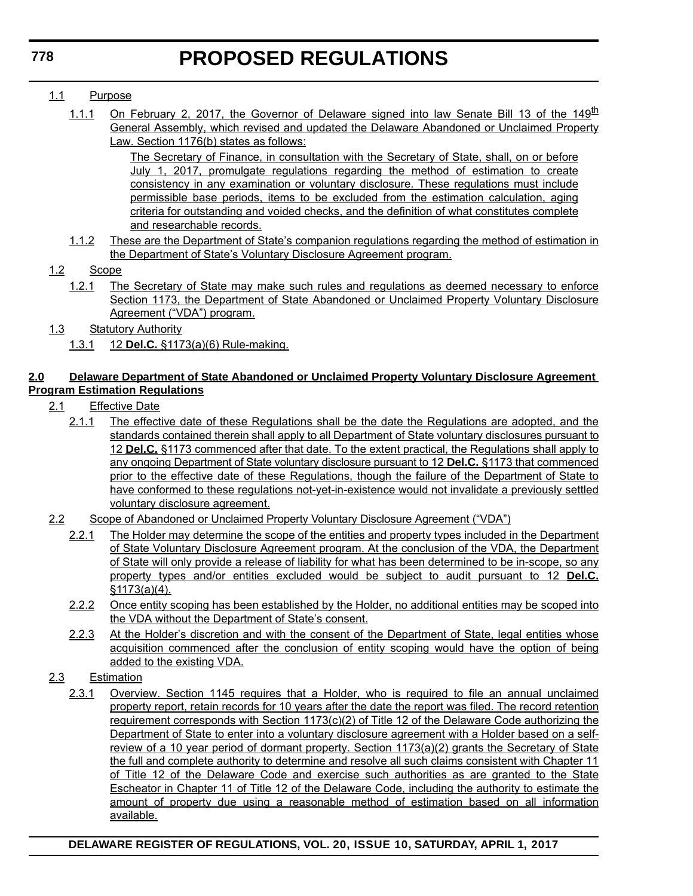# 1.1 Purpose

1.1.1 On February 2, 2017, the Governor of Delaware signed into law Senate Bill 13 of the 149<sup>th</sup> General Assembly, which revised and updated the Delaware Abandoned or Unclaimed Property Law. Section 1176(b) states as follows:

> The Secretary of Finance, in consultation with the Secretary of State, shall, on or before July 1, 2017, promulgate regulations regarding the method of estimation to create consistency in any examination or voluntary disclosure. These regulations must include permissible base periods, items to be excluded from the estimation calculation, aging criteria for outstanding and voided checks, and the definition of what constitutes complete and researchable records.

1.1.2 These are the Department of State's companion regulations regarding the method of estimation in the Department of State's Voluntary Disclosure Agreement program.

# 1.2 Scope

- 1.2.1 The Secretary of State may make such rules and regulations as deemed necessary to enforce Section 1173, the Department of State Abandoned or Unclaimed Property Voluntary Disclosure Agreement ("VDA") program.
- 1.3 Statutory Authority
	- 1.3.1 12 **Del.C.** §1173(a)(6) Rule-making.

# **2.0 Delaware Department of State Abandoned or Unclaimed Property Voluntary Disclosure Agreement Program Estimation Regulations**

- 2.1 Effective Date
	- 2.1.1 The effective date of these Regulations shall be the date the Regulations are adopted, and the standards contained therein shall apply to all Department of State voluntary disclosures pursuant to 12 **Del.C.** §1173 commenced after that date. To the extent practical, the Regulations shall apply to any ongoing Department of State voluntary disclosure pursuant to 12 **Del.C.** §1173 that commenced prior to the effective date of these Regulations, though the failure of the Department of State to have conformed to these regulations not-yet-in-existence would not invalidate a previously settled voluntary disclosure agreement.
- 2.2 Scope of Abandoned or Unclaimed Property Voluntary Disclosure Agreement ("VDA")
	- 2.2.1 The Holder may determine the scope of the entities and property types included in the Department of State Voluntary Disclosure Agreement program. At the conclusion of the VDA, the Department of State will only provide a release of liability for what has been determined to be in-scope, so any property types and/or entities excluded would be subject to audit pursuant to 12 **Del.C.** §1173(a)(4).
	- 2.2.2 Once entity scoping has been established by the Holder, no additional entities may be scoped into the VDA without the Department of State's consent.
	- 2.2.3 At the Holder's discretion and with the consent of the Department of State, legal entities whose acquisition commenced after the conclusion of entity scoping would have the option of being added to the existing VDA.
- 2.3 Estimation
	- 2.3.1 Overview. Section 1145 requires that a Holder, who is required to file an annual unclaimed property report, retain records for 10 years after the date the report was filed. The record retention requirement corresponds with Section 1173(c)(2) of Title 12 of the Delaware Code authorizing the Department of State to enter into a voluntary disclosure agreement with a Holder based on a selfreview of a 10 year period of dormant property. Section 1173(a)(2) grants the Secretary of State the full and complete authority to determine and resolve all such claims consistent with Chapter 11 of Title 12 of the Delaware Code and exercise such authorities as are granted to the State Escheator in Chapter 11 of Title 12 of the Delaware Code, including the authority to estimate the amount of property due using a reasonable method of estimation based on all information available.

**778**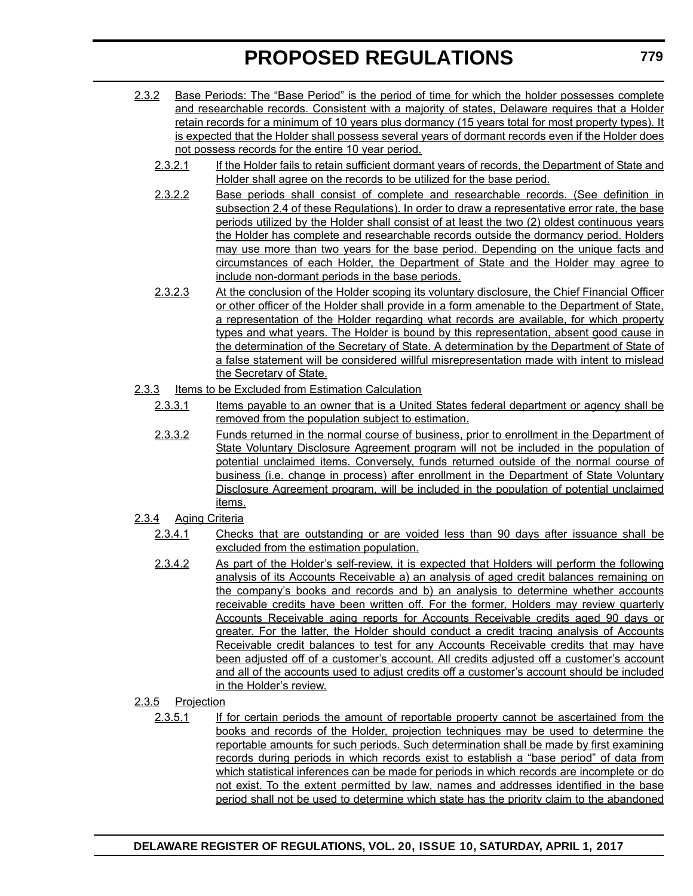- 2.3.2 Base Periods: The "Base Period" is the period of time for which the holder possesses complete and researchable records. Consistent with a majority of states, Delaware requires that a Holder retain records for a minimum of 10 years plus dormancy (15 years total for most property types). It is expected that the Holder shall possess several years of dormant records even if the Holder does not possess records for the entire 10 year period.
	- 2.3.2.1 If the Holder fails to retain sufficient dormant years of records, the Department of State and Holder shall agree on the records to be utilized for the base period.
	- 2.3.2.2 Base periods shall consist of complete and researchable records. (See definition in subsection 2.4 of these Regulations). In order to draw a representative error rate, the base periods utilized by the Holder shall consist of at least the two (2) oldest continuous years the Holder has complete and researchable records outside the dormancy period. Holders may use more than two years for the base period. Depending on the unique facts and circumstances of each Holder, the Department of State and the Holder may agree to include non-dormant periods in the base periods.
	- 2.3.2.3 At the conclusion of the Holder scoping its voluntary disclosure, the Chief Financial Officer or other officer of the Holder shall provide in a form amenable to the Department of State, a representation of the Holder regarding what records are available, for which property types and what years. The Holder is bound by this representation, absent good cause in the determination of the Secretary of State. A determination by the Department of State of a false statement will be considered willful misrepresentation made with intent to mislead the Secretary of State.
- 2.3.3 Items to be Excluded from Estimation Calculation
	- 2.3.3.1 Items payable to an owner that is a United States federal department or agency shall be removed from the population subject to estimation.
	- 2.3.3.2 Funds returned in the normal course of business, prior to enrollment in the Department of State Voluntary Disclosure Agreement program will not be included in the population of potential unclaimed items. Conversely, funds returned outside of the normal course of business (i.e. change in process) after enrollment in the Department of State Voluntary Disclosure Agreement program, will be included in the population of potential unclaimed items.
- 2.3.4 Aging Criteria
	- 2.3.4.1 Checks that are outstanding or are voided less than 90 days after issuance shall be excluded from the estimation population.
	- 2.3.4.2 As part of the Holder's self-review, it is expected that Holders will perform the following analysis of its Accounts Receivable a) an analysis of aged credit balances remaining on the company's books and records and b) an analysis to determine whether accounts receivable credits have been written off. For the former, Holders may review quarterly Accounts Receivable aging reports for Accounts Receivable credits aged 90 days or greater. For the latter, the Holder should conduct a credit tracing analysis of Accounts Receivable credit balances to test for any Accounts Receivable credits that may have been adjusted off of a customer's account. All credits adjusted off a customer's account and all of the accounts used to adjust credits off a customer's account should be included in the Holder's review.
- 2.3.5 Projection
	- 2.3.5.1 If for certain periods the amount of reportable property cannot be ascertained from the books and records of the Holder, projection techniques may be used to determine the reportable amounts for such periods. Such determination shall be made by first examining records during periods in which records exist to establish a "base period" of data from which statistical inferences can be made for periods in which records are incomplete or do not exist. To the extent permitted by law, names and addresses identified in the base period shall not be used to determine which state has the priority claim to the abandoned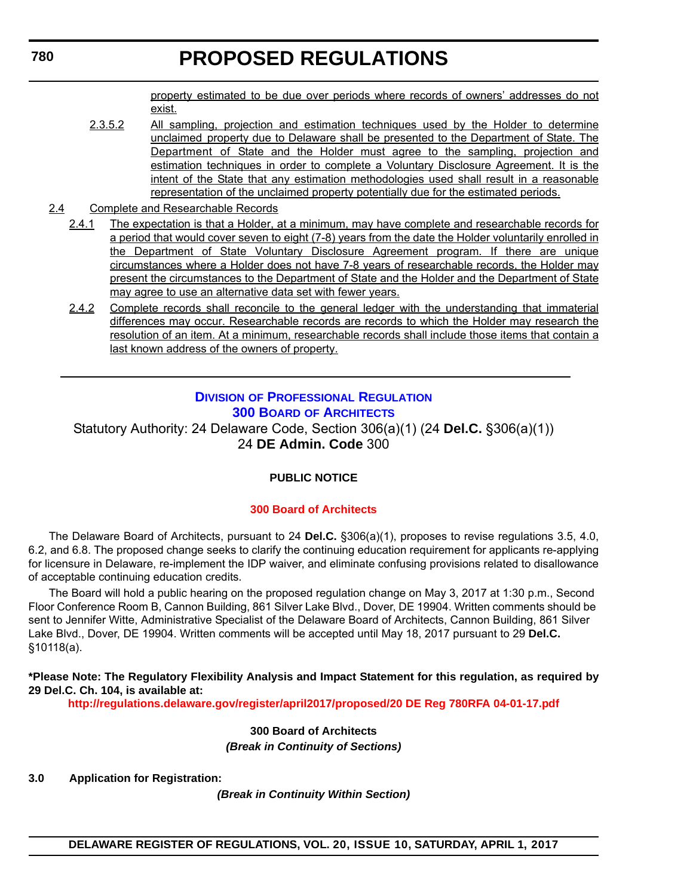property estimated to be due over periods where records of owners' addresses do not exist.

- 2.3.5.2 All sampling, projection and estimation techniques used by the Holder to determine unclaimed property due to Delaware shall be presented to the Department of State. The Department of State and the Holder must agree to the sampling, projection and estimation techniques in order to complete a Voluntary Disclosure Agreement. It is the intent of the State that any estimation methodologies used shall result in a reasonable representation of the unclaimed property potentially due for the estimated periods.
- 2.4 Complete and Researchable Records
	- 2.4.1 The expectation is that a Holder, at a minimum, may have complete and researchable records for a period that would cover seven to eight (7-8) years from the date the Holder voluntarily enrolled in the Department of State Voluntary Disclosure Agreement program. If there are unique circumstances where a Holder does not have 7-8 years of researchable records, the Holder may present the circumstances to the Department of State and the Holder and the Department of State may agree to use an alternative data set with fewer years.
	- 2.4.2 Complete records shall reconcile to the general ledger with the understanding that immaterial differences may occur. Researchable records are records to which the Holder may research the resolution of an item. At a minimum, researchable records shall include those items that contain a last known address of the owners of property.

# **DIVISION [OF PROFESSIONAL REGULATION](http://dpr.delaware.gov/) 300 BOARD [OF ARCHITECTS](http://dpr.delaware.gov/boards/architects/index.shtml)**

Statutory Authority: 24 Delaware Code, Section 306(a)(1) (24 **Del.C.** §306(a)(1)) 24 **DE Admin. Code** 300

# **PUBLIC NOTICE**

## **[300 Board of Architects](#page-3-0)**

The Delaware Board of Architects, pursuant to 24 **Del.C.** §306(a)(1), proposes to revise regulations 3.5, 4.0, 6.2, and 6.8. The proposed change seeks to clarify the continuing education requirement for applicants re-applying for licensure in Delaware, re-implement the IDP waiver, and eliminate confusing provisions related to disallowance of acceptable continuing education credits.

The Board will hold a public hearing on the proposed regulation change on May 3, 2017 at 1:30 p.m., Second Floor Conference Room B, Cannon Building, 861 Silver Lake Blvd., Dover, DE 19904. Written comments should be sent to Jennifer Witte, Administrative Specialist of the Delaware Board of Architects, Cannon Building, 861 Silver Lake Blvd., Dover, DE 19904. Written comments will be accepted until May 18, 2017 pursuant to 29 **Del.C.**  §10118(a).

**\*Please Note: The Regulatory Flexibility Analysis and Impact Statement for this regulation, as required by 29 Del.C. Ch. 104, is available at:**

**<http://regulations.delaware.gov/register/april2017/proposed/20 DE Reg 780RFA 04-01-17.pdf>**

**300 Board of Architects** *(Break in Continuity of Sections)*

**3.0 Application for Registration:**

*(Break in Continuity Within Section)*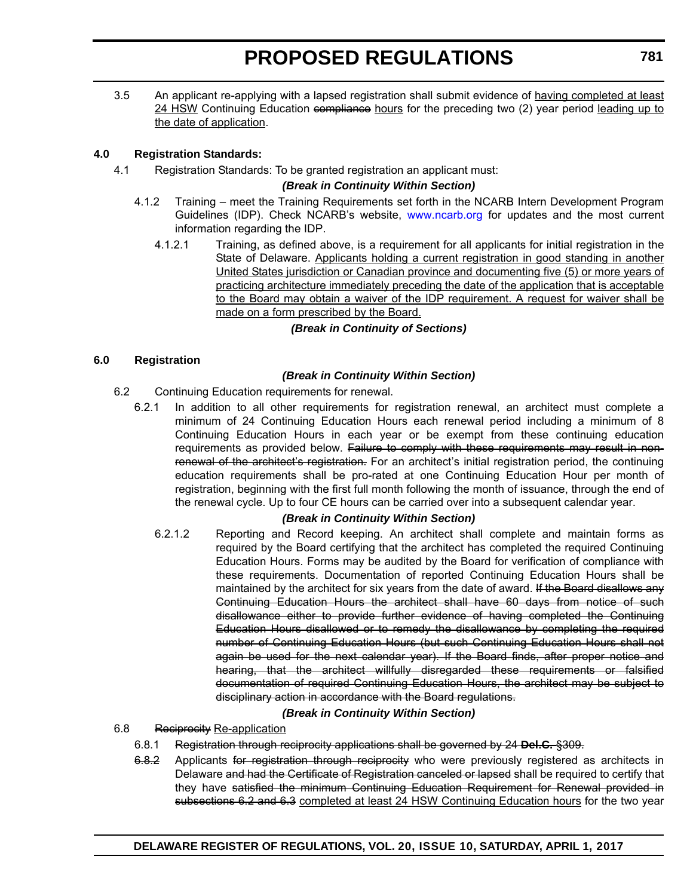3.5 An applicant re-applying with a lapsed registration shall submit evidence of having completed at least 24 HSW Continuing Education compliance hours for the preceding two (2) year period leading up to the date of application.

# **4.0 Registration Standards:**

4.1 Registration Standards: To be granted registration an applicant must:

## *(Break in Continuity Within Section)*

- 4.1.2 Training meet the Training Requirements set forth in the NCARB Intern Development Program Guidelines (IDP). Check NCARB's website, [www.ncarb.org](http://www.ncarb.org) for updates and the most current information regarding the IDP.
	- 4.1.2.1 Training, as defined above, is a requirement for all applicants for initial registration in the State of Delaware. Applicants holding a current registration in good standing in another United States jurisdiction or Canadian province and documenting five (5) or more years of practicing architecture immediately preceding the date of the application that is acceptable to the Board may obtain a waiver of the IDP requirement. A request for waiver shall be made on a form prescribed by the Board.

# *(Break in Continuity of Sections)*

# **6.0 Registration**

# *(Break in Continuity Within Section)*

- 6.2 Continuing Education requirements for renewal.
	- 6.2.1 In addition to all other requirements for registration renewal, an architect must complete a minimum of 24 Continuing Education Hours each renewal period including a minimum of 8 Continuing Education Hours in each year or be exempt from these continuing education requirements as provided below. Failure to comply with these requirements may result in nonrenewal of the architect's registration. For an architect's initial registration period, the continuing education requirements shall be pro-rated at one Continuing Education Hour per month of registration, beginning with the first full month following the month of issuance, through the end of the renewal cycle. Up to four CE hours can be carried over into a subsequent calendar year.

## *(Break in Continuity Within Section)*

6.2.1.2 Reporting and Record keeping. An architect shall complete and maintain forms as required by the Board certifying that the architect has completed the required Continuing Education Hours. Forms may be audited by the Board for verification of compliance with these requirements. Documentation of reported Continuing Education Hours shall be maintained by the architect for six years from the date of award. If the Board disallows any Continuing Education Hours the architect shall have 60 days from notice of such disallowance either to provide further evidence of having completed the Continuing Education Hours disallowed or to remedy the disallowance by completing the required number of Continuing Education Hours (but such Continuing Education Hours shall not again be used for the next calendar year). If the Board finds, after proper notice and hearing, that the architect willfully disregarded these requirements or falsified documentation of required Continuing Education Hours, the architect may be subject to disciplinary action in accordance with the Board regulations.

# *(Break in Continuity Within Section)*

- 6.8 Reciprocity Re-application
	- 6.8.1 Registration through reciprocity applications shall be governed by 24 **Del.C.** §309.
		- 6.8.2 Applicants for registration through reciprocity who were previously registered as architects in Delaware and had the Certificate of Registration canceled or lapsed shall be required to certify that they have satisfied the minimum Continuing Education Requirement for Renewal provided in subsections 6.2 and 6.3 completed at least 24 HSW Continuing Education hours for the two year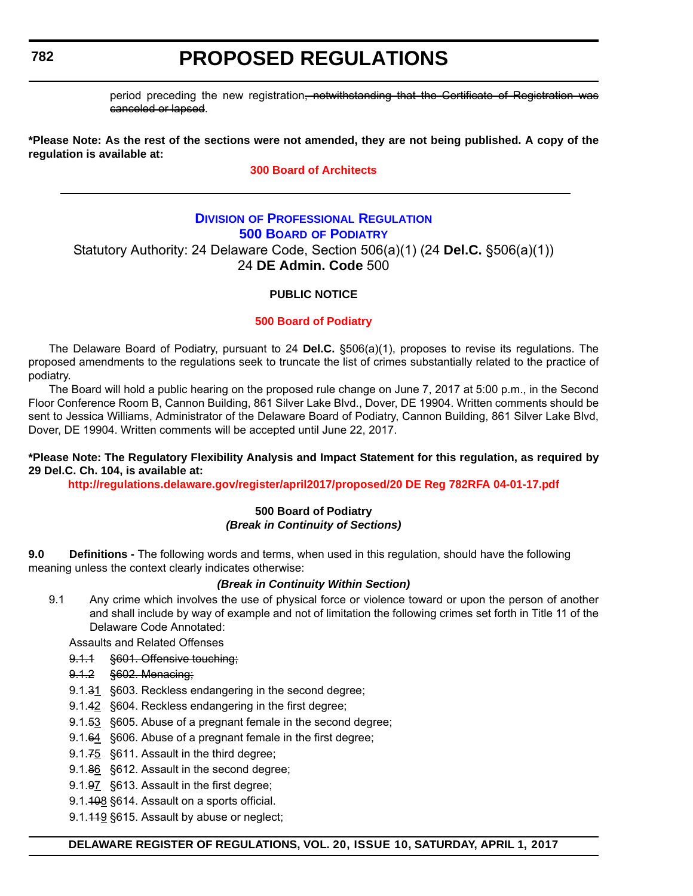# **782**

# **PROPOSED REGULATIONS**

period preceding the new registration, notwithstanding that the Certificate of Registration was canceled or lapsed.

**\*Please Note: As the rest of the sections were not amended, they are not being published. A copy of the regulation is available at:**

#### **[300 Board of Architects](http://regulations.delaware.gov/register/april2017/proposed/20 DE Reg 780 04-01-17.htm)**

# **DIVISION [OF PROFESSIONAL REGULATION](http://dpr.delaware.gov/index.shtml) 500 BOARD [OF PODIATRY](http://dpr.delaware.gov/boards/podiatry/index.shtml)** Statutory Authority: 24 Delaware Code, Section 506(a)(1) (24 **Del.C.** §506(a)(1)) 24 **DE Admin. Code** 500

## **PUBLIC NOTICE**

## **[500 Board of Podiatry](#page-3-0)**

The Delaware Board of Podiatry, pursuant to 24 **Del.C.** §506(a)(1), proposes to revise its regulations. The proposed amendments to the regulations seek to truncate the list of crimes substantially related to the practice of podiatry.

The Board will hold a public hearing on the proposed rule change on June 7, 2017 at 5:00 p.m., in the Second Floor Conference Room B, Cannon Building, 861 Silver Lake Blvd., Dover, DE 19904. Written comments should be sent to Jessica Williams, Administrator of the Delaware Board of Podiatry, Cannon Building, 861 Silver Lake Blvd, Dover, DE 19904. Written comments will be accepted until June 22, 2017.

#### **\*Please Note: The Regulatory Flexibility Analysis and Impact Statement for this regulation, as required by 29 Del.C. Ch. 104, is available at:**

**<http://regulations.delaware.gov/register/april2017/proposed/20 DE Reg 782RFA 04-01-17.pdf>**

#### **500 Board of Podiatry** *(Break in Continuity of Sections)*

**9.0 Definitions -** The following words and terms, when used in this regulation, should have the following meaning unless the context clearly indicates otherwise:

#### *(Break in Continuity Within Section)*

9.1 Any crime which involves the use of physical force or violence toward or upon the person of another and shall include by way of example and not of limitation the following crimes set forth in Title 11 of the Delaware Code Annotated:

Assaults and Related Offenses

- 9.1.1 §601. Offensive touching;
- 9.1.2 §602. Menacing;
- 9.1.31 §603. Reckless endangering in the second degree;
- 9.1.42 §604. Reckless endangering in the first degree;
- 9.1.53 §605. Abuse of a pregnant female in the second degree;
- 9.1.64 §606. Abuse of a pregnant female in the first degree;
- 9.1.75 §611. Assault in the third degree;
- 9.1.86 §612. Assault in the second degree;
- 9.1.97 §613. Assault in the first degree;
- 9.1.408 §614. Assault on a sports official.
- 9.1.449 §615. Assault by abuse or neglect;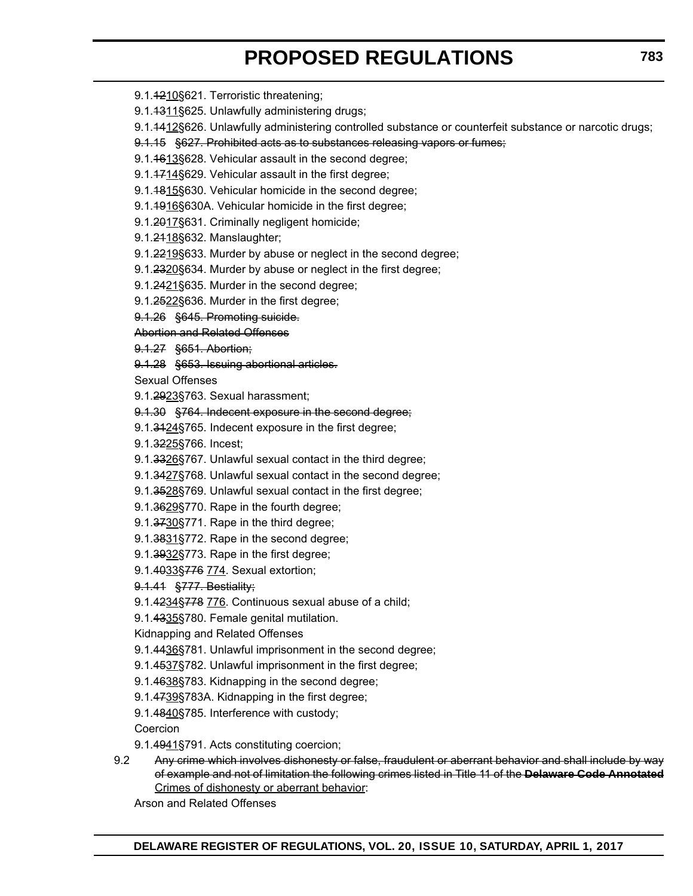- 9.1.4210§621. Terroristic threatening;
- 9.1.4311§625. Unlawfully administering drugs;
- 9.1.1412§626. Unlawfully administering controlled substance or counterfeit substance or narcotic drugs;
- 9.1.15 §627. Prohibited acts as to substances releasing vapors or fumes;
- 9.1.<del>1613</del>§628. Vehicular assault in the second degree;
- 9.1.4714§629. Vehicular assault in the first degree;
- 9.1.1815§630. Vehicular homicide in the second degree;
- 9.1.4916§630A. Vehicular homicide in the first degree;
- 9.1.2017§631. Criminally negligent homicide;
- 9.1.2118§632. Manslaughter;
- 9.1.2219§633. Murder by abuse or neglect in the second degree;
- 9.1.2320§634. Murder by abuse or neglect in the first degree;
- 9.1.2421§635. Murder in the second degree;
- 9.1.<del>25</del>22§636. Murder in the first degree;
- 9.1.26 §645. Promoting suicide.

#### Abortion and Related Offenses

- 9.1.27 §651. Abortion;
- 9.1.28 §653. Issuing abortional articles.

Sexual Offenses

- 9.1.2923§763. Sexual harassment;
- 9.1.30 §764. Indecent exposure in the second degree;
- 9.1.3424§765. Indecent exposure in the first degree;
- 9.1.3225§766. Incest;
- 9.1.3326§767. Unlawful sexual contact in the third degree;
- 9.1.3427§768. Unlawful sexual contact in the second degree;
- 9.1.3528§769. Unlawful sexual contact in the first degree;
- 9.1.3629§770. Rape in the fourth degree;
- 9.1.3730§771. Rape in the third degree;
- 9.1.3831§772. Rape in the second degree;
- 9.1.3932§773. Rape in the first degree;
- 9.1.4033§776 774. Sexual extortion;
- 9.1.41 §777. Bestiality;
- 9.1.4234§778 776. Continuous sexual abuse of a child;
- 9.1.4335§780. Female genital mutilation.
- Kidnapping and Related Offenses
- 9.1.4436§781. Unlawful imprisonment in the second degree;
- 9.1.4537§782. Unlawful imprisonment in the first degree;
- 9.1.4638§783. Kidnapping in the second degree;
- 9.1.4739§783A. Kidnapping in the first degree;
- 9.1.4840§785. Interference with custody;
- Coercion
- 9.1.4941§791. Acts constituting coercion;
- 9.2 Any crime which involves dishonesty or false, fraudulent or aberrant behavior and shall include by way of example and not of limitation the following crimes listed in Title 11 of the **Delaware Code Annotated** Crimes of dishonesty or aberrant behavior:

Arson and Related Offenses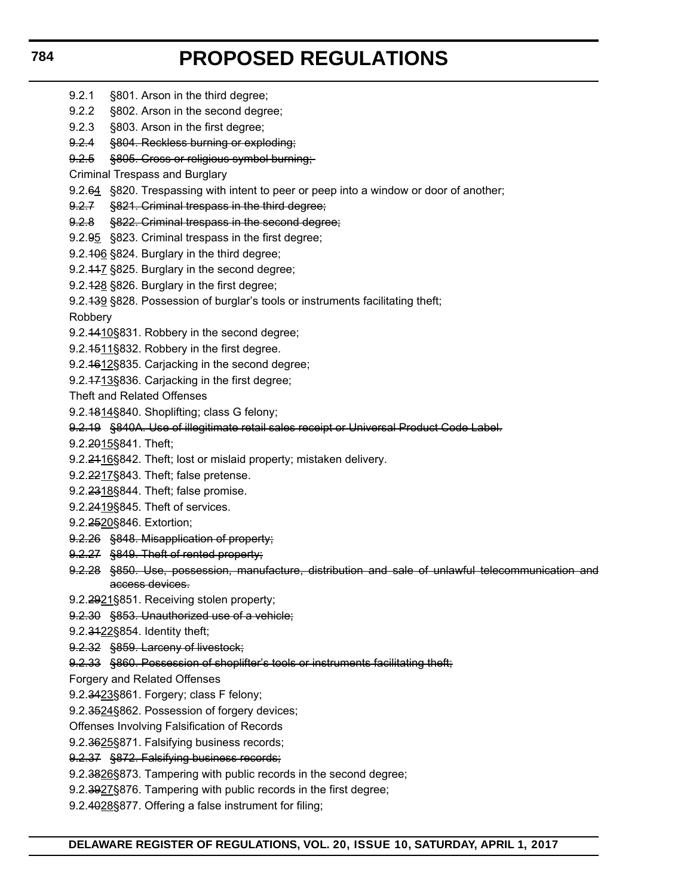- 9.2.1 §801. Arson in the third degree;
	- 9.2.2 §802. Arson in the second degree;
	- 9.2.3 §803. Arson in the first degree;
	- 9.2.4 §804. Reckless burning or exploding;
	- 9.2.5 §805. Cross or religious symbol burning;
	- Criminal Trespass and Burglary
	- 9.2.64 §820. Trespassing with intent to peer or peep into a window or door of another;
	- 9.2.7 §821. Criminal trespass in the third degree;
	- 9.2.8 §822. Criminal trespass in the second degree;
	- 9.2.95 §823. Criminal trespass in the first degree;
	- 9.2.406 §824. Burglary in the third degree;
	- 9.2.117 §825. Burglary in the second degree;
	- 9.2.428 §826. Burglary in the first degree;
	- 9.2.439 §828. Possession of burglar's tools or instruments facilitating theft;
	- Robbery
	- 9.2.4410§831. Robbery in the second degree;
	- 9.2.4511§832. Robbery in the first degree.
	- 9.2.4612§835. Carjacking in the second degree;
	- 9.2.1713§836. Carjacking in the first degree;
	- Theft and Related Offenses
	- 9.2.1814§840. Shoplifting; class G felony;
	- 9.2.19 §840A. Use of illegitimate retail sales receipt or Universal Product Code Label.
	- 9.2.2015§841. Theft;
	- 9.2.2416§842. Theft; lost or mislaid property; mistaken delivery.
	- 9.2.2217§843. Theft; false pretense.
	- 9.2.2318§844. Theft; false promise.
	- 9.2.2419§845. Theft of services.
	- 9.2.2520§846. Extortion;
	- 9.2.26 §848. Misapplication of property;
	- 9.2.27 §849. Theft of rented property;
	- 9.2.28 §850. Use, possession, manufacture, distribution and sale of unlawful telecommunication and access devices.
	- 9.2.2921§851. Receiving stolen property;
	- 9.2.30 §853. Unauthorized use of a vehicle;
	- 9.2.3122§854. Identity theft;
	- 9.2.32 §859. Larceny of livestock;
	- 9.2.33 §860. Possession of shoplifter's tools or instruments facilitating theft;
	- Forgery and Related Offenses
	- 9.2.3423§861. Forgery; class F felony;
	- 9.2.3524§862. Possession of forgery devices;
	- Offenses Involving Falsification of Records
	- 9.2.3625§871. Falsifying business records;
	- 9.2.37 §872. Falsifying business records;
	- 9.2.3826§873. Tampering with public records in the second degree;
	- 9.2.3927§876. Tampering with public records in the first degree;
	- 9.2.4028§877. Offering a false instrument for filing;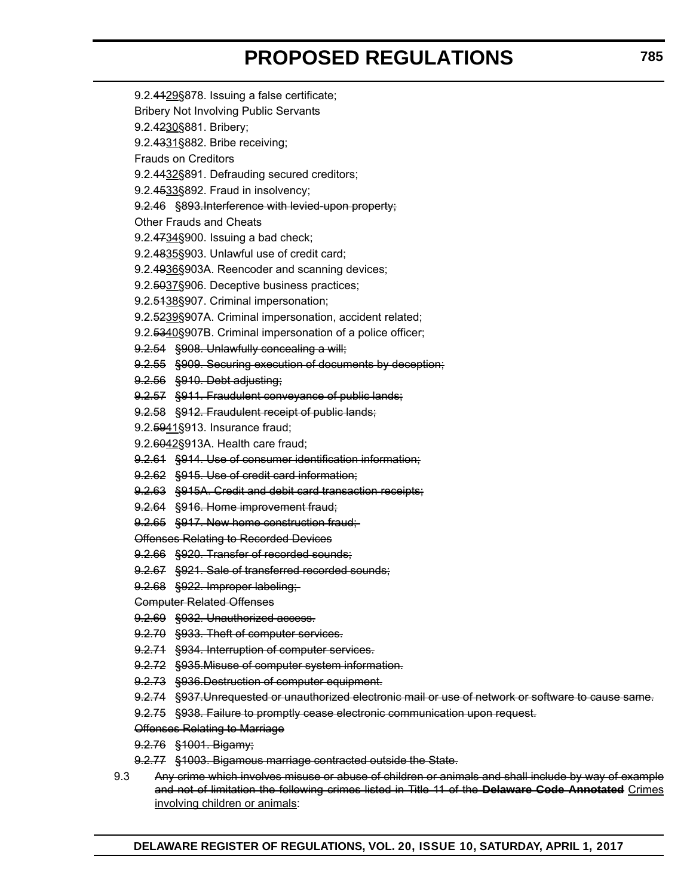- 9.2.4129§878. Issuing a false certificate; Bribery Not Involving Public Servants 9.2.4230§881. Bribery; 9.2.4331§882. Bribe receiving; Frauds on Creditors 9.2.4432§891. Defrauding secured creditors; 9.2.4533§892. Fraud in insolvency; 9.2.46 §893. Interference with levied-upon property; Other Frauds and Cheats 9.2.4734§900. Issuing a bad check; 9.2.4835§903. Unlawful use of credit card; 9.2.4936§903A. Reencoder and scanning devices; 9.2.5037§906. Deceptive business practices; 9.2.<del>5138</del>§907. Criminal impersonation; 9.2.5239§907A. Criminal impersonation, accident related; 9.2.5340§907B. Criminal impersonation of a police officer; 9.2.54 §908. Unlawfully concealing a will; 9.2.55 §909. Securing execution of documents by deception; 9.2.56 §910. Debt adjusting; 9.2.57 §911. Fraudulent conveyance of public lands; 9.2.58 §912. Fraudulent receipt of public lands; 9.2.5941§913. Insurance fraud; 9.2.6042§913A. Health care fraud; 9.2.61 §914. Use of consumer identification information; 9.2.62 §915. Use of credit card information; 9.2.63 §915A. Credit and debit card transaction receipts; 9.2.64 §916. Home improvement fraud; 9.2.65 §917. New home construction fraud; Offenses Relating to Recorded Devices 9.2.66 §920. Transfer of recorded sounds; 9.2.67 §921. Sale of transferred recorded sounds; 9.2.68 §922. Improper labeling; Computer Related Offenses 9.2.69 §932. Unauthorized access. 9.2.70 §933. Theft of computer services. 9.2.71 §934. Interruption of computer services. 9.2.72 §935.Misuse of computer system information. 9.2.73 §936.Destruction of computer equipment. 9.2.74 §937.Unrequested or unauthorized electronic mail or use of network or software to cause same. 9.2.75 §938. Failure to promptly cease electronic communication upon request. Offenses Relating to Marriage 9.2.76 §1001. Bigamy; 9.2.77 §1003. Bigamous marriage contracted outside the State.
- 9.3 Any crime which involves misuse or abuse of children or animals and shall include by way of example and not of limitation the following crimes listed in Title 11 of the **Delaware Code Annotated** Crimes involving children or animals: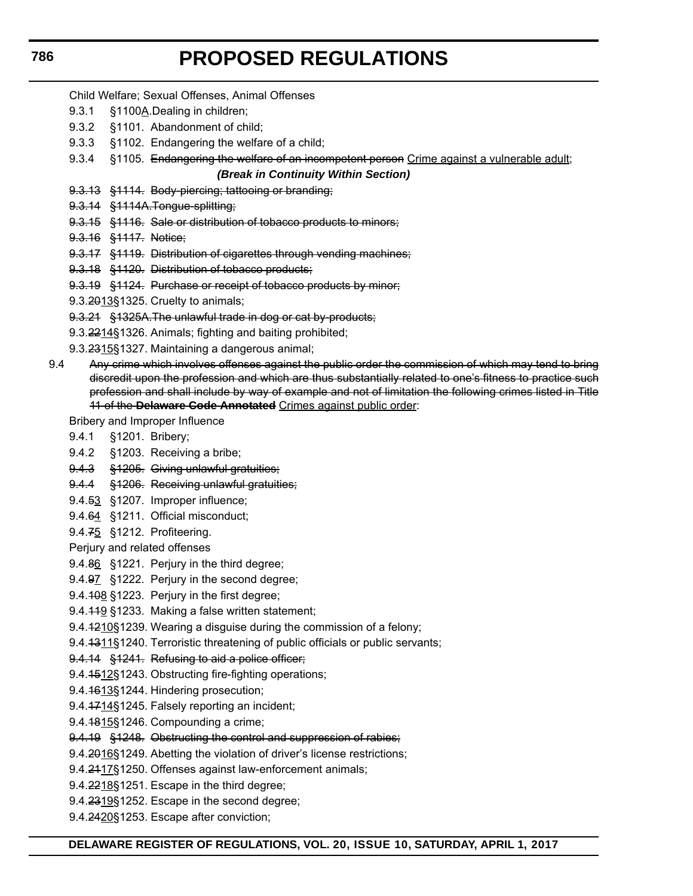#### Child Welfare; Sexual Offenses, Animal Offenses

- 9.3.1 §1100A.Dealing in children;
- 9.3.2 §1101. Abandonment of child;
- 9.3.3 §1102. Endangering the welfare of a child;
- 9.3.4 §1105. Endangering the welfare of an incompetent person Crime against a vulnerable adult;

#### *(Break in Continuity Within Section)*

- 9.3.13 §1114. Body-piercing; tattooing or branding;
- 9.3.14 §1114A. Tongue-splitting;
- 9.3.15 §1116. Sale or distribution of tobacco products to minors;
- 9.3.16 §1117. Notice;
- 9.3.17 §1119. Distribution of cigarettes through vending machines;
- 9.3.18 §1120. Distribution of tobacco products;
- 9.3.19 §1124. Purchase or receipt of tobacco products by minor;
- 9.3.2013§1325. Cruelty to animals;
- 9.3.21 §1325A.The unlawful trade in dog or cat by-products;
- 9.3.2214§1326. Animals; fighting and baiting prohibited;
- 9.3.2315§1327. Maintaining a dangerous animal;
- 9.4 Any crime which involves offenses against the public order the commission of which may tend to bring discredit upon the profession and which are thus substantially related to one's fitness to practice such profession and shall include by way of example and not of limitation the following crimes listed in Title 11 of the **Delaware Code Annotated** Crimes against public order:

Bribery and Improper Influence

- 9.4.1 §1201. Bribery;
- 9.4.2 §1203. Receiving a bribe;
- 9.4.3 §1205. Giving unlawful gratuities;
- 9.4.4 §1206. Receiving unlawful gratuities;
- 9.4.53 §1207. Improper influence;
- 9.4.64 §1211. Official misconduct;
- 9.4.75 §1212. Profiteering.

Perjury and related offenses

- 9.4.86 §1221. Perjury in the third degree;
- 9.4.97 §1222. Perjury in the second degree;
- 9.4.108 §1223. Perjury in the first degree;
- 9.4.119 §1233. Making a false written statement;
- 9.4.4210§1239. Wearing a disguise during the commission of a felony;
- 9.4.4311§1240. Terroristic threatening of public officials or public servants;
- 9.4.14 §1241. Refusing to aid a police officer;
- 9.4.1512§1243. Obstructing fire-fighting operations;
- 9.4.1613§1244. Hindering prosecution;
- 9.4.1714§1245. Falsely reporting an incident;
- 9.4.4815§1246. Compounding a crime;
- 9.4.19 §1248. Obstructing the control and suppression of rabies;
- 9.4.2016§1249. Abetting the violation of driver's license restrictions;
- 9.4.2417§1250. Offenses against law-enforcement animals;
- 9.4.2218§1251. Escape in the third degree;
- 9.4.2319§1252. Escape in the second degree;
- 9.4.2420§1253. Escape after conviction;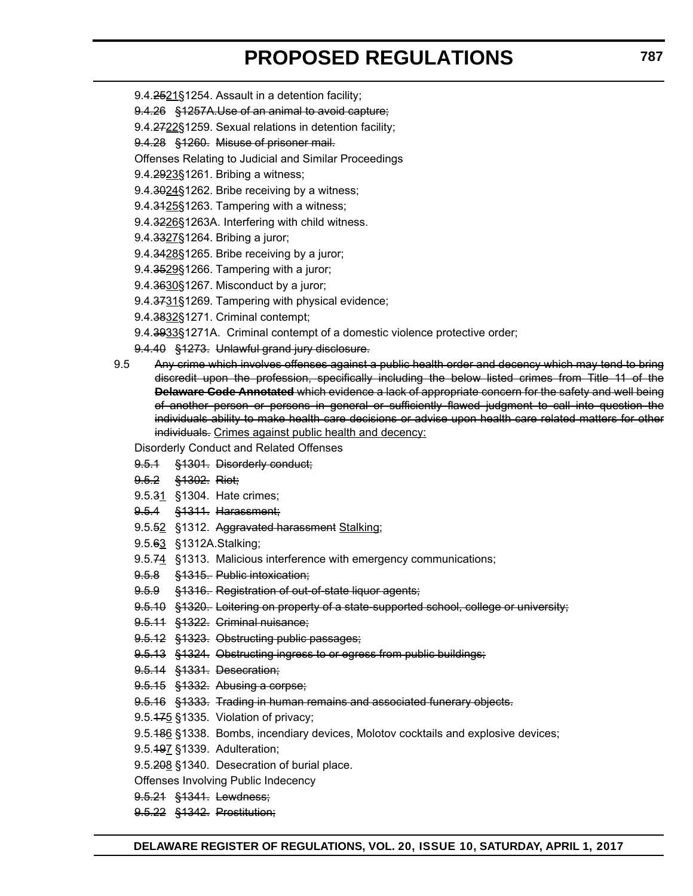- 9.4.2521§1254. Assault in a detention facility;
- 9.4.26 §1257A.Use of an animal to avoid capture;
- 9.4.2722§1259. Sexual relations in detention facility;
- 9.4.28 §1260. Misuse of prisoner mail.
- Offenses Relating to Judicial and Similar Proceedings
- 9.4.2923§1261. Bribing a witness;
- 9.4.3024§1262. Bribe receiving by a witness;
- 9.4.3425§1263. Tampering with a witness;
- 9.4.3226§1263A. Interfering with child witness.
- 9.4.3327§1264. Bribing a juror;
- 9.4.3428§1265. Bribe receiving by a juror;
- 9.4.3529§1266. Tampering with a juror;
- 9.4.3630§1267. Misconduct by a juror;
- 9.4.3731§1269. Tampering with physical evidence;
- 9.4.3832§1271. Criminal contempt;
- 9.4.3933§1271A. Criminal contempt of a domestic violence protective order;
- 9.4.40 §1273. Unlawful grand jury disclosure.
- 9.5 Any crime which involves offenses against a public health order and decency which may tend to bring discredit upon the profession, specifically including the below listed crimes from Title 11 of the **Delaware Code Annotated** which evidence a lack of appropriate concern for the safety and well being of another person or persons in general or sufficiently flawed judgment to call into question the individuals ability to make health care decisions or advise upon health care related matters for other individuals. Crimes against public health and decency:

Disorderly Conduct and Related Offenses

- 9.5.1 §1301. Disorderly conduct;
- 9.5.2 §1302. Riot;
- 9.5.31 §1304. Hate crimes;
- 9.5.4 §1311. Harassment;
- 9.5.52 §1312. Aggravated harassment Stalking;
- 9.5.63 §1312A.Stalking;
- 9.5.74 §1313. Malicious interference with emergency communications;
- 9.5.8 §1315. Public intoxication;
- 9.5.9 §1316. Registration of out-of-state liquor agents;
- 9.5.10 §1320. Loitering on property of a state supported school, college or university;
- 9.5.11 §1322. Criminal nuisance;
- 9.5.12 §1323. Obstructing public passages;
- 9.5.13 §1324. Obstructing ingress to or egress from public buildings;
- 9.5.14 §1331. Desecration;
- 9.5.15 §1332. Abusing a corpse;
- 9.5.16 §1333. Trading in human remains and associated funerary objects.
- 9.5.475 §1335. Violation of privacy;
- 9.5.186 §1338. Bombs, incendiary devices, Molotov cocktails and explosive devices;
- 9.5.197 §1339. Adulteration;
- 9.5.208 §1340. Desecration of burial place.
- Offenses Involving Public Indecency
- 9.5.21 §1341. Lewdness;
- 9.5.22 §1342. Prostitution;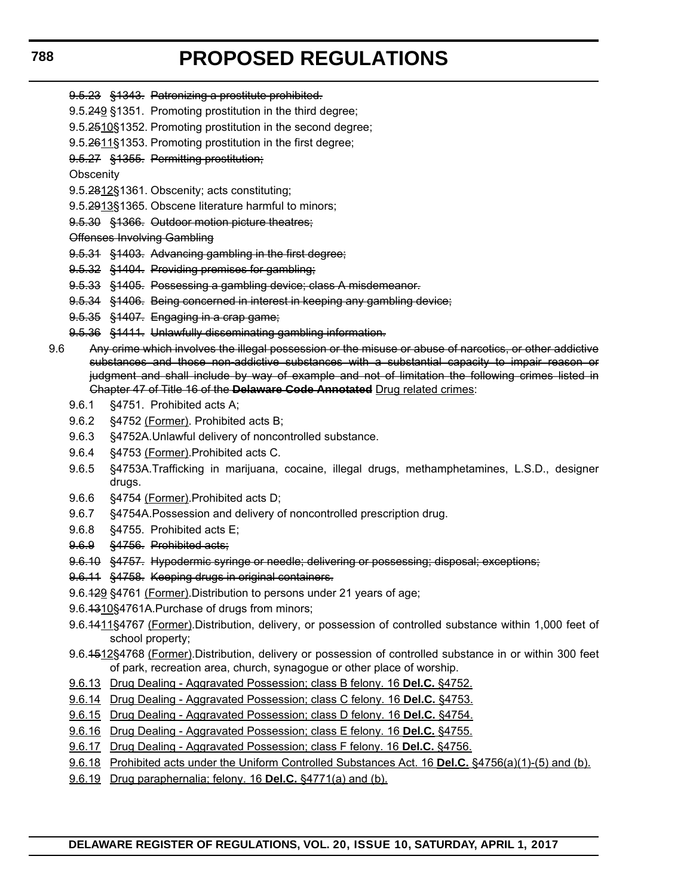- 9.5.23 §1343. Patronizing a prostitute prohibited.
- 9.5.249 §1351. Promoting prostitution in the third degree;
- 9.5.2510§1352. Promoting prostitution in the second degree;
- 9.5.2611§1353. Promoting prostitution in the first degree;
- 9.5.27 §1355. Permitting prostitution;
- **Obscenity**
- 9.5.2812§1361. Obscenity; acts constituting;
- 9.5.2913§1365. Obscene literature harmful to minors;
- 9.5.30 §1366. Outdoor motion picture theatres;
- Offenses Involving Gambling
- 9.5.31 §1403. Advancing gambling in the first degree;
- 9.5.32 §1404. Providing premises for gambling;
- 9.5.33 §1405. Possessing a gambling device; class A misdemeanor.
- 9.5.34 §1406. Being concerned in interest in keeping any gambling device;
- 9.5.35 §1407. Engaging in a crap game;
- 9.5.36 §1411. Unlawfully disseminating gambling information.
- 9.6 Any crime which involves the illegal possession or the misuse or abuse of narcotics, or other addictive substances and those non-addictive substances with a substantial capacity to impair reason or judgment and shall include by way of example and not of limitation the following crimes listed in Chapter 47 of Title 16 of the **Delaware Code Annotated** Drug related crimes:
	- 9.6.1 §4751. Prohibited acts A;
	- 9.6.2 §4752 (Former). Prohibited acts B;
	- 9.6.3 §4752A.Unlawful delivery of noncontrolled substance.
	- 9.6.4 §4753 (Former). Prohibited acts C.
	- 9.6.5 §4753A.Trafficking in marijuana, cocaine, illegal drugs, methamphetamines, L.S.D., designer drugs.
	- 9.6.6 §4754 (Former).Prohibited acts D;
	- 9.6.7 §4754A.Possession and delivery of noncontrolled prescription drug.
	- 9.6.8 §4755. Prohibited acts E;
	- 9.6.9 §4756. Prohibited acts;
	- 9.6.10 §4757. Hypodermic syringe or needle; delivering or possessing; disposal; exceptions;
	- 9.6.11 §4758. Keeping drugs in original containers.
	- 9.6.429 §4761 (Former). Distribution to persons under 21 years of age;
	- 9.6.4310§4761A.Purchase of drugs from minors;
	- 9.6.1411§4767 (Former).Distribution, delivery, or possession of controlled substance within 1,000 feet of school property;
	- 9.6.4512§4768 (Former).Distribution, delivery or possession of controlled substance in or within 300 feet of park, recreation area, church, synagogue or other place of worship.
	- 9.6.13 Drug Dealing Aggravated Possession; class B felony. 16 **Del.C.** §4752.
	- 9.6.14 Drug Dealing Aggravated Possession; class C felony. 16 **Del.C.** §4753.
	- 9.6.15 Drug Dealing Aggravated Possession; class D felony. 16 **Del.C.** §4754.
	- 9.6.16 Drug Dealing Aggravated Possession; class E felony. 16 **Del.C.** §4755.
	- 9.6.17 Drug Dealing Aggravated Possession; class F felony. 16 **Del.C.** §4756.
	- 9.6.18 Prohibited acts under the Uniform Controlled Substances Act. 16 **Del.C.** §4756(a)(1)-(5) and (b).
	- 9.6.19 Drug paraphernalia; felony. 16 **Del.C.** §4771(a) and (b).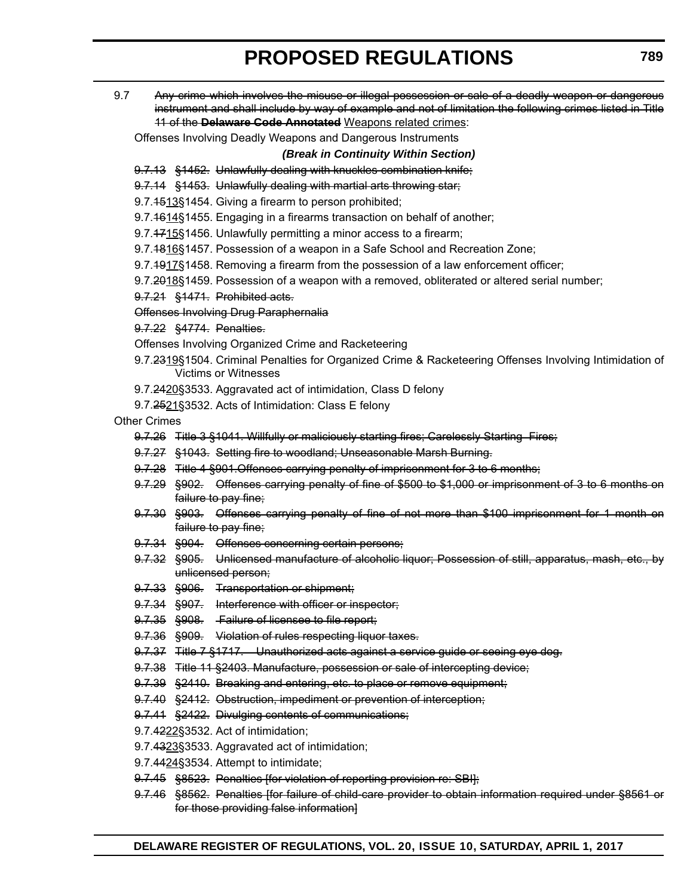9.7 Any crime which involves the misuse or illegal possession or sale of a deadly weapon or dangerous instrument and shall include by way of example and not of limitation the following crimes listed in Title 11 of the **Delaware Code Annotated** Weapons related crimes:

Offenses Involving Deadly Weapons and Dangerous Instruments

*(Break in Continuity Within Section)*

- 9.7.13 §1452. Unlawfully dealing with knuckles combination knife;
- 9.7.14 §1453. Unlawfully dealing with martial arts throwing star;
- 9.7.1513§1454. Giving a firearm to person prohibited;
- 9.7.4614§1455. Engaging in a firearms transaction on behalf of another;
- 9.7.4715§1456. Unlawfully permitting a minor access to a firearm;
- 9.7.4816§1457. Possession of a weapon in a Safe School and Recreation Zone;
- 9.7.1917§1458. Removing a firearm from the possession of a law enforcement officer;
- 9.7.2018§1459. Possession of a weapon with a removed, obliterated or altered serial number;
- 9.7.21 §1471. Prohibited acts.

Offenses Involving Drug Paraphernalia

# 9.7.22 §4774. Penalties.

Offenses Involving Organized Crime and Racketeering

- 9.7.2319§1504. Criminal Penalties for Organized Crime & Racketeering Offenses Involving Intimidation of Victims or Witnesses
- 9.7.2420§3533. Aggravated act of intimidation, Class D felony
- 9.7.2521§3532. Acts of Intimidation: Class E felony

## Other Crimes

- 9.7.26 Title 3 §1041. Willfully or maliciously starting fires; Carelessly Starting Fires;
- 9.7.27 §1043. Setting fire to woodland; Unseasonable Marsh Burning.
- 9.7.28 Title 4 §901.Offenses carrying penalty of imprisonment for 3 to 6 months;
- 9.7.29 §902. Offenses carrying penalty of fine of \$500 to \$1,000 or imprisonment of 3 to 6 months on failure to pay fine;
- 9.7.30 §903. Offenses carrying penalty of fine of not more than \$100 imprisonment for 1 month on failure to pay fine;
- 9.7.31 §904. Offenses concerning certain persons;
- 9.7.32 §905. Unlicensed manufacture of alcoholic liquor; Possession of still, apparatus, mash, etc., by unlicensed person;
- 9.7.33 §906. Transportation or shipment;
- 9.7.34 §907. Interference with officer or inspector;
- 9.7.35 §908. Failure of licensee to file report;
- 9.7.36 §909. Violation of rules respecting liquor taxes.
- 9.7.37 Title 7 §1717. Unauthorized acts against a service guide or seeing eye dog.
- 9.7.38 Title 11 §2403. Manufacture, possession or sale of intercepting device;
- 9.7.39 §2410. Breaking and entering, etc. to place or remove equipment;
- 9.7.40 §2412. Obstruction, impediment or prevention of interception;
- 9.7.41 §2422. Divulging contents of communications;
- 9.7.4222§3532. Act of intimidation;
- 9.7.4323§3533. Aggravated act of intimidation;
- 9.7.4424§3534. Attempt to intimidate;
- 9.7.45 §8523. Penalties [for violation of reporting provision re: SBI];
- 9.7.46 §8562. Penalties [for failure of child care provider to obtain information required under §8561 or for those providing false information]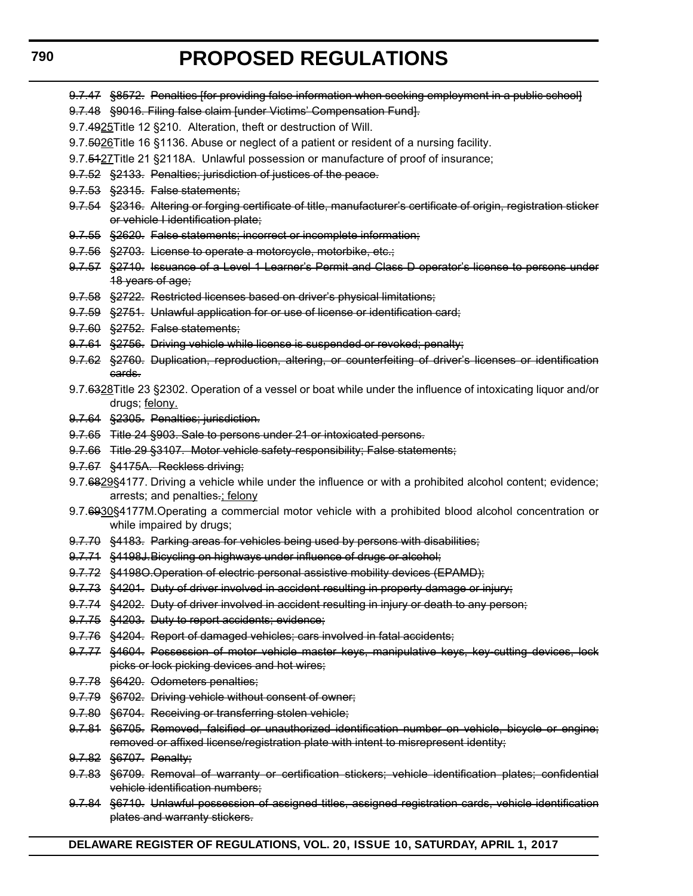9.7.47 §8572. Penalties ffor providing false information when seeking employment in a public school

- 9.7.48 §9016. Filing false claim [under Victims' Compensation Fund].
- 9.7.4925Title 12 §210. Alteration, theft or destruction of Will.
- 9.7.5026 Title 16 §1136. Abuse or neglect of a patient or resident of a nursing facility.
- 9.7.5427Title 21 §2118A. Unlawful possession or manufacture of proof of insurance;
- 9.7.52 §2133. Penalties; jurisdiction of justices of the peace.
- 9.7.53 §2315. False statements;
- 9.7.54 §2316. Altering or forging certificate of title, manufacturer's certificate of origin, registration sticker or vehicle I identification plate;
- 9.7.55 §2620. False statements; incorrect or incomplete information;
- 9.7.56 §2703. License to operate a motorcycle, motorbike, etc.;
- 9.7.57 §2710. Issuance of a Level 1 Learner's Permit and Class D operator's license to persons under 18 years of age;
- 9.7.58 §2722. Restricted licenses based on driver's physical limitations;
- 9.7.59 §2751. Unlawful application for or use of license or identification card;
- 9.7.60 §2752. False statements;
- 9.7.61 §2756. Driving vehicle while license is suspended or revoked; penalty;
- 9.7.62 §2760. Duplication, reproduction, altering, or counterfeiting of driver's licenses or identification cards.
- 9.7.6328Title 23 §2302. Operation of a vessel or boat while under the influence of intoxicating liquor and/or drugs; felony.
- 9.7.64 §2305. Penalties; jurisdiction.
- 9.7.65 Title 24 §903. Sale to persons under 21 or intoxicated persons.
- 9.7.66 Title 29 §3107. Motor vehicle safety-responsibility; False statements;
- 9.7.67 §4175A. Reckless driving;
- 9.7.6829§4177. Driving a vehicle while under the influence or with a prohibited alcohol content; evidence; arrests; and penalties.; felony
- 9.7.6930§4177M. Operating a commercial motor vehicle with a prohibited blood alcohol concentration or while impaired by drugs;
- 9.7.70 §4183. Parking areas for vehicles being used by persons with disabilities;
- 9.7.71 §4198J.Bicycling on highways under influence of drugs or alcohol;
- 9.7.72 §4198O.Operation of electric personal assistive mobility devices (EPAMD);
- 9.7.73 §4201. Duty of driver involved in accident resulting in property damage or injury;
- 9.7.74 §4202. Duty of driver involved in accident resulting in injury or death to any person;
- 9.7.75 §4203. Duty to report accidents; evidence;
- 9.7.76 §4204. Report of damaged vehicles; cars involved in fatal accidents;
- 9.7.77 §4604. Possession of motor vehicle master keys, manipulative keys, key cutting devices, lock picks or lock picking devices and hot wires;
- 9.7.78 §6420. Odometers penalties;
- 9.7.79 §6702. Driving vehicle without consent of owner;
- 9.7.80 §6704. Receiving or transferring stolen vehicle;
- 9.7.81 §6705. Removed, falsified or unauthorized identification number on vehicle, bicycle or engine; removed or affixed license/registration plate with intent to misrepresent identity;
- 9.7.82 §6707. Penalty;
- 9.7.83 §6709. Removal of warranty or certification stickers; vehicle identification plates; confidential vehicle identification numbers;
- 9.7.84 §6710. Unlawful possession of assigned titles, assigned registration cards, vehicle identification plates and warranty stickers.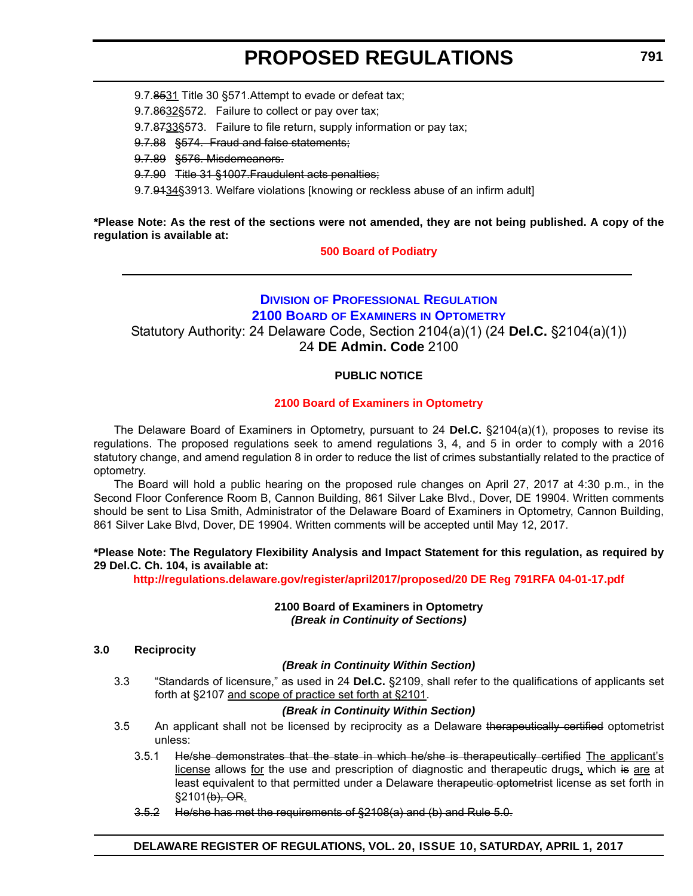9.7.8531 Title 30 §571.Attempt to evade or defeat tax;

9.7.8632§572. Failure to collect or pay over tax;

9.7.8733§573. Failure to file return, supply information or pay tax;

9.7.88 §574. Fraud and false statements;

9.7.89 §576. Misdemeanors.

9.7.90 Title 31 §1007.Fraudulent acts penalties;

9.7.9134§3913. Welfare violations [knowing or reckless abuse of an infirm adult]

**\*Please Note: As the rest of the sections were not amended, they are not being published. A copy of the regulation is available at:**

**[500 Board of Podiatry](http://regulations.delaware.gov/register/april2017/proposed/20 DE Reg 782 04-01-17.htm)**

# **DIVISION [OF PROFESSIONAL REGULATION](http://dpr.delaware.gov/index.shtml) 2100 BOARD OF EXAMINERS [IN OPTOMETRY](http://dpr.delaware.gov/boards/optometry/index.shtml)** Statutory Authority: 24 Delaware Code, Section 2104(a)(1) (24 **Del.C.** §2104(a)(1)) 24 **DE Admin. Code** 2100

# **PUBLIC NOTICE**

## **[2100 Board of Examiners in Optometry](#page-3-0)**

The Delaware Board of Examiners in Optometry, pursuant to 24 **Del.C.** §2104(a)(1), proposes to revise its regulations. The proposed regulations seek to amend regulations 3, 4, and 5 in order to comply with a 2016 statutory change, and amend regulation 8 in order to reduce the list of crimes substantially related to the practice of optometry.

The Board will hold a public hearing on the proposed rule changes on April 27, 2017 at 4:30 p.m., in the Second Floor Conference Room B, Cannon Building, 861 Silver Lake Blvd., Dover, DE 19904. Written comments should be sent to Lisa Smith, Administrator of the Delaware Board of Examiners in Optometry, Cannon Building, 861 Silver Lake Blvd, Dover, DE 19904. Written comments will be accepted until May 12, 2017.

## **\*Please Note: The Regulatory Flexibility Analysis and Impact Statement for this regulation, as required by 29 Del.C. Ch. 104, is available at:**

**<http://regulations.delaware.gov/register/april2017/proposed/20 DE Reg 791RFA 04-01-17.pdf>**

**2100 Board of Examiners in Optometry** *(Break in Continuity of Sections)*

#### **3.0 Reciprocity**

## *(Break in Continuity Within Section)*

3.3 "Standards of licensure," as used in 24 **Del.C.** §2109, shall refer to the qualifications of applicants set forth at §2107 and scope of practice set forth at §2101.

## *(Break in Continuity Within Section)*

- 3.5 An applicant shall not be licensed by reciprocity as a Delaware therapeutically certified optometrist unless:
	- 3.5.1 He/she demonstrates that the state in which he/she is therapeutically certified The applicant's license allows for the use and prescription of diagnostic and therapeutic drugs, which is are at least equivalent to that permitted under a Delaware therapeutic optometrist license as set forth in §2101(b), OR.
	- 3.5.2 He/she has met the requirements of §2108(a) and (b) and Rule 5.0.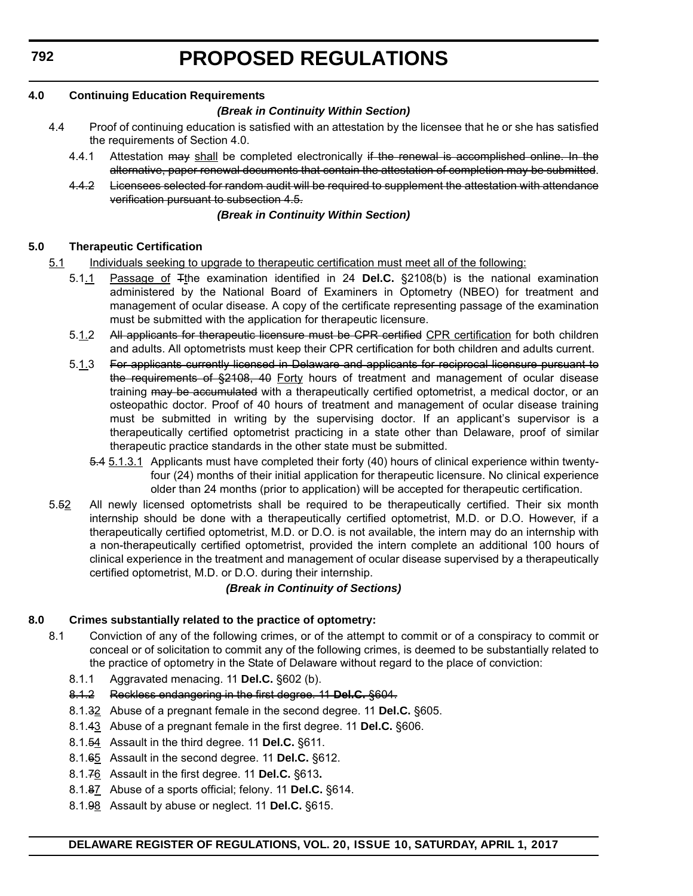**792**

# **PROPOSED REGULATIONS**

# **4.0 Continuing Education Requirements**

## *(Break in Continuity Within Section)*

- 4.4 Proof of continuing education is satisfied with an attestation by the licensee that he or she has satisfied the requirements of Section 4.0.
	- 4.4.1 Attestation may shall be completed electronically if the renewal is accomplished online. In the alternative, paper renewal documents that contain the attestation of completion may be submitted.
	- 4.4.2 Licensees selected for random audit will be required to supplement the attestation with attendance verification pursuant to subsection 4.5.

#### *(Break in Continuity Within Section)*

## **5.0 Therapeutic Certification**

- 5.1 Individuals seeking to upgrade to therapeutic certification must meet all of the following:
	- 5.1.1 Passage of Tthe examination identified in 24 **Del.C.** §2108(b) is the national examination administered by the National Board of Examiners in Optometry (NBEO) for treatment and management of ocular disease. A copy of the certificate representing passage of the examination must be submitted with the application for therapeutic licensure.
	- 5.1.2 All applicants for therapeutic licensure must be CPR certified CPR certification for both children and adults. All optometrists must keep their CPR certification for both children and adults current.
	- 5.1.3 For applicants currently licensed in Delaware and applicants for reciprocal licensure pursuant to the requirements of §2108, 40 Forty hours of treatment and management of ocular disease training may be accumulated with a therapeutically certified optometrist, a medical doctor, or an osteopathic doctor. Proof of 40 hours of treatment and management of ocular disease training must be submitted in writing by the supervising doctor. If an applicant's supervisor is a therapeutically certified optometrist practicing in a state other than Delaware, proof of similar therapeutic practice standards in the other state must be submitted.
		- 5.4 5.1.3.1 Applicants must have completed their forty (40) hours of clinical experience within twentyfour (24) months of their initial application for therapeutic licensure. No clinical experience older than 24 months (prior to application) will be accepted for therapeutic certification.
- 5.52 All newly licensed optometrists shall be required to be therapeutically certified. Their six month internship should be done with a therapeutically certified optometrist, M.D. or D.O. However, if a therapeutically certified optometrist, M.D. or D.O. is not available, the intern may do an internship with a non-therapeutically certified optometrist, provided the intern complete an additional 100 hours of clinical experience in the treatment and management of ocular disease supervised by a therapeutically certified optometrist, M.D. or D.O. during their internship.

## *(Break in Continuity of Sections)*

# **8.0 Crimes substantially related to the practice of optometry:**

- 8.1 Conviction of any of the following crimes, or of the attempt to commit or of a conspiracy to commit or conceal or of solicitation to commit any of the following crimes, is deemed to be substantially related to the practice of optometry in the State of Delaware without regard to the place of conviction:
	- 8.1.1 Aggravated menacing. 11 **Del.C.** §602 (b).
	- 8.1.2 Reckless endangering in the first degree. 11 **Del.C.** §604.
	- 8.1.32 Abuse of a pregnant female in the second degree. 11 **Del.C.** §605.
	- 8.1.43 Abuse of a pregnant female in the first degree. 11 **Del.C.** §606.
	- 8.1.54 Assault in the third degree. 11 **Del.C.** §611.
	- 8.1.65 Assault in the second degree. 11 **Del.C.** §612.
	- 8.1.76 Assault in the first degree. 11 **Del.C.** §613**.**
	- 8.1.87 Abuse of a sports official; felony. 11 **Del.C.** §614.
	- 8.1.98 Assault by abuse or neglect. 11 **Del.C.** §615.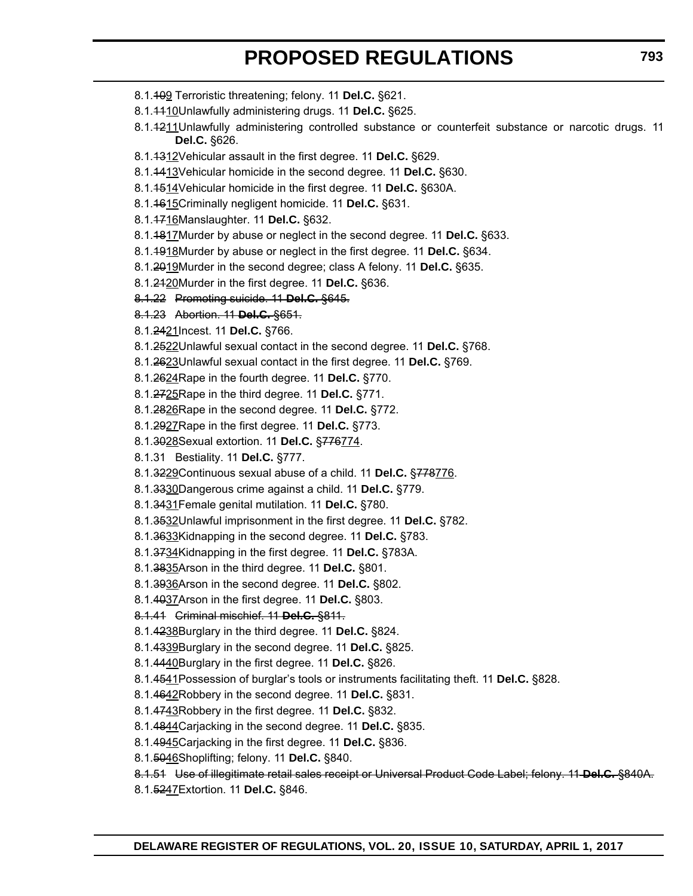- 8.1.109 Terroristic threatening; felony. 11 **Del.C.** §621.
- 8.1.1110Unlawfully administering drugs. 11 **Del.C.** §625.
- 8.1.4211Unlawfully administering controlled substance or counterfeit substance or narcotic drugs. 11 **Del.C.** §626.
- 8.1.1312Vehicular assault in the first degree. 11 **Del.C.** §629.
- 8.1.1413Vehicular homicide in the second degree. 11 **Del.C.** §630.
- 8.1.1514Vehicular homicide in the first degree. 11 **Del.C.** §630A.
- 8.1.1615Criminally negligent homicide. 11 **Del.C.** §631.
- 8.1.1716Manslaughter. 11 **Del.C.** §632.
- 8.1.1817Murder by abuse or neglect in the second degree. 11 **Del.C.** §633.
- 8.1.1918Murder by abuse or neglect in the first degree. 11 **Del.C.** §634.
- 8.1.2019Murder in the second degree; class A felony. 11 **Del.C.** §635.
- 8.1.2120Murder in the first degree. 11 **Del.C.** §636.
- 8.1.22 Promoting suicide. 11 **Del.C.** §645.
- 8.1.23 Abortion. 11 **Del.C.** §651.
- 8.1.2421Incest. 11 **Del.C.** §766.
- 8.1.2522Unlawful sexual contact in the second degree. 11 **Del.C.** §768.
- 8.1.2623Unlawful sexual contact in the first degree. 11 **Del.C.** §769.
- 8.1.2624Rape in the fourth degree. 11 **Del.C.** §770.
- 8.1.2725Rape in the third degree. 11 **Del.C.** §771.
- 8.1.2826Rape in the second degree. 11 **Del.C.** §772.
- 8.1.2927Rape in the first degree. 11 **Del.C.** §773.
- 8.1.3028Sexual extortion. 11 **Del.C.** §776774.
- 8.1.31 Bestiality. 11 **Del.C.** §777.
- 8.1.3229Continuous sexual abuse of a child. 11 **Del.C.** §778776.
- 8.1.3330Dangerous crime against a child. 11 **Del.C.** §779.
- 8.1.3431Female genital mutilation. 11 **Del.C.** §780.
- 8.1.3532Unlawful imprisonment in the first degree. 11 **Del.C.** §782.
- 8.1.3633Kidnapping in the second degree. 11 **Del.C.** §783.
- 8.1.3734Kidnapping in the first degree. 11 **Del.C.** §783A.
- 8.1.3835Arson in the third degree. 11 **Del.C.** §801.
- 8.1.3936Arson in the second degree. 11 **Del.C.** §802.
- 8.1.4037Arson in the first degree. 11 **Del.C.** §803.
- 8.1.41 Criminal mischief. 11 **Del.C.** §811.
- 8.1.4238Burglary in the third degree. 11 **Del.C.** §824.
- 8.1.4339Burglary in the second degree. 11 **Del.C.** §825.
- 8.1.4440Burglary in the first degree. 11 **Del.C.** §826.
- 8.1.4541Possession of burglar's tools or instruments facilitating theft. 11 **Del.C.** §828.
- 8.1.4642Robbery in the second degree. 11 **Del.C.** §831.
- 8.1.4743Robbery in the first degree. 11 **Del.C.** §832.
- 8.1.4844Carjacking in the second degree. 11 **Del.C.** §835.
- 8.1.4945Carjacking in the first degree. 11 **Del.C.** §836.
- 8.1.5046Shoplifting; felony. 11 **Del.C.** §840.
- 8.1.51 Use of illegitimate retail sales receipt or Universal Product Code Label; felony. 11 **Del.C.** §840A.
- 8.1.5247Extortion. 11 **Del.C.** §846.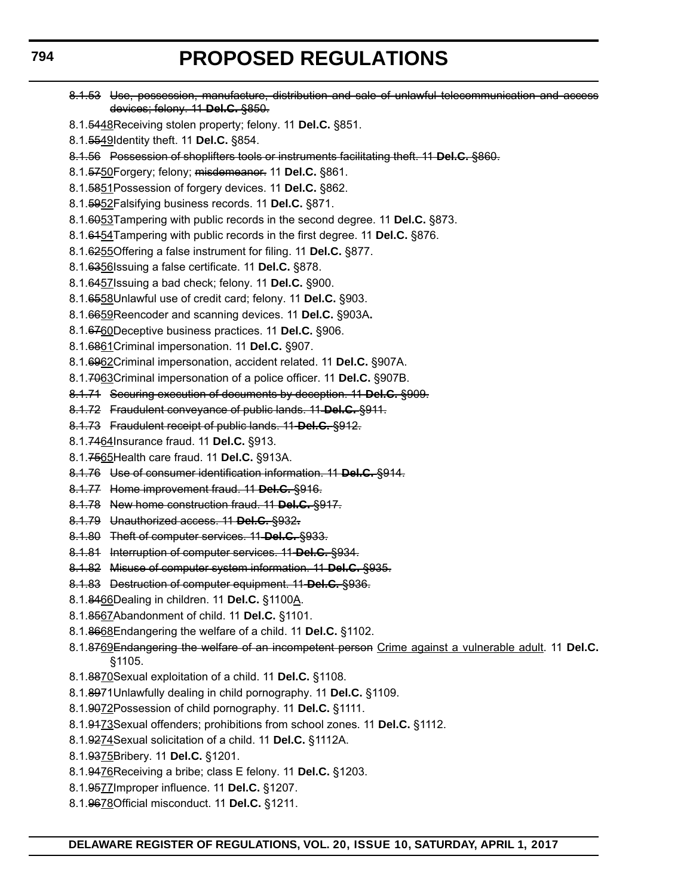devices; felony. 11 **Del.C.** §850. 8.1.5448Receiving stolen property; felony. 11 **Del.C.** §851. 8.1.5549Identity theft. 11 **Del.C.** §854. 8.1.56 Possession of shoplifters tools or instruments facilitating theft. 11 **Del.C.** §860. 8.1.5750Forgery; felony; misdemeanor. 11 **Del.C.** §861. 8.1.5851Possession of forgery devices. 11 **Del.C.** §862. 8.1.5952Falsifying business records. 11 **Del.C.** §871. 8.1.6053Tampering with public records in the second degree. 11 **Del.C.** §873. 8.1.6154Tampering with public records in the first degree. 11 **Del.C.** §876. 8.1.6255Offering a false instrument for filing. 11 **Del.C.** §877. 8.1.6356Issuing a false certificate. 11 **Del.C.** §878.

8.1.53 Use, possession, manufacture, distribution and sale of unlawful telecommunication and access

- 8.1.6457Issuing a bad check; felony. 11 **Del.C.** §900.
- 8.1.6558Unlawful use of credit card; felony. 11 **Del.C.** §903.
- 8.1.6659Reencoder and scanning devices. 11 **Del.C.** §903A**.**
- 8.1.6760Deceptive business practices. 11 **Del.C.** §906.
- 8.1.6861Criminal impersonation. 11 **Del.C.** §907.
- 8.1.6962Criminal impersonation, accident related. 11 **Del.C.** §907A.
- 8.1.7063Criminal impersonation of a police officer. 11 **Del.C.** §907B.
- 8.1.71 Securing execution of documents by deception. 11 **Del.C.** §909.
- 8.1.72 Fraudulent conveyance of public lands. 11 **Del.C.** §911.
- 8.1.73 Fraudulent receipt of public lands. 11 **Del.C.** §912.
- 8.1.7464Insurance fraud. 11 **Del.C.** §913.
- 8.1.7565Health care fraud. 11 **Del.C.** §913A.
- 8.1.76 Use of consumer identification information. 11 **Del.C.** §914.
- 8.1.77 Home improvement fraud. 11 **Del.C.** §916.
- 8.1.78 New home construction fraud. 11 **Del.C.** §917.
- 8.1.79 Unauthorized access. 11 **Del.C.** §932**.**
- 8.1.80 Theft of computer services. 11 **Del.C.** §933.
- 8.1.81 Interruption of computer services. 11 **Del.C.** §934.
- 8.1.82 Misuse of computer system information. 11 **Del.C.** §935.
- 8.1.83 Destruction of computer equipment. 11 **Del.C.** §936.
- 8.1.8466Dealing in children. 11 **Del.C.** §1100A.
- 8.1.8567Abandonment of child. 11 **Del.C.** §1101.
- 8.1.8668Endangering the welfare of a child. 11 **Del.C.** §1102.
- 8.1.8769Endangering the welfare of an incompetent person Crime against a vulnerable adult. 11 **Del.C.** §1105.
- 8.1.8870Sexual exploitation of a child. 11 **Del.C.** §1108.
- 8.1.8971Unlawfully dealing in child pornography. 11 **Del.C.** §1109.
- 8.1.9072Possession of child pornography. 11 **Del.C.** §1111.
- 8.1.9173Sexual offenders; prohibitions from school zones. 11 **Del.C.** §1112.
- 8.1.9274Sexual solicitation of a child. 11 **Del.C.** §1112A.
- 8.1.9375Bribery. 11 **Del.C.** §1201.
- 8.1.9476Receiving a bribe; class E felony. 11 **Del.C.** §1203.
- 8.1.9577Improper influence. 11 **Del.C.** §1207.
- 8.1.9678Official misconduct. 11 **Del.C.** §1211.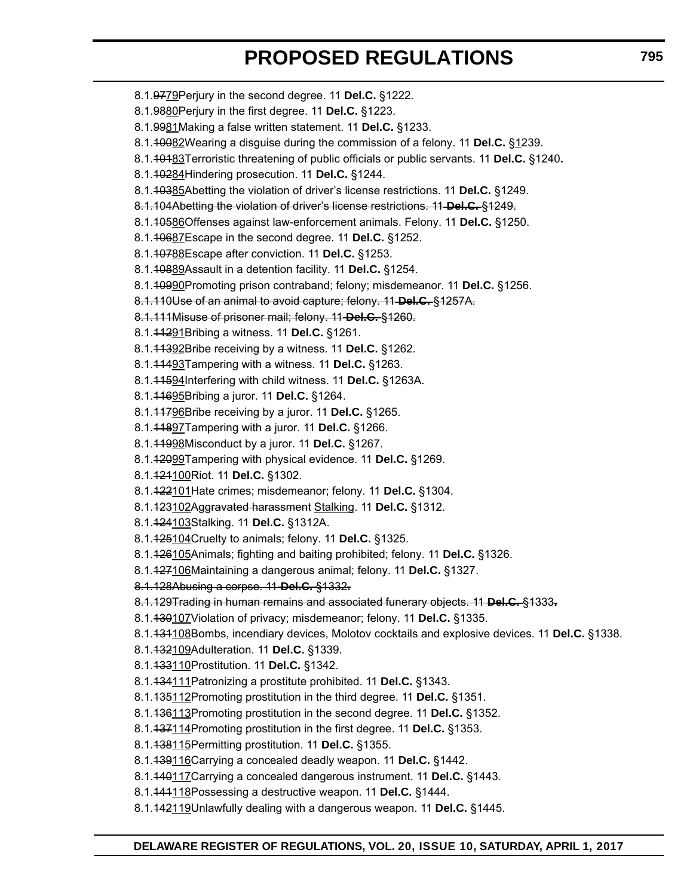- 8.1.9779Perjury in the second degree. 11 **Del.C.** §1222. 8.1.9880Perjury in the first degree. 11 **Del.C.** §1223. 8.1.9981Making a false written statement. 11 **Del.C.** §1233. 8.1.10082Wearing a disguise during the commission of a felony. 11 **Del.C.** §1239. 8.1.10183Terroristic threatening of public officials or public servants. 11 **Del.C.** §1240**.** 8.1.10284Hindering prosecution. 11 **Del.C.** §1244. 8.1.10385Abetting the violation of driver's license restrictions. 11 **Del.C.** §1249. 8.1.104Abetting the violation of driver's license restrictions. 11 **Del.C.** §1249. 8.1.10586Offenses against law-enforcement animals. Felony. 11 **Del.C.** §1250. 8.1.10687Escape in the second degree. 11 **Del.C.** §1252. 8.1.10788Escape after conviction. 11 **Del.C.** §1253. 8.1.10889Assault in a detention facility. 11 **Del.C.** §1254. 8.1.10990Promoting prison contraband; felony; misdemeanor. 11 **Del.C.** §1256. 8.1.110Use of an animal to avoid capture; felony. 11 **Del.C.** §1257A. 8.1.111Misuse of prisoner mail; felony. 11 **Del.C.** §1260. 8.1.11291Bribing a witness. 11 **Del.C.** §1261. 8.1.11392Bribe receiving by a witness. 11 **Del.C.** §1262. 8.1.11493Tampering with a witness. 11 **Del.C.** §1263. 8.1.11594Interfering with child witness. 11 **Del.C.** §1263A. 8.1.11695Bribing a juror. 11 **Del.C.** §1264. 8.1.11796Bribe receiving by a juror. 11 **Del.C.** §1265. 8.1.11897Tampering with a juror. 11 **Del.C.** §1266. 8.1.11998Misconduct by a juror. 11 **Del.C.** §1267.
- 8.1.12099Tampering with physical evidence. 11 **Del.C.** §1269.
- 8.1.121100Riot. 11 **Del.C.** §1302.
- 8.1.122101Hate crimes; misdemeanor; felony. 11 **Del.C.** §1304.
- 8.1.123102Aggravated harassment Stalking. 11 **Del.C.** §1312.
- 8.1.124103Stalking. 11 **Del.C.** §1312A.
- 8.1.125104Cruelty to animals; felony. 11 **Del.C.** §1325.
- 8.1.126105Animals; fighting and baiting prohibited; felony. 11 **Del.C.** §1326.
- 8.1.127106Maintaining a dangerous animal; felony. 11 **Del.C.** §1327.
- 8.1.128Abusing a corpse. 11 **Del.C.** §1332**.**
- 8.1.129Trading in human remains and associated funerary objects. 11 **Del.C.** §1333**.**
- 8.1.130107Violation of privacy; misdemeanor; felony. 11 **Del.C.** §1335.
- 8.1.131108Bombs, incendiary devices, Molotov cocktails and explosive devices. 11 **Del.C.** §1338.
- 8.1.132109Adulteration. 11 **Del.C.** §1339.
- 8.1.133110Prostitution. 11 **Del.C.** §1342.
- 8.1.134111Patronizing a prostitute prohibited. 11 **Del.C.** §1343.
- 8.1.135112Promoting prostitution in the third degree. 11 **Del.C.** §1351.
- 8.1.136113Promoting prostitution in the second degree. 11 **Del.C.** §1352.
- 8.1.137114Promoting prostitution in the first degree. 11 **Del.C.** §1353.
- 8.1.138115Permitting prostitution. 11 **Del.C.** §1355.
- 8.1.139116Carrying a concealed deadly weapon. 11 **Del.C.** §1442.
- 8.1.140117Carrying a concealed dangerous instrument. 11 **Del.C.** §1443.
- 8.1.141118Possessing a destructive weapon. 11 **Del.C.** §1444.
- 8.1.142119Unlawfully dealing with a dangerous weapon. 11 **Del.C.** §1445.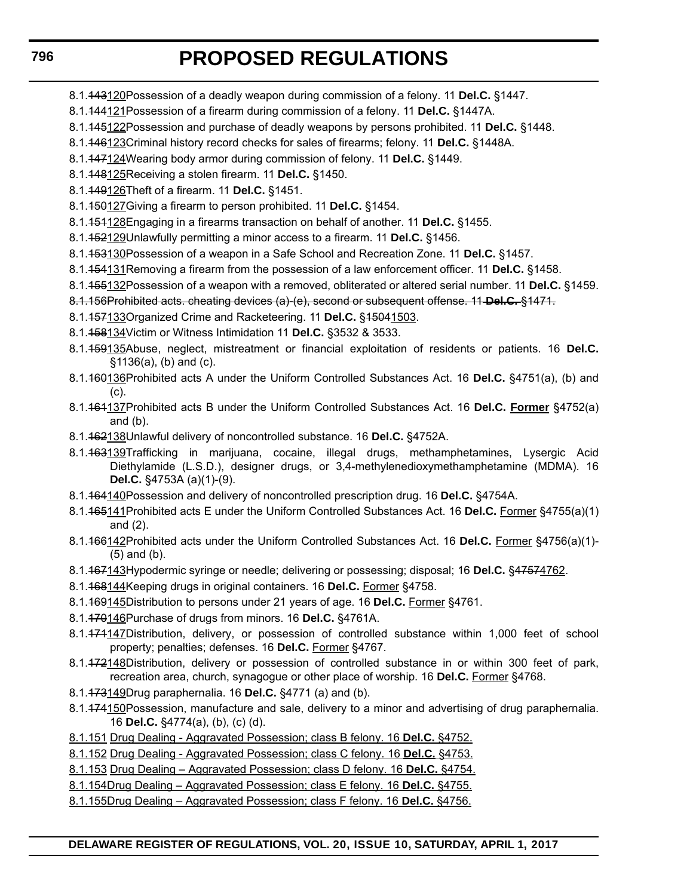- 8.1.143120Possession of a deadly weapon during commission of a felony. 11 **Del.C.** §1447.
- 8.1.144121Possession of a firearm during commission of a felony. 11 **Del.C.** §1447A.
- 8.1.145122Possession and purchase of deadly weapons by persons prohibited. 11 **Del.C.** §1448.
- 8.1.146123Criminal history record checks for sales of firearms; felony. 11 **Del.C.** §1448A.
- 8.1.147124Wearing body armor during commission of felony. 11 **Del.C.** §1449.
- 8.1.148125Receiving a stolen firearm. 11 **Del.C.** §1450.
- 8.1.149126Theft of a firearm. 11 **Del.C.** §1451.
- 8.1.150127Giving a firearm to person prohibited. 11 **Del.C.** §1454.
- 8.1.151128Engaging in a firearms transaction on behalf of another. 11 **Del.C.** §1455.
- 8.1.152129Unlawfully permitting a minor access to a firearm. 11 **Del.C.** §1456.
- 8.1.153130Possession of a weapon in a Safe School and Recreation Zone. 11 **Del.C.** §1457.
- 8.1.154131Removing a firearm from the possession of a law enforcement officer. 11 **Del.C.** §1458.
- 8.1.155132Possession of a weapon with a removed, obliterated or altered serial number. 11 **Del.C.** §1459.
- 8.1.156Prohibited acts. cheating devices (a)-(e), second or subsequent offense. 11 **Del.C.** §1471.
- 8.1.157133Organized Crime and Racketeering. 11 **Del.C.** §15041503.
- 8.1.158134Victim or Witness Intimidation 11 **Del.C.** §3532 & 3533.
- 8.1.159135Abuse, neglect, mistreatment or financial exploitation of residents or patients. 16 **Del.C.** §1136(a), (b) and (c).
- 8.1.160136Prohibited acts A under the Uniform Controlled Substances Act. 16 **Del.C.** §4751(a), (b) and (c).
- 8.1.161137Prohibited acts B under the Uniform Controlled Substances Act. 16 **Del.C. Former** §4752(a) and (b).
- 8.1.162138Unlawful delivery of noncontrolled substance. 16 **Del.C.** §4752A.
- 8.1.163139Trafficking in marijuana, cocaine, illegal drugs, methamphetamines, Lysergic Acid Diethylamide (L.S.D.), designer drugs, or 3,4-methylenedioxymethamphetamine (MDMA). 16 **Del.C.** §4753A (a)(1)-(9).
- 8.1.164140Possession and delivery of noncontrolled prescription drug. 16 **Del.C.** §4754A.
- 8.1.165141Prohibited acts E under the Uniform Controlled Substances Act. 16 **Del.C.** Former §4755(a)(1) and (2).
- 8.1.166142Prohibited acts under the Uniform Controlled Substances Act. 16 **Del.C.** Former §4756(a)(1)- (5) and (b).
- 8.1.167143Hypodermic syringe or needle; delivering or possessing; disposal; 16 **Del.C.** §47574762.
- 8.1.168144Keeping drugs in original containers. 16 **Del.C.** Former §4758.
- 8.1.169145Distribution to persons under 21 years of age. 16 **Del.C.** Former §4761.
- 8.1.170146Purchase of drugs from minors. 16 **Del.C.** §4761A.
- 8.1.474147Distribution, delivery, or possession of controlled substance within 1,000 feet of school property; penalties; defenses. 16 **Del.C.** Former §4767.
- 8.1.472148Distribution, delivery or possession of controlled substance in or within 300 feet of park, recreation area, church, synagogue or other place of worship. 16 **Del.C.** Former §4768.
- 8.1.173149Drug paraphernalia. 16 **Del.C.** §4771 (a) and (b).
- 8.1.474150Possession, manufacture and sale, delivery to a minor and advertising of drug paraphernalia. 16 **Del.C.** §4774(a), (b), (c) (d).
- 8.1.151 Drug Dealing Aggravated Possession; class B felony. 16 **Del.C.** §4752.
- 8.1.152 Drug Dealing Aggravated Possession; class C felony. 16 **Del.C.** §4753.
- 8.1.153 Drug Dealing Aggravated Possession; class D felony. 16 **Del.C.** §4754.
- 8.1.154Drug Dealing Aggravated Possession; class E felony. 16 **Del.C.** §4755.
- 8.1.155Drug Dealing Aggravated Possession; class F felony. 16 **Del.C.** §4756.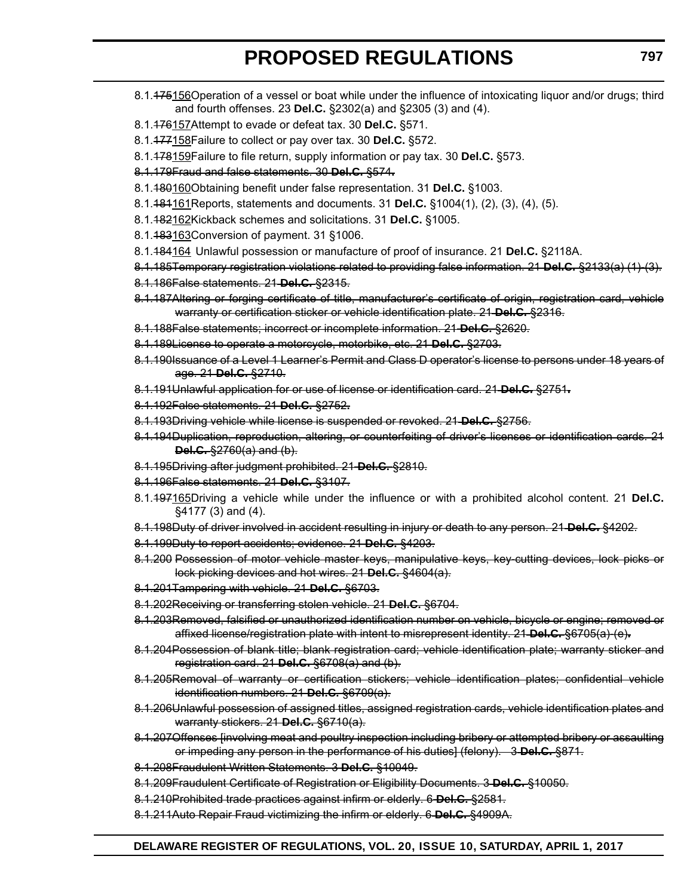- 8.1.175156Operation of a vessel or boat while under the influence of intoxicating liquor and/or drugs; third and fourth offenses. 23 **Del.C.** §2302(a) and §2305 (3) and (4).
- 8.1.176157Attempt to evade or defeat tax. 30 **Del.C.** §571.
- 8.1.177158Failure to collect or pay over tax. 30 **Del.C.** §572.
- 8.1.178159Failure to file return, supply information or pay tax. 30 **Del.C.** §573.
- 8.1.179Fraud and false statements. 30 **Del.C.** §574**.**
- 8.1.180160Obtaining benefit under false representation. 31 **Del.C.** §1003.
- 8.1.181161Reports, statements and documents. 31 **Del.C.** §1004(1), (2), (3), (4), (5).
- 8.1.182162Kickback schemes and solicitations. 31 **Del.C.** §1005.
- 8.1.483163Conversion of payment. 31 §1006.
- 8.1.184164 Unlawful possession or manufacture of proof of insurance. 21 **Del.C.** §2118A.
- 8.1.185Temporary registration violations related to providing false information. 21 **Del.C.** §2133(a) (1)-(3).
- 8.1.186False statements. 21 **Del.C.** §2315.
- 8.1.187Altering or forging certificate of title, manufacturer's certificate of origin, registration card, vehicle warranty or certification sticker or vehicle identification plate. 21 **Del.C.** §2316.
- 8.1.188False statements; incorrect or incomplete information. 21 **Del.C.** §2620.
- 8.1.189License to operate a motorcycle, motorbike, etc. 21 **Del.C.** §2703.
- 8.1.190Issuance of a Level 1 Learner's Permit and Class D operator's license to persons under 18 years of age. 21 **Del.C.** §2710.
- 8.1.191Unlawful application for or use of license or identification card. 21 **Del.C.** §2751**.**
- 8.1.192False statements. 21 **Del.C.** §2752**.**
- 8.1.193Driving vehicle while license is suspended or revoked. 21 **Del.C.** §2756.
- 8.1.194Duplication, reproduction, altering, or counterfeiting of driver's licenses or identification cards. 21 **Del.C.** §2760(a) and (b).
- 8.1.195Driving after judgment prohibited. 21 **Del.C.** §2810.
- 8.1.196False statements. 21 **Del.C.** §3107.
- 8.1.197165Driving a vehicle while under the influence or with a prohibited alcohol content. 21 **Del.C.** §4177 (3) and (4).
- 8.1.198Duty of driver involved in accident resulting in injury or death to any person. 21 **Del.C.** §4202.
- 8.1.199Duty to report accidents; evidence. 21 **Del.C.** §4203.
- 8.1.200 Possession of motor vehicle master keys, manipulative keys, key cutting devices, lock picks or lock picking devices and hot wires. 21 **Del.C.** §4604(a).
- 8.1.201Tampering with vehicle. 21 **Del.C.** §6703.
- 8.1.202Receiving or transferring stolen vehicle. 21 **Del.C.** §6704.
- 8.1.203Removed, falsified or unauthorized identification number on vehicle, bicycle or engine; removed or affixed license/registration plate with intent to misrepresent identity. 21 **Del.C.** §6705(a)-(e)**.**
- 8.1.204Possession of blank title; blank registration card; vehicle identification plate; warranty sticker and registration card. 21 **Del.C.** §6708(a) and (b).
- 8.1.205Removal of warranty or certification stickers; vehicle identification plates; confidential vehicle identification numbers. 21 **Del.C.** §6709(a).
- 8.1.206Unlawful possession of assigned titles, assigned registration cards, vehicle identification plates and warranty stickers. 21 **Del.C.** §6710(a).
- 8.1.207Offenses [involving meat and poultry inspection including bribery or attempted bribery or assaulting or impeding any person in the performance of his duties] (felony). 3 **Del.C.** §871.
- 8.1.208Fraudulent Written Statements. 3 **Del.C.** §10049.
- 8.1.209Fraudulent Certificate of Registration or Eligibility Documents. 3 **Del.C.** §10050.
- 8.1.210Prohibited trade practices against infirm or elderly. 6 **Del.C.** §2581.
- 8.1.211Auto Repair Fraud victimizing the infirm or elderly. 6 **Del.C.** §4909A.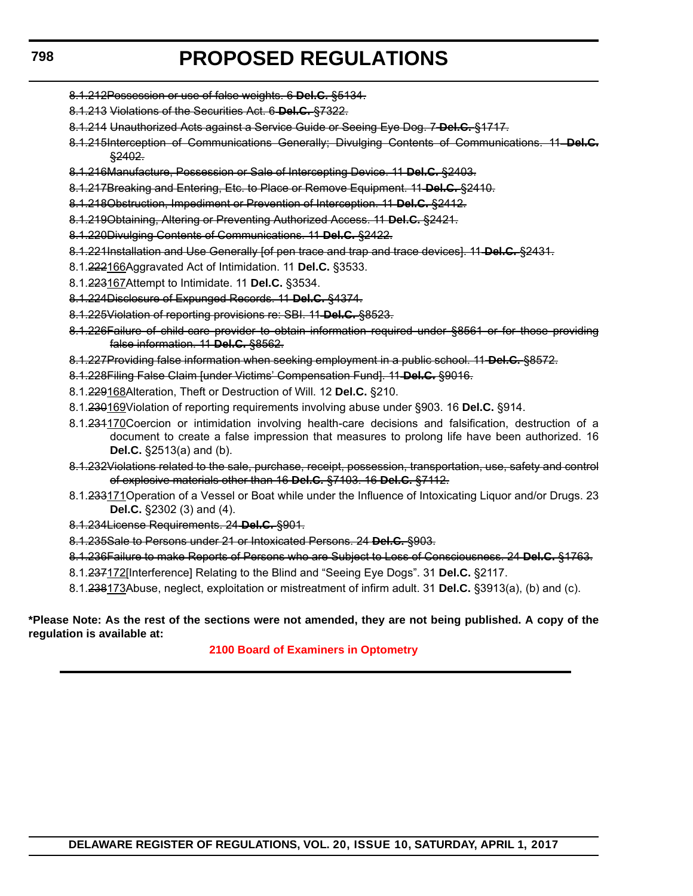- 8.1.212Possession or use of false weights. 6 **Del.C.** §5134.
- 8.1.213 Violations of the Securities Act. 6 **Del.C.** §7322.
- 8.1.214 Unauthorized Acts against a Service Guide or Seeing Eye Dog. 7 **Del.C.** §1717.
- 8.1.215Interception of Communications Generally; Divulging Contents of Communications. 11 **Del.C.** §2402.
- 8.1.216Manufacture, Possession or Sale of Intercepting Device. 11 **Del.C.** §2403.
- 8.1.217Breaking and Entering, Etc. to Place or Remove Equipment. 11 **Del.C.** §2410.
- 8.1.218Obstruction, Impediment or Prevention of Interception. 11 **Del.C.** §2412.
- 8.1.219Obtaining, Altering or Preventing Authorized Access. 11 **Del.C.** §2421.
- 8.1.220Divulging Contents of Communications. 11 **Del.C.** §2422.
- 8.1.221Installation and Use Generally [of pen trace and trap and trace devices]. 11 **Del.C.** §2431.
- 8.1.222166Aggravated Act of Intimidation. 11 **Del.C.** §3533.
- 8.1.223167Attempt to Intimidate. 11 **Del.C.** §3534.
- 8.1.224Disclosure of Expunged Records. 11 **Del.C.** §4374.
- 8.1.225Violation of reporting provisions re: SBI. 11 **Del.C.** §8523.
- 8.1.226Failure of child-care provider to obtain information required under §8561 or for those providing false information. 11 **Del.C.** §8562.
- 8.1.227Providing false information when seeking employment in a public school. 11 **Del.C.** §8572.
- 8.1.228Filing False Claim [under Victims' Compensation Fund]. 11 **Del.C.** §9016.
- 8.1.229168Alteration, Theft or Destruction of Will. 12 **Del.C.** §210.
- 8.1.230169Violation of reporting requirements involving abuse under §903. 16 **Del.C.** §914.
- 8.1.234170 Coercion or intimidation involving health-care decisions and falsification, destruction of a document to create a false impression that measures to prolong life have been authorized. 16 **Del.C.** §2513(a) and (b).
- 8.1.232Violations related to the sale, purchase, receipt, possession, transportation, use, safety and control of explosive materials other than 16 **Del.C.** §7103. 16 **Del.C.** §7112.
- 8.1.233171 Operation of a Vessel or Boat while under the Influence of Intoxicating Liquor and/or Drugs. 23 **Del.C.** §2302 (3) and (4).
- 8.1.234License Requirements. 24 **Del.C.** §901.
- 8.1.235Sale to Persons under 21 or Intoxicated Persons. 24 **Del.C.** §903.
- 8.1.236Failure to make Reports of Persons who are Subject to Loss of Consciousness. 24 **Del.C.** §1763.
- 8.1.237172[Interference] Relating to the Blind and "Seeing Eye Dogs". 31 **Del.C.** §2117.
- 8.1.238173Abuse, neglect, exploitation or mistreatment of infirm adult. 31 **Del.C.** §3913(a), (b) and (c).

#### **\*Please Note: As the rest of the sections were not amended, they are not being published. A copy of the regulation is available at:**

#### **[2100 Board of Examiners in Optometry](http://regulations.delaware.gov/register/april2017/proposed/20 DE Reg 791 04-01-17.htm)**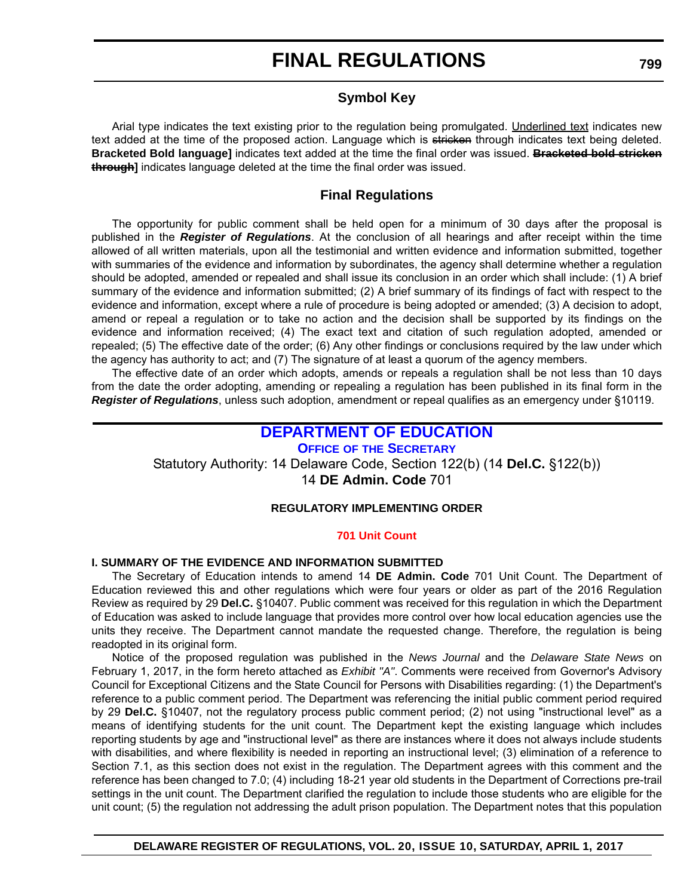# **FINAL REGULATIONS**

# **Symbol Key**

Arial type indicates the text existing prior to the regulation being promulgated. Underlined text indicates new text added at the time of the proposed action. Language which is stricken through indicates text being deleted. **Bracketed Bold language]** indicates text added at the time the final order was issued. **Bracketed bold stricken through]** indicates language deleted at the time the final order was issued.

# **Final Regulations**

The opportunity for public comment shall be held open for a minimum of 30 days after the proposal is published in the *Register of Regulations*. At the conclusion of all hearings and after receipt within the time allowed of all written materials, upon all the testimonial and written evidence and information submitted, together with summaries of the evidence and information by subordinates, the agency shall determine whether a regulation should be adopted, amended or repealed and shall issue its conclusion in an order which shall include: (1) A brief summary of the evidence and information submitted; (2) A brief summary of its findings of fact with respect to the evidence and information, except where a rule of procedure is being adopted or amended; (3) A decision to adopt, amend or repeal a regulation or to take no action and the decision shall be supported by its findings on the evidence and information received; (4) The exact text and citation of such regulation adopted, amended or repealed; (5) The effective date of the order; (6) Any other findings or conclusions required by the law under which the agency has authority to act; and (7) The signature of at least a quorum of the agency members.

The effective date of an order which adopts, amends or repeals a regulation shall be not less than 10 days from the date the order adopting, amending or repealing a regulation has been published in its final form in the *Register of Regulations*, unless such adoption, amendment or repeal qualifies as an emergency under §10119.

# **[DEPARTMENT OF EDUCATION](http://www.doe.k12.de.us/)**

**OFFICE OF [THE SECRETARY](https://pubapps.doe.k12.de.us/EducationalDirectoryPublic/pages/DDOE/Branches.aspx?page=branches&BID=1)** Statutory Authority: 14 Delaware Code, Section 122(b) (14 **Del.C.** §122(b))

14 **DE Admin. Code** 701

## **REGULATORY IMPLEMENTING ORDER**

## **[701 Unit Count](#page-3-0)**

# **I. SUMMARY OF THE EVIDENCE AND INFORMATION SUBMITTED**

The Secretary of Education intends to amend 14 **DE Admin. Code** 701 Unit Count. The Department of Education reviewed this and other regulations which were four years or older as part of the 2016 Regulation Review as required by 29 **Del.C.** §10407. Public comment was received for this regulation in which the Department of Education was asked to include language that provides more control over how local education agencies use the units they receive. The Department cannot mandate the requested change. Therefore, the regulation is being readopted in its original form.

Notice of the proposed regulation was published in the *News Journal* and the *Delaware State News* on February 1, 2017, in the form hereto attached as *Exhibit "A"*. Comments were received from Governor's Advisory Council for Exceptional Citizens and the State Council for Persons with Disabilities regarding: (1) the Department's reference to a public comment period. The Department was referencing the initial public comment period required by 29 **Del.C.** §10407, not the regulatory process public comment period; (2) not using "instructional level" as a means of identifying students for the unit count. The Department kept the existing language which includes reporting students by age and "instructional level" as there are instances where it does not always include students with disabilities, and where flexibility is needed in reporting an instructional level; (3) elimination of a reference to Section 7.1, as this section does not exist in the regulation. The Department agrees with this comment and the reference has been changed to 7.0; (4) including 18-21 year old students in the Department of Corrections pre-trail settings in the unit count. The Department clarified the regulation to include those students who are eligible for the unit count; (5) the regulation not addressing the adult prison population. The Department notes that this population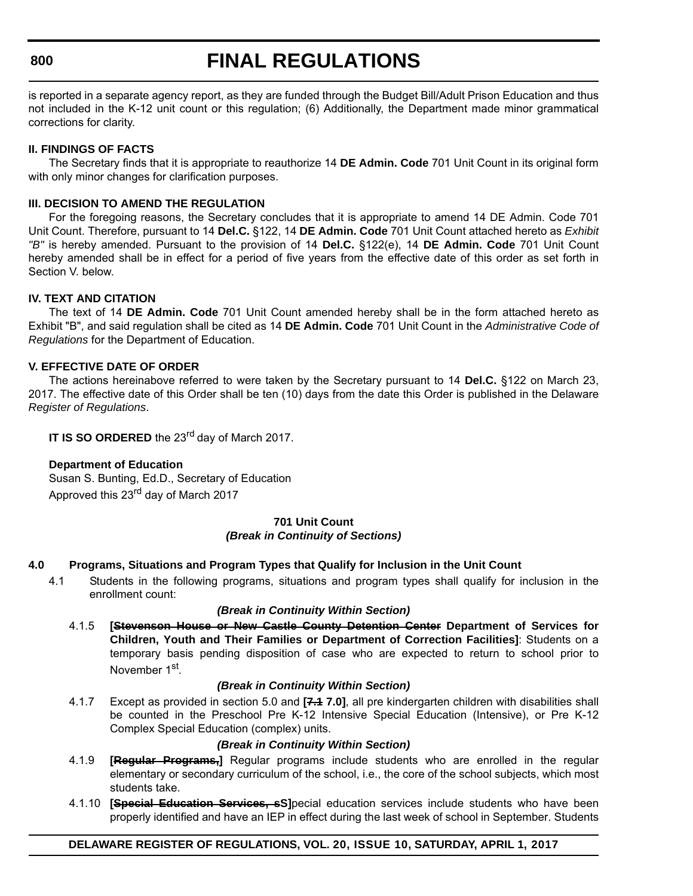#### **800**

# **FINAL REGULATIONS**

is reported in a separate agency report, as they are funded through the Budget Bill/Adult Prison Education and thus not included in the K-12 unit count or this regulation; (6) Additionally, the Department made minor grammatical corrections for clarity.

## **II. FINDINGS OF FACTS**

The Secretary finds that it is appropriate to reauthorize 14 **DE Admin. Code** 701 Unit Count in its original form with only minor changes for clarification purposes.

#### **III. DECISION TO AMEND THE REGULATION**

For the foregoing reasons, the Secretary concludes that it is appropriate to amend 14 DE Admin. Code 701 Unit Count. Therefore, pursuant to 14 **Del.C.** §122, 14 **DE Admin. Code** 701 Unit Count attached hereto as *Exhibit "B"* is hereby amended. Pursuant to the provision of 14 **Del.C.** §122(e), 14 **DE Admin. Code** 701 Unit Count hereby amended shall be in effect for a period of five years from the effective date of this order as set forth in Section V. below.

## **IV. TEXT AND CITATION**

The text of 14 **DE Admin. Code** 701 Unit Count amended hereby shall be in the form attached hereto as Exhibit "B", and said regulation shall be cited as 14 **DE Admin. Code** 701 Unit Count in the *Administrative Code of Regulations* for the Department of Education.

#### **V. EFFECTIVE DATE OF ORDER**

The actions hereinabove referred to were taken by the Secretary pursuant to 14 **Del.C.** §122 on March 23, 2017. The effective date of this Order shall be ten (10) days from the date this Order is published in the Delaware *Register of Regulations*.

**IT IS SO ORDERED** the 23<sup>rd</sup> day of March 2017.

## **Department of Education**

Susan S. Bunting, Ed.D., Secretary of Education Approved this 23<sup>rd</sup> day of March 2017

## **701 Unit Count** *(Break in Continuity of Sections)*

#### **4.0 Programs, Situations and Program Types that Qualify for Inclusion in the Unit Count**

4.1 Students in the following programs, situations and program types shall qualify for inclusion in the enrollment count:

#### *(Break in Continuity Within Section)*

4.1.5 **[Stevenson House or New Castle County Detention Center Department of Services for Children, Youth and Their Families or Department of Correction Facilities]**: Students on a temporary basis pending disposition of case who are expected to return to school prior to November 1<sup>st</sup>.

#### *(Break in Continuity Within Section)*

4.1.7 Except as provided in section 5.0 and **[7.1 7.0]**, all pre kindergarten children with disabilities shall be counted in the Preschool Pre K-12 Intensive Special Education (Intensive), or Pre K-12 Complex Special Education (complex) units.

#### *(Break in Continuity Within Section)*

- 4.1.9 **[Regular Programs,]** Regular programs include students who are enrolled in the regular elementary or secondary curriculum of the school, i.e., the core of the school subjects, which most students take.
- 4.1.10 **[Special Education Services, sS]**pecial education services include students who have been properly identified and have an IEP in effect during the last week of school in September. Students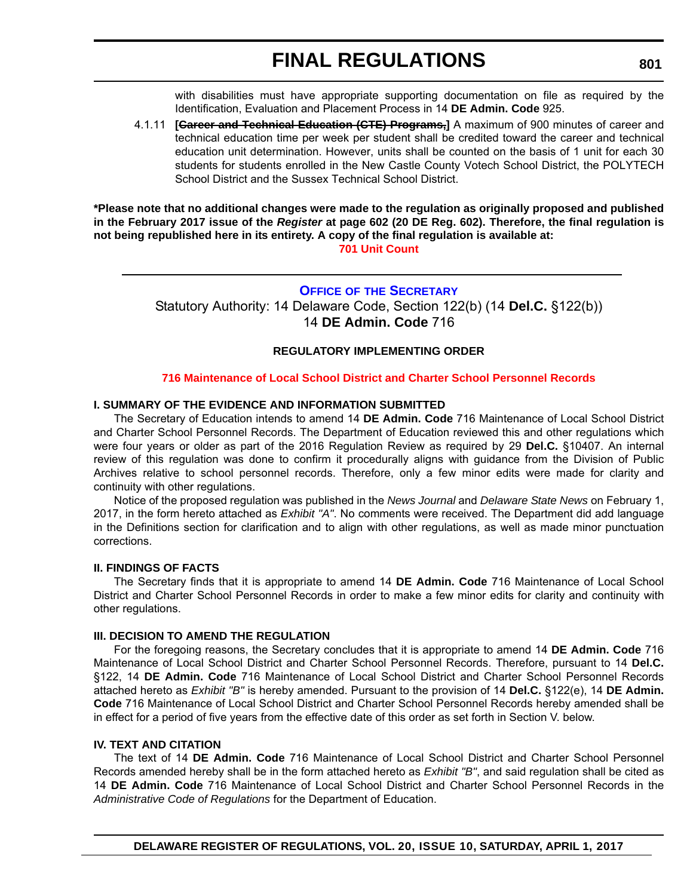with disabilities must have appropriate supporting documentation on file as required by the Identification, Evaluation and Placement Process in 14 **DE Admin. Code** 925.

4.1.11 **[Career and Technical Education (CTE) Programs,]** A maximum of 900 minutes of career and technical education time per week per student shall be credited toward the career and technical education unit determination. However, units shall be counted on the basis of 1 unit for each 30 students for students enrolled in the New Castle County Votech School District, the POLYTECH School District and the Sussex Technical School District.

**\*Please note that no additional changes were made to the regulation as originally proposed and published in the February 2017 issue of the** *Register* **at page 602 (20 DE Reg. 602). Therefore, the final regulation is not being republished here in its entirety. A copy of the final regulation is available at:**

**[701 Unit Count](http://regulations.delaware.gov/register/april2017/final/20 DE Reg 799 04-01-17.htm)**

## **OFFICE OF [THE SECRETARY](https://pubapps.doe.k12.de.us/EducationalDirectoryPublic/pages/DDOE/Branches.aspx?page=branches&BID=1)**

Statutory Authority: 14 Delaware Code, Section 122(b) (14 **Del.C.** §122(b)) 14 **DE Admin. Code** 716

## **REGULATORY IMPLEMENTING ORDER**

## **[716 Maintenance of Local School District and Charter School Personnel Records](#page-4-0)**

## **I. SUMMARY OF THE EVIDENCE AND INFORMATION SUBMITTED**

The Secretary of Education intends to amend 14 **DE Admin. Code** 716 Maintenance of Local School District and Charter School Personnel Records. The Department of Education reviewed this and other regulations which were four years or older as part of the 2016 Regulation Review as required by 29 **Del.C.** §10407. An internal review of this regulation was done to confirm it procedurally aligns with guidance from the Division of Public Archives relative to school personnel records. Therefore, only a few minor edits were made for clarity and continuity with other regulations.

Notice of the proposed regulation was published in the *News Journal* and *Delaware State News* on February 1, 2017, in the form hereto attached as *Exhibit "A"*. No comments were received. The Department did add language in the Definitions section for clarification and to align with other regulations, as well as made minor punctuation corrections.

#### **II. FINDINGS OF FACTS**

The Secretary finds that it is appropriate to amend 14 **DE Admin. Code** 716 Maintenance of Local School District and Charter School Personnel Records in order to make a few minor edits for clarity and continuity with other regulations.

#### **III. DECISION TO AMEND THE REGULATION**

For the foregoing reasons, the Secretary concludes that it is appropriate to amend 14 **DE Admin. Code** 716 Maintenance of Local School District and Charter School Personnel Records. Therefore, pursuant to 14 **Del.C.** §122, 14 **DE Admin. Code** 716 Maintenance of Local School District and Charter School Personnel Records attached hereto as *Exhibit "B"* is hereby amended. Pursuant to the provision of 14 **Del.C.** §122(e), 14 **DE Admin. Code** 716 Maintenance of Local School District and Charter School Personnel Records hereby amended shall be in effect for a period of five years from the effective date of this order as set forth in Section V. below.

#### **IV. TEXT AND CITATION**

The text of 14 **DE Admin. Code** 716 Maintenance of Local School District and Charter School Personnel Records amended hereby shall be in the form attached hereto as *Exhibit "B"*, and said regulation shall be cited as 14 **DE Admin. Code** 716 Maintenance of Local School District and Charter School Personnel Records in the *Administrative Code of Regulations* for the Department of Education.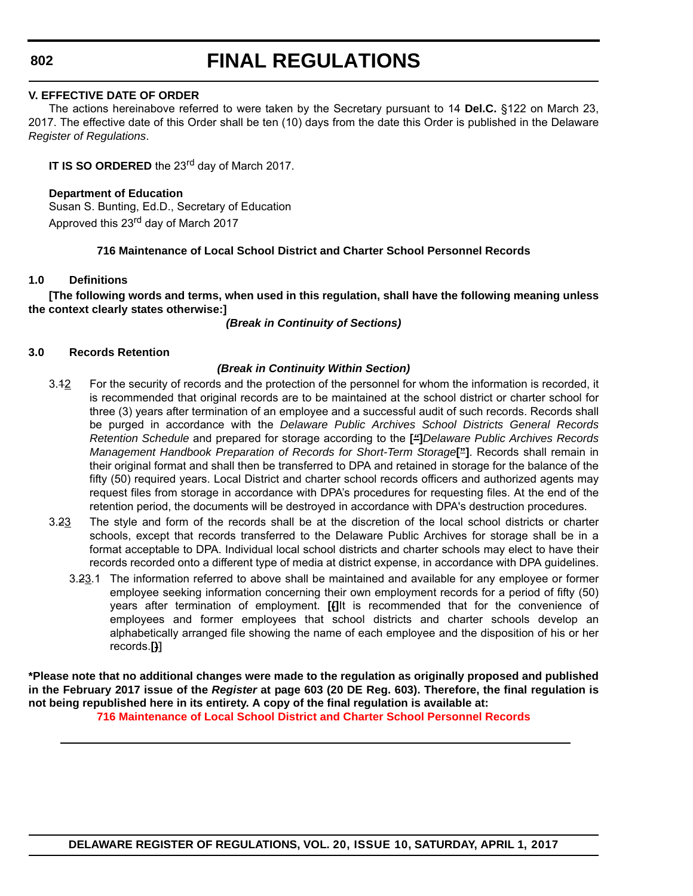**802**

# **FINAL REGULATIONS**

## **V. EFFECTIVE DATE OF ORDER**

The actions hereinabove referred to were taken by the Secretary pursuant to 14 **Del.C.** §122 on March 23, 2017. The effective date of this Order shall be ten (10) days from the date this Order is published in the Delaware *Register of Regulations*.

**IT IS SO ORDERED** the 23<sup>rd</sup> day of March 2017.

# **Department of Education**

Susan S. Bunting, Ed.D., Secretary of Education Approved this 23<sup>rd</sup> day of March 2017

# **716 Maintenance of Local School District and Charter School Personnel Records**

## **1.0 Definitions**

**[The following words and terms, when used in this regulation, shall have the following meaning unless the context clearly states otherwise:]**

*(Break in Continuity of Sections)*

## **3.0 Records Retention**

## *(Break in Continuity Within Section)*

- 3.12 For the security of records and the protection of the personnel for whom the information is recorded, it is recommended that original records are to be maintained at the school district or charter school for three (3) years after termination of an employee and a successful audit of such records. Records shall be purged in accordance with the *Delaware Public Archives School Districts General Records Retention Schedule* and prepared for storage according to the **[***"***]***Delaware Public Archives Records Management Handbook Preparation of Records for Short-Term Storage***["]**. Records shall remain in their original format and shall then be transferred to DPA and retained in storage for the balance of the fifty (50) required years. Local District and charter school records officers and authorized agents may request files from storage in accordance with DPA's procedures for requesting files. At the end of the retention period, the documents will be destroyed in accordance with DPA's destruction procedures.
- 3.23 The style and form of the records shall be at the discretion of the local school districts or charter schools, except that records transferred to the Delaware Public Archives for storage shall be in a format acceptable to DPA. Individual local school districts and charter schools may elect to have their records recorded onto a different type of media at district expense, in accordance with DPA guidelines.
	- 3.23.1 The information referred to above shall be maintained and available for any employee or former employee seeking information concerning their own employment records for a period of fifty (50) years after termination of employment. **[(]**It is recommended that for the convenience of employees and former employees that school districts and charter schools develop an alphabetically arranged file showing the name of each employee and the disposition of his or her records.**[)]**

**\*Please note that no additional changes were made to the regulation as originally proposed and published in the February 2017 issue of the** *Register* **at page 603 (20 DE Reg. 603). Therefore, the final regulation is not being republished here in its entirety. A copy of the final regulation is available at: [716 Maintenance of Local School District and Charter School Personnel Records](http://regulations.delaware.gov/register/april2017/final/20 DE Reg 801 04-01-17.htm)**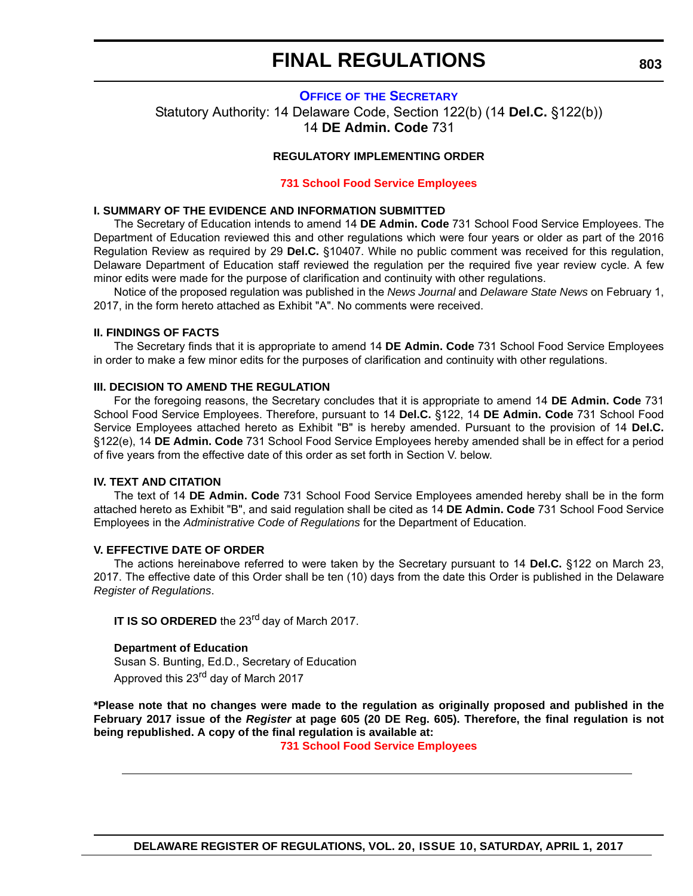# **FINAL REGULATIONS**

#### **OFFICE OF [THE SECRETARY](https://pubapps.doe.k12.de.us/EducationalDirectoryPublic/pages/DDOE/Branches.aspx?page=branches&BID=1)**

Statutory Authority: 14 Delaware Code, Section 122(b) (14 **Del.C.** §122(b)) 14 **DE Admin. Code** 731

#### **REGULATORY IMPLEMENTING ORDER**

#### **[731 School Food Service Employees](#page-4-0)**

#### **I. SUMMARY OF THE EVIDENCE AND INFORMATION SUBMITTED**

The Secretary of Education intends to amend 14 **DE Admin. Code** 731 School Food Service Employees. The Department of Education reviewed this and other regulations which were four years or older as part of the 2016 Regulation Review as required by 29 **Del.C.** §10407. While no public comment was received for this regulation, Delaware Department of Education staff reviewed the regulation per the required five year review cycle. A few minor edits were made for the purpose of clarification and continuity with other regulations.

Notice of the proposed regulation was published in the *News Journal* and *Delaware State News* on February 1, 2017, in the form hereto attached as Exhibit "A". No comments were received.

#### **II. FINDINGS OF FACTS**

The Secretary finds that it is appropriate to amend 14 **DE Admin. Code** 731 School Food Service Employees in order to make a few minor edits for the purposes of clarification and continuity with other regulations.

#### **III. DECISION TO AMEND THE REGULATION**

For the foregoing reasons, the Secretary concludes that it is appropriate to amend 14 **DE Admin. Code** 731 School Food Service Employees. Therefore, pursuant to 14 **Del.C.** §122, 14 **DE Admin. Code** 731 School Food Service Employees attached hereto as Exhibit "B" is hereby amended. Pursuant to the provision of 14 **Del.C.** §122(e), 14 **DE Admin. Code** 731 School Food Service Employees hereby amended shall be in effect for a period of five years from the effective date of this order as set forth in Section V. below.

#### **IV. TEXT AND CITATION**

The text of 14 **DE Admin. Code** 731 School Food Service Employees amended hereby shall be in the form attached hereto as Exhibit "B", and said regulation shall be cited as 14 **DE Admin. Code** 731 School Food Service Employees in the *Administrative Code of Regulations* for the Department of Education.

#### **V. EFFECTIVE DATE OF ORDER**

The actions hereinabove referred to were taken by the Secretary pursuant to 14 **Del.C.** §122 on March 23, 2017. The effective date of this Order shall be ten (10) days from the date this Order is published in the Delaware *Register of Regulations*.

**IT IS SO ORDERED** the 23<sup>rd</sup> day of March 2017.

#### **Department of Education**

Susan S. Bunting, Ed.D., Secretary of Education Approved this 23<sup>rd</sup> day of March 2017

**\*Please note that no changes were made to the regulation as originally proposed and published in the February 2017 issue of the** *Register* **at page 605 (20 DE Reg. 605). Therefore, the final regulation is not being republished. A copy of the final regulation is available at:**

**[731 School Food Service Employees](http://regulations.delaware.gov/register/april2017/final/20 DE Reg 803 04-01-17.htm)**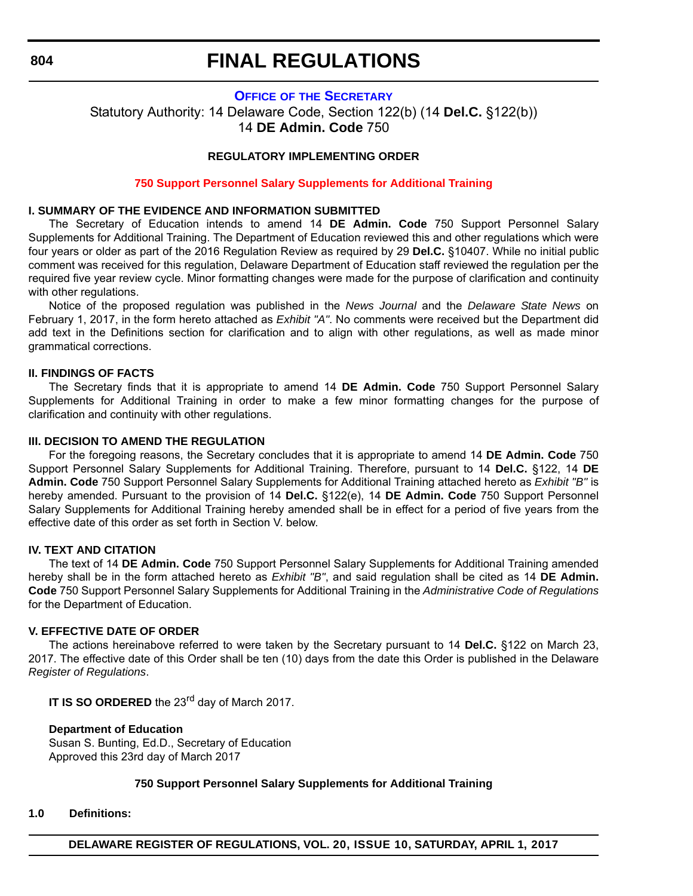**804**

# **FINAL REGULATIONS**

## **OFFICE OF [THE SECRETARY](https://pubapps.doe.k12.de.us/EducationalDirectoryPublic/pages/DDOE/Branches.aspx?page=branches&BID=1)**

Statutory Authority: 14 Delaware Code, Section 122(b) (14 **Del.C.** §122(b)) 14 **DE Admin. Code** 750

## **REGULATORY IMPLEMENTING ORDER**

## **[750 Support Personnel Salary Supplements for Additional Training](#page-4-0)**

#### **I. SUMMARY OF THE EVIDENCE AND INFORMATION SUBMITTED**

The Secretary of Education intends to amend 14 **DE Admin. Code** 750 Support Personnel Salary Supplements for Additional Training. The Department of Education reviewed this and other regulations which were four years or older as part of the 2016 Regulation Review as required by 29 **Del.C.** §10407. While no initial public comment was received for this regulation, Delaware Department of Education staff reviewed the regulation per the required five year review cycle. Minor formatting changes were made for the purpose of clarification and continuity with other regulations.

Notice of the proposed regulation was published in the *News Journal* and the *Delaware State News* on February 1, 2017, in the form hereto attached as *Exhibit "A"*. No comments were received but the Department did add text in the Definitions section for clarification and to align with other regulations, as well as made minor grammatical corrections.

#### **II. FINDINGS OF FACTS**

The Secretary finds that it is appropriate to amend 14 **DE Admin. Code** 750 Support Personnel Salary Supplements for Additional Training in order to make a few minor formatting changes for the purpose of clarification and continuity with other regulations.

#### **III. DECISION TO AMEND THE REGULATION**

For the foregoing reasons, the Secretary concludes that it is appropriate to amend 14 **DE Admin. Code** 750 Support Personnel Salary Supplements for Additional Training. Therefore, pursuant to 14 **Del.C.** §122, 14 **DE Admin. Code** 750 Support Personnel Salary Supplements for Additional Training attached hereto as *Exhibit "B"* is hereby amended. Pursuant to the provision of 14 **Del.C.** §122(e), 14 **DE Admin. Code** 750 Support Personnel Salary Supplements for Additional Training hereby amended shall be in effect for a period of five years from the effective date of this order as set forth in Section V. below.

#### **IV. TEXT AND CITATION**

The text of 14 **DE Admin. Code** 750 Support Personnel Salary Supplements for Additional Training amended hereby shall be in the form attached hereto as *Exhibit "B"*, and said regulation shall be cited as 14 **DE Admin. Code** 750 Support Personnel Salary Supplements for Additional Training in the *Administrative Code of Regulations* for the Department of Education.

#### **V. EFFECTIVE DATE OF ORDER**

The actions hereinabove referred to were taken by the Secretary pursuant to 14 **Del.C.** §122 on March 23, 2017. The effective date of this Order shall be ten (10) days from the date this Order is published in the Delaware *Register of Regulations*.

**IT IS SO ORDERED** the 23<sup>rd</sup> day of March 2017.

#### **Department of Education**

Susan S. Bunting, Ed.D., Secretary of Education Approved this 23rd day of March 2017

## **750 Support Personnel Salary Supplements for Additional Training**

#### **1.0 Definitions:**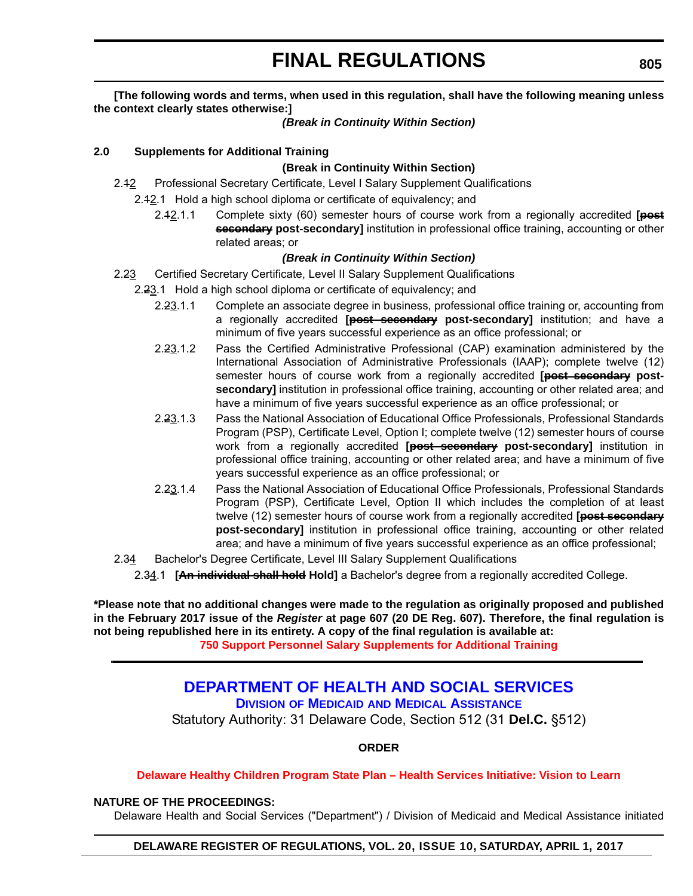## **[The following words and terms, when used in this regulation, shall have the following meaning unless the context clearly states otherwise:]**

#### *(Break in Continuity Within Section)*

## **2.0 Supplements for Additional Training**

## **(Break in Continuity Within Section)**

- 2.42 Professional Secretary Certificate, Level I Salary Supplement Qualifications
	- 2.42.1 Hold a high school diploma or certificate of equivalency; and
		- 2.12.1.1 Complete sixty (60) semester hours of course work from a regionally accredited **[post secondary post-secondary]** institution in professional office training, accounting or other related areas; or

#### *(Break in Continuity Within Section)*

- 2.23 Certified Secretary Certificate, Level II Salary Supplement Qualifications
	- 2.23.1 Hold a high school diploma or certificate of equivalency; and
		- 2.23.1.1 Complete an associate degree in business, professional office training or, accounting from a regionally accredited **[post secondary post-secondary]** institution; and have a minimum of five years successful experience as an office professional; or
		- 2.23.1.2 Pass the Certified Administrative Professional (CAP) examination administered by the International Association of Administrative Professionals (IAAP); complete twelve (12) semester hours of course work from a regionally accredited **[post secondary postsecondary]** institution in professional office training, accounting or other related area; and have a minimum of five years successful experience as an office professional; or
		- 2.23.1.3 Pass the National Association of Educational Office Professionals, Professional Standards Program (PSP), Certificate Level, Option I; complete twelve (12) semester hours of course work from a regionally accredited **[post secondary post-secondary]** institution in professional office training, accounting or other related area; and have a minimum of five years successful experience as an office professional; or
		- 2.23.1.4 Pass the National Association of Educational Office Professionals, Professional Standards Program (PSP), Certificate Level, Option II which includes the completion of at least twelve (12) semester hours of course work from a regionally accredited **[post secondary post-secondary]** institution in professional office training, accounting or other related area; and have a minimum of five years successful experience as an office professional;
- 2.34 Bachelor's Degree Certificate, Level III Salary Supplement Qualifications
	- 2.34.1 **[An individual shall hold Hold]** a Bachelor's degree from a regionally accredited College.

**\*Please note that no additional changes were made to the regulation as originally proposed and published in the February 2017 issue of the** *Register* **at page 607 (20 DE Reg. 607). Therefore, the final regulation is not being republished here in its entirety. A copy of the final regulation is available at:**

**[750 Support Personnel Salary Supplements for Additional Training](http://regulations.delaware.gov/register/april2017/final/20 DE Reg 804 04-01-17.htm)**

# **[DEPARTMENT OF HEALTH AND SOCIAL SERVICES](http://www.dhss.delaware.gov/dhss/index.html)**

**DIVISION OF MEDICAID [AND MEDICAL ASSISTANCE](http://www.dhss.delaware.gov/dhss/dmma/)**

Statutory Authority: 31 Delaware Code, Section 512 (31 **Del.C.** §512)

**ORDER**

#### **[Delaware Healthy Children Program State Plan – Health Services Initiative: Vision to Learn](#page-4-0)**

#### **NATURE OF THE PROCEEDINGS:**

Delaware Health and Social Services ("Department") / Division of Medicaid and Medical Assistance initiated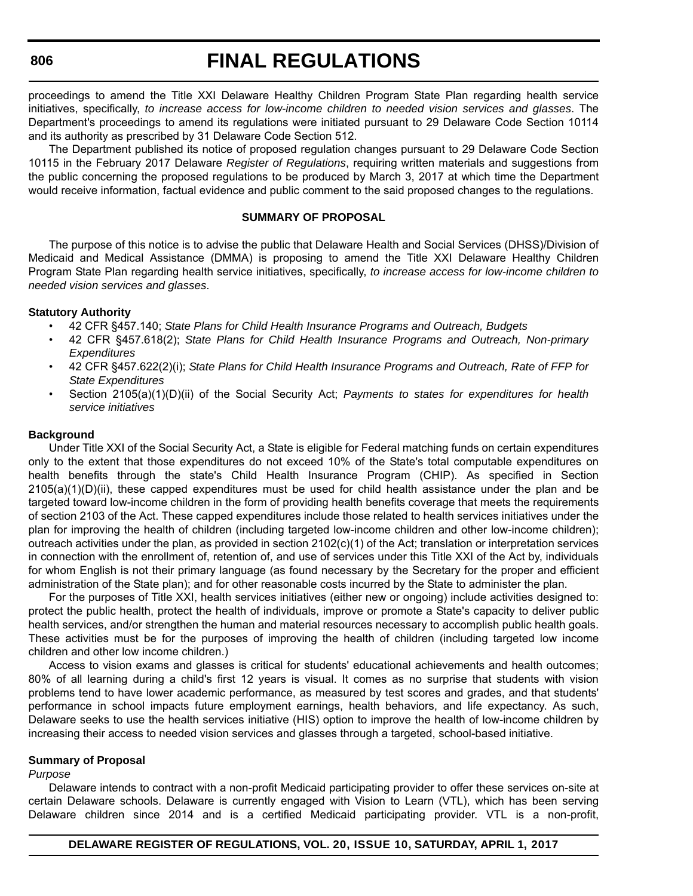#### **806**

# **FINAL REGULATIONS**

proceedings to amend the Title XXI Delaware Healthy Children Program State Plan regarding health service initiatives, specifically, *to increase access for low-income children to needed vision services and glasses*. The Department's proceedings to amend its regulations were initiated pursuant to 29 Delaware Code Section 10114 and its authority as prescribed by 31 Delaware Code Section 512.

The Department published its notice of proposed regulation changes pursuant to 29 Delaware Code Section 10115 in the February 2017 Delaware *Register of Regulations*, requiring written materials and suggestions from the public concerning the proposed regulations to be produced by March 3, 2017 at which time the Department would receive information, factual evidence and public comment to the said proposed changes to the regulations.

#### **SUMMARY OF PROPOSAL**

The purpose of this notice is to advise the public that Delaware Health and Social Services (DHSS)/Division of Medicaid and Medical Assistance (DMMA) is proposing to amend the Title XXI Delaware Healthy Children Program State Plan regarding health service initiatives, specifically, *to increase access for low-income children to needed vision services and glasses*.

#### **Statutory Authority**

- 42 CFR §457.140; *State Plans for Child Health Insurance Programs and Outreach, Budgets*
- 42 CFR §457.618(2); *State Plans for Child Health Insurance Programs and Outreach, Non-primary Expenditures*
- 42 CFR §457.622(2)(i); *State Plans for Child Health Insurance Programs and Outreach, Rate of FFP for State Expenditures*
- Section 2105(a)(1)(D)(ii) of the Social Security Act; *Payments to states for expenditures for health service initiatives*

#### **Background**

Under Title XXI of the Social Security Act, a State is eligible for Federal matching funds on certain expenditures only to the extent that those expenditures do not exceed 10% of the State's total computable expenditures on health benefits through the state's Child Health Insurance Program (CHIP). As specified in Section 2105(a)(1)(D)(ii), these capped expenditures must be used for child health assistance under the plan and be targeted toward low-income children in the form of providing health benefits coverage that meets the requirements of section 2103 of the Act. These capped expenditures include those related to health services initiatives under the plan for improving the health of children (including targeted low-income children and other low-income children); outreach activities under the plan, as provided in section 2102(c)(1) of the Act; translation or interpretation services in connection with the enrollment of, retention of, and use of services under this Title XXI of the Act by, individuals for whom English is not their primary language (as found necessary by the Secretary for the proper and efficient administration of the State plan); and for other reasonable costs incurred by the State to administer the plan.

For the purposes of Title XXI, health services initiatives (either new or ongoing) include activities designed to: protect the public health, protect the health of individuals, improve or promote a State's capacity to deliver public health services, and/or strengthen the human and material resources necessary to accomplish public health goals. These activities must be for the purposes of improving the health of children (including targeted low income children and other low income children.)

Access to vision exams and glasses is critical for students' educational achievements and health outcomes; 80% of all learning during a child's first 12 years is visual. It comes as no surprise that students with vision problems tend to have lower academic performance, as measured by test scores and grades, and that students' performance in school impacts future employment earnings, health behaviors, and life expectancy. As such, Delaware seeks to use the health services initiative (HIS) option to improve the health of low-income children by increasing their access to needed vision services and glasses through a targeted, school-based initiative.

#### **Summary of Proposal**

#### *Purpose*

Delaware intends to contract with a non-profit Medicaid participating provider to offer these services on-site at certain Delaware schools. Delaware is currently engaged with Vision to Learn (VTL), which has been serving Delaware children since 2014 and is a certified Medicaid participating provider. VTL is a non-profit,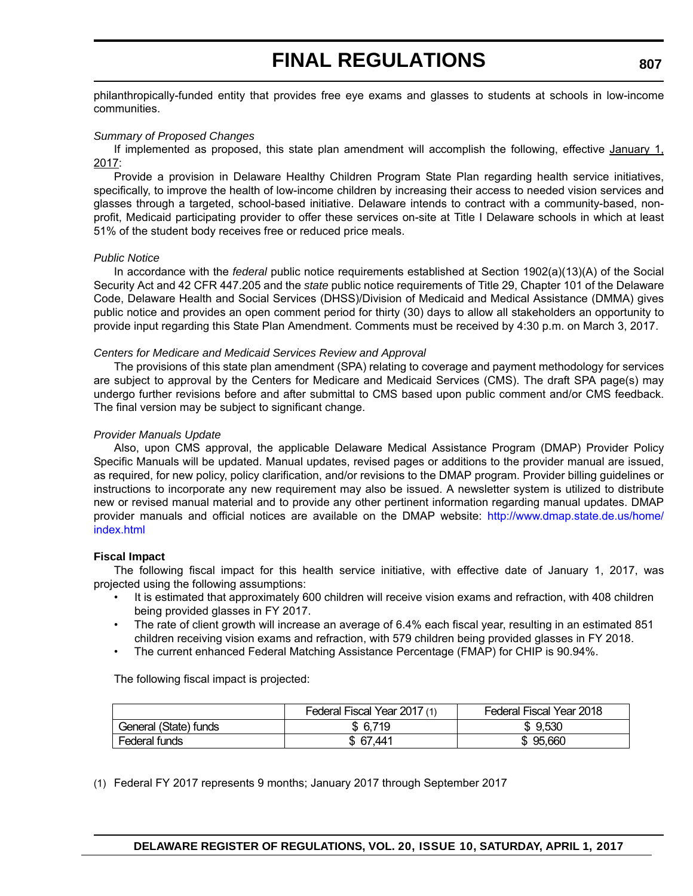# **FINAL REGULATIONS**

philanthropically-funded entity that provides free eye exams and glasses to students at schools in low-income communities.

#### *Summary of Proposed Changes*

If implemented as proposed, this state plan amendment will accomplish the following, effective  $\frac{1}{2}$ 2017:

Provide a provision in Delaware Healthy Children Program State Plan regarding health service initiatives, specifically, to improve the health of low-income children by increasing their access to needed vision services and glasses through a targeted, school-based initiative. Delaware intends to contract with a community-based, nonprofit, Medicaid participating provider to offer these services on-site at Title I Delaware schools in which at least 51% of the student body receives free or reduced price meals.

#### *Public Notice*

In accordance with the *federal* public notice requirements established at Section 1902(a)(13)(A) of the Social Security Act and 42 CFR 447.205 and the *state* public notice requirements of Title 29, Chapter 101 of the Delaware Code, Delaware Health and Social Services (DHSS)/Division of Medicaid and Medical Assistance (DMMA) gives public notice and provides an open comment period for thirty (30) days to allow all stakeholders an opportunity to provide input regarding this State Plan Amendment. Comments must be received by 4:30 p.m. on March 3, 2017.

#### *Centers for Medicare and Medicaid Services Review and Approval*

The provisions of this state plan amendment (SPA) relating to coverage and payment methodology for services are subject to approval by the Centers for Medicare and Medicaid Services (CMS). The draft SPA page(s) may undergo further revisions before and after submittal to CMS based upon public comment and/or CMS feedback. The final version may be subject to significant change.

#### *Provider Manuals Update*

Also, upon CMS approval, the applicable Delaware Medical Assistance Program (DMAP) Provider Policy Specific Manuals will be updated. Manual updates, revised pages or additions to the provider manual are issued, as required, for new policy, policy clarification, and/or revisions to the DMAP program. Provider billing guidelines or instructions to incorporate any new requirement may also be issued. A newsletter system is utilized to distribute new or revised manual material and to provide any other pertinent information regarding manual updates. DMAP provider manuals and official notices are available on the DMAP website: http://www.dmap.state.de.us/home/ index.html

#### **Fiscal Impact**

The following fiscal impact for this health service initiative, with effective date of January 1, 2017, was projected using the following assumptions:

- It is estimated that approximately 600 children will receive vision exams and refraction, with 408 children being provided glasses in FY 2017.
- The rate of client growth will increase an average of 6.4% each fiscal year, resulting in an estimated 851 children receiving vision exams and refraction, with 579 children being provided glasses in FY 2018.
- The current enhanced Federal Matching Assistance Percentage (FMAP) for CHIP is 90.94%.

The following fiscal impact is projected:

|                       | Federal Fiscal Year 2017 (1) | Federal Fiscal Year 2018 |
|-----------------------|------------------------------|--------------------------|
| General (State) funds | \$ 6,719                     | \$9,530                  |
| Federal funds         | \$ 67,441                    | 95,660<br>J.             |

(1) Federal FY 2017 represents 9 months; January 2017 through September 2017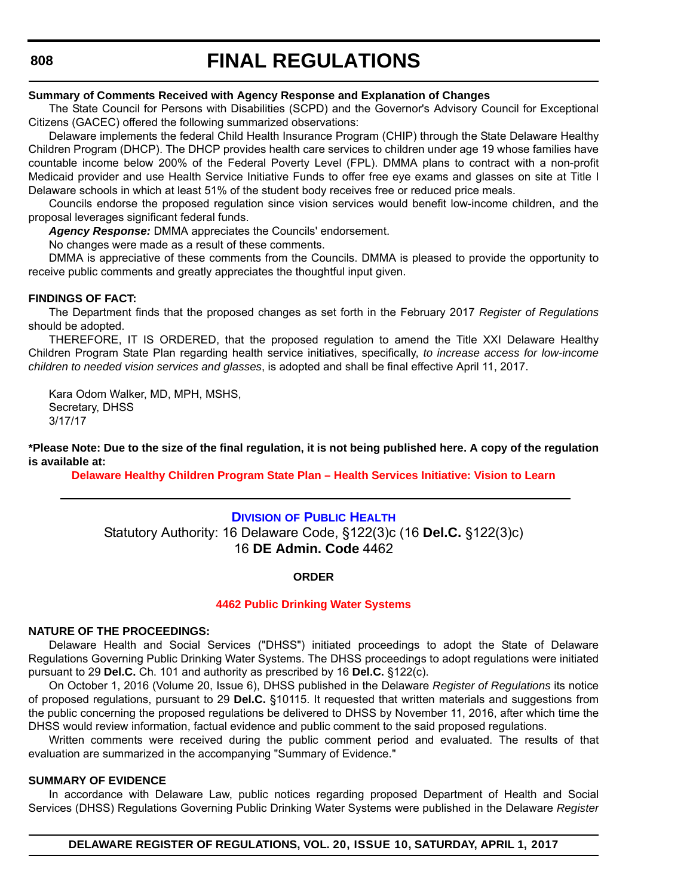# **FINAL REGULATIONS**

#### **Summary of Comments Received with Agency Response and Explanation of Changes**

The State Council for Persons with Disabilities (SCPD) and the Governor's Advisory Council for Exceptional Citizens (GACEC) offered the following summarized observations:

Delaware implements the federal Child Health Insurance Program (CHIP) through the State Delaware Healthy Children Program (DHCP). The DHCP provides health care services to children under age 19 whose families have countable income below 200% of the Federal Poverty Level (FPL). DMMA plans to contract with a non-profit Medicaid provider and use Health Service Initiative Funds to offer free eye exams and glasses on site at Title I Delaware schools in which at least 51% of the student body receives free or reduced price meals.

Councils endorse the proposed regulation since vision services would benefit low-income children, and the proposal leverages significant federal funds.

*Agency Response:* DMMA appreciates the Councils' endorsement.

No changes were made as a result of these comments.

DMMA is appreciative of these comments from the Councils. DMMA is pleased to provide the opportunity to receive public comments and greatly appreciates the thoughtful input given.

#### **FINDINGS OF FACT:**

The Department finds that the proposed changes as set forth in the February 2017 *Register of Regulations* should be adopted.

THEREFORE, IT IS ORDERED, that the proposed regulation to amend the Title XXI Delaware Healthy Children Program State Plan regarding health service initiatives, specifically, *to increase access for low-income children to needed vision services and glasses*, is adopted and shall be final effective April 11, 2017.

Kara Odom Walker, MD, MPH, MSHS, Secretary, DHSS 3/17/17

**\*Please Note: Due to the size of the final regulation, it is not being published here. A copy of the regulation is available at:**

**[Delaware Healthy Children Program State Plan – Health Services Initiative: Vision to Learn](http://regulations.delaware.gov/register/april2017/final/20 DE Reg 805 04-01-17.htm)**

#### **DIVISION [OF PUBLIC HEALTH](http://www.dhss.delaware.gov/dhss/dph/index.html)**

Statutory Authority: 16 Delaware Code, §122(3)c (16 **Del.C.** §122(3)c) 16 **DE Admin. Code** 4462

#### **ORDER**

#### **[4462 Public Drinking Water Systems](#page-4-0)**

#### **NATURE OF THE PROCEEDINGS:**

Delaware Health and Social Services ("DHSS") initiated proceedings to adopt the State of Delaware Regulations Governing Public Drinking Water Systems. The DHSS proceedings to adopt regulations were initiated pursuant to 29 **Del.C.** Ch. 101 and authority as prescribed by 16 **Del.C.** §122(c).

On October 1, 2016 (Volume 20, Issue 6), DHSS published in the Delaware *Register of Regulations* its notice of proposed regulations, pursuant to 29 **Del.C.** §10115. It requested that written materials and suggestions from the public concerning the proposed regulations be delivered to DHSS by November 11, 2016, after which time the DHSS would review information, factual evidence and public comment to the said proposed regulations.

Written comments were received during the public comment period and evaluated. The results of that evaluation are summarized in the accompanying "Summary of Evidence."

#### **SUMMARY OF EVIDENCE**

In accordance with Delaware Law, public notices regarding proposed Department of Health and Social Services (DHSS) Regulations Governing Public Drinking Water Systems were published in the Delaware *Register*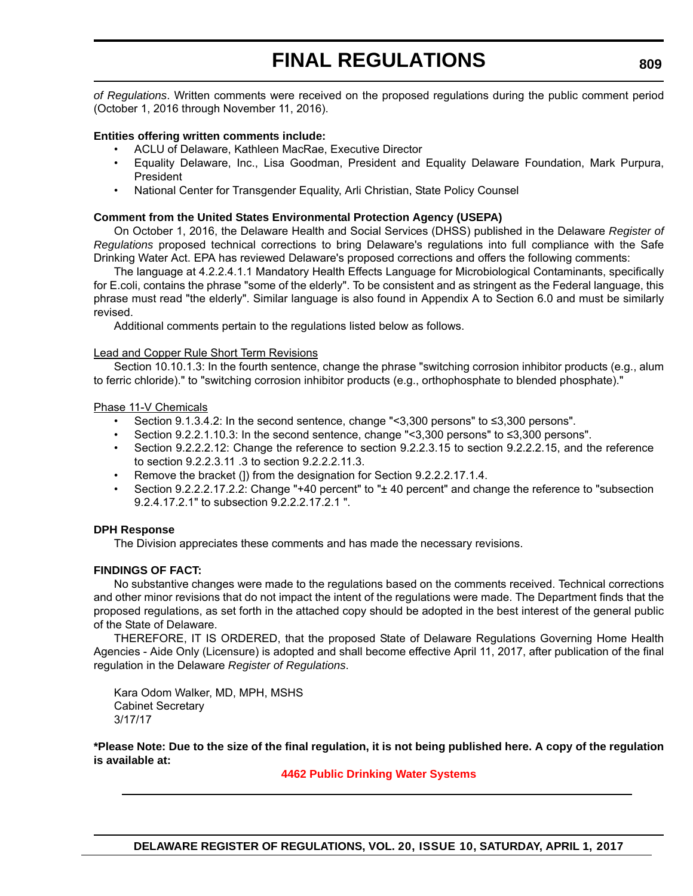*of Regulations*. Written comments were received on the proposed regulations during the public comment period (October 1, 2016 through November 11, 2016).

#### **Entities offering written comments include:**

- ACLU of Delaware, Kathleen MacRae, Executive Director
- Equality Delaware, Inc., Lisa Goodman, President and Equality Delaware Foundation, Mark Purpura, President
- National Center for Transgender Equality, Arli Christian, State Policy Counsel

#### **Comment from the United States Environmental Protection Agency (USEPA)**

On October 1, 2016, the Delaware Health and Social Services (DHSS) published in the Delaware *Register of Regulations* proposed technical corrections to bring Delaware's regulations into full compliance with the Safe Drinking Water Act. EPA has reviewed Delaware's proposed corrections and offers the following comments:

The language at 4.2.2.4.1.1 Mandatory Health Effects Language for Microbiological Contaminants, specifically for E.coli, contains the phrase "some of the elderly". To be consistent and as stringent as the Federal language, this phrase must read "the elderly". Similar language is also found in Appendix A to Section 6.0 and must be similarly revised.

Additional comments pertain to the regulations listed below as follows.

#### Lead and Copper Rule Short Term Revisions

Section 10.10.1.3: In the fourth sentence, change the phrase "switching corrosion inhibitor products (e.g., alum to ferric chloride)." to "switching corrosion inhibitor products (e.g., orthophosphate to blended phosphate)."

#### Phase 11-V Chemicals

- Section 9.1.3.4.2: In the second sentence, change "<3,300 persons" to ≤3,300 persons".
- Section 9.2.2.1.10.3: In the second sentence, change "<3,300 persons" to ≤3,300 persons".
- Section 9.2.2.2.12: Change the reference to section 9.2.2.3.15 to section 9.2.2.2.15, and the reference to section 9.2.2.3.11 .3 to section 9.2.2.2.11.3.
- Remove the bracket (1) from the designation for Section 9.2.2.2.17.1.4.
- Section 9.2.2.2.17.2.2: Change "+40 percent" to "± 40 percent" and change the reference to "subsection 9.2.4.17.2.1" to subsection 9.2.2.2.17.2.1 ".

#### **DPH Response**

The Division appreciates these comments and has made the necessary revisions.

#### **FINDINGS OF FACT:**

No substantive changes were made to the regulations based on the comments received. Technical corrections and other minor revisions that do not impact the intent of the regulations were made. The Department finds that the proposed regulations, as set forth in the attached copy should be adopted in the best interest of the general public of the State of Delaware.

THEREFORE, IT IS ORDERED, that the proposed State of Delaware Regulations Governing Home Health Agencies - Aide Only (Licensure) is adopted and shall become effective April 11, 2017, after publication of the final regulation in the Delaware *Register of Regulations*.

Kara Odom Walker, MD, MPH, MSHS Cabinet Secretary 3/17/17

**\*Please Note: Due to the size of the final regulation, it is not being published here. A copy of the regulation is available at:**

**[4462 Public Drinking Water Systems](http://regulations.delaware.gov/register/april2017/final/20 DE Reg 808 04-01-17.htm)**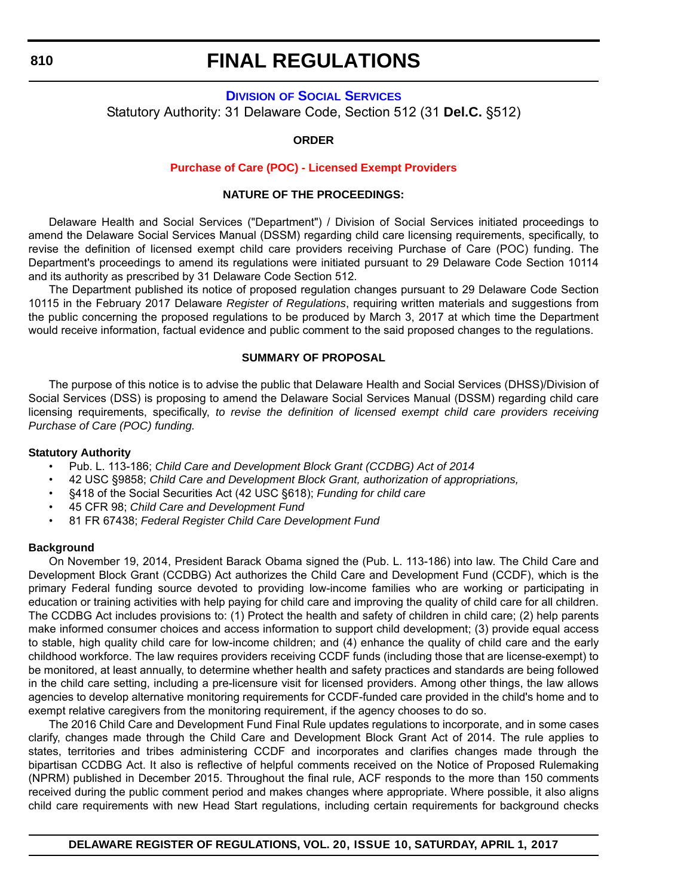# **FINAL REGULATIONS**

## **DIVISION [OF SOCIAL SERVICES](http://www.dhss.delaware.gov/dhss/dss/)** Statutory Authority: 31 Delaware Code, Section 512 (31 **Del.C.** §512)

#### **ORDER**

#### **[Purchase of Care \(POC\) - Licensed Exempt Providers](#page-4-0)**

#### **NATURE OF THE PROCEEDINGS:**

Delaware Health and Social Services ("Department") / Division of Social Services initiated proceedings to amend the Delaware Social Services Manual (DSSM) regarding child care licensing requirements, specifically, to revise the definition of licensed exempt child care providers receiving Purchase of Care (POC) funding. The Department's proceedings to amend its regulations were initiated pursuant to 29 Delaware Code Section 10114 and its authority as prescribed by 31 Delaware Code Section 512.

The Department published its notice of proposed regulation changes pursuant to 29 Delaware Code Section 10115 in the February 2017 Delaware *Register of Regulations*, requiring written materials and suggestions from the public concerning the proposed regulations to be produced by March 3, 2017 at which time the Department would receive information, factual evidence and public comment to the said proposed changes to the regulations.

#### **SUMMARY OF PROPOSAL**

The purpose of this notice is to advise the public that Delaware Health and Social Services (DHSS)/Division of Social Services (DSS) is proposing to amend the Delaware Social Services Manual (DSSM) regarding child care licensing requirements, specifically, *to revise the definition of licensed exempt child care providers receiving Purchase of Care (POC) funding.*

#### **Statutory Authority**

- Pub. L. 113-186; *Child Care and Development Block Grant (CCDBG) Act of 2014*
- 42 USC §9858; *Child Care and Development Block Grant, authorization of appropriations,*
- §418 of the Social Securities Act (42 USC §618); *Funding for child care*
- 45 CFR 98; *Child Care and Development Fund*
- 81 FR 67438; *Federal Register Child Care Development Fund*

#### **Background**

On November 19, 2014, President Barack Obama signed the (Pub. L. 113-186) into law. The Child Care and Development Block Grant (CCDBG) Act authorizes the Child Care and Development Fund (CCDF), which is the primary Federal funding source devoted to providing low-income families who are working or participating in education or training activities with help paying for child care and improving the quality of child care for all children. The CCDBG Act includes provisions to: (1) Protect the health and safety of children in child care; (2) help parents make informed consumer choices and access information to support child development; (3) provide equal access to stable, high quality child care for low-income children; and (4) enhance the quality of child care and the early childhood workforce. The law requires providers receiving CCDF funds (including those that are license-exempt) to be monitored, at least annually, to determine whether health and safety practices and standards are being followed in the child care setting, including a pre-licensure visit for licensed providers. Among other things, the law allows agencies to develop alternative monitoring requirements for CCDF-funded care provided in the child's home and to exempt relative caregivers from the monitoring requirement, if the agency chooses to do so.

The 2016 Child Care and Development Fund Final Rule updates regulations to incorporate, and in some cases clarify, changes made through the Child Care and Development Block Grant Act of 2014. The rule applies to states, territories and tribes administering CCDF and incorporates and clarifies changes made through the bipartisan CCDBG Act. It also is reflective of helpful comments received on the Notice of Proposed Rulemaking (NPRM) published in December 2015. Throughout the final rule, ACF responds to the more than 150 comments received during the public comment period and makes changes where appropriate. Where possible, it also aligns child care requirements with new Head Start regulations, including certain requirements for background checks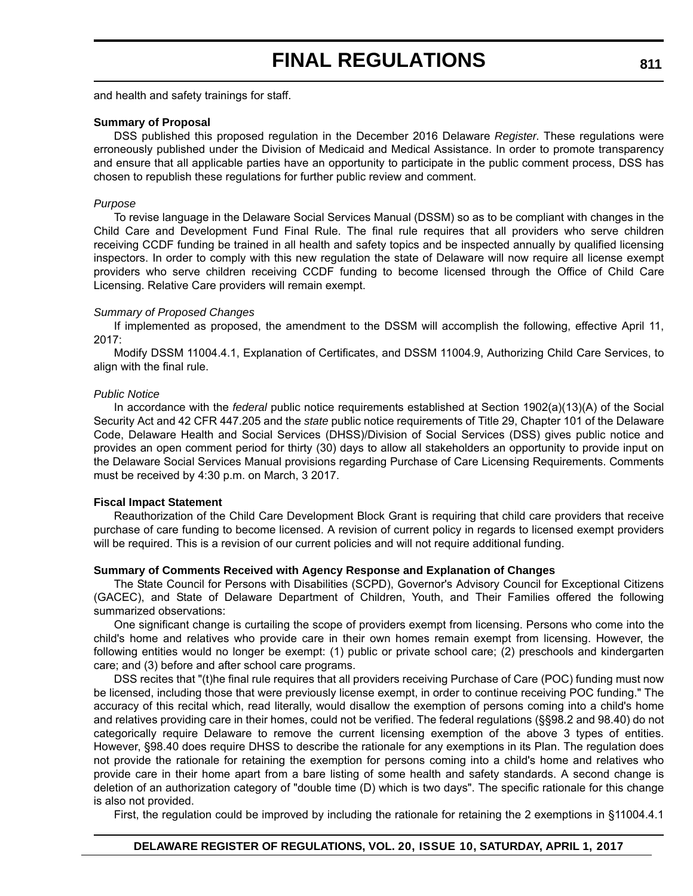and health and safety trainings for staff.

#### **Summary of Proposal**

DSS published this proposed regulation in the December 2016 Delaware *Register*. These regulations were erroneously published under the Division of Medicaid and Medical Assistance. In order to promote transparency and ensure that all applicable parties have an opportunity to participate in the public comment process, DSS has chosen to republish these regulations for further public review and comment.

#### *Purpose*

To revise language in the Delaware Social Services Manual (DSSM) so as to be compliant with changes in the Child Care and Development Fund Final Rule. The final rule requires that all providers who serve children receiving CCDF funding be trained in all health and safety topics and be inspected annually by qualified licensing inspectors. In order to comply with this new regulation the state of Delaware will now require all license exempt providers who serve children receiving CCDF funding to become licensed through the Office of Child Care Licensing. Relative Care providers will remain exempt.

#### *Summary of Proposed Changes*

If implemented as proposed, the amendment to the DSSM will accomplish the following, effective April 11, 2017:

Modify DSSM 11004.4.1, Explanation of Certificates, and DSSM 11004.9, Authorizing Child Care Services, to align with the final rule.

#### *Public Notice*

In accordance with the *federal* public notice requirements established at Section 1902(a)(13)(A) of the Social Security Act and 42 CFR 447.205 and the *state* public notice requirements of Title 29, Chapter 101 of the Delaware Code, Delaware Health and Social Services (DHSS)/Division of Social Services (DSS) gives public notice and provides an open comment period for thirty (30) days to allow all stakeholders an opportunity to provide input on the Delaware Social Services Manual provisions regarding Purchase of Care Licensing Requirements. Comments must be received by 4:30 p.m. on March, 3 2017.

#### **Fiscal Impact Statement**

Reauthorization of the Child Care Development Block Grant is requiring that child care providers that receive purchase of care funding to become licensed. A revision of current policy in regards to licensed exempt providers will be required. This is a revision of our current policies and will not require additional funding.

#### **Summary of Comments Received with Agency Response and Explanation of Changes**

The State Council for Persons with Disabilities (SCPD), Governor's Advisory Council for Exceptional Citizens (GACEC), and State of Delaware Department of Children, Youth, and Their Families offered the following summarized observations:

One significant change is curtailing the scope of providers exempt from licensing. Persons who come into the child's home and relatives who provide care in their own homes remain exempt from licensing. However, the following entities would no longer be exempt: (1) public or private school care; (2) preschools and kindergarten care; and (3) before and after school care programs.

DSS recites that "(t)he final rule requires that all providers receiving Purchase of Care (POC) funding must now be licensed, including those that were previously license exempt, in order to continue receiving POC funding." The accuracy of this recital which, read literally, would disallow the exemption of persons coming into a child's home and relatives providing care in their homes, could not be verified. The federal regulations (§§98.2 and 98.40) do not categorically require Delaware to remove the current licensing exemption of the above 3 types of entities. However, §98.40 does require DHSS to describe the rationale for any exemptions in its Plan. The regulation does not provide the rationale for retaining the exemption for persons coming into a child's home and relatives who provide care in their home apart from a bare listing of some health and safety standards. A second change is deletion of an authorization category of "double time (D) which is two days". The specific rationale for this change is also not provided.

First, the regulation could be improved by including the rationale for retaining the 2 exemptions in §11004.4.1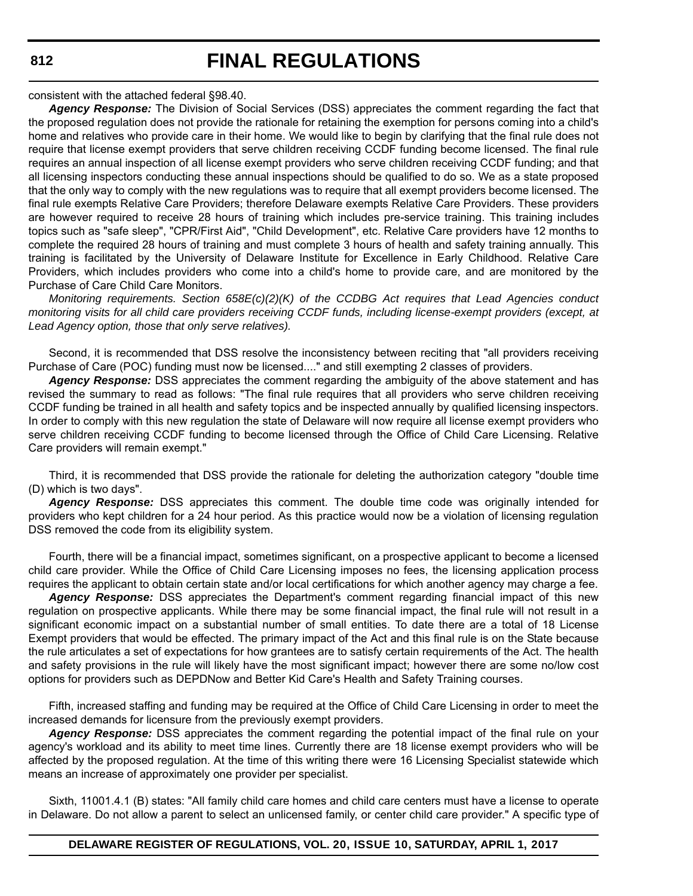# **FINAL REGULATIONS**

consistent with the attached federal §98.40.

*Agency Response:* The Division of Social Services (DSS) appreciates the comment regarding the fact that the proposed regulation does not provide the rationale for retaining the exemption for persons coming into a child's home and relatives who provide care in their home. We would like to begin by clarifying that the final rule does not require that license exempt providers that serve children receiving CCDF funding become licensed. The final rule requires an annual inspection of all license exempt providers who serve children receiving CCDF funding; and that all licensing inspectors conducting these annual inspections should be qualified to do so. We as a state proposed that the only way to comply with the new regulations was to require that all exempt providers become licensed. The final rule exempts Relative Care Providers; therefore Delaware exempts Relative Care Providers. These providers are however required to receive 28 hours of training which includes pre-service training. This training includes topics such as "safe sleep", "CPR/First Aid", "Child Development", etc. Relative Care providers have 12 months to complete the required 28 hours of training and must complete 3 hours of health and safety training annually. This training is facilitated by the University of Delaware Institute for Excellence in Early Childhood. Relative Care Providers, which includes providers who come into a child's home to provide care, and are monitored by the Purchase of Care Child Care Monitors.

*Monitoring requirements. Section 658E(c)(2)(K) of the CCDBG Act requires that Lead Agencies conduct monitoring visits for all child care providers receiving CCDF funds, including license-exempt providers (except, at Lead Agency option, those that only serve relatives).* 

Second, it is recommended that DSS resolve the inconsistency between reciting that "all providers receiving Purchase of Care (POC) funding must now be licensed...." and still exempting 2 classes of providers.

*Agency Response:* DSS appreciates the comment regarding the ambiguity of the above statement and has revised the summary to read as follows: "The final rule requires that all providers who serve children receiving CCDF funding be trained in all health and safety topics and be inspected annually by qualified licensing inspectors. In order to comply with this new regulation the state of Delaware will now require all license exempt providers who serve children receiving CCDF funding to become licensed through the Office of Child Care Licensing. Relative Care providers will remain exempt."

Third, it is recommended that DSS provide the rationale for deleting the authorization category "double time (D) which is two days".

*Agency Response:* DSS appreciates this comment. The double time code was originally intended for providers who kept children for a 24 hour period. As this practice would now be a violation of licensing regulation DSS removed the code from its eligibility system.

Fourth, there will be a financial impact, sometimes significant, on a prospective applicant to become a licensed child care provider. While the Office of Child Care Licensing imposes no fees, the licensing application process requires the applicant to obtain certain state and/or local certifications for which another agency may charge a fee.

*Agency Response:* DSS appreciates the Department's comment regarding financial impact of this new regulation on prospective applicants. While there may be some financial impact, the final rule will not result in a significant economic impact on a substantial number of small entities. To date there are a total of 18 License Exempt providers that would be effected. The primary impact of the Act and this final rule is on the State because the rule articulates a set of expectations for how grantees are to satisfy certain requirements of the Act. The health and safety provisions in the rule will likely have the most significant impact; however there are some no/low cost options for providers such as DEPDNow and Better Kid Care's Health and Safety Training courses.

Fifth, increased staffing and funding may be required at the Office of Child Care Licensing in order to meet the increased demands for licensure from the previously exempt providers.

*Agency Response:* DSS appreciates the comment regarding the potential impact of the final rule on your agency's workload and its ability to meet time lines. Currently there are 18 license exempt providers who will be affected by the proposed regulation. At the time of this writing there were 16 Licensing Specialist statewide which means an increase of approximately one provider per specialist.

Sixth, 11001.4.1 (B) states: "All family child care homes and child care centers must have a license to operate in Delaware. Do not allow a parent to select an unlicensed family, or center child care provider." A specific type of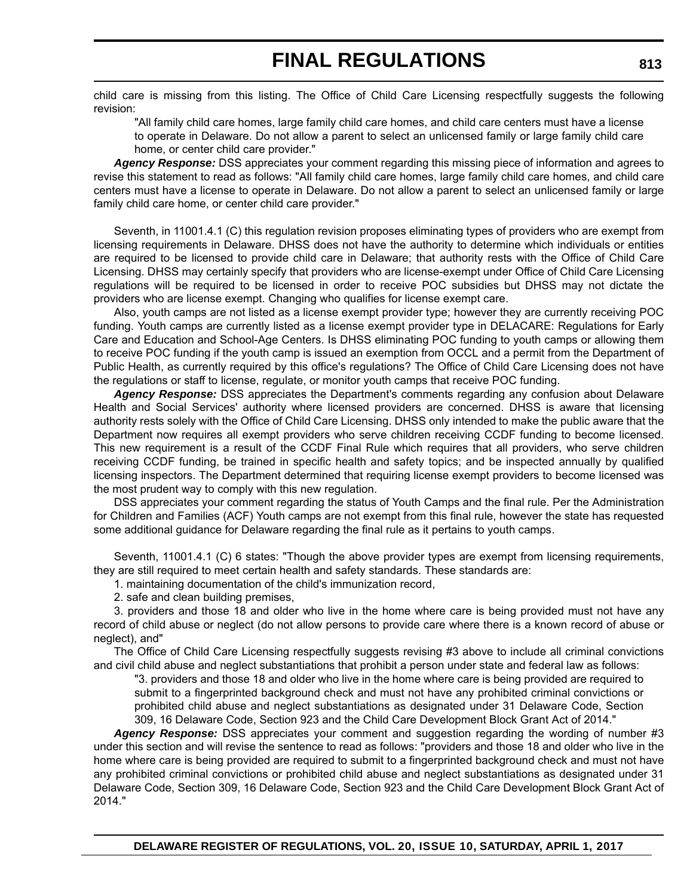child care is missing from this listing. The Office of Child Care Licensing respectfully suggests the following revision:

"All family child care homes, large family child care homes, and child care centers must have a license to operate in Delaware. Do not allow a parent to select an unlicensed family or large family child care home, or center child care provider."

*Agency Response:* DSS appreciates your comment regarding this missing piece of information and agrees to revise this statement to read as follows: "All family child care homes, large family child care homes, and child care centers must have a license to operate in Delaware. Do not allow a parent to select an unlicensed family or large family child care home, or center child care provider."

Seventh, in 11001.4.1 (C) this regulation revision proposes eliminating types of providers who are exempt from licensing requirements in Delaware. DHSS does not have the authority to determine which individuals or entities are required to be licensed to provide child care in Delaware; that authority rests with the Office of Child Care Licensing. DHSS may certainly specify that providers who are license-exempt under Office of Child Care Licensing regulations will be required to be licensed in order to receive POC subsidies but DHSS may not dictate the providers who are license exempt. Changing who qualifies for license exempt care.

Also, youth camps are not listed as a license exempt provider type; however they are currently receiving POC funding. Youth camps are currently listed as a license exempt provider type in DELACARE: Regulations for Early Care and Education and School-Age Centers. Is DHSS eliminating POC funding to youth camps or allowing them to receive POC funding if the youth camp is issued an exemption from OCCL and a permit from the Department of Public Health, as currently required by this office's regulations? The Office of Child Care Licensing does not have the regulations or staff to license, regulate, or monitor youth camps that receive POC funding.

*Agency Response:* DSS appreciates the Department's comments regarding any confusion about Delaware Health and Social Services' authority where licensed providers are concerned. DHSS is aware that licensing authority rests solely with the Office of Child Care Licensing. DHSS only intended to make the public aware that the Department now requires all exempt providers who serve children receiving CCDF funding to become licensed. This new requirement is a result of the CCDF Final Rule which requires that all providers, who serve children receiving CCDF funding, be trained in specific health and safety topics; and be inspected annually by qualified licensing inspectors. The Department determined that requiring license exempt providers to become licensed was the most prudent way to comply with this new regulation.

DSS appreciates your comment regarding the status of Youth Camps and the final rule. Per the Administration for Children and Families (ACF) Youth camps are not exempt from this final rule, however the state has requested some additional guidance for Delaware regarding the final rule as it pertains to youth camps.

Seventh, 11001.4.1 (C) 6 states: "Though the above provider types are exempt from licensing requirements, they are still required to meet certain health and safety standards. These standards are:

1. maintaining documentation of the child's immunization record,

2. safe and clean building premises,

3. providers and those 18 and older who live in the home where care is being provided must not have any record of child abuse or neglect (do not allow persons to provide care where there is a known record of abuse or neglect), and"

The Office of Child Care Licensing respectfully suggests revising #3 above to include all criminal convictions and civil child abuse and neglect substantiations that prohibit a person under state and federal law as follows:

"3. providers and those 18 and older who live in the home where care is being provided are required to submit to a fingerprinted background check and must not have any prohibited criminal convictions or prohibited child abuse and neglect substantiations as designated under 31 Delaware Code, Section 309, 16 Delaware Code, Section 923 and the Child Care Development Block Grant Act of 2014."

Agency Response: DSS appreciates your comment and suggestion regarding the wording of number #3 under this section and will revise the sentence to read as follows: "providers and those 18 and older who live in the home where care is being provided are required to submit to a fingerprinted background check and must not have any prohibited criminal convictions or prohibited child abuse and neglect substantiations as designated under 31 Delaware Code, Section 309, 16 Delaware Code, Section 923 and the Child Care Development Block Grant Act of 2014."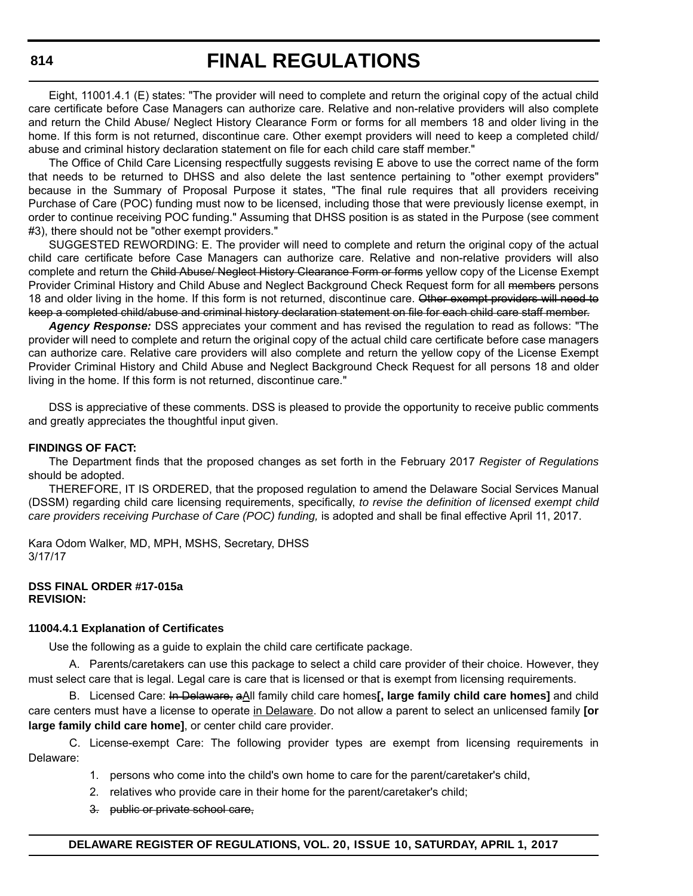Eight, 11001.4.1 (E) states: "The provider will need to complete and return the original copy of the actual child care certificate before Case Managers can authorize care. Relative and non-relative providers will also complete and return the Child Abuse/ Neglect History Clearance Form or forms for all members 18 and older living in the home. If this form is not returned, discontinue care. Other exempt providers will need to keep a completed child/ abuse and criminal history declaration statement on file for each child care staff member."

The Office of Child Care Licensing respectfully suggests revising E above to use the correct name of the form that needs to be returned to DHSS and also delete the last sentence pertaining to "other exempt providers" because in the Summary of Proposal Purpose it states, "The final rule requires that all providers receiving Purchase of Care (POC) funding must now to be licensed, including those that were previously license exempt, in order to continue receiving POC funding." Assuming that DHSS position is as stated in the Purpose (see comment #3), there should not be "other exempt providers."

SUGGESTED REWORDING: E. The provider will need to complete and return the original copy of the actual child care certificate before Case Managers can authorize care. Relative and non-relative providers will also complete and return the Child Abuse/ Neglect History Clearance Form or forms yellow copy of the License Exempt Provider Criminal History and Child Abuse and Neglect Background Check Request form for all members persons 18 and older living in the home. If this form is not returned, discontinue care. Other exempt providers will need to keep a completed child/abuse and criminal history declaration statement on file for each child care staff member.

*Agency Response:* DSS appreciates your comment and has revised the regulation to read as follows: "The provider will need to complete and return the original copy of the actual child care certificate before case managers can authorize care. Relative care providers will also complete and return the yellow copy of the License Exempt Provider Criminal History and Child Abuse and Neglect Background Check Request for all persons 18 and older living in the home. If this form is not returned, discontinue care."

DSS is appreciative of these comments. DSS is pleased to provide the opportunity to receive public comments and greatly appreciates the thoughtful input given.

#### **FINDINGS OF FACT:**

The Department finds that the proposed changes as set forth in the February 2017 *Register of Regulations* should be adopted.

THEREFORE, IT IS ORDERED, that the proposed regulation to amend the Delaware Social Services Manual (DSSM) regarding child care licensing requirements, specifically, *to revise the definition of licensed exempt child care providers receiving Purchase of Care (POC) funding,* is adopted and shall be final effective April 11, 2017.

Kara Odom Walker, MD, MPH, MSHS, Secretary, DHSS 3/17/17

#### **DSS FINAL ORDER #17-015a REVISION:**

#### **11004.4.1 Explanation of Certificates**

Use the following as a guide to explain the child care certificate package.

A. Parents/caretakers can use this package to select a child care provider of their choice. However, they must select care that is legal. Legal care is care that is licensed or that is exempt from licensing requirements.

B. Licensed Care: In Delaware, aAll family child care homes**[, large family child care homes]** and child care centers must have a license to operate in Delaware. Do not allow a parent to select an unlicensed family **[or large family child care home]**, or center child care provider.

C. License-exempt Care: The following provider types are exempt from licensing requirements in Delaware:

- 1. persons who come into the child's own home to care for the parent/caretaker's child,
- 2. relatives who provide care in their home for the parent/caretaker's child;
- 3. public or private school care,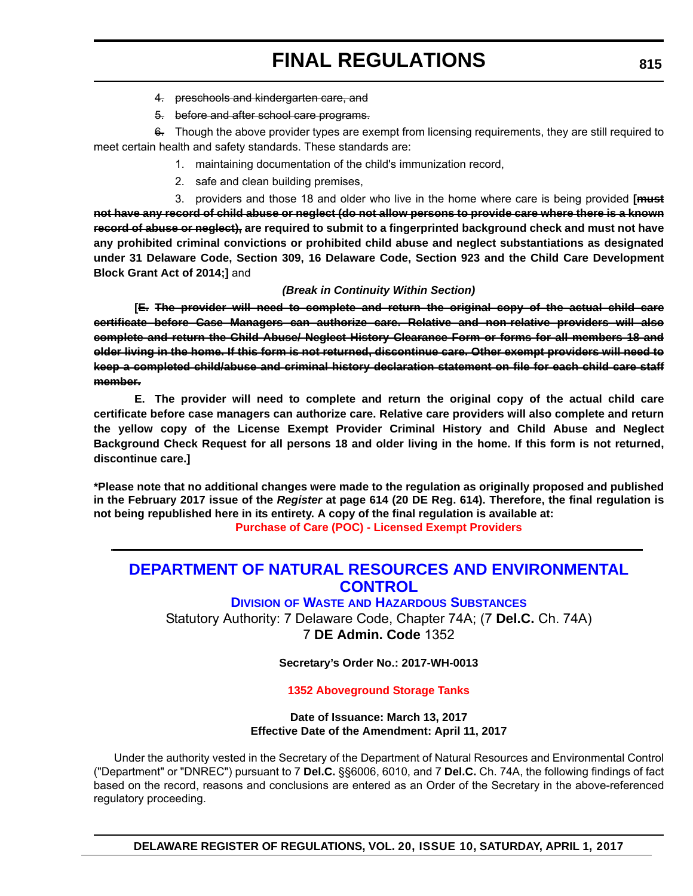- 4. preschools and kindergarten care, and
- 5. before and after school care programs.

 $6.$  Though the above provider types are exempt from licensing requirements, they are still required to meet certain health and safety standards. These standards are:

- 1. maintaining documentation of the child's immunization record,
- 2. safe and clean building premises,

3. providers and those 18 and older who live in the home where care is being provided **[must not have any record of child abuse or neglect (do not allow persons to provide care where there is a known record of abuse or neglect), are required to submit to a fingerprinted background check and must not have any prohibited criminal convictions or prohibited child abuse and neglect substantiations as designated under 31 Delaware Code, Section 309, 16 Delaware Code, Section 923 and the Child Care Development Block Grant Act of 2014;]** and

#### *(Break in Continuity Within Section)*

**[E. The provider will need to complete and return the original copy of the actual child care certificate before Case Managers can authorize care. Relative and non-relative providers will also complete and return the Child Abuse/ Neglect History Clearance Form or forms for all members 18 and older living in the home. If this form is not returned, discontinue care. Other exempt providers will need to keep a completed child/abuse and criminal history declaration statement on file for each child care staff member.**

**E. The provider will need to complete and return the original copy of the actual child care certificate before case managers can authorize care. Relative care providers will also complete and return the yellow copy of the License Exempt Provider Criminal History and Child Abuse and Neglect Background Check Request for all persons 18 and older living in the home. If this form is not returned, discontinue care.]**

**\*Please note that no additional changes were made to the regulation as originally proposed and published in the February 2017 issue of the** *Register* **at page 614 (20 DE Reg. 614). Therefore, the final regulation is not being republished here in its entirety. A copy of the final regulation is available at: [Purchase of Care \(POC\) - Licensed Exempt Providers](http://regulations.delaware.gov/register/april2017/final/20 DE Reg 810 04-01-17.htm)**

## **[DEPARTMENT OF NATURAL RESOURCES AND ENVIRONMENTAL](http://www.dnrec.delaware.gov/Pages/Portal.aspx)  CONTROL**

**DIVISION OF WASTE [AND HAZARDOUS SUBSTANCES](http://www.dnrec.delaware.gov/dwhs/Pages/default.aspx)**

Statutory Authority: 7 Delaware Code, Chapter 74A; (7 **Del.C.** Ch. 74A) 7 **DE Admin. Code** 1352

**Secretary's Order No.: 2017-WH-0013**

#### **[1352 Aboveground Storage Tanks](#page-4-0)**

#### **Date of Issuance: March 13, 2017 Effective Date of the Amendment: April 11, 2017**

Under the authority vested in the Secretary of the Department of Natural Resources and Environmental Control ("Department" or "DNREC") pursuant to 7 **Del.C.** §§6006, 6010, and 7 **Del.C.** Ch. 74A, the following findings of fact based on the record, reasons and conclusions are entered as an Order of the Secretary in the above-referenced regulatory proceeding.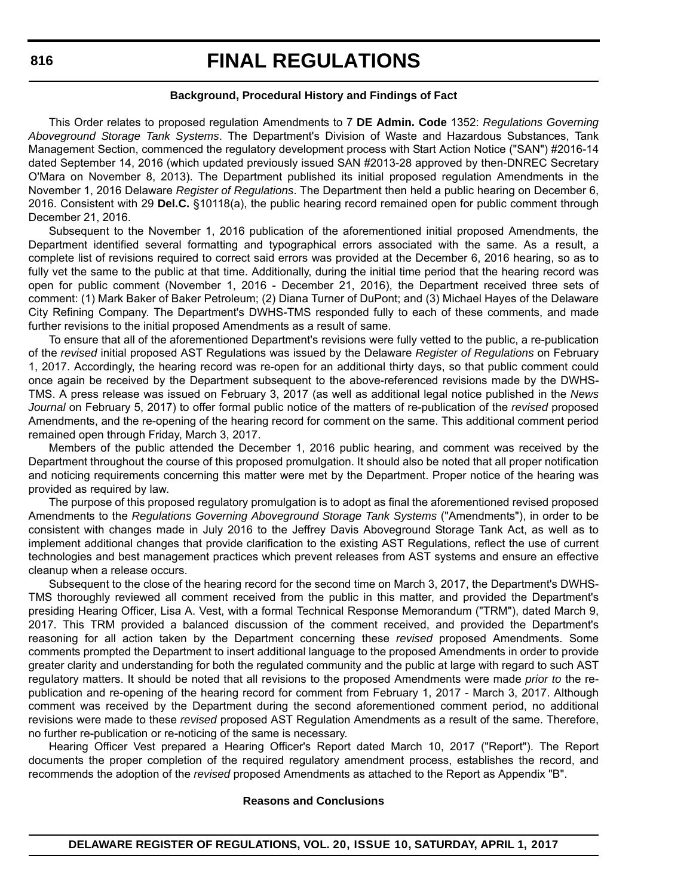#### **Background, Procedural History and Findings of Fact**

This Order relates to proposed regulation Amendments to 7 **DE Admin. Code** 1352: *Regulations Governing Aboveground Storage Tank Systems*. The Department's Division of Waste and Hazardous Substances, Tank Management Section, commenced the regulatory development process with Start Action Notice ("SAN") #2016-14 dated September 14, 2016 (which updated previously issued SAN #2013-28 approved by then-DNREC Secretary O'Mara on November 8, 2013). The Department published its initial proposed regulation Amendments in the November 1, 2016 Delaware *Register of Regulations*. The Department then held a public hearing on December 6, 2016. Consistent with 29 **Del.C.** §10118(a), the public hearing record remained open for public comment through December 21, 2016.

Subsequent to the November 1, 2016 publication of the aforementioned initial proposed Amendments, the Department identified several formatting and typographical errors associated with the same. As a result, a complete list of revisions required to correct said errors was provided at the December 6, 2016 hearing, so as to fully vet the same to the public at that time. Additionally, during the initial time period that the hearing record was open for public comment (November 1, 2016 - December 21, 2016), the Department received three sets of comment: (1) Mark Baker of Baker Petroleum; (2) Diana Turner of DuPont; and (3) Michael Hayes of the Delaware City Refining Company. The Department's DWHS-TMS responded fully to each of these comments, and made further revisions to the initial proposed Amendments as a result of same.

To ensure that all of the aforementioned Department's revisions were fully vetted to the public, a re-publication of the *revised* initial proposed AST Regulations was issued by the Delaware *Register of Regulations* on February 1, 2017. Accordingly, the hearing record was re-open for an additional thirty days, so that public comment could once again be received by the Department subsequent to the above-referenced revisions made by the DWHS-TMS. A press release was issued on February 3, 2017 (as well as additional legal notice published in the *News Journal* on February 5, 2017) to offer formal public notice of the matters of re-publication of the *revised* proposed Amendments, and the re-opening of the hearing record for comment on the same. This additional comment period remained open through Friday, March 3, 2017.

Members of the public attended the December 1, 2016 public hearing, and comment was received by the Department throughout the course of this proposed promulgation. It should also be noted that all proper notification and noticing requirements concerning this matter were met by the Department. Proper notice of the hearing was provided as required by law.

The purpose of this proposed regulatory promulgation is to adopt as final the aforementioned revised proposed Amendments to the *Regulations Governing Aboveground Storage Tank Systems* ("Amendments"), in order to be consistent with changes made in July 2016 to the Jeffrey Davis Aboveground Storage Tank Act, as well as to implement additional changes that provide clarification to the existing AST Regulations, reflect the use of current technologies and best management practices which prevent releases from AST systems and ensure an effective cleanup when a release occurs.

Subsequent to the close of the hearing record for the second time on March 3, 2017, the Department's DWHS-TMS thoroughly reviewed all comment received from the public in this matter, and provided the Department's presiding Hearing Officer, Lisa A. Vest, with a formal Technical Response Memorandum ("TRM"), dated March 9, 2017. This TRM provided a balanced discussion of the comment received, and provided the Department's reasoning for all action taken by the Department concerning these *revised* proposed Amendments. Some comments prompted the Department to insert additional language to the proposed Amendments in order to provide greater clarity and understanding for both the regulated community and the public at large with regard to such AST regulatory matters. It should be noted that all revisions to the proposed Amendments were made *prior to* the republication and re-opening of the hearing record for comment from February 1, 2017 - March 3, 2017. Although comment was received by the Department during the second aforementioned comment period, no additional revisions were made to these *revised* proposed AST Regulation Amendments as a result of the same. Therefore, no further re-publication or re-noticing of the same is necessary.

Hearing Officer Vest prepared a Hearing Officer's Report dated March 10, 2017 ("Report"). The Report documents the proper completion of the required regulatory amendment process, establishes the record, and recommends the adoption of the *revised* proposed Amendments as attached to the Report as Appendix "B".

#### **Reasons and Conclusions**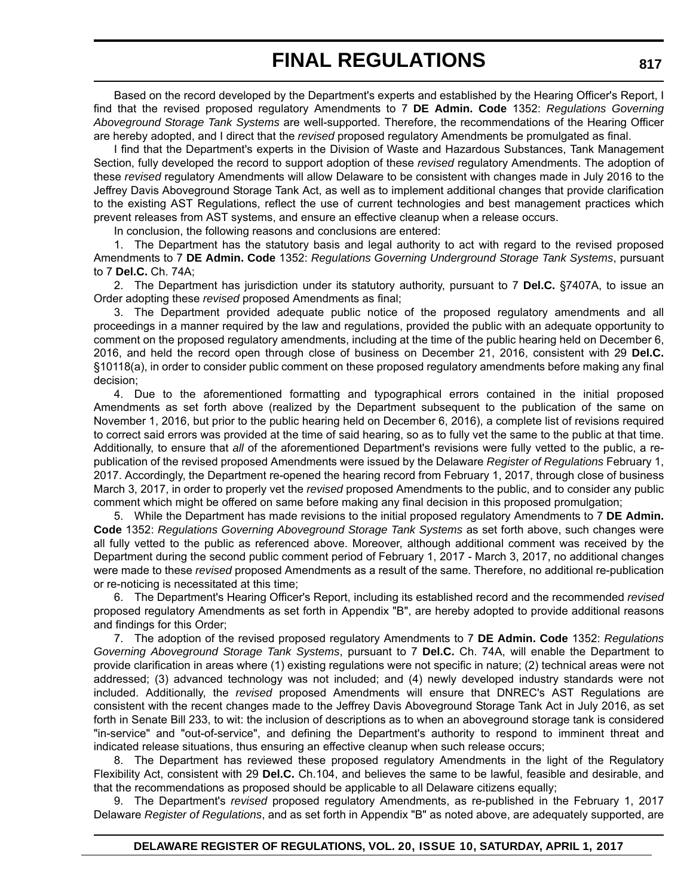Based on the record developed by the Department's experts and established by the Hearing Officer's Report, I find that the revised proposed regulatory Amendments to 7 **DE Admin. Code** 1352: *Regulations Governing Aboveground Storage Tank Systems* are well-supported. Therefore, the recommendations of the Hearing Officer are hereby adopted, and I direct that the *revised* proposed regulatory Amendments be promulgated as final.

I find that the Department's experts in the Division of Waste and Hazardous Substances, Tank Management Section, fully developed the record to support adoption of these *revised* regulatory Amendments. The adoption of these *revised* regulatory Amendments will allow Delaware to be consistent with changes made in July 2016 to the Jeffrey Davis Aboveground Storage Tank Act, as well as to implement additional changes that provide clarification to the existing AST Regulations, reflect the use of current technologies and best management practices which prevent releases from AST systems, and ensure an effective cleanup when a release occurs.

In conclusion, the following reasons and conclusions are entered:

1. The Department has the statutory basis and legal authority to act with regard to the revised proposed Amendments to 7 **DE Admin. Code** 1352: *Regulations Governing Underground Storage Tank Systems*, pursuant to 7 **Del.C.** Ch. 74A;

2. The Department has jurisdiction under its statutory authority, pursuant to 7 **Del.C.** §7407A, to issue an Order adopting these *revised* proposed Amendments as final;

3. The Department provided adequate public notice of the proposed regulatory amendments and all proceedings in a manner required by the law and regulations, provided the public with an adequate opportunity to comment on the proposed regulatory amendments, including at the time of the public hearing held on December 6, 2016, and held the record open through close of business on December 21, 2016, consistent with 29 **Del.C.** §10118(a), in order to consider public comment on these proposed regulatory amendments before making any final decision;

4. Due to the aforementioned formatting and typographical errors contained in the initial proposed Amendments as set forth above (realized by the Department subsequent to the publication of the same on November 1, 2016, but prior to the public hearing held on December 6, 2016), a complete list of revisions required to correct said errors was provided at the time of said hearing, so as to fully vet the same to the public at that time. Additionally, to ensure that *all* of the aforementioned Department's revisions were fully vetted to the public, a republication of the revised proposed Amendments were issued by the Delaware *Register of Regulations* February 1, 2017. Accordingly, the Department re-opened the hearing record from February 1, 2017, through close of business March 3, 2017, in order to properly vet the *revised* proposed Amendments to the public, and to consider any public comment which might be offered on same before making any final decision in this proposed promulgation;

5. While the Department has made revisions to the initial proposed regulatory Amendments to 7 **DE Admin. Code** 1352: *Regulations Governing Aboveground Storage Tank Systems* as set forth above, such changes were all fully vetted to the public as referenced above. Moreover, although additional comment was received by the Department during the second public comment period of February 1, 2017 - March 3, 2017, no additional changes were made to these *revised* proposed Amendments as a result of the same. Therefore, no additional re-publication or re-noticing is necessitated at this time;

6. The Department's Hearing Officer's Report, including its established record and the recommended *revised* proposed regulatory Amendments as set forth in Appendix "B", are hereby adopted to provide additional reasons and findings for this Order;

7. The adoption of the revised proposed regulatory Amendments to 7 **DE Admin. Code** 1352: *Regulations Governing Aboveground Storage Tank Systems*, pursuant to 7 **Del.C.** Ch. 74A, will enable the Department to provide clarification in areas where (1) existing regulations were not specific in nature; (2) technical areas were not addressed; (3) advanced technology was not included; and (4) newly developed industry standards were not included. Additionally, the *revised* proposed Amendments will ensure that DNREC's AST Regulations are consistent with the recent changes made to the Jeffrey Davis Aboveground Storage Tank Act in July 2016, as set forth in Senate Bill 233, to wit: the inclusion of descriptions as to when an aboveground storage tank is considered "in-service" and "out-of-service", and defining the Department's authority to respond to imminent threat and indicated release situations, thus ensuring an effective cleanup when such release occurs;

8. The Department has reviewed these proposed regulatory Amendments in the light of the Regulatory Flexibility Act, consistent with 29 **Del.C.** Ch.104, and believes the same to be lawful, feasible and desirable, and that the recommendations as proposed should be applicable to all Delaware citizens equally;

9. The Department's *revised* proposed regulatory Amendments, as re-published in the February 1, 2017 Delaware *Register of Regulations*, and as set forth in Appendix "B" as noted above, are adequately supported, are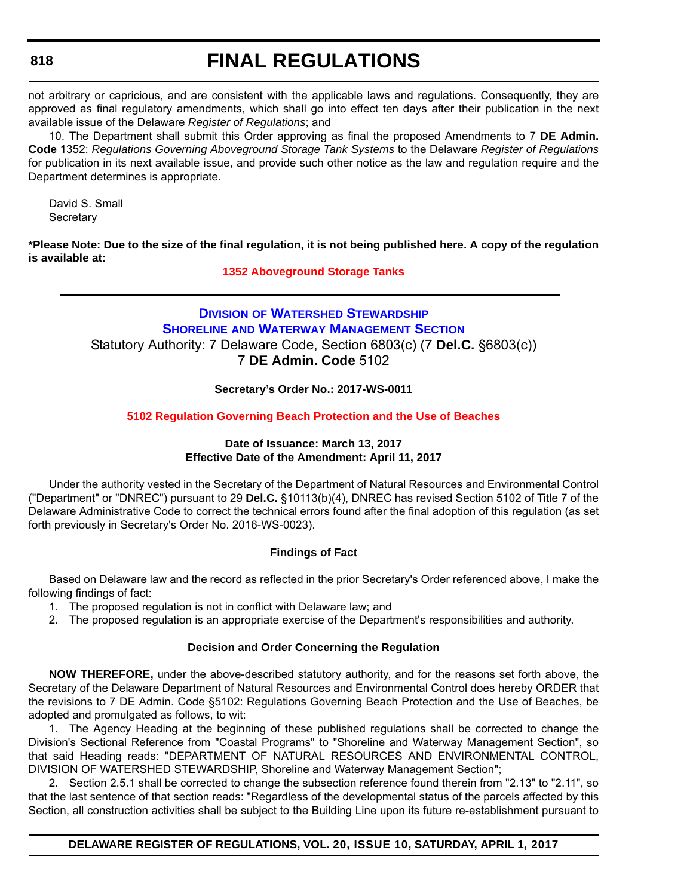# **FINAL REGULATIONS**

not arbitrary or capricious, and are consistent with the applicable laws and regulations. Consequently, they are approved as final regulatory amendments, which shall go into effect ten days after their publication in the next available issue of the Delaware *Register of Regulations*; and

10. The Department shall submit this Order approving as final the proposed Amendments to 7 **DE Admin. Code** 1352: *Regulations Governing Aboveground Storage Tank Systems* to the Delaware *Register of Regulations* for publication in its next available issue, and provide such other notice as the law and regulation require and the Department determines is appropriate.

David S. Small **Secretary** 

**\*Please Note: Due to the size of the final regulation, it is not being published here. A copy of the regulation is available at:**

**[1352 Aboveground Storage Tanks](http://regulations.delaware.gov/register/april2017/final/20 DE Reg 815 04-01-17.htm)**

## **DIVISION [OF WATERSHED STEWARDSHIP](http://www.dnrec.delaware.gov/swc/Pages/portal.aspx) SHORELINE AND WATERWAY MANAGEMENT SECTION** Statutory Authority: 7 Delaware Code, Section 6803(c) (7 **Del.C.** §6803(c)) 7 **DE Admin. Code** 5102

**Secretary's Order No.: 2017-WS-0011**

#### **[5102 Regulation Governing Beach Protection and the Use of Beaches](#page-4-0)**

#### **Date of Issuance: March 13, 2017 Effective Date of the Amendment: April 11, 2017**

Under the authority vested in the Secretary of the Department of Natural Resources and Environmental Control ("Department" or "DNREC") pursuant to 29 **Del.C.** §10113(b)(4), DNREC has revised Section 5102 of Title 7 of the Delaware Administrative Code to correct the technical errors found after the final adoption of this regulation (as set forth previously in Secretary's Order No. 2016-WS-0023).

#### **Findings of Fact**

Based on Delaware law and the record as reflected in the prior Secretary's Order referenced above, I make the following findings of fact:

- 1. The proposed regulation is not in conflict with Delaware law; and
- 2. The proposed regulation is an appropriate exercise of the Department's responsibilities and authority.

#### **Decision and Order Concerning the Regulation**

**NOW THEREFORE,** under the above-described statutory authority, and for the reasons set forth above, the Secretary of the Delaware Department of Natural Resources and Environmental Control does hereby ORDER that the revisions to 7 DE Admin. Code §5102: Regulations Governing Beach Protection and the Use of Beaches, be adopted and promulgated as follows, to wit:

1. The Agency Heading at the beginning of these published regulations shall be corrected to change the Division's Sectional Reference from "Coastal Programs" to "Shoreline and Waterway Management Section", so that said Heading reads: "DEPARTMENT OF NATURAL RESOURCES AND ENVIRONMENTAL CONTROL, DIVISION OF WATERSHED STEWARDSHIP, Shoreline and Waterway Management Section";

2. Section 2.5.1 shall be corrected to change the subsection reference found therein from "2.13" to "2.11", so that the last sentence of that section reads: "Regardless of the developmental status of the parcels affected by this Section, all construction activities shall be subject to the Building Line upon its future re-establishment pursuant to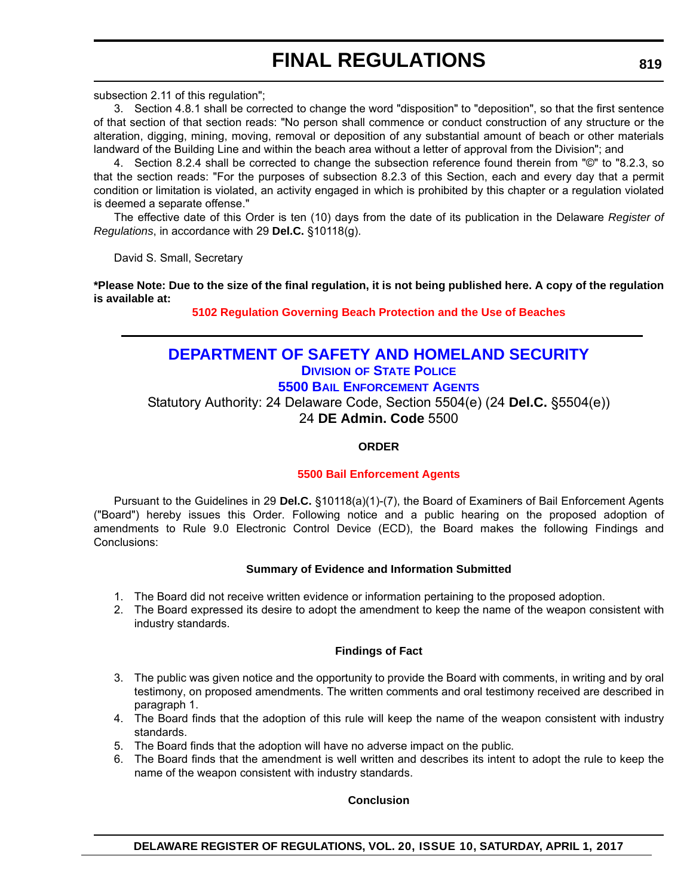subsection 2.11 of this regulation";

3. Section 4.8.1 shall be corrected to change the word "disposition" to "deposition", so that the first sentence of that section of that section reads: "No person shall commence or conduct construction of any structure or the alteration, digging, mining, moving, removal or deposition of any substantial amount of beach or other materials landward of the Building Line and within the beach area without a letter of approval from the Division"; and

4. Section 8.2.4 shall be corrected to change the subsection reference found therein from "©" to "8.2.3, so that the section reads: "For the purposes of subsection 8.2.3 of this Section, each and every day that a permit condition or limitation is violated, an activity engaged in which is prohibited by this chapter or a regulation violated is deemed a separate offense."

The effective date of this Order is ten (10) days from the date of its publication in the Delaware *Register of Regulations*, in accordance with 29 **Del.C.** §10118(g).

David S. Small, Secretary

**\*Please Note: Due to the size of the final regulation, it is not being published here. A copy of the regulation is available at:**

**[5102 Regulation Governing Beach Protection and the Use of Beaches](http://regulations.delaware.gov/register/april2017/final/20 DE Reg 818 04-01-17.htm)**

## **[DEPARTMENT OF SAFETY AND HOMELAND SECURITY](http://dshs.delaware.gov/)**

## **DIVISION [OF STATE POLICE](http://dsp.delaware.gov/)**

**5500 BAIL ENFORCEMENT AGENTS**

Statutory Authority: 24 Delaware Code, Section 5504(e) (24 **Del.C.** §5504(e))

24 **DE Admin. Code** 5500

**ORDER**

#### **[5500 Bail Enforcement Agents](#page-4-0)**

Pursuant to the Guidelines in 29 **Del.C.** §10118(a)(1)-(7), the Board of Examiners of Bail Enforcement Agents ("Board") hereby issues this Order. Following notice and a public hearing on the proposed adoption of amendments to Rule 9.0 Electronic Control Device (ECD), the Board makes the following Findings and Conclusions:

#### **Summary of Evidence and Information Submitted**

- 1. The Board did not receive written evidence or information pertaining to the proposed adoption.
- 2. The Board expressed its desire to adopt the amendment to keep the name of the weapon consistent with industry standards.

#### **Findings of Fact**

- 3. The public was given notice and the opportunity to provide the Board with comments, in writing and by oral testimony, on proposed amendments. The written comments and oral testimony received are described in paragraph 1.
- 4. The Board finds that the adoption of this rule will keep the name of the weapon consistent with industry standards.
- 5. The Board finds that the adoption will have no adverse impact on the public.
- 6. The Board finds that the amendment is well written and describes its intent to adopt the rule to keep the name of the weapon consistent with industry standards.

#### **Conclusion**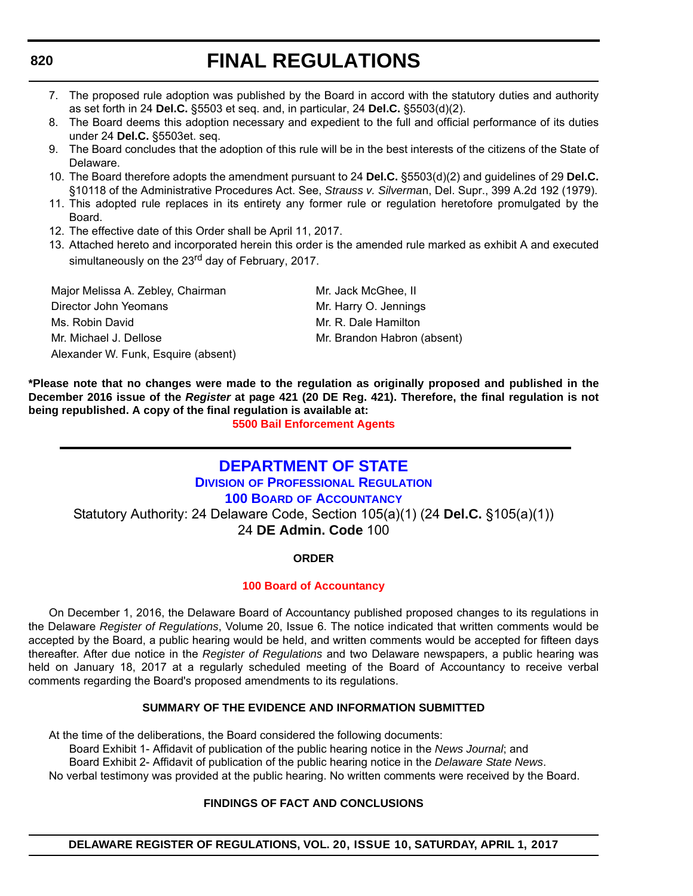# **FINAL REGULATIONS**

- 7. The proposed rule adoption was published by the Board in accord with the statutory duties and authority as set forth in 24 **Del.C.** §5503 et seq. and, in particular, 24 **Del.C.** §5503(d)(2).
- 8. The Board deems this adoption necessary and expedient to the full and official performance of its duties under 24 **Del.C.** §5503et. seq.
- 9. The Board concludes that the adoption of this rule will be in the best interests of the citizens of the State of Delaware.
- 10. The Board therefore adopts the amendment pursuant to 24 **Del.C.** §5503(d)(2) and guidelines of 29 **Del.C.** §10118 of the Administrative Procedures Act. See, *Strauss v. Silverma*n, Del. Supr., 399 A.2d 192 (1979).
- 11. This adopted rule replaces in its entirety any former rule or regulation heretofore promulgated by the Board.
- 12. The effective date of this Order shall be April 11, 2017.
- 13. Attached hereto and incorporated herein this order is the amended rule marked as exhibit A and executed simultaneously on the 23<sup>rd</sup> day of February, 2017.

| Major Melissa A. Zebley, Chairman   | Mr. Jack McGhee, II         |
|-------------------------------------|-----------------------------|
| Director John Yeomans               | Mr. Harry O. Jennings       |
| Ms. Robin David                     | Mr. R. Dale Hamilton        |
| Mr. Michael J. Dellose              | Mr. Brandon Habron (absent) |
| Alexander W. Funk, Esquire (absent) |                             |

**\*Please note that no changes were made to the regulation as originally proposed and published in the December 2016 issue of the** *Register* **at page 421 (20 DE Reg. 421). Therefore, the final regulation is not being republished. A copy of the final regulation is available at:**

**[5500 Bail Enforcement Agents](http://regulations.delaware.gov/register/april2017/final/20 DE Reg 819 04-01-17.htm)**

## **[DEPARTMENT OF STATE](http://sos.delaware.gov/)**

**DIVISION [OF PROFESSIONAL REGULATION](http://dpr.delaware.gov/index.shtml)**

**100 BOARD [OF ACCOUNTANCY](http://dpr.delaware.gov/boards/accountancy/index.shtml)**

Statutory Authority: 24 Delaware Code, Section 105(a)(1) (24 **Del.C.** §105(a)(1)) 24 **DE Admin. Code** 100

#### **ORDER**

#### **[100 Board of Accountancy](#page-4-0)**

On December 1, 2016, the Delaware Board of Accountancy published proposed changes to its regulations in the Delaware *Register of Regulations*, Volume 20, Issue 6. The notice indicated that written comments would be accepted by the Board, a public hearing would be held, and written comments would be accepted for fifteen days thereafter. After due notice in the *Register of Regulations* and two Delaware newspapers, a public hearing was held on January 18, 2017 at a regularly scheduled meeting of the Board of Accountancy to receive verbal comments regarding the Board's proposed amendments to its regulations.

#### **SUMMARY OF THE EVIDENCE AND INFORMATION SUBMITTED**

At the time of the deliberations, the Board considered the following documents:

Board Exhibit 1- Affidavit of publication of the public hearing notice in the *News Journal*; and

Board Exhibit 2- Affidavit of publication of the public hearing notice in the *Delaware State News*.

No verbal testimony was provided at the public hearing. No written comments were received by the Board.

#### **FINDINGS OF FACT AND CONCLUSIONS**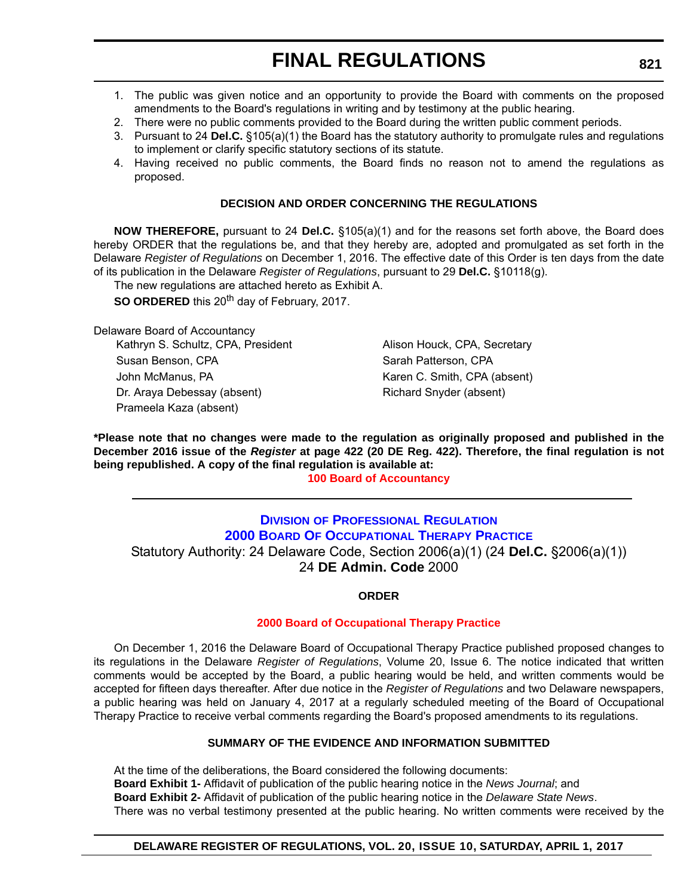- 1. The public was given notice and an opportunity to provide the Board with comments on the proposed amendments to the Board's regulations in writing and by testimony at the public hearing.
- 2. There were no public comments provided to the Board during the written public comment periods.
- 3. Pursuant to 24 **Del.C.** §105(a)(1) the Board has the statutory authority to promulgate rules and regulations to implement or clarify specific statutory sections of its statute.
- 4. Having received no public comments, the Board finds no reason not to amend the regulations as proposed.

#### **DECISION AND ORDER CONCERNING THE REGULATIONS**

**NOW THEREFORE,** pursuant to 24 **Del.C.** §105(a)(1) and for the reasons set forth above, the Board does hereby ORDER that the regulations be, and that they hereby are, adopted and promulgated as set forth in the Delaware *Register of Regulations* on December 1, 2016. The effective date of this Order is ten days from the date of its publication in the Delaware *Register of Regulations*, pursuant to 29 **Del.C.** §10118(g).

The new regulations are attached hereto as Exhibit A.

**SO ORDERED** this 20<sup>th</sup> day of February, 2017.

Delaware Board of Accountancy Kathryn S. Schultz, CPA, President Alison Houck, CPA, Secretary Susan Benson, CPA Susan Patterson, CPA John McManus, PA **Karen C. Smith, CPA (absent)** Karen C. Smith, CPA (absent) Dr. Araya Debessay (absent) Richard Snyder (absent) Prameela Kaza (absent)

**\*Please note that no changes were made to the regulation as originally proposed and published in the December 2016 issue of the** *Register* **at page 422 (20 DE Reg. 422). Therefore, the final regulation is not being republished. A copy of the final regulation is available at:**

**[100 Board of Accountancy](http://regulations.delaware.gov/register/april2017/final/20 DE Reg 820 04-01-17.htm)**

### **[DIVISION](http://dpr.delaware.gov/) [OF PROFESSIONAL REGULATION](http://dpr.delaware.gov/) [2000 BOARD OF OCCUPATIONAL THERAPY PRACTICE](http://dpr.delaware.gov/boards/occupationaltherapy/index.shtml)** Statutory Authority: 24 Delaware Code, Section 2006(a)(1) (24 **Del.C.** §2006(a)(1)) 24 **DE Admin. Code** 2000

**ORDER**

#### **[2000 Board of Occupational Therapy Practice](#page-4-0)**

On December 1, 2016 the Delaware Board of Occupational Therapy Practice published proposed changes to its regulations in the Delaware *Register of Regulations*, Volume 20, Issue 6. The notice indicated that written comments would be accepted by the Board, a public hearing would be held, and written comments would be accepted for fifteen days thereafter. After due notice in the *Register of Regulations* and two Delaware newspapers, a public hearing was held on January 4, 2017 at a regularly scheduled meeting of the Board of Occupational Therapy Practice to receive verbal comments regarding the Board's proposed amendments to its regulations.

#### **SUMMARY OF THE EVIDENCE AND INFORMATION SUBMITTED**

At the time of the deliberations, the Board considered the following documents: **Board Exhibit 1-** Affidavit of publication of the public hearing notice in the *News Journal*; and **Board Exhibit 2-** Affidavit of publication of the public hearing notice in the *Delaware State News*. There was no verbal testimony presented at the public hearing. No written comments were received by the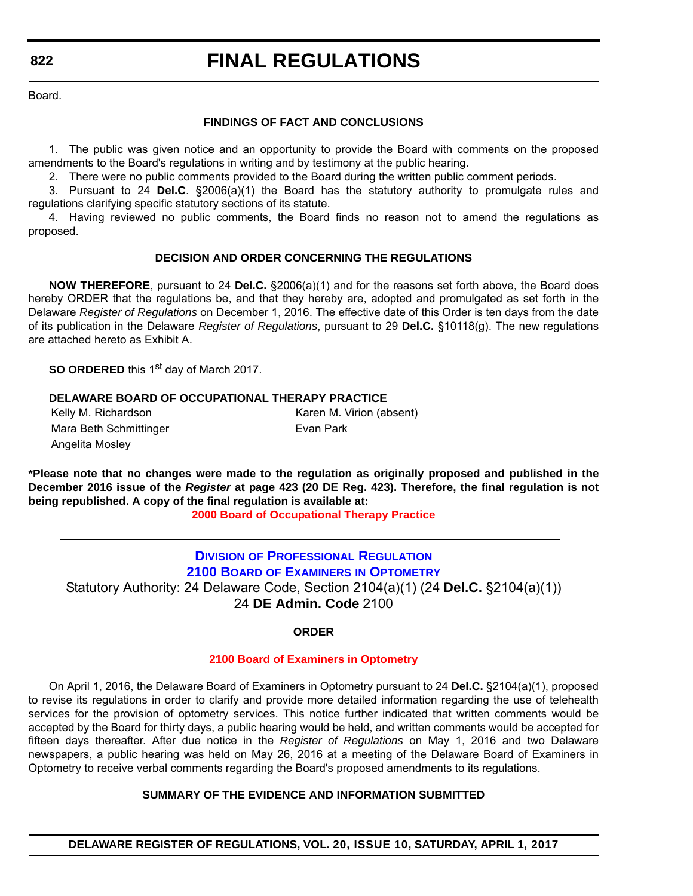# **FINAL REGULATIONS**

Board.

#### **FINDINGS OF FACT AND CONCLUSIONS**

1. The public was given notice and an opportunity to provide the Board with comments on the proposed amendments to the Board's regulations in writing and by testimony at the public hearing.

2. There were no public comments provided to the Board during the written public comment periods.

3. Pursuant to 24 **Del.C**. §2006(a)(1) the Board has the statutory authority to promulgate rules and regulations clarifying specific statutory sections of its statute.

4. Having reviewed no public comments, the Board finds no reason not to amend the regulations as proposed.

#### **DECISION AND ORDER CONCERNING THE REGULATIONS**

**NOW THEREFORE**, pursuant to 24 **Del.C.** §2006(a)(1) and for the reasons set forth above, the Board does hereby ORDER that the regulations be, and that they hereby are, adopted and promulgated as set forth in the Delaware *Register of Regulations* on December 1, 2016. The effective date of this Order is ten days from the date of its publication in the Delaware *Register of Regulations*, pursuant to 29 **Del.C.** §10118(g). The new regulations are attached hereto as Exhibit A.

**SO ORDERED** this 1<sup>st</sup> day of March 2017.

#### **DELAWARE BOARD OF OCCUPATIONAL THERAPY PRACTICE**

| Kelly M. Richardson    | Karen M. Virion (absent) |
|------------------------|--------------------------|
| Mara Beth Schmittinger | Evan Park                |
| Angelita Mosley        |                          |

**\*Please note that no changes were made to the regulation as originally proposed and published in the December 2016 issue of the** *Register* **at page 423 (20 DE Reg. 423). Therefore, the final regulation is not being republished. A copy of the final regulation is available at:**

**[2000 Board of Occupational Therapy Practice](http://regulations.delaware.gov/register/april2017/final/20 DE Reg 821 04-01-17.htm)**

**DIVISION [OF PROFESSIONAL REGULATION](http://dpr.delaware.gov/index.shtml) 2100 BOARD OF EXAMINERS [IN OPTOMETRY](http://dpr.delaware.gov/boards/optometry/index.shtml)** Statutory Authority: 24 Delaware Code, Section 2104(a)(1) (24 **Del.C.** §2104(a)(1)) 24 **DE Admin. Code** 2100

#### **ORDER**

#### **[2100 Board of Examiners in Optometry](#page-4-0)**

On April 1, 2016, the Delaware Board of Examiners in Optometry pursuant to 24 **Del.C.** §2104(a)(1), proposed to revise its regulations in order to clarify and provide more detailed information regarding the use of telehealth services for the provision of optometry services. This notice further indicated that written comments would be accepted by the Board for thirty days, a public hearing would be held, and written comments would be accepted for fifteen days thereafter. After due notice in the *Register of Regulations* on May 1, 2016 and two Delaware newspapers, a public hearing was held on May 26, 2016 at a meeting of the Delaware Board of Examiners in Optometry to receive verbal comments regarding the Board's proposed amendments to its regulations.

#### **SUMMARY OF THE EVIDENCE AND INFORMATION SUBMITTED**

**DELAWARE REGISTER OF REGULATIONS, VOL. 20, ISSUE 10, SATURDAY, APRIL 1, 2017**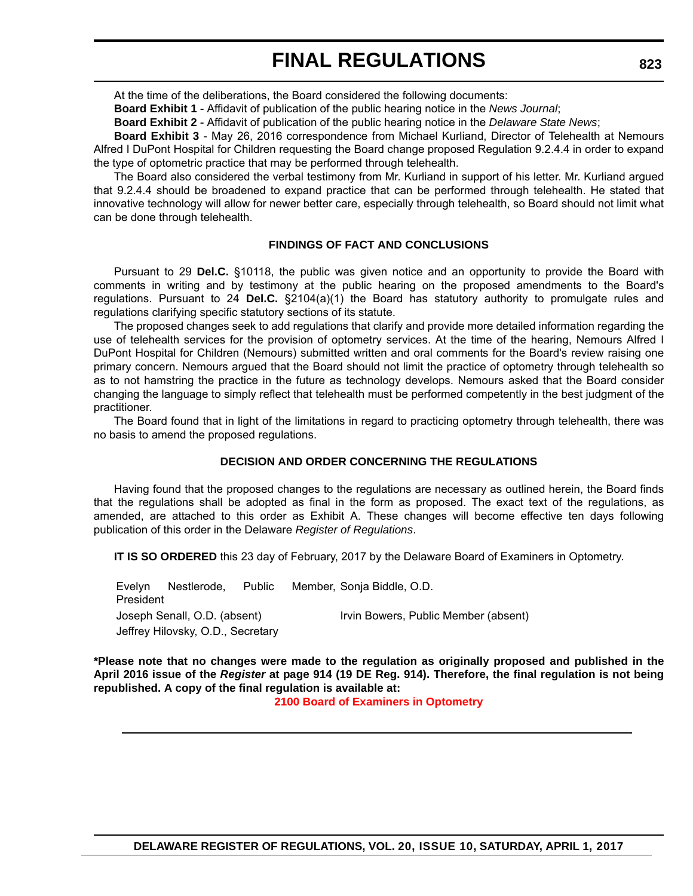At the time of the deliberations, the Board considered the following documents:

**Board Exhibit 1** - Affidavit of publication of the public hearing notice in the *News Journal*;

**Board Exhibit 2** - Affidavit of publication of the public hearing notice in the *Delaware State News*;

**Board Exhibit 3** - May 26, 2016 correspondence from Michael Kurliand, Director of Telehealth at Nemours Alfred I DuPont Hospital for Children requesting the Board change proposed Regulation 9.2.4.4 in order to expand the type of optometric practice that may be performed through telehealth.

The Board also considered the verbal testimony from Mr. Kurliand in support of his letter. Mr. Kurliand argued that 9.2.4.4 should be broadened to expand practice that can be performed through telehealth. He stated that innovative technology will allow for newer better care, especially through telehealth, so Board should not limit what can be done through telehealth.

#### **FINDINGS OF FACT AND CONCLUSIONS**

Pursuant to 29 **Del.C.** §10118, the public was given notice and an opportunity to provide the Board with comments in writing and by testimony at the public hearing on the proposed amendments to the Board's regulations. Pursuant to 24 **Del.C.** §2104(a)(1) the Board has statutory authority to promulgate rules and regulations clarifying specific statutory sections of its statute.

The proposed changes seek to add regulations that clarify and provide more detailed information regarding the use of telehealth services for the provision of optometry services. At the time of the hearing, Nemours Alfred I DuPont Hospital for Children (Nemours) submitted written and oral comments for the Board's review raising one primary concern. Nemours argued that the Board should not limit the practice of optometry through telehealth so as to not hamstring the practice in the future as technology develops. Nemours asked that the Board consider changing the language to simply reflect that telehealth must be performed competently in the best judgment of the practitioner.

The Board found that in light of the limitations in regard to practicing optometry through telehealth, there was no basis to amend the proposed regulations.

#### **DECISION AND ORDER CONCERNING THE REGULATIONS**

Having found that the proposed changes to the regulations are necessary as outlined herein, the Board finds that the regulations shall be adopted as final in the form as proposed. The exact text of the regulations, as amended, are attached to this order as Exhibit A. These changes will become effective ten days following publication of this order in the Delaware *Register of Regulations*.

**IT IS SO ORDERED** this 23 day of February, 2017 by the Delaware Board of Examiners in Optometry.

Evelyn Nestlerode, Public President Member, Sonja Biddle, O.D. Joseph Senall, O.D. (absent) Irvin Bowers, Public Member (absent) Jeffrey Hilovsky, O.D., Secretary

**\*Please note that no changes were made to the regulation as originally proposed and published in the April 2016 issue of the** *Register* **at page 914 (19 DE Reg. 914). Therefore, the final regulation is not being republished. A copy of the final regulation is available at:**

**[2100 Board of Examiners in Optometry](http://regulations.delaware.gov/register/april2017/final/20 DE Reg 822 04-01-17.htm)**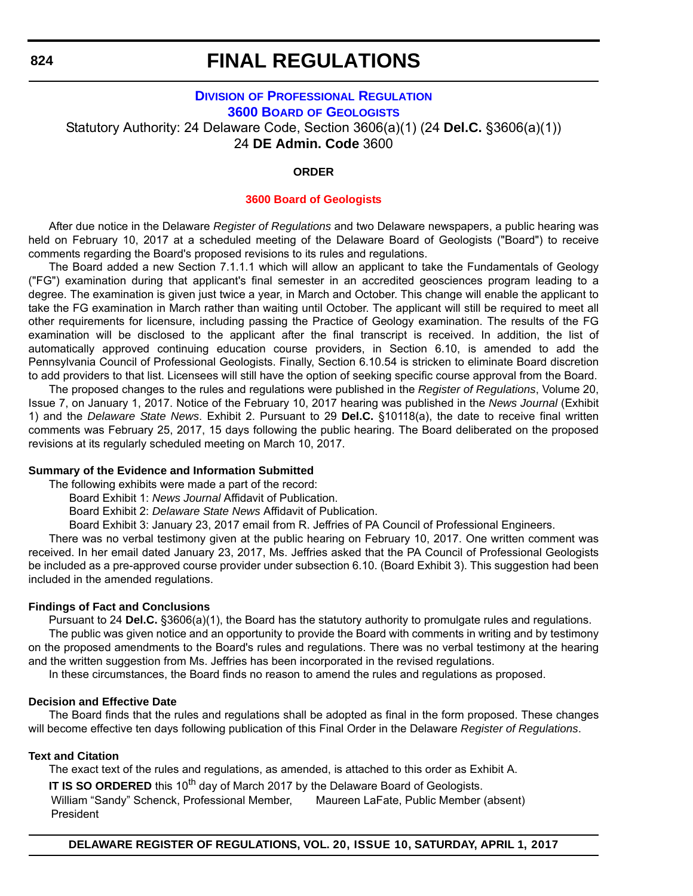## **DIVISION [OF PROFESSIONAL REGULATION](http://dpr.delaware.gov/index.shtml) 3600 BOARD [OF GEOLOGISTS](http://dpr.delaware.gov/boards/geology/index.shtml)** Statutory Authority: 24 Delaware Code, Section 3606(a)(1) (24 **Del.C.** §3606(a)(1)) 24 **DE Admin. Code** 3600

#### **ORDER**

#### **[3600 Board of Geologists](#page-4-0)**

After due notice in the Delaware *Register of Regulations* and two Delaware newspapers, a public hearing was held on February 10, 2017 at a scheduled meeting of the Delaware Board of Geologists ("Board") to receive comments regarding the Board's proposed revisions to its rules and regulations.

The Board added a new Section 7.1.1.1 which will allow an applicant to take the Fundamentals of Geology ("FG") examination during that applicant's final semester in an accredited geosciences program leading to a degree. The examination is given just twice a year, in March and October. This change will enable the applicant to take the FG examination in March rather than waiting until October. The applicant will still be required to meet all other requirements for licensure, including passing the Practice of Geology examination. The results of the FG examination will be disclosed to the applicant after the final transcript is received. In addition, the list of automatically approved continuing education course providers, in Section 6.10, is amended to add the Pennsylvania Council of Professional Geologists. Finally, Section 6.10.54 is stricken to eliminate Board discretion to add providers to that list. Licensees will still have the option of seeking specific course approval from the Board.

The proposed changes to the rules and regulations were published in the *Register of Regulations*, Volume 20, Issue 7, on January 1, 2017. Notice of the February 10, 2017 hearing was published in the *News Journal* (Exhibit 1) and the *Delaware State News*. Exhibit 2. Pursuant to 29 **Del.C.** §10118(a), the date to receive final written comments was February 25, 2017, 15 days following the public hearing. The Board deliberated on the proposed revisions at its regularly scheduled meeting on March 10, 2017.

#### **Summary of the Evidence and Information Submitted**

The following exhibits were made a part of the record:

Board Exhibit 1: *News Journal* Affidavit of Publication.

Board Exhibit 2: *Delaware State News* Affidavit of Publication.

Board Exhibit 3: January 23, 2017 email from R. Jeffries of PA Council of Professional Engineers.

There was no verbal testimony given at the public hearing on February 10, 2017. One written comment was received. In her email dated January 23, 2017, Ms. Jeffries asked that the PA Council of Professional Geologists be included as a pre-approved course provider under subsection 6.10. (Board Exhibit 3). This suggestion had been included in the amended regulations.

#### **Findings of Fact and Conclusions**

Pursuant to 24 **Del.C.** §3606(a)(1), the Board has the statutory authority to promulgate rules and regulations. The public was given notice and an opportunity to provide the Board with comments in writing and by testimony on the proposed amendments to the Board's rules and regulations. There was no verbal testimony at the hearing and the written suggestion from Ms. Jeffries has been incorporated in the revised regulations.

In these circumstances, the Board finds no reason to amend the rules and regulations as proposed.

#### **Decision and Effective Date**

The Board finds that the rules and regulations shall be adopted as final in the form proposed. These changes will become effective ten days following publication of this Final Order in the Delaware *Register of Regulations*.

#### **Text and Citation**

The exact text of the rules and regulations, as amended, is attached to this order as Exhibit A.

**IT IS SO ORDERED** this 10<sup>th</sup> day of March 2017 by the Delaware Board of Geologists.

William "Sandy" Schenck, Professional Member, Maureen LaFate, Public Member (absent)President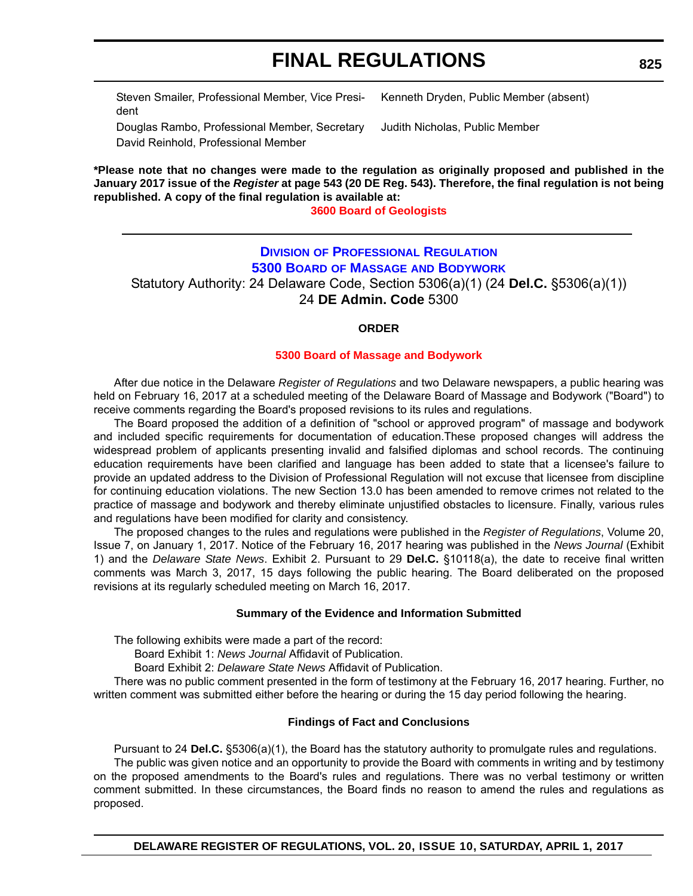Steven Smailer, Professional Member, Vice President

Kenneth Dryden, Public Member (absent)

Douglas Rambo, Professional Member, Secretary Judith Nicholas, Public Member David Reinhold, Professional Member

**\*Please note that no changes were made to the regulation as originally proposed and published in the January 2017 issue of the** *Register* **at page 543 (20 DE Reg. 543). Therefore, the final regulation is not being republished. A copy of the final regulation is available at:**

**[3600 Board of Geologists](http://regulations.delaware.gov/register/april2017/final/20 DE Reg 824 04-01-17.htm)**

### **DIVISION [OF PROFESSIONAL REGULATION](http://dpr.delaware.gov/index.shtml) 5300 BOARD OF MASSAGE [AND BODYWORK](http://dpr.delaware.gov/boards/massagebodyworks/index.shtml)**

Statutory Authority: 24 Delaware Code, Section 5306(a)(1) (24 **Del.C.** §5306(a)(1)) 24 **DE Admin. Code** 5300

#### **ORDER**

#### **[5300 Board of Massage and Bodywork](#page-4-0)**

After due notice in the Delaware *Register of Regulations* and two Delaware newspapers, a public hearing was held on February 16, 2017 at a scheduled meeting of the Delaware Board of Massage and Bodywork ("Board") to receive comments regarding the Board's proposed revisions to its rules and regulations.

The Board proposed the addition of a definition of "school or approved program" of massage and bodywork and included specific requirements for documentation of education.These proposed changes will address the widespread problem of applicants presenting invalid and falsified diplomas and school records. The continuing education requirements have been clarified and language has been added to state that a licensee's failure to provide an updated address to the Division of Professional Regulation will not excuse that licensee from discipline for continuing education violations. The new Section 13.0 has been amended to remove crimes not related to the practice of massage and bodywork and thereby eliminate unjustified obstacles to licensure. Finally, various rules and regulations have been modified for clarity and consistency.

The proposed changes to the rules and regulations were published in the *Register of Regulations*, Volume 20, Issue 7, on January 1, 2017. Notice of the February 16, 2017 hearing was published in the *News Journal* (Exhibit 1) and the *Delaware State News*. Exhibit 2. Pursuant to 29 **Del.C.** §10118(a), the date to receive final written comments was March 3, 2017, 15 days following the public hearing. The Board deliberated on the proposed revisions at its regularly scheduled meeting on March 16, 2017.

#### **Summary of the Evidence and Information Submitted**

The following exhibits were made a part of the record:

Board Exhibit 1: *News Journal* Affidavit of Publication.

Board Exhibit 2: *Delaware State News* Affidavit of Publication.

There was no public comment presented in the form of testimony at the February 16, 2017 hearing. Further, no written comment was submitted either before the hearing or during the 15 day period following the hearing.

#### **Findings of Fact and Conclusions**

Pursuant to 24 **Del.C.** §5306(a)(1), the Board has the statutory authority to promulgate rules and regulations. The public was given notice and an opportunity to provide the Board with comments in writing and by testimony on the proposed amendments to the Board's rules and regulations. There was no verbal testimony or written comment submitted. In these circumstances, the Board finds no reason to amend the rules and regulations as proposed.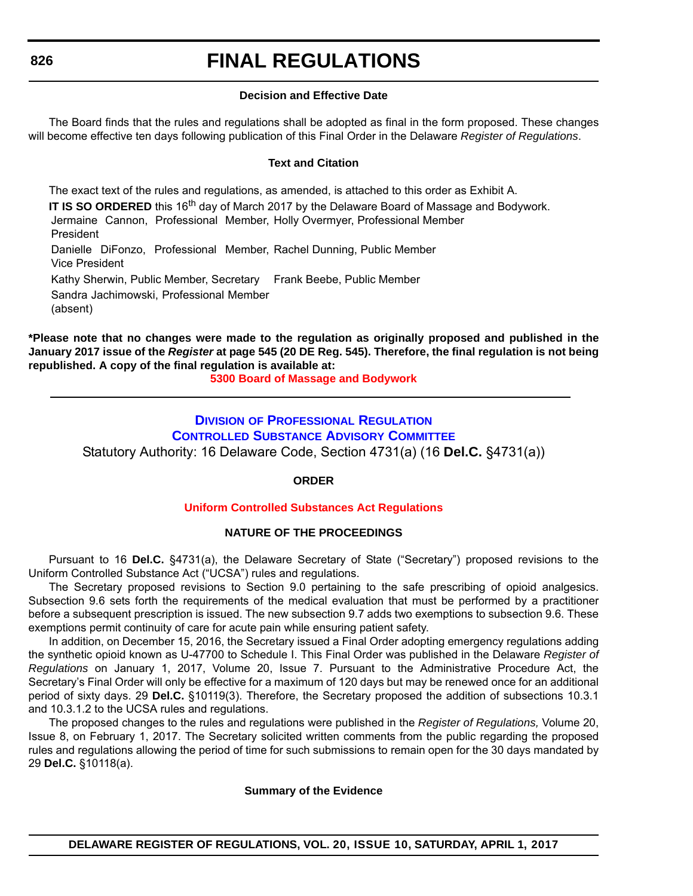# **FINAL REGULATIONS**

#### **Decision and Effective Date**

The Board finds that the rules and regulations shall be adopted as final in the form proposed. These changes will become effective ten days following publication of this Final Order in the Delaware *Register of Regulations*.

#### **Text and Citation**

The exact text of the rules and regulations, as amended, is attached to this order as Exhibit A. **IT IS SO ORDERED** this 16<sup>th</sup> day of March 2017 by the Delaware Board of Massage and Bodywork.

Jermaine Cannon, Professional Member, Holly Overmyer, Professional Member President

Danielle DiFonzo, Professional Member, Rachel Dunning, Public Member Vice President

Kathy Sherwin, Public Member, Secretary Frank Beebe, Public Member

Sandra Jachimowski, Professional Member

(absent)

**\*Please note that no changes were made to the regulation as originally proposed and published in the January 2017 issue of the** *Register* **at page 545 (20 DE Reg. 545). Therefore, the final regulation is not being republished. A copy of the final regulation is available at:**

**[5300 Board of Massage and Bodywork](http://regulations.delaware.gov/register/april2017/final/20 DE Reg 825 04-01-17.htm)**

### **DIVISION [OF PROFESSIONAL REGULATION](http://dpr.delaware.gov/index.shtml) [CONTROLLED SUBSTANCE ADVISORY COMMITTEE](http://dpr.delaware.gov/boards/controlledsubstances/index.shtml)** Statutory Authority: 16 Delaware Code, Section 4731(a) (16 **Del.C.** §4731(a))

**ORDER**

#### **[Uniform Controlled Substances Act Regulations](#page-4-0)**

#### **NATURE OF THE PROCEEDINGS**

Pursuant to 16 **Del.C.** §4731(a), the Delaware Secretary of State ("Secretary") proposed revisions to the Uniform Controlled Substance Act ("UCSA") rules and regulations.

The Secretary proposed revisions to Section 9.0 pertaining to the safe prescribing of opioid analgesics. Subsection 9.6 sets forth the requirements of the medical evaluation that must be performed by a practitioner before a subsequent prescription is issued. The new subsection 9.7 adds two exemptions to subsection 9.6. These exemptions permit continuity of care for acute pain while ensuring patient safety.

In addition, on December 15, 2016, the Secretary issued a Final Order adopting emergency regulations adding the synthetic opioid known as U-47700 to Schedule I. This Final Order was published in the Delaware *Register of Regulations* on January 1, 2017, Volume 20, Issue 7. Pursuant to the Administrative Procedure Act, the Secretary's Final Order will only be effective for a maximum of 120 days but may be renewed once for an additional period of sixty days. 29 **Del.C.** §10119(3). Therefore, the Secretary proposed the addition of subsections 10.3.1 and 10.3.1.2 to the UCSA rules and regulations.

The proposed changes to the rules and regulations were published in the *Register of Regulations,* Volume 20, Issue 8, on February 1, 2017. The Secretary solicited written comments from the public regarding the proposed rules and regulations allowing the period of time for such submissions to remain open for the 30 days mandated by 29 **Del.C.** §10118(a).

#### **Summary of the Evidence**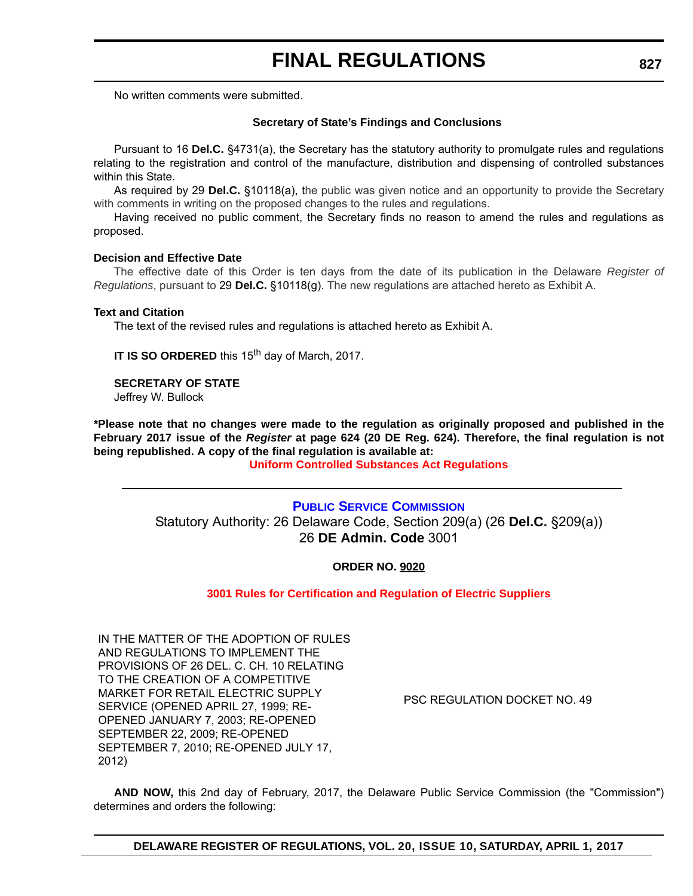No written comments were submitted.

#### **Secretary of State's Findings and Conclusions**

Pursuant to 16 **Del.C.** §4731(a), the Secretary has the statutory authority to promulgate rules and regulations relating to the registration and control of the manufacture, distribution and dispensing of controlled substances within this State.

As required by 29 **Del.C.** §10118(a), the public was given notice and an opportunity to provide the Secretary with comments in writing on the proposed changes to the rules and regulations.

Having received no public comment, the Secretary finds no reason to amend the rules and regulations as proposed.

#### **Decision and Effective Date**

The effective date of this Order is ten days from the date of its publication in the Delaware *Register of Regulations*, pursuant to 29 **Del.C.** §10118(g). The new regulations are attached hereto as Exhibit A.

#### **Text and Citation**

The text of the revised rules and regulations is attached hereto as Exhibit A.

**IT IS SO ORDERED** this 15<sup>th</sup> day of March, 2017.

#### **SECRETARY OF STATE**

Jeffrey W. Bullock

**\*Please note that no changes were made to the regulation as originally proposed and published in the February 2017 issue of the** *Register* **at page 624 (20 DE Reg. 624). Therefore, the final regulation is not being republished. A copy of the final regulation is available at:**

#### **[Uniform Controlled Substances Act Regulations](http://regulations.delaware.gov/register/april2017/final/20 DE Reg 826 04-01-17.htm)**

### **[PUBLIC SERVICE COMMISSION](http://depsc.delaware.gov/)** Statutory Authority: 26 Delaware Code, Section 209(a) (26 **Del.C.** §209(a)) 26 **DE Admin. Code** 3001

#### **ORDER NO. 9020**

#### **[3001 Rules for Certification and Regulation of Electric Suppliers](#page-4-0)**

IN THE MATTER OF THE ADOPTION OF RULES AND REGULATIONS TO IMPLEMENT THE PROVISIONS OF 26 DEL. C. CH. 10 RELATING TO THE CREATION OF A COMPETITIVE MARKET FOR RETAIL ELECTRIC SUPPLY SERVICE (OPENED APRIL 27, 1999; RE-OPENED JANUARY 7, 2003; RE-OPENED SEPTEMBER 22, 2009; RE-OPENED SEPTEMBER 7, 2010; RE-OPENED JULY 17, 2012)

PSC REGULATION DOCKET NO. 49

**AND NOW,** this 2nd day of February, 2017, the Delaware Public Service Commission (the "Commission") determines and orders the following: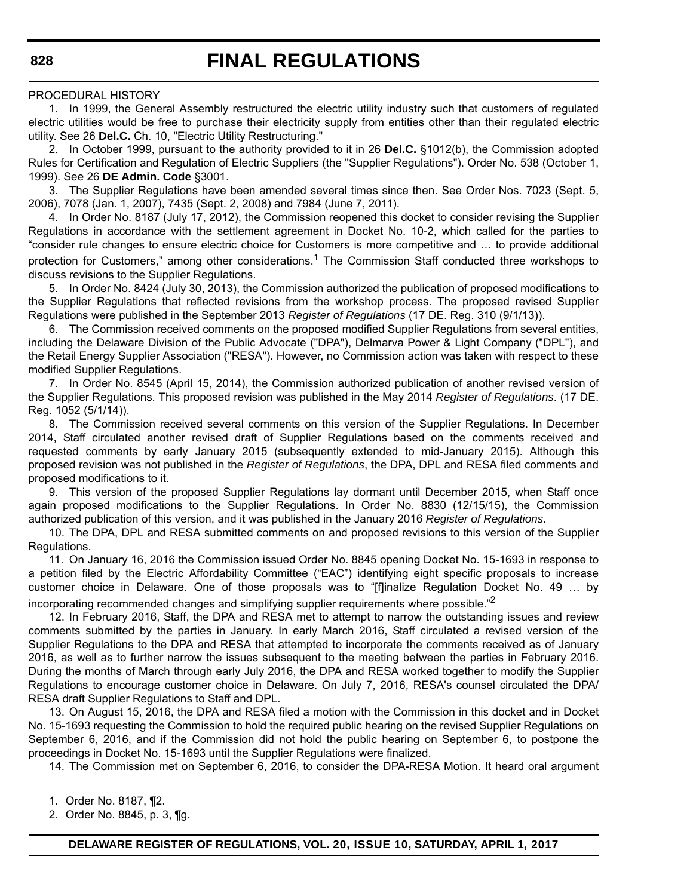#### PROCEDURAL HISTORY

1. In 1999, the General Assembly restructured the electric utility industry such that customers of regulated electric utilities would be free to purchase their electricity supply from entities other than their regulated electric utility. See 26 **Del.C.** Ch. 10, "Electric Utility Restructuring."

2. In October 1999, pursuant to the authority provided to it in 26 **Del.C.** §1012(b), the Commission adopted Rules for Certification and Regulation of Electric Suppliers (the "Supplier Regulations"). Order No. 538 (October 1, 1999). See 26 **DE Admin. Code** §3001.

3. The Supplier Regulations have been amended several times since then. See Order Nos. 7023 (Sept. 5, 2006), 7078 (Jan. 1, 2007), 7435 (Sept. 2, 2008) and 7984 (June 7, 2011).

4. In Order No. 8187 (July 17, 2012), the Commission reopened this docket to consider revising the Supplier Regulations in accordance with the settlement agreement in Docket No. 10-2, which called for the parties to "consider rule changes to ensure electric choice for Customers is more competitive and … to provide additional protection for Customers," among other considerations.<sup>1</sup> The Commission Staff conducted three workshops to discuss revisions to the Supplier Regulations.

5. In Order No. 8424 (July 30, 2013), the Commission authorized the publication of proposed modifications to the Supplier Regulations that reflected revisions from the workshop process. The proposed revised Supplier Regulations were published in the September 2013 *Register of Regulations* (17 DE. Reg. 310 (9/1/13)).

6. The Commission received comments on the proposed modified Supplier Regulations from several entities, including the Delaware Division of the Public Advocate ("DPA"), Delmarva Power & Light Company ("DPL"), and the Retail Energy Supplier Association ("RESA"). However, no Commission action was taken with respect to these modified Supplier Regulations.

7. In Order No. 8545 (April 15, 2014), the Commission authorized publication of another revised version of the Supplier Regulations. This proposed revision was published in the May 2014 *Register of Regulations*. (17 DE. Reg. 1052 (5/1/14)).

8. The Commission received several comments on this version of the Supplier Regulations. In December 2014, Staff circulated another revised draft of Supplier Regulations based on the comments received and requested comments by early January 2015 (subsequently extended to mid-January 2015). Although this proposed revision was not published in the *Register of Regulations*, the DPA, DPL and RESA filed comments and proposed modifications to it.

9. This version of the proposed Supplier Regulations lay dormant until December 2015, when Staff once again proposed modifications to the Supplier Regulations. In Order No. 8830 (12/15/15), the Commission authorized publication of this version, and it was published in the January 2016 *Register of Regulations*.

10. The DPA, DPL and RESA submitted comments on and proposed revisions to this version of the Supplier Regulations.

11. On January 16, 2016 the Commission issued Order No. 8845 opening Docket No. 15-1693 in response to a petition filed by the Electric Affordability Committee ("EAC") identifying eight specific proposals to increase customer choice in Delaware. One of those proposals was to "[f]inalize Regulation Docket No. 49 … by incorporating recommended changes and simplifying supplier requirements where possible."<sup>2</sup>

12. In February 2016, Staff, the DPA and RESA met to attempt to narrow the outstanding issues and review comments submitted by the parties in January. In early March 2016, Staff circulated a revised version of the Supplier Regulations to the DPA and RESA that attempted to incorporate the comments received as of January 2016, as well as to further narrow the issues subsequent to the meeting between the parties in February 2016. During the months of March through early July 2016, the DPA and RESA worked together to modify the Supplier Regulations to encourage customer choice in Delaware. On July 7, 2016, RESA's counsel circulated the DPA/ RESA draft Supplier Regulations to Staff and DPL.

13. On August 15, 2016, the DPA and RESA filed a motion with the Commission in this docket and in Docket No. 15-1693 requesting the Commission to hold the required public hearing on the revised Supplier Regulations on September 6, 2016, and if the Commission did not hold the public hearing on September 6, to postpone the proceedings in Docket No. 15-1693 until the Supplier Regulations were finalized.

14. The Commission met on September 6, 2016, to consider the DPA-RESA Motion. It heard oral argument

1. Order No. 8187, ¶2.

2. Order No. 8845, p. 3, ¶g.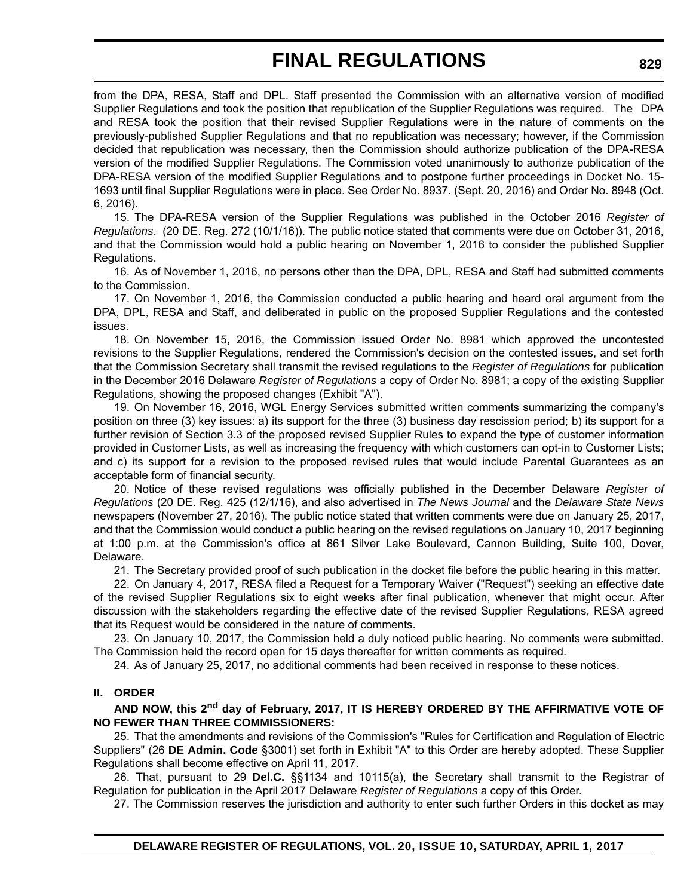from the DPA, RESA, Staff and DPL. Staff presented the Commission with an alternative version of modified Supplier Regulations and took the position that republication of the Supplier Regulations was required. The DPA and RESA took the position that their revised Supplier Regulations were in the nature of comments on the previously-published Supplier Regulations and that no republication was necessary; however, if the Commission decided that republication was necessary, then the Commission should authorize publication of the DPA-RESA version of the modified Supplier Regulations. The Commission voted unanimously to authorize publication of the DPA-RESA version of the modified Supplier Regulations and to postpone further proceedings in Docket No. 15- 1693 until final Supplier Regulations were in place. See Order No. 8937. (Sept. 20, 2016) and Order No. 8948 (Oct. 6, 2016).

15. The DPA-RESA version of the Supplier Regulations was published in the October 2016 *Register of Regulations*. (20 DE. Reg. 272 (10/1/16)). The public notice stated that comments were due on October 31, 2016, and that the Commission would hold a public hearing on November 1, 2016 to consider the published Supplier Regulations.

16. As of November 1, 2016, no persons other than the DPA, DPL, RESA and Staff had submitted comments to the Commission.

17. On November 1, 2016, the Commission conducted a public hearing and heard oral argument from the DPA, DPL, RESA and Staff, and deliberated in public on the proposed Supplier Regulations and the contested issues.

18. On November 15, 2016, the Commission issued Order No. 8981 which approved the uncontested revisions to the Supplier Regulations, rendered the Commission's decision on the contested issues, and set forth that the Commission Secretary shall transmit the revised regulations to the *Register of Regulations* for publication in the December 2016 Delaware *Register of Regulations* a copy of Order No. 8981; a copy of the existing Supplier Regulations, showing the proposed changes (Exhibit "A").

19. On November 16, 2016, WGL Energy Services submitted written comments summarizing the company's position on three (3) key issues: a) its support for the three (3) business day rescission period; b) its support for a further revision of Section 3.3 of the proposed revised Supplier Rules to expand the type of customer information provided in Customer Lists, as well as increasing the frequency with which customers can opt-in to Customer Lists; and c) its support for a revision to the proposed revised rules that would include Parental Guarantees as an acceptable form of financial security.

20. Notice of these revised regulations was officially published in the December Delaware *Register of Regulations* (20 DE. Reg. 425 (12/1/16), and also advertised in *The News Journal* and the *Delaware State News* newspapers (November 27, 2016). The public notice stated that written comments were due on January 25, 2017, and that the Commission would conduct a public hearing on the revised regulations on January 10, 2017 beginning at 1:00 p.m. at the Commission's office at 861 Silver Lake Boulevard, Cannon Building, Suite 100, Dover, Delaware.

21. The Secretary provided proof of such publication in the docket file before the public hearing in this matter.

22. On January 4, 2017, RESA filed a Request for a Temporary Waiver ("Request") seeking an effective date of the revised Supplier Regulations six to eight weeks after final publication, whenever that might occur. After discussion with the stakeholders regarding the effective date of the revised Supplier Regulations, RESA agreed that its Request would be considered in the nature of comments.

23. On January 10, 2017, the Commission held a duly noticed public hearing. No comments were submitted. The Commission held the record open for 15 days thereafter for written comments as required.

24. As of January 25, 2017, no additional comments had been received in response to these notices.

#### **II. ORDER**

**AND NOW, this 2nd day of February, 2017, IT IS HEREBY ORDERED BY THE AFFIRMATIVE VOTE OF NO FEWER THAN THREE COMMISSIONERS:**

25. That the amendments and revisions of the Commission's "Rules for Certification and Regulation of Electric Suppliers" (26 **DE Admin. Code** §3001) set forth in Exhibit "A" to this Order are hereby adopted. These Supplier Regulations shall become effective on April 11, 2017.

26. That, pursuant to 29 **Del.C.** §§1134 and 10115(a), the Secretary shall transmit to the Registrar of Regulation for publication in the April 2017 Delaware *Register of Regulations* a copy of this Order.

27. The Commission reserves the jurisdiction and authority to enter such further Orders in this docket as may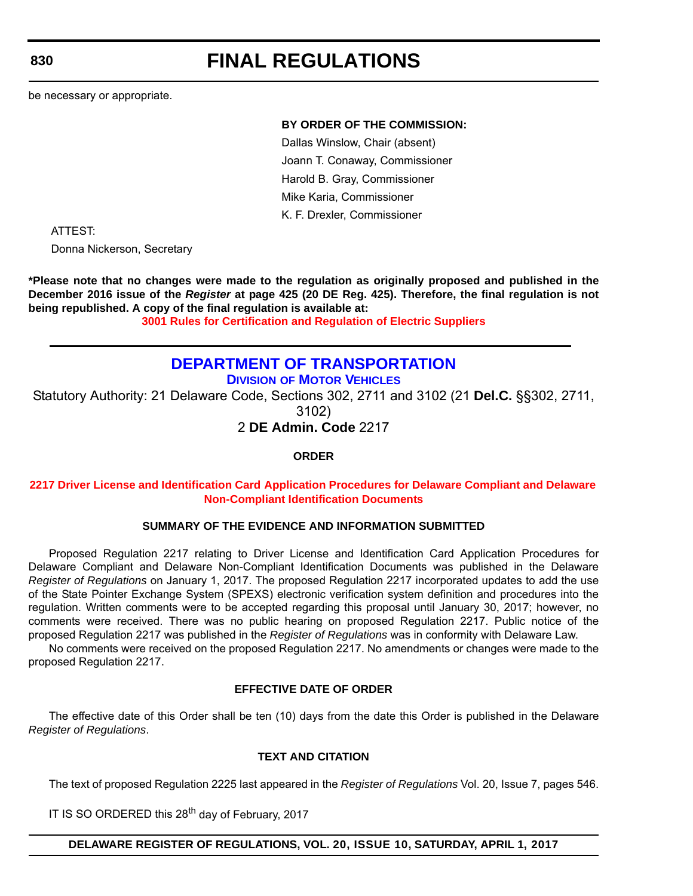# **FINAL REGULATIONS**

be necessary or appropriate.

#### **BY ORDER OF THE COMMISSION:**

Dallas Winslow, Chair (absent) Joann T. Conaway, Commissioner Harold B. Gray, Commissioner Mike Karia, Commissioner K. F. Drexler, Commissioner

ATTEST:

Donna Nickerson, Secretary

**\*Please note that no changes were made to the regulation as originally proposed and published in the December 2016 issue of the** *Register* **at page 425 (20 DE Reg. 425). Therefore, the final regulation is not being republished. A copy of the final regulation is available at:**

**[3001 Rules for Certification and Regulation of Electric Suppliers](http://regulations.delaware.gov/register/april2017/final/20 DE Reg 827 04-01-17.htm)**

# **[DEPARTMENT OF TRANSPORTATION](http://www.deldot.gov/index.shtml)**

**DIVISION [OF MOTOR VEHICLES](http://dmv.de.gov/)**

Statutory Authority: 21 Delaware Code, Sections 302, 2711 and 3102 (21 **Del.C.** §§302, 2711, 3102)

2 **DE Admin. Code** 2217

**ORDER**

#### **2217 Driver License and Identification Card [Application Procedures for Delaware Compliant and Delaware](#page-4-0)  Non-Compliant Identification Documents**

#### **SUMMARY OF THE EVIDENCE AND INFORMATION SUBMITTED**

Proposed Regulation 2217 relating to Driver License and Identification Card Application Procedures for Delaware Compliant and Delaware Non-Compliant Identification Documents was published in the Delaware *Register of Regulations* on January 1, 2017. The proposed Regulation 2217 incorporated updates to add the use of the State Pointer Exchange System (SPEXS) electronic verification system definition and procedures into the regulation. Written comments were to be accepted regarding this proposal until January 30, 2017; however, no comments were received. There was no public hearing on proposed Regulation 2217. Public notice of the proposed Regulation 2217 was published in the *Register of Regulations* was in conformity with Delaware Law.

No comments were received on the proposed Regulation 2217. No amendments or changes were made to the proposed Regulation 2217.

#### **EFFECTIVE DATE OF ORDER**

The effective date of this Order shall be ten (10) days from the date this Order is published in the Delaware *Register of Regulations*.

#### **TEXT AND CITATION**

The text of proposed Regulation 2225 last appeared in the *Register of Regulations* Vol. 20, Issue 7, pages 546.

IT IS SO ORDERED this 28<sup>th</sup> day of February, 2017

#### **DELAWARE REGISTER OF REGULATIONS, VOL. 20, ISSUE 10, SATURDAY, APRIL 1, 2017**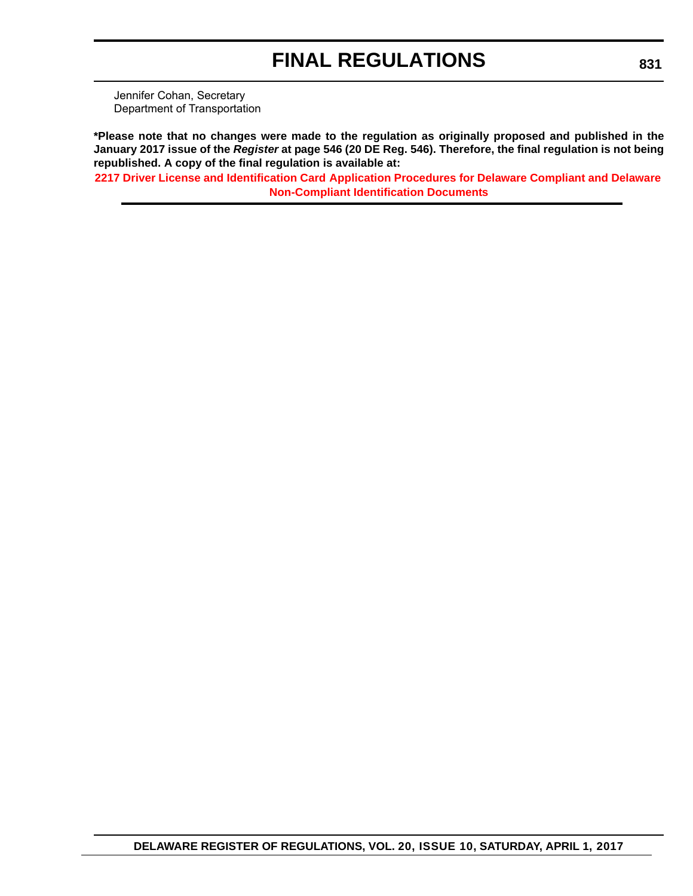Jennifer Cohan, Secretary Department of Transportation

**\*Please note that no changes were made to the regulation as originally proposed and published in the January 2017 issue of the** *Register* **at page 546 (20 DE Reg. 546). Therefore, the final regulation is not being republished. A copy of the final regulation is available at:**

**2217 Driver License and Identification Card [Application Procedures for Delaware Compliant and Delaware](http://regulations.delaware.gov/register/april2017/final/20 DE Reg 830 04-01-17.htm)  Non-Compliant Identification Documents**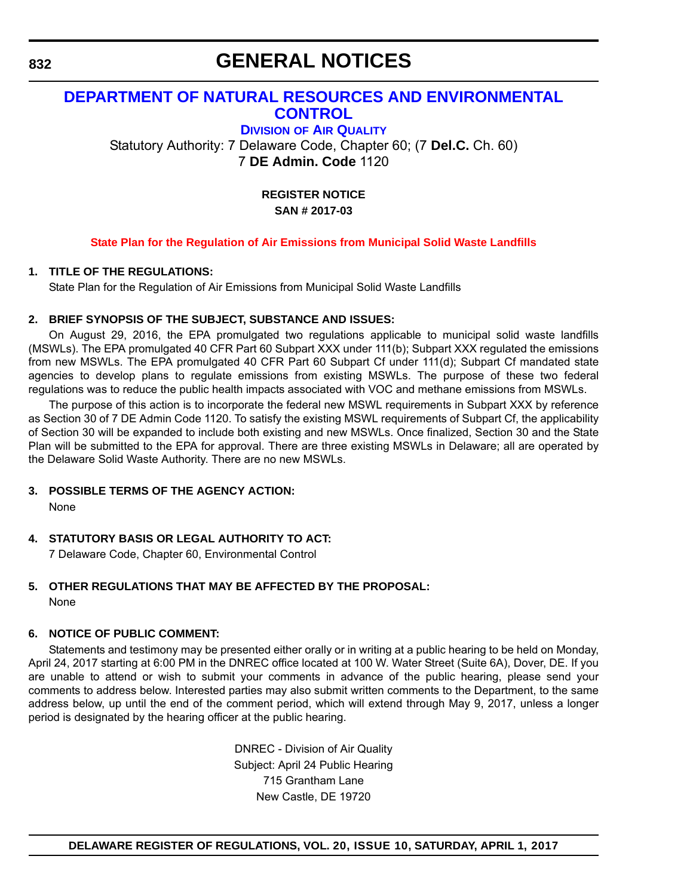## **GENERAL NOTICES**

## **[DEPARTMENT OF NATURAL RESOURCES AND ENVIRONMENTAL](http://www.dnrec.delaware.gov/air/Pages/Default.aspx)  CONTROL**

**DIVISION OF AIR QUALITY**

Statutory Authority: 7 Delaware Code, Chapter 60; (7 **Del.C.** Ch. 60) 7 **DE Admin. Code** 1120

> **REGISTER NOTICE SAN # 2017-03**

#### **[State Plan for the Regulation of Air Emissions from Municipal Solid Waste Landfills](#page-4-0)**

#### **1. TITLE OF THE REGULATIONS:**

State Plan for the Regulation of Air Emissions from Municipal Solid Waste Landfills

#### **2. BRIEF SYNOPSIS OF THE SUBJECT, SUBSTANCE AND ISSUES:**

On August 29, 2016, the EPA promulgated two regulations applicable to municipal solid waste landfills (MSWLs). The EPA promulgated 40 CFR Part 60 Subpart XXX under 111(b); Subpart XXX regulated the emissions from new MSWLs. The EPA promulgated 40 CFR Part 60 Subpart Cf under 111(d); Subpart Cf mandated state agencies to develop plans to regulate emissions from existing MSWLs. The purpose of these two federal regulations was to reduce the public health impacts associated with VOC and methane emissions from MSWLs.

The purpose of this action is to incorporate the federal new MSWL requirements in Subpart XXX by reference as Section 30 of 7 DE Admin Code 1120. To satisfy the existing MSWL requirements of Subpart Cf, the applicability of Section 30 will be expanded to include both existing and new MSWLs. Once finalized, Section 30 and the State Plan will be submitted to the EPA for approval. There are three existing MSWLs in Delaware; all are operated by the Delaware Solid Waste Authority. There are no new MSWLs.

#### **3. POSSIBLE TERMS OF THE AGENCY ACTION:**

None

### **4. STATUTORY BASIS OR LEGAL AUTHORITY TO ACT:**

7 Delaware Code, Chapter 60, Environmental Control

#### **5. OTHER REGULATIONS THAT MAY BE AFFECTED BY THE PROPOSAL:** None

#### **6. NOTICE OF PUBLIC COMMENT:**

Statements and testimony may be presented either orally or in writing at a public hearing to be held on Monday, April 24, 2017 starting at 6:00 PM in the DNREC office located at 100 W. Water Street (Suite 6A), Dover, DE. If you are unable to attend or wish to submit your comments in advance of the public hearing, please send your comments to address below. Interested parties may also submit written comments to the Department, to the same address below, up until the end of the comment period, which will extend through May 9, 2017, unless a longer period is designated by the hearing officer at the public hearing.

> DNREC - Division of Air Quality Subject: April 24 Public Hearing 715 Grantham Lane New Castle, DE 19720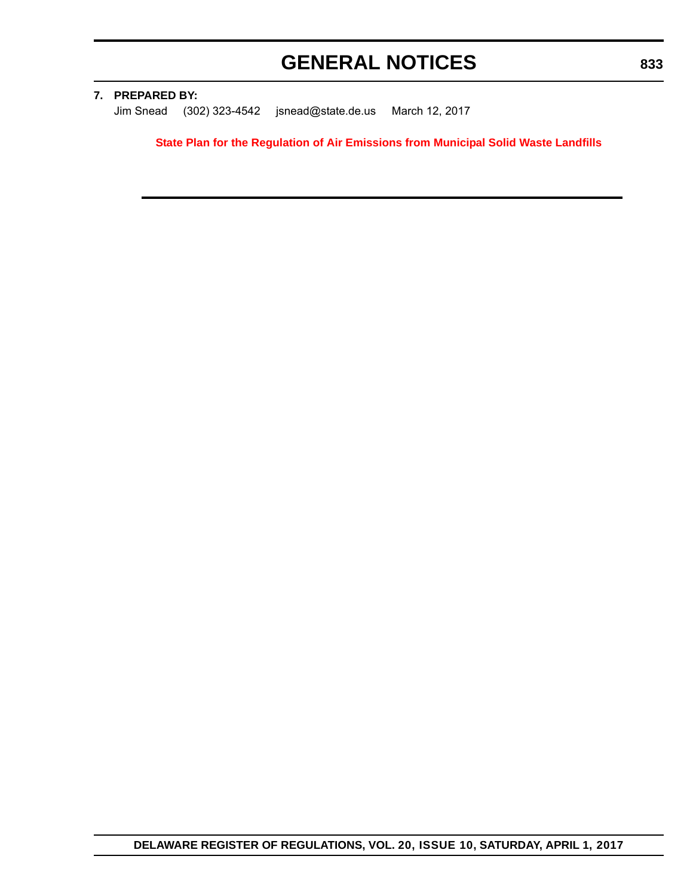# **GENERAL NOTICES**

#### **7. PREPARED BY:**

Jim Snead (302) 323-4542 jsnead@state.de.us March 12, 2017

**[State Plan for the Regulation of Air Emissions from Municipal Solid Waste Landfills](http://regulations.delaware.gov/register/april2017/MSWL State Plan.pdf)**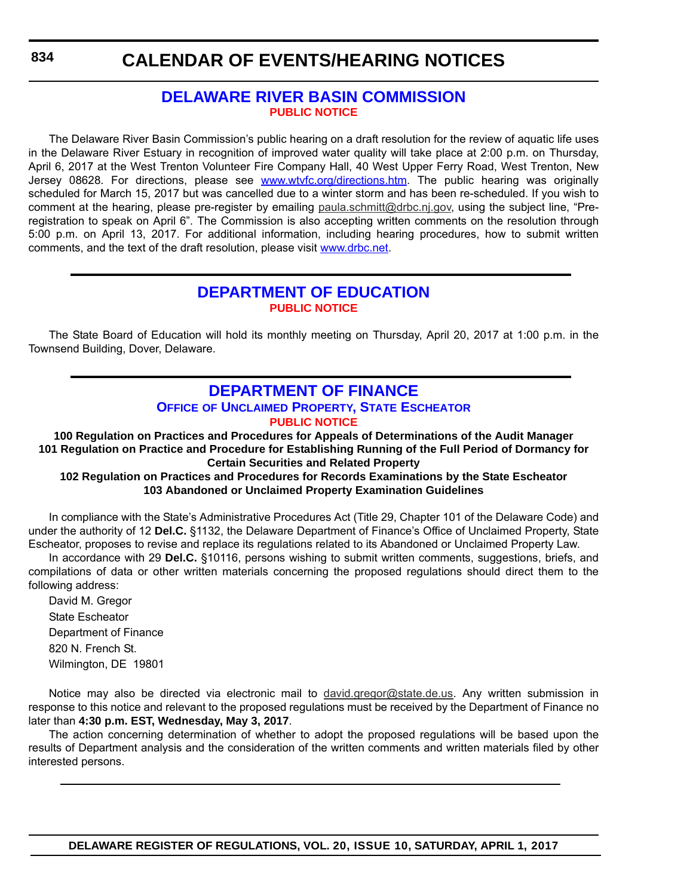## **[DELAWARE RIVER BASIN COMMISSION](http://www.state.nj.us/drbc/) [PUBLIC NOTICE](#page-4-0)**

The Delaware River Basin Commission's public hearing on a draft resolution for the review of aquatic life uses in the Delaware River Estuary in recognition of improved water quality will take place at 2:00 p.m. on Thursday, April 6, 2017 at the West Trenton Volunteer Fire Company Hall, 40 West Upper Ferry Road, West Trenton, New Jersey 08628. For directions, please see [www.wtvfc.org/directions.htm.](http://www.wtvfc.org/directions.htm) The public hearing was originally scheduled for March 15, 2017 but was cancelled due to a winter storm and has been re-scheduled. If you wish to comment at the hearing, please pre-register by emailing [paula.schmitt@drbc.nj.gov,](mailto:paula.schmitt@drbc.nj.gov) using the subject line, "Preregistration to speak on April 6". The Commission is also accepting written comments on the resolution through 5:00 p.m. on April 13, 2017. For additional information, including hearing procedures, how to submit written comments, and the text of the draft resolution, please visit [www.drbc.net](http://www.drbc.net).

## **[DEPARTMENT OF EDUCATION](http://www.doe.k12.de.us/) [PUBLIC NOTICE](#page-4-0)**

The State Board of Education will hold its monthly meeting on Thursday, April 20, 2017 at 1:00 p.m. in the Townsend Building, Dover, Delaware.

## **DEPARTMENT OF FINANCE OFFICE [OF UNCLAIMED PROPERTY, STATE ESCHEATOR](https://delaware.findyourunclaimedproperty.com/) [PUBLIC NOTICE](#page-4-0)**

**100 Regulation on Practices and Procedures for Appeals of Determinations of the Audit Manager 101 Regulation on Practice and Procedure for Establishing Running of the Full Period of Dormancy for Certain Securities and Related Property**

#### **102 Regulation on Practices and Procedures for Records Examinations by the State Escheator 103 Abandoned or Unclaimed Property Examination Guidelines**

In compliance with the State's Administrative Procedures Act (Title 29, Chapter 101 of the Delaware Code) and under the authority of 12 **Del.C.** §1132, the Delaware Department of Finance's Office of Unclaimed Property, State Escheator, proposes to revise and replace its regulations related to its Abandoned or Unclaimed Property Law. In accordance with 29 **Del.C.** §10116, persons wishing to submit written comments, suggestions, briefs, and

compilations of data or other written materials concerning the proposed regulations should direct them to the following address:

David M. Gregor State Escheator Department of Finance 820 N. French St. Wilmington, DE 19801

Notice may also be directed via electronic mail to [david.gregor@state.de.us](mailto:david.gregor@state.de.us). Any written submission in response to this notice and relevant to the proposed regulations must be received by the Department of Finance no later than **4:30 p.m. EST, Wednesday, May 3, 2017**.

The action concerning determination of whether to adopt the proposed regulations will be based upon the results of Department analysis and the consideration of the written comments and written materials filed by other interested persons.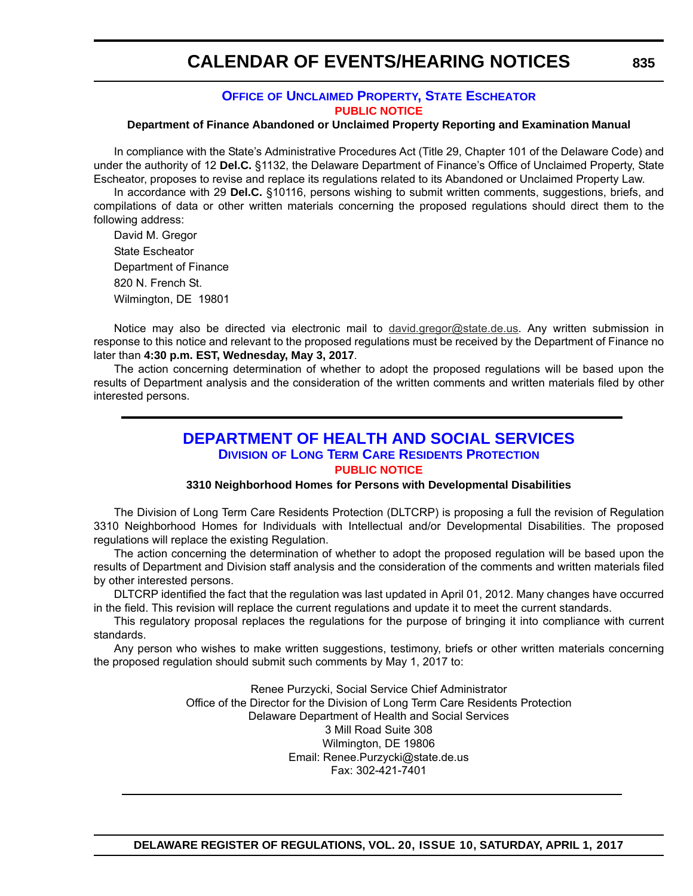#### **OFFICE [OF UNCLAIMED PROPERTY, STATE ESCHEATOR](https://delaware.findyourunclaimedproperty.com/) [PUBLIC NOTICE](#page-4-0)**

#### **Department of Finance Abandoned or Unclaimed Property Reporting and Examination Manual**

In compliance with the State's Administrative Procedures Act (Title 29, Chapter 101 of the Delaware Code) and under the authority of 12 **Del.C.** §1132, the Delaware Department of Finance's Office of Unclaimed Property, State Escheator, proposes to revise and replace its regulations related to its Abandoned or Unclaimed Property Law.

In accordance with 29 **Del.C.** §10116, persons wishing to submit written comments, suggestions, briefs, and compilations of data or other written materials concerning the proposed regulations should direct them to the following address:

David M. Gregor State Escheator Department of Finance 820 N. French St. Wilmington, DE 19801

Notice may also be directed via electronic mail to [david.gregor@state.de.us](mailto:david.gregor@state.de.us). Any written submission in response to this notice and relevant to the proposed regulations must be received by the Department of Finance no later than **4:30 p.m. EST, Wednesday, May 3, 2017**.

The action concerning determination of whether to adopt the proposed regulations will be based upon the results of Department analysis and the consideration of the written comments and written materials filed by other interested persons.

### **[DEPARTMENT OF HEALTH AND SOCIAL SERVICES](http://www.dhss.delaware.gov/dhss/dltcrp/) DIVISION OF LONG TERM CARE RESIDENTS PROTECTION [PUBLIC NOTICE](#page-4-0)**

#### **3310 Neighborhood Homes for Persons with Developmental Disabilities**

The Division of Long Term Care Residents Protection (DLTCRP) is proposing a full the revision of Regulation 3310 Neighborhood Homes for Individuals with Intellectual and/or Developmental Disabilities. The proposed regulations will replace the existing Regulation.

The action concerning the determination of whether to adopt the proposed regulation will be based upon the results of Department and Division staff analysis and the consideration of the comments and written materials filed by other interested persons.

DLTCRP identified the fact that the regulation was last updated in April 01, 2012. Many changes have occurred in the field. This revision will replace the current regulations and update it to meet the current standards.

This regulatory proposal replaces the regulations for the purpose of bringing it into compliance with current standards.

Any person who wishes to make written suggestions, testimony, briefs or other written materials concerning the proposed regulation should submit such comments by May 1, 2017 to:

> Renee Purzycki, Social Service Chief Administrator Office of the Director for the Division of Long Term Care Residents Protection Delaware Department of Health and Social Services 3 Mill Road Suite 308 Wilmington, DE 19806 Email: Renee.Purzycki@state.de.us Fax: 302-421-7401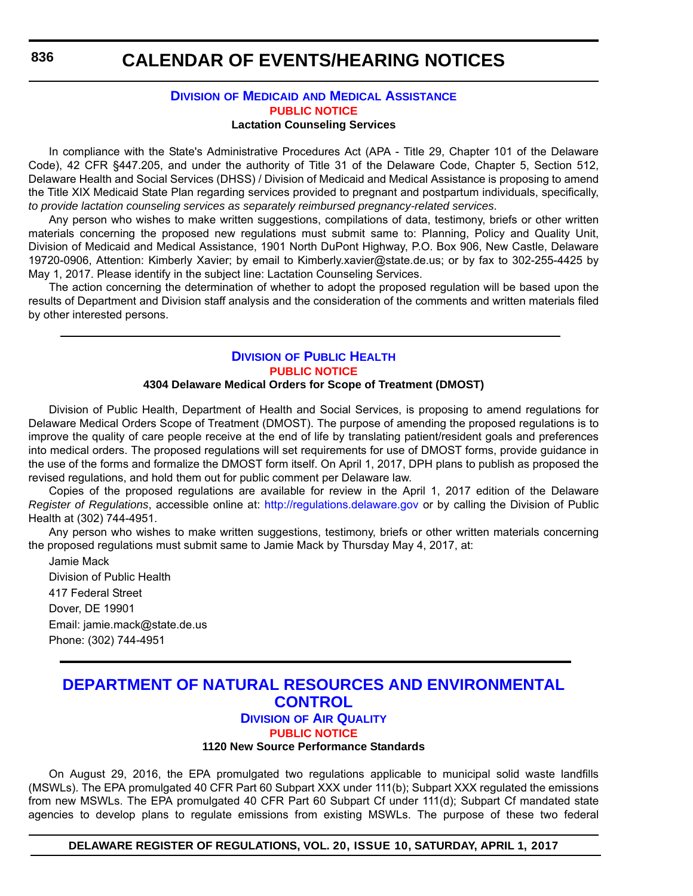## **CALENDAR OF EVENTS/HEARING NOTICES**

#### **DIVISION OF MEDICAID [AND MEDICAL ASSISTANCE](http://www.dhss.delaware.gov/dhss/dmma/) [PUBLIC NOTICE](#page-4-0) Lactation Counseling Services**

In compliance with the State's Administrative Procedures Act (APA - Title 29, Chapter 101 of the Delaware Code), 42 CFR §447.205, and under the authority of Title 31 of the Delaware Code, Chapter 5, Section 512, Delaware Health and Social Services (DHSS) / Division of Medicaid and Medical Assistance is proposing to amend the Title XIX Medicaid State Plan regarding services provided to pregnant and postpartum individuals, specifically, *to provide lactation counseling services as separately reimbursed pregnancy-related services*.

Any person who wishes to make written suggestions, compilations of data, testimony, briefs or other written materials concerning the proposed new regulations must submit same to: Planning, Policy and Quality Unit, Division of Medicaid and Medical Assistance, 1901 North DuPont Highway, P.O. Box 906, New Castle, Delaware 19720-0906, Attention: Kimberly Xavier; by email to Kimberly.xavier@state.de.us; or by fax to 302-255-4425 by May 1, 2017. Please identify in the subject line: Lactation Counseling Services.

The action concerning the determination of whether to adopt the proposed regulation will be based upon the results of Department and Division staff analysis and the consideration of the comments and written materials filed by other interested persons.

#### **DIVISION [OF PUBLIC HEALTH](http://www.dhss.delaware.gov/dhss/dph/index.html) [PUBLIC NOTICE](#page-4-0)**

#### **4304 Delaware Medical Orders for Scope of Treatment (DMOST)**

Division of Public Health, Department of Health and Social Services, is proposing to amend regulations for Delaware Medical Orders Scope of Treatment (DMOST). The purpose of amending the proposed regulations is to improve the quality of care people receive at the end of life by translating patient/resident goals and preferences into medical orders. The proposed regulations will set requirements for use of DMOST forms, provide guidance in the use of the forms and formalize the DMOST form itself. On April 1, 2017, DPH plans to publish as proposed the revised regulations, and hold them out for public comment per Delaware law.

Copies of the proposed regulations are available for review in the April 1, 2017 edition of the Delaware *Register of Regulations*, accessible online at: http://regulations.delaware.gov or by calling the Division of Public Health at (302) 744-4951.

Any person who wishes to make written suggestions, testimony, briefs or other written materials concerning the proposed regulations must submit same to Jamie Mack by Thursday May 4, 2017, at:

Jamie Mack Division of Public Health 417 Federal Street Dover, DE 19901 Email: jamie.mack@state.de.us Phone: (302) 744-4951

### **[DEPARTMENT OF NATURAL RESOURCES AND ENVIRONMENTAL](http://www.dnrec.delaware.gov/air/Pages/Default.aspx)  CONTROL DIVISION OF AIR QUALITY**

#### **[PUBLIC NOTICE](#page-4-0)**

#### **1120 New Source Performance Standards**

On August 29, 2016, the EPA promulgated two regulations applicable to municipal solid waste landfills (MSWLs). The EPA promulgated 40 CFR Part 60 Subpart XXX under 111(b); Subpart XXX regulated the emissions from new MSWLs. The EPA promulgated 40 CFR Part 60 Subpart Cf under 111(d); Subpart Cf mandated state agencies to develop plans to regulate emissions from existing MSWLs. The purpose of these two federal

**DELAWARE REGISTER OF REGULATIONS, VOL. 20, ISSUE 10, SATURDAY, APRIL 1, 2017**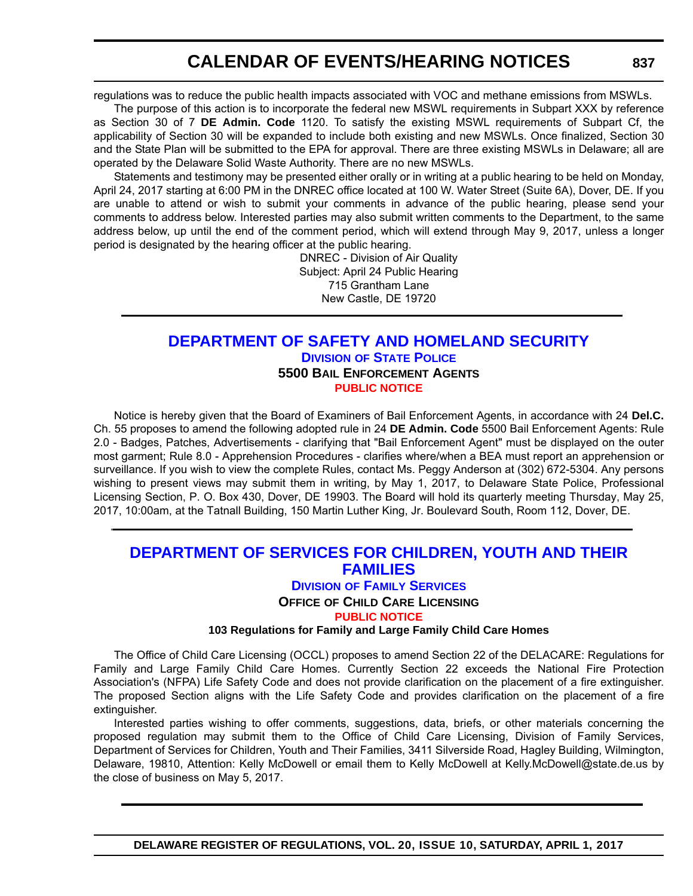regulations was to reduce the public health impacts associated with VOC and methane emissions from MSWLs.

The purpose of this action is to incorporate the federal new MSWL requirements in Subpart XXX by reference as Section 30 of 7 **DE Admin. Code** 1120. To satisfy the existing MSWL requirements of Subpart Cf, the applicability of Section 30 will be expanded to include both existing and new MSWLs. Once finalized, Section 30 and the State Plan will be submitted to the EPA for approval. There are three existing MSWLs in Delaware; all are operated by the Delaware Solid Waste Authority. There are no new MSWLs.

Statements and testimony may be presented either orally or in writing at a public hearing to be held on Monday, April 24, 2017 starting at 6:00 PM in the DNREC office located at 100 W. Water Street (Suite 6A), Dover, DE. If you are unable to attend or wish to submit your comments in advance of the public hearing, please send your comments to address below. Interested parties may also submit written comments to the Department, to the same address below, up until the end of the comment period, which will extend through May 9, 2017, unless a longer period is designated by the hearing officer at the public hearing.

DNREC - Division of Air Quality Subject: April 24 Public Hearing 715 Grantham Lane New Castle, DE 19720

### **[DEPARTMENT OF SAFETY AND HOMELAND SECURITY](http://dsp.delaware.gov/) DIVISION OF STATE POLICE 5500 BAIL ENFORCEMENT AGENTS [PUBLIC NOTICE](#page-4-0)**

Notice is hereby given that the Board of Examiners of Bail Enforcement Agents, in accordance with 24 **Del.C.** Ch. 55 proposes to amend the following adopted rule in 24 **DE Admin. Code** 5500 Bail Enforcement Agents: Rule 2.0 - Badges, Patches, Advertisements - clarifying that "Bail Enforcement Agent" must be displayed on the outer most garment; Rule 8.0 - Apprehension Procedures - clarifies where/when a BEA must report an apprehension or surveillance. If you wish to view the complete Rules, contact Ms. Peggy Anderson at (302) 672-5304. Any persons wishing to present views may submit them in writing, by May 1, 2017, to Delaware State Police, Professional Licensing Section, P. O. Box 430, Dover, DE 19903. The Board will hold its quarterly meeting Thursday, May 25, 2017, 10:00am, at the Tatnall Building, 150 Martin Luther King, Jr. Boulevard South, Room 112, Dover, DE.

## **[DEPARTMENT OF SERVICES FOR CHILDREN, YOUTH AND THEIR](http://kids.delaware.gov/fs/fs.shtml)  FAMILIES**

#### **DIVISION OF FAMILY SERVICES**

**OFFICE OF CHILD CARE LICENSING**

**[PUBLIC NOTICE](#page-4-0)**

**103 Regulations for Family and Large Family Child Care Homes**

The Office of Child Care Licensing (OCCL) proposes to amend Section 22 of the DELACARE: Regulations for Family and Large Family Child Care Homes. Currently Section 22 exceeds the National Fire Protection Association's (NFPA) Life Safety Code and does not provide clarification on the placement of a fire extinguisher. The proposed Section aligns with the Life Safety Code and provides clarification on the placement of a fire extinguisher.

Interested parties wishing to offer comments, suggestions, data, briefs, or other materials concerning the proposed regulation may submit them to the Office of Child Care Licensing, Division of Family Services, Department of Services for Children, Youth and Their Families, 3411 Silverside Road, Hagley Building, Wilmington, Delaware, 19810, Attention: Kelly McDowell or email them to Kelly McDowell at Kelly.McDowell@state.de.us by the close of business on May 5, 2017.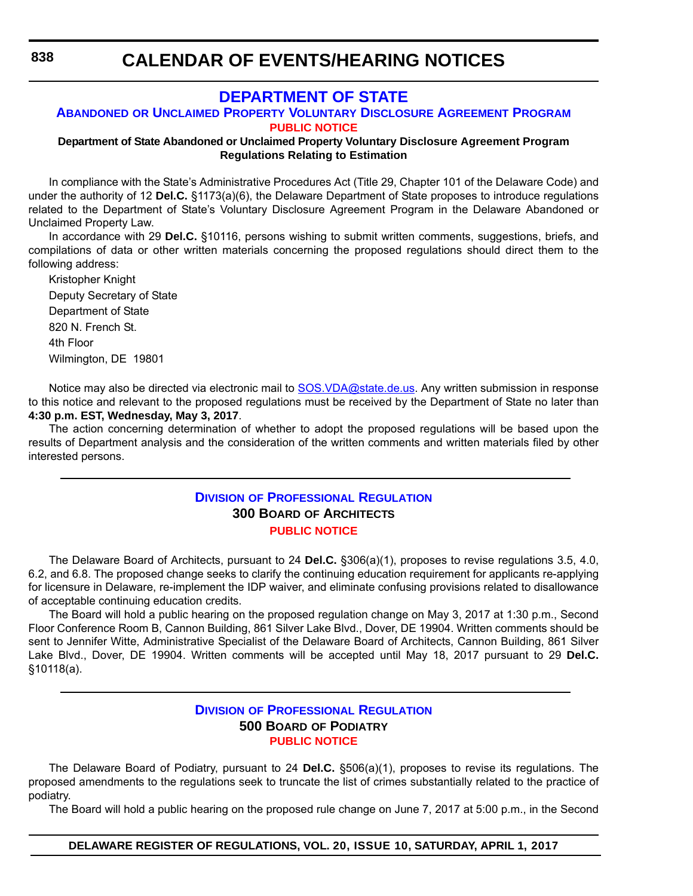## **[DEPARTMENT OF STATE](http://sos.delaware.gov/)**

#### **ABANDONED OR UNCLAIMED PROPERTY VOLUNTARY DISCLOSURE AGREEMENT PROGRAM [PUBLIC NOTICE](#page-4-0)**

#### **Department of State Abandoned or Unclaimed Property Voluntary Disclosure Agreement Program Regulations Relating to Estimation**

In compliance with the State's Administrative Procedures Act (Title 29, Chapter 101 of the Delaware Code) and under the authority of 12 **Del.C.** §1173(a)(6), the Delaware Department of State proposes to introduce regulations related to the Department of State's Voluntary Disclosure Agreement Program in the Delaware Abandoned or Unclaimed Property Law.

In accordance with 29 **Del.C.** §10116, persons wishing to submit written comments, suggestions, briefs, and compilations of data or other written materials concerning the proposed regulations should direct them to the following address:

Kristopher Knight Deputy Secretary of State Department of State 820 N. French St. 4th Floor Wilmington, DE 19801

Notice may also be directed via electronic mail to [SOS.VDA@state.de.us.](mailto:SOS.VDA@state.de.us) Any written submission in response to this notice and relevant to the proposed regulations must be received by the Department of State no later than **4:30 p.m. EST, Wednesday, May 3, 2017**.

The action concerning determination of whether to adopt the proposed regulations will be based upon the results of Department analysis and the consideration of the written comments and written materials filed by other interested persons.

#### **DIVISION [OF PROFESSIONAL REGULATION](http://dpr.delaware.gov/) 300 BOARD OF ARCHITECTS [PUBLIC NOTICE](#page-4-0)**

The Delaware Board of Architects, pursuant to 24 **Del.C.** §306(a)(1), proposes to revise regulations 3.5, 4.0, 6.2, and 6.8. The proposed change seeks to clarify the continuing education requirement for applicants re-applying for licensure in Delaware, re-implement the IDP waiver, and eliminate confusing provisions related to disallowance of acceptable continuing education credits.

The Board will hold a public hearing on the proposed regulation change on May 3, 2017 at 1:30 p.m., Second Floor Conference Room B, Cannon Building, 861 Silver Lake Blvd., Dover, DE 19904. Written comments should be sent to Jennifer Witte, Administrative Specialist of the Delaware Board of Architects, Cannon Building, 861 Silver Lake Blvd., Dover, DE 19904. Written comments will be accepted until May 18, 2017 pursuant to 29 **Del.C.** §10118(a).

#### **DIVISION [OF PROFESSIONAL REGULATION](http://dpr.delaware.gov/) 500 BOARD OF PODIATRY [PUBLIC NOTICE](#page-4-0)**

The Delaware Board of Podiatry, pursuant to 24 **Del.C.** §506(a)(1), proposes to revise its regulations. The proposed amendments to the regulations seek to truncate the list of crimes substantially related to the practice of podiatry.

The Board will hold a public hearing on the proposed rule change on June 7, 2017 at 5:00 p.m., in the Second